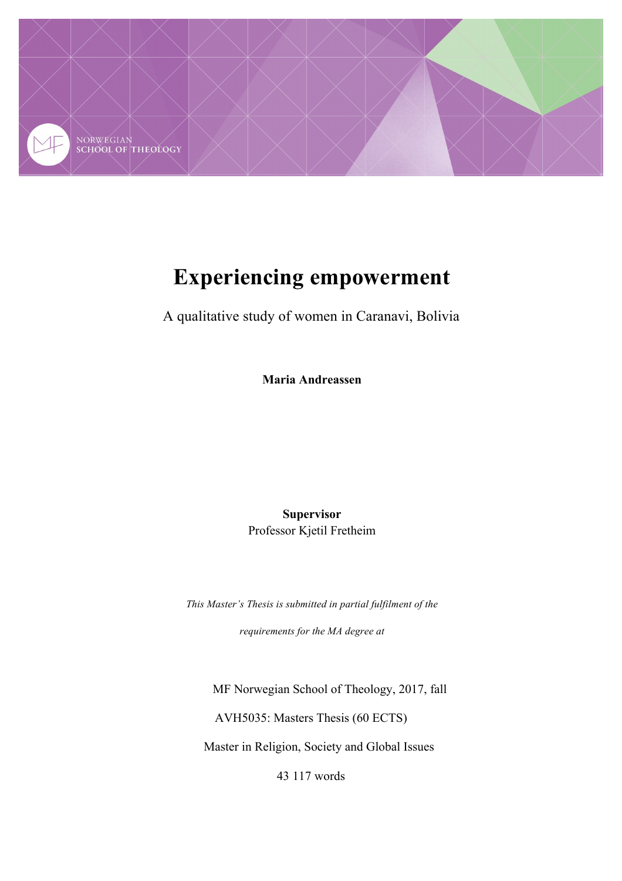

# **Experiencing empowerment**

A qualitative study of women in Caranavi, Bolivia

**Maria Andreassen**

**Supervisor**  Professor Kjetil Fretheim

*This Master's Thesis is submitted in partial fulfilment of the* 

*requirements for the MA degree at* 

MF Norwegian School of Theology, 2017, fall AVH5035: Masters Thesis (60 ECTS) Master in Religion, Society and Global Issues

43 117 words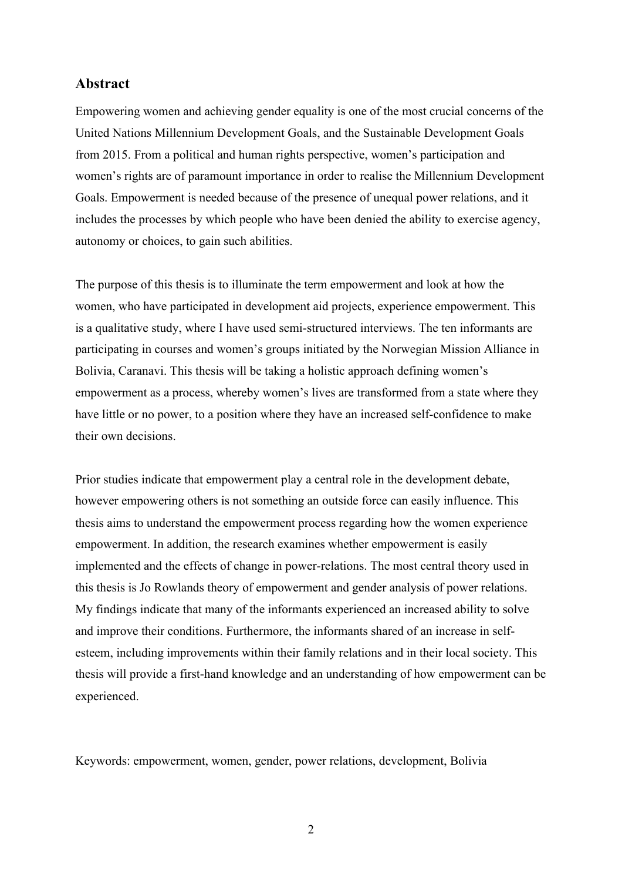# **Abstract**

Empowering women and achieving gender equality is one of the most crucial concerns of the United Nations Millennium Development Goals, and the Sustainable Development Goals from 2015. From a political and human rights perspective, women's participation and women's rights are of paramount importance in order to realise the Millennium Development Goals. Empowerment is needed because of the presence of unequal power relations, and it includes the processes by which people who have been denied the ability to exercise agency, autonomy or choices, to gain such abilities.

The purpose of this thesis is to illuminate the term empowerment and look at how the women, who have participated in development aid projects, experience empowerment. This is a qualitative study, where I have used semi-structured interviews. The ten informants are participating in courses and women's groups initiated by the Norwegian Mission Alliance in Bolivia, Caranavi. This thesis will be taking a holistic approach defining women's empowerment as a process, whereby women's lives are transformed from a state where they have little or no power, to a position where they have an increased self-confidence to make their own decisions.

Prior studies indicate that empowerment play a central role in the development debate, however empowering others is not something an outside force can easily influence. This thesis aims to understand the empowerment process regarding how the women experience empowerment. In addition, the research examines whether empowerment is easily implemented and the effects of change in power-relations. The most central theory used in this thesis is Jo Rowlands theory of empowerment and gender analysis of power relations. My findings indicate that many of the informants experienced an increased ability to solve and improve their conditions. Furthermore, the informants shared of an increase in selfesteem, including improvements within their family relations and in their local society. This thesis will provide a first-hand knowledge and an understanding of how empowerment can be experienced.

Keywords: empowerment, women, gender, power relations, development, Bolivia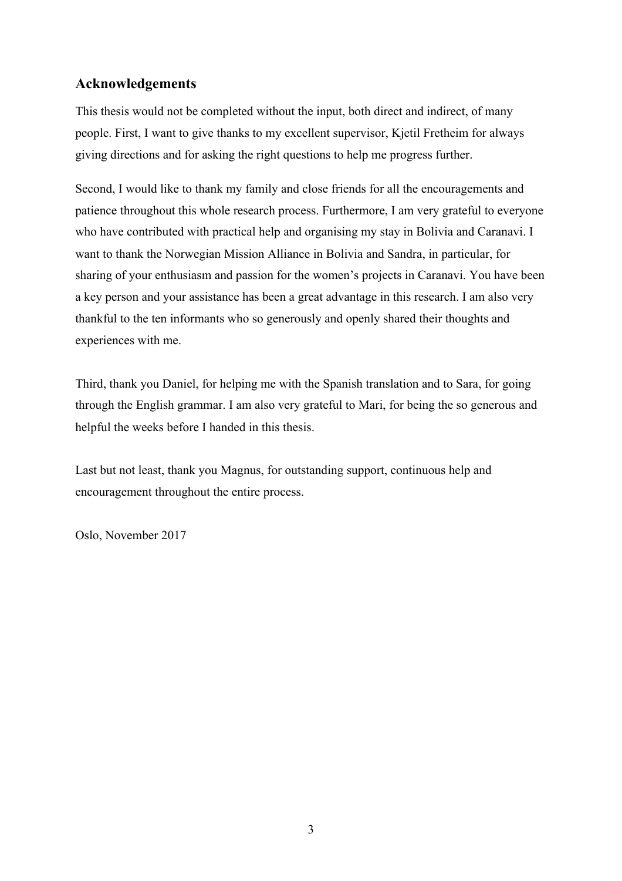# **Acknowledgements**

This thesis would not be completed without the input, both direct and indirect, of many people. First, I want to give thanks to my excellent supervisor, Kjetil Fretheim for always giving directions and for asking the right questions to help me progress further.

Second, I would like to thank my family and close friends for all the encouragements and patience throughout this whole research process. Furthermore, I am very grateful to everyone who have contributed with practical help and organising my stay in Bolivia and Caranavi. I want to thank the Norwegian Mission Alliance in Bolivia and Sandra, in particular, for sharing of your enthusiasm and passion for the women's projects in Caranavi. You have been a key person and your assistance has been a great advantage in this research. I am also very thankful to the ten informants who so generously and openly shared their thoughts and experiences with me.

Third, thank you Daniel, for helping me with the Spanish translation and to Sara, for going through the English grammar. I am also very grateful to Mari, for being the so generous and helpful the weeks before I handed in this thesis.

Last but not least, thank you Magnus, for outstanding support, continuous help and encouragement throughout the entire process.

Oslo, November 2017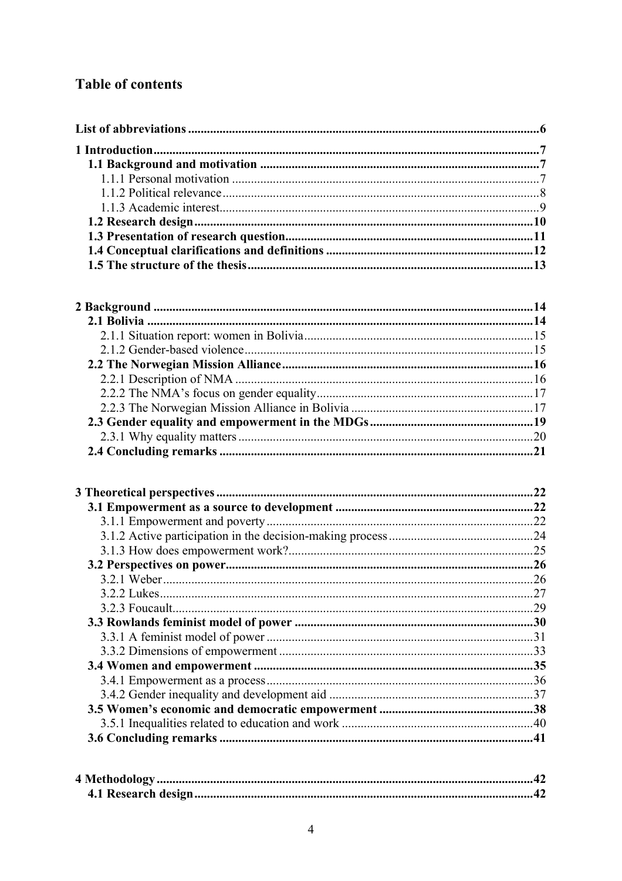# **Table of contents**

| .22 |
|-----|
|     |
| .22 |
|     |
|     |
|     |
|     |
|     |
|     |
|     |
|     |
|     |
|     |
|     |
|     |
|     |
|     |
|     |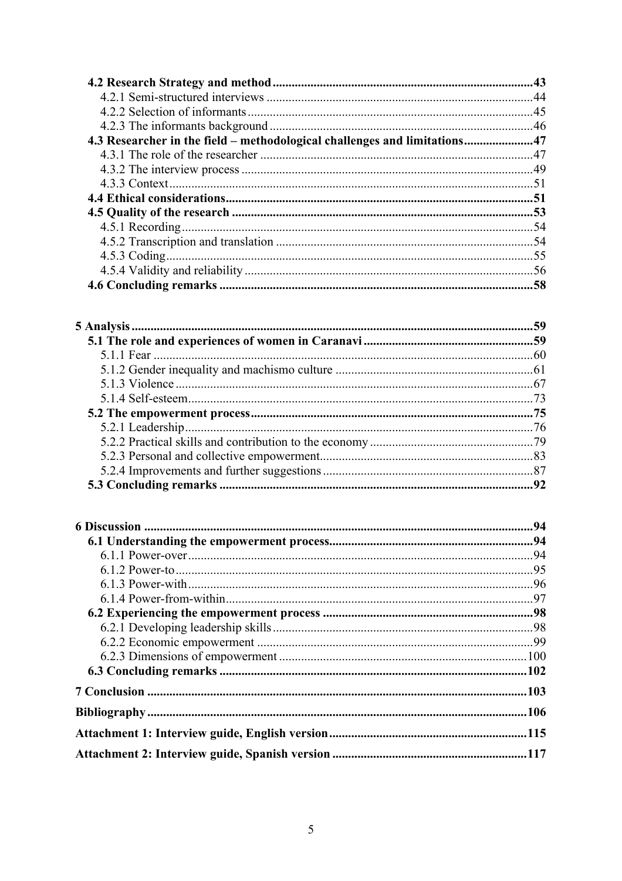| 4.3 Researcher in the field – methodological challenges and limitations47 |     |
|---------------------------------------------------------------------------|-----|
|                                                                           |     |
|                                                                           |     |
|                                                                           |     |
|                                                                           |     |
|                                                                           |     |
|                                                                           |     |
|                                                                           |     |
|                                                                           |     |
|                                                                           | .56 |
|                                                                           |     |
|                                                                           |     |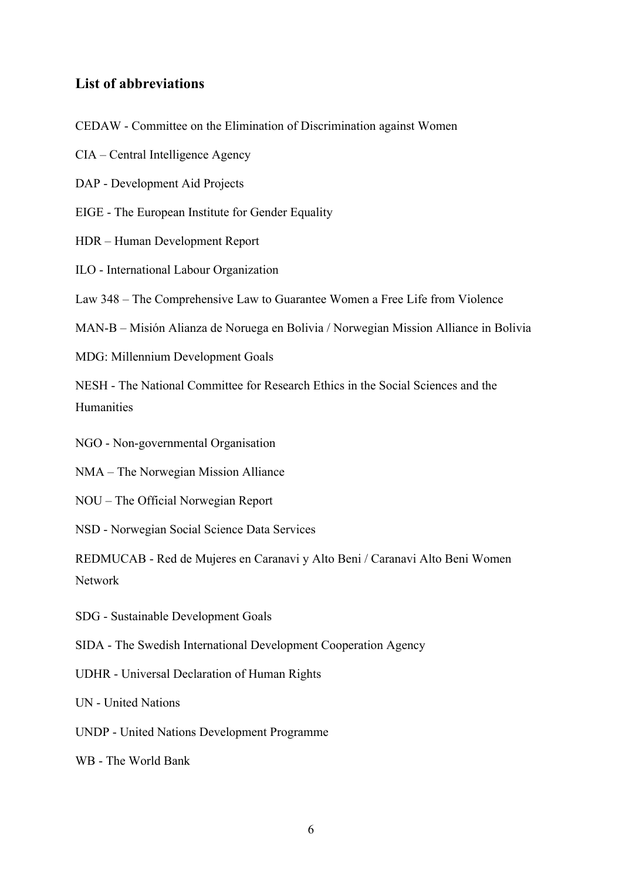# **List of abbreviations**

CEDAW - Committee on the Elimination of Discrimination against Women

CIA – Central Intelligence Agency

- DAP Development Aid Projects
- EIGE The European Institute for Gender Equality
- HDR Human Development Report
- ILO International Labour Organization

Law 348 – The Comprehensive Law to Guarantee Women a Free Life from Violence

MAN-B – Misión Alianza de Noruega en Bolivia / Norwegian Mission Alliance in Bolivia

MDG: Millennium Development Goals

NESH - The National Committee for Research Ethics in the Social Sciences and the Humanities

NGO - Non-governmental Organisation

NMA – The Norwegian Mission Alliance

NOU – The Official Norwegian Report

NSD - Norwegian Social Science Data Services

REDMUCAB - Red de Mujeres en Caranavi y Alto Beni / Caranavi Alto Beni Women Network

SDG - Sustainable Development Goals

SIDA - The Swedish International Development Cooperation Agency

UDHR - Universal Declaration of Human Rights

UN - United Nations

UNDP - United Nations Development Programme

WB - The World Bank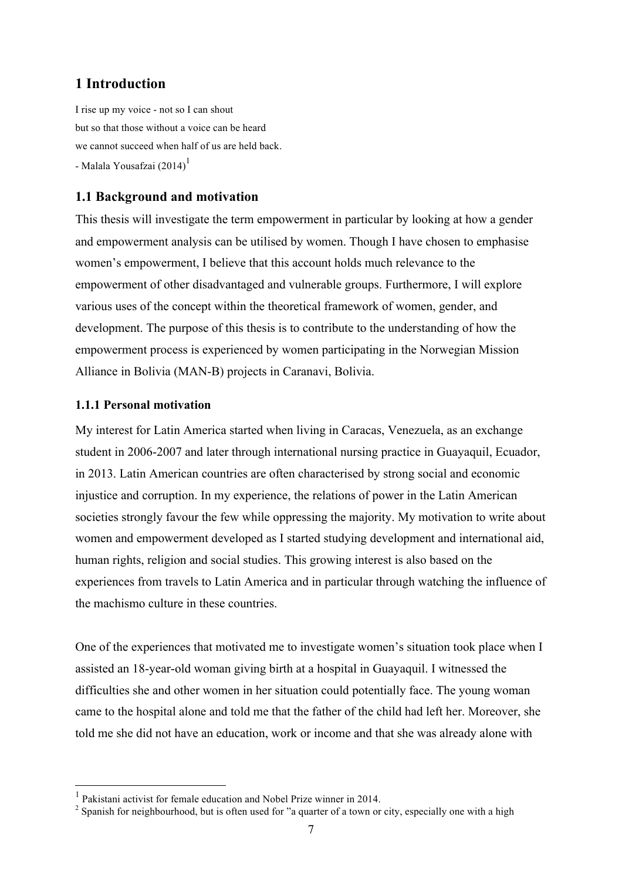# **1 Introduction**

I rise up my voice - not so I can shout but so that those without a voice can be heard we cannot succeed when half of us are held back. - Malala Yousafzai (2014)<sup>1</sup>

# **1.1 Background and motivation**

This thesis will investigate the term empowerment in particular by looking at how a gender and empowerment analysis can be utilised by women. Though I have chosen to emphasise women's empowerment, I believe that this account holds much relevance to the empowerment of other disadvantaged and vulnerable groups. Furthermore, I will explore various uses of the concept within the theoretical framework of women, gender, and development. The purpose of this thesis is to contribute to the understanding of how the empowerment process is experienced by women participating in the Norwegian Mission Alliance in Bolivia (MAN-B) projects in Caranavi, Bolivia.

# **1.1.1 Personal motivation**

My interest for Latin America started when living in Caracas, Venezuela, as an exchange student in 2006-2007 and later through international nursing practice in Guayaquil, Ecuador, in 2013. Latin American countries are often characterised by strong social and economic injustice and corruption. In my experience, the relations of power in the Latin American societies strongly favour the few while oppressing the majority. My motivation to write about women and empowerment developed as I started studying development and international aid, human rights, religion and social studies. This growing interest is also based on the experiences from travels to Latin America and in particular through watching the influence of the machismo culture in these countries.

One of the experiences that motivated me to investigate women's situation took place when I assisted an 18-year-old woman giving birth at a hospital in Guayaquil. I witnessed the difficulties she and other women in her situation could potentially face. The young woman came to the hospital alone and told me that the father of the child had left her. Moreover, she told me she did not have an education, work or income and that she was already alone with

 <sup>1</sup> Pakistani activist for female education and Nobel Prize winner in 2014.

<sup>&</sup>lt;sup>2</sup> Spanish for neighbourhood, but is often used for "a quarter of a town or city, especially one with a high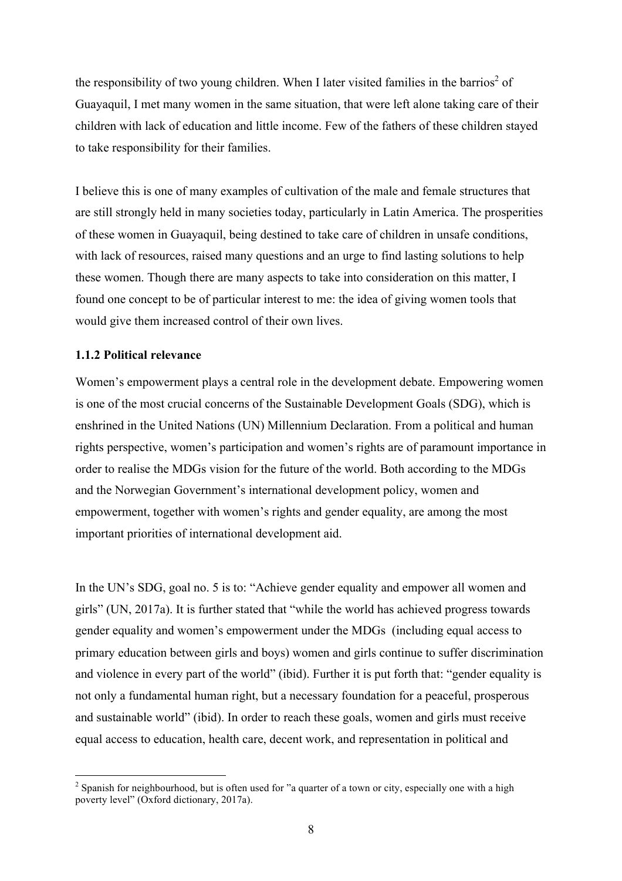the responsibility of two young children. When I later visited families in the barrios<sup>2</sup> of Guayaquil, I met many women in the same situation, that were left alone taking care of their children with lack of education and little income. Few of the fathers of these children stayed to take responsibility for their families.

I believe this is one of many examples of cultivation of the male and female structures that are still strongly held in many societies today, particularly in Latin America. The prosperities of these women in Guayaquil, being destined to take care of children in unsafe conditions, with lack of resources, raised many questions and an urge to find lasting solutions to help these women. Though there are many aspects to take into consideration on this matter, I found one concept to be of particular interest to me: the idea of giving women tools that would give them increased control of their own lives.

#### **1.1.2 Political relevance**

Women's empowerment plays a central role in the development debate. Empowering women is one of the most crucial concerns of the Sustainable Development Goals (SDG), which is enshrined in the United Nations (UN) Millennium Declaration. From a political and human rights perspective, women's participation and women's rights are of paramount importance in order to realise the MDGs vision for the future of the world. Both according to the MDGs and the Norwegian Government's international development policy, women and empowerment, together with women's rights and gender equality, are among the most important priorities of international development aid.

In the UN's SDG, goal no. 5 is to: "Achieve gender equality and empower all women and girls" (UN, 2017a). It is further stated that "while the world has achieved progress towards gender equality and women's empowerment under the MDGs (including equal access to primary education between girls and boys) women and girls continue to suffer discrimination and violence in every part of the world" (ibid). Further it is put forth that: "gender equality is not only a fundamental human right, but a necessary foundation for a peaceful, prosperous and sustainable world" (ibid). In order to reach these goals, women and girls must receive equal access to education, health care, decent work, and representation in political and

<sup>&</sup>lt;sup>2</sup> Spanish for neighbourhood, but is often used for "a quarter of a town or city, especially one with a high poverty level" (Oxford dictionary, 2017a).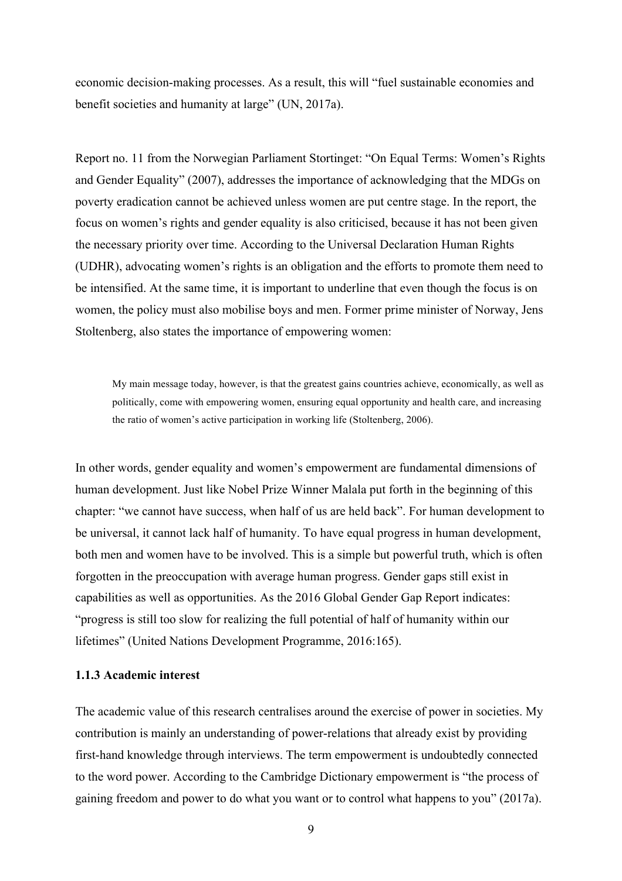economic decision-making processes. As a result, this will "fuel sustainable economies and benefit societies and humanity at large" (UN, 2017a).

Report no. 11 from the Norwegian Parliament Stortinget: "On Equal Terms: Women's Rights and Gender Equality" (2007), addresses the importance of acknowledging that the MDGs on poverty eradication cannot be achieved unless women are put centre stage. In the report, the focus on women's rights and gender equality is also criticised, because it has not been given the necessary priority over time. According to the Universal Declaration Human Rights (UDHR), advocating women's rights is an obligation and the efforts to promote them need to be intensified. At the same time, it is important to underline that even though the focus is on women, the policy must also mobilise boys and men. Former prime minister of Norway, Jens Stoltenberg, also states the importance of empowering women:

My main message today, however, is that the greatest gains countries achieve, economically, as well as politically, come with empowering women, ensuring equal opportunity and health care, and increasing the ratio of women's active participation in working life (Stoltenberg, 2006).

In other words, gender equality and women's empowerment are fundamental dimensions of human development. Just like Nobel Prize Winner Malala put forth in the beginning of this chapter: "we cannot have success, when half of us are held back". For human development to be universal, it cannot lack half of humanity. To have equal progress in human development, both men and women have to be involved. This is a simple but powerful truth, which is often forgotten in the preoccupation with average human progress. Gender gaps still exist in capabilities as well as opportunities. As the 2016 Global Gender Gap Report indicates: "progress is still too slow for realizing the full potential of half of humanity within our lifetimes" (United Nations Development Programme, 2016:165).

#### **1.1.3 Academic interest**

The academic value of this research centralises around the exercise of power in societies. My contribution is mainly an understanding of power-relations that already exist by providing first-hand knowledge through interviews. The term empowerment is undoubtedly connected to the word power. According to the Cambridge Dictionary empowerment is "the process of gaining freedom and power to do what you want or to control what happens to you" (2017a).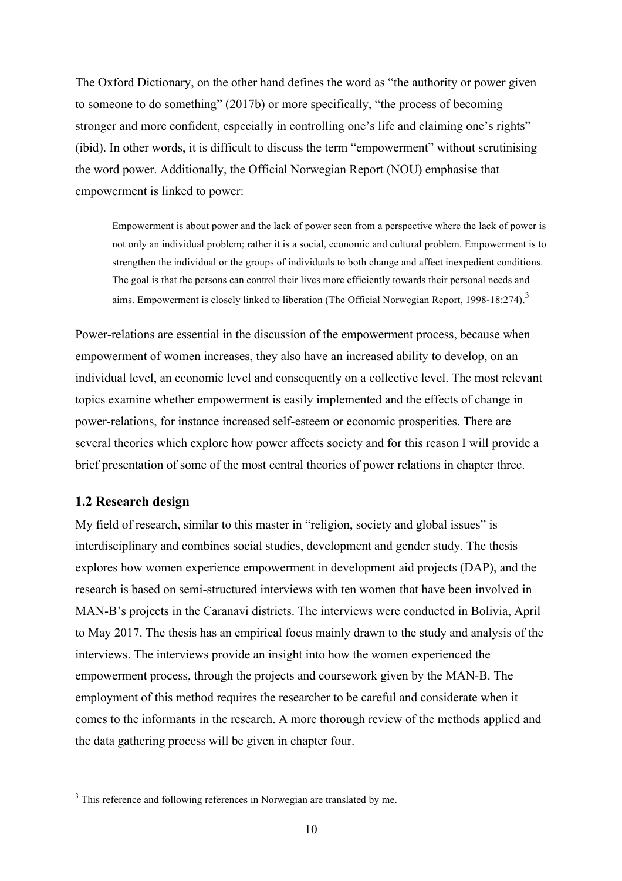The Oxford Dictionary, on the other hand defines the word as "the authority or power given to someone to do something" (2017b) or more specifically, "the process of becoming stronger and more confident, especially in controlling one's life and claiming one's rights" (ibid). In other words, it is difficult to discuss the term "empowerment" without scrutinising the word power. Additionally, the Official Norwegian Report (NOU) emphasise that empowerment is linked to power:

Empowerment is about power and the lack of power seen from a perspective where the lack of power is not only an individual problem; rather it is a social, economic and cultural problem. Empowerment is to strengthen the individual or the groups of individuals to both change and affect inexpedient conditions. The goal is that the persons can control their lives more efficiently towards their personal needs and aims. Empowerment is closely linked to liberation (The Official Norwegian Report, 1998-18:274).<sup>3</sup>

Power-relations are essential in the discussion of the empowerment process, because when empowerment of women increases, they also have an increased ability to develop, on an individual level, an economic level and consequently on a collective level. The most relevant topics examine whether empowerment is easily implemented and the effects of change in power-relations, for instance increased self-esteem or economic prosperities. There are several theories which explore how power affects society and for this reason I will provide a brief presentation of some of the most central theories of power relations in chapter three.

#### **1.2 Research design**

My field of research, similar to this master in "religion, society and global issues" is interdisciplinary and combines social studies, development and gender study. The thesis explores how women experience empowerment in development aid projects (DAP), and the research is based on semi-structured interviews with ten women that have been involved in MAN-B's projects in the Caranavi districts. The interviews were conducted in Bolivia, April to May 2017. The thesis has an empirical focus mainly drawn to the study and analysis of the interviews. The interviews provide an insight into how the women experienced the empowerment process, through the projects and coursework given by the MAN-B. The employment of this method requires the researcher to be careful and considerate when it comes to the informants in the research. A more thorough review of the methods applied and the data gathering process will be given in chapter four.

<sup>&</sup>lt;sup>3</sup> This reference and following references in Norwegian are translated by me.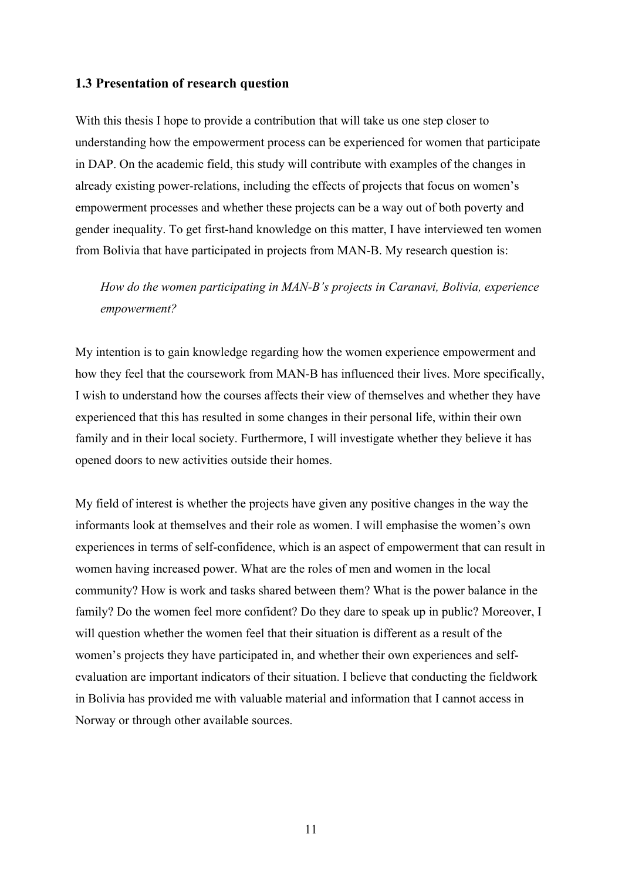# **1.3 Presentation of research question**

With this thesis I hope to provide a contribution that will take us one step closer to understanding how the empowerment process can be experienced for women that participate in DAP. On the academic field, this study will contribute with examples of the changes in already existing power-relations, including the effects of projects that focus on women's empowerment processes and whether these projects can be a way out of both poverty and gender inequality. To get first-hand knowledge on this matter, I have interviewed ten women from Bolivia that have participated in projects from MAN-B. My research question is:

*How do the women participating in MAN-B's projects in Caranavi, Bolivia, experience empowerment?*

My intention is to gain knowledge regarding how the women experience empowerment and how they feel that the coursework from MAN-B has influenced their lives. More specifically, I wish to understand how the courses affects their view of themselves and whether they have experienced that this has resulted in some changes in their personal life, within their own family and in their local society. Furthermore, I will investigate whether they believe it has opened doors to new activities outside their homes.

My field of interest is whether the projects have given any positive changes in the way the informants look at themselves and their role as women. I will emphasise the women's own experiences in terms of self-confidence, which is an aspect of empowerment that can result in women having increased power. What are the roles of men and women in the local community? How is work and tasks shared between them? What is the power balance in the family? Do the women feel more confident? Do they dare to speak up in public? Moreover, I will question whether the women feel that their situation is different as a result of the women's projects they have participated in, and whether their own experiences and selfevaluation are important indicators of their situation. I believe that conducting the fieldwork in Bolivia has provided me with valuable material and information that I cannot access in Norway or through other available sources.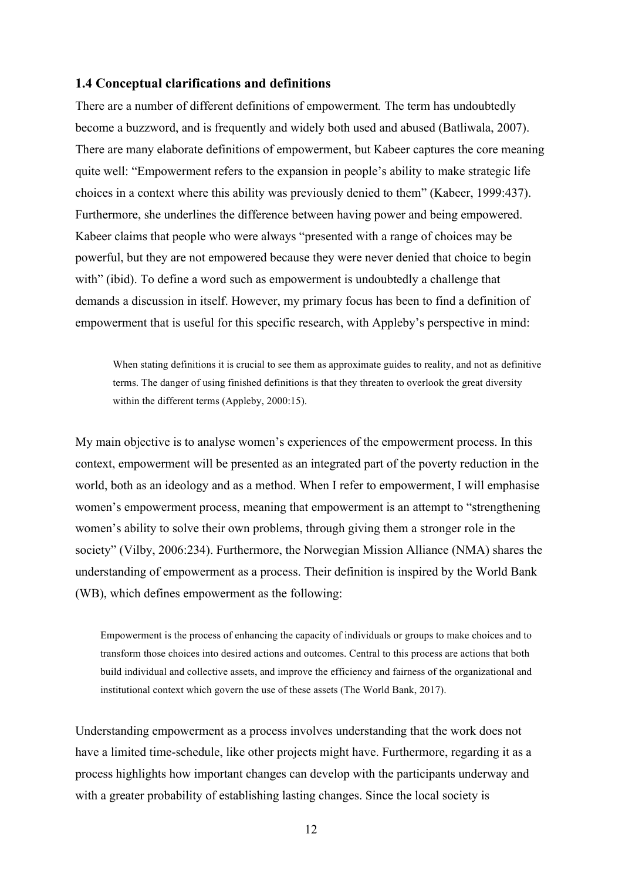#### **1.4 Conceptual clarifications and definitions**

There are a number of different definitions of empowerment*.* The term has undoubtedly become a buzzword, and is frequently and widely both used and abused (Batliwala, 2007). There are many elaborate definitions of empowerment, but Kabeer captures the core meaning quite well: "Empowerment refers to the expansion in people's ability to make strategic life choices in a context where this ability was previously denied to them" (Kabeer, 1999:437). Furthermore, she underlines the difference between having power and being empowered. Kabeer claims that people who were always "presented with a range of choices may be powerful, but they are not empowered because they were never denied that choice to begin with" (ibid). To define a word such as empowerment is undoubtedly a challenge that demands a discussion in itself. However, my primary focus has been to find a definition of empowerment that is useful for this specific research, with Appleby's perspective in mind:

When stating definitions it is crucial to see them as approximate guides to reality, and not as definitive terms. The danger of using finished definitions is that they threaten to overlook the great diversity within the different terms (Appleby, 2000:15).

My main objective is to analyse women's experiences of the empowerment process. In this context, empowerment will be presented as an integrated part of the poverty reduction in the world, both as an ideology and as a method. When I refer to empowerment, I will emphasise women's empowerment process, meaning that empowerment is an attempt to "strengthening women's ability to solve their own problems, through giving them a stronger role in the society" (Vilby, 2006:234). Furthermore, the Norwegian Mission Alliance (NMA) shares the understanding of empowerment as a process. Their definition is inspired by the World Bank (WB), which defines empowerment as the following:

Empowerment is the process of enhancing the capacity of individuals or groups to make choices and to transform those choices into desired actions and outcomes. Central to this process are actions that both build individual and collective assets, and improve the efficiency and fairness of the organizational and institutional context which govern the use of these assets (The World Bank, 2017).

Understanding empowerment as a process involves understanding that the work does not have a limited time-schedule, like other projects might have. Furthermore, regarding it as a process highlights how important changes can develop with the participants underway and with a greater probability of establishing lasting changes. Since the local society is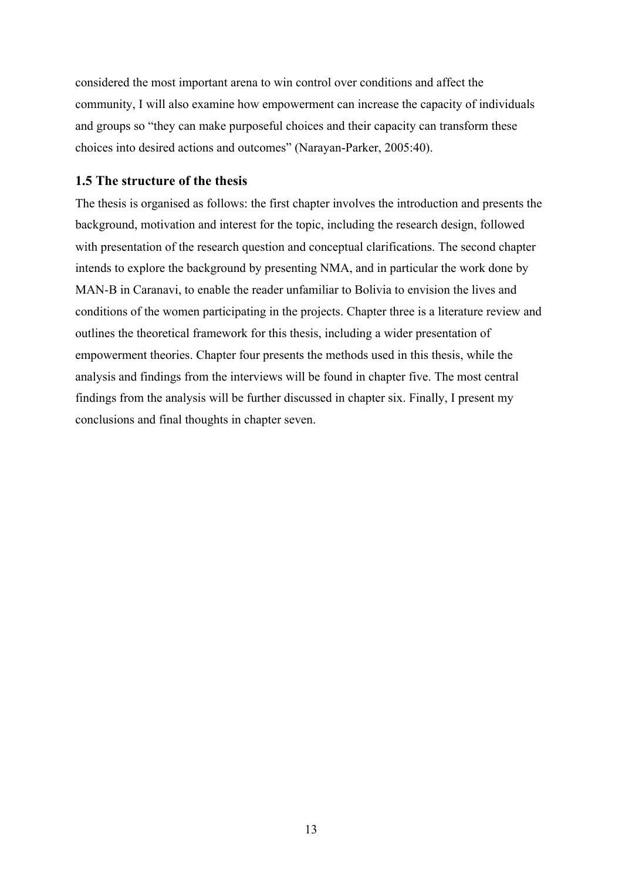considered the most important arena to win control over conditions and affect the community, I will also examine how empowerment can increase the capacity of individuals and groups so "they can make purposeful choices and their capacity can transform these choices into desired actions and outcomes" (Narayan-Parker, 2005:40).

#### **1.5 The structure of the thesis**

The thesis is organised as follows: the first chapter involves the introduction and presents the background, motivation and interest for the topic, including the research design, followed with presentation of the research question and conceptual clarifications. The second chapter intends to explore the background by presenting NMA, and in particular the work done by MAN-B in Caranavi, to enable the reader unfamiliar to Bolivia to envision the lives and conditions of the women participating in the projects. Chapter three is a literature review and outlines the theoretical framework for this thesis, including a wider presentation of empowerment theories. Chapter four presents the methods used in this thesis, while the analysis and findings from the interviews will be found in chapter five. The most central findings from the analysis will be further discussed in chapter six. Finally, I present my conclusions and final thoughts in chapter seven.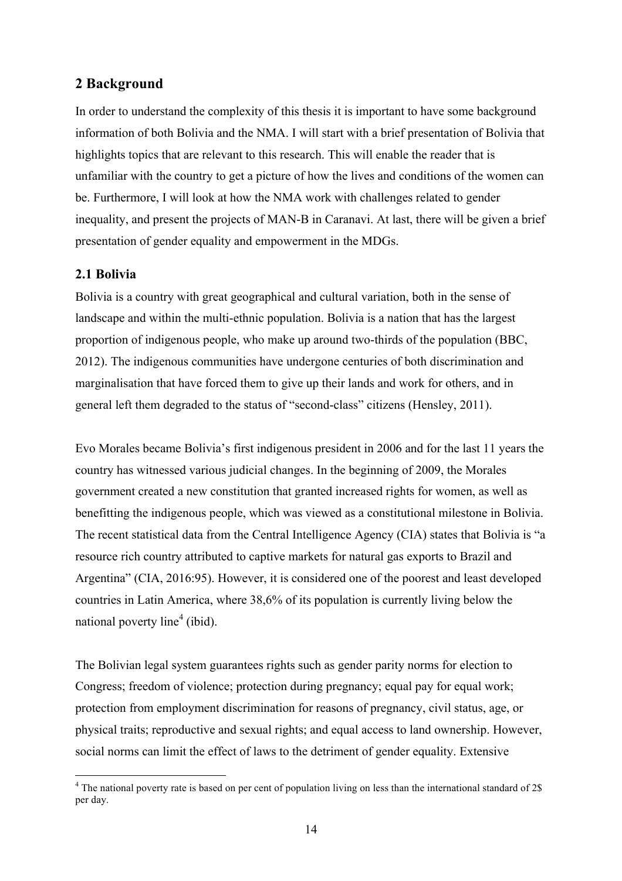# **2 Background**

In order to understand the complexity of this thesis it is important to have some background information of both Bolivia and the NMA. I will start with a brief presentation of Bolivia that highlights topics that are relevant to this research. This will enable the reader that is unfamiliar with the country to get a picture of how the lives and conditions of the women can be. Furthermore, I will look at how the NMA work with challenges related to gender inequality, and present the projects of MAN-B in Caranavi. At last, there will be given a brief presentation of gender equality and empowerment in the MDGs.

# **2.1 Bolivia**

Bolivia is a country with great geographical and cultural variation, both in the sense of landscape and within the multi-ethnic population. Bolivia is a nation that has the largest proportion of indigenous people, who make up around two-thirds of the population (BBC, 2012). The indigenous communities have undergone centuries of both discrimination and marginalisation that have forced them to give up their lands and work for others, and in general left them degraded to the status of "second-class" citizens (Hensley, 2011).

Evo Morales became Bolivia's first indigenous president in 2006 and for the last 11 years the country has witnessed various judicial changes. In the beginning of 2009, the Morales government created a new constitution that granted increased rights for women, as well as benefitting the indigenous people, which was viewed as a constitutional milestone in Bolivia. The recent statistical data from the Central Intelligence Agency (CIA) states that Bolivia is "a resource rich country attributed to captive markets for natural gas exports to Brazil and Argentina" (CIA, 2016:95). However, it is considered one of the poorest and least developed countries in Latin America, where 38,6% of its population is currently living below the national poverty line<sup>4</sup> (ibid).

The Bolivian legal system guarantees rights such as gender parity norms for election to Congress; freedom of violence; protection during pregnancy; equal pay for equal work; protection from employment discrimination for reasons of pregnancy, civil status, age, or physical traits; reproductive and sexual rights; and equal access to land ownership. However, social norms can limit the effect of laws to the detriment of gender equality. Extensive

<sup>&</sup>lt;sup>4</sup> The national poverty rate is based on per cent of population living on less than the international standard of 2\$ per day.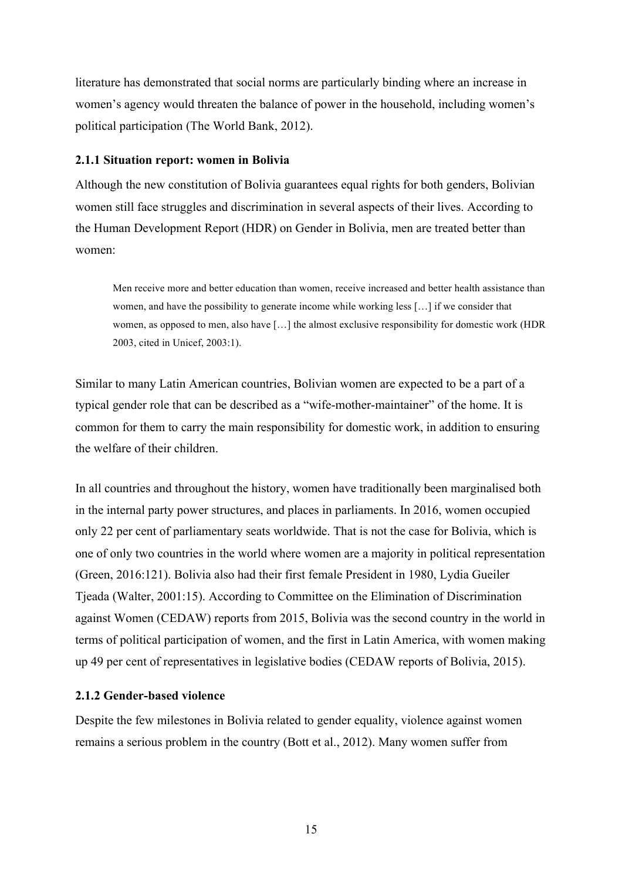literature has demonstrated that social norms are particularly binding where an increase in women's agency would threaten the balance of power in the household, including women's political participation (The World Bank, 2012).

#### **2.1.1 Situation report: women in Bolivia**

Although the new constitution of Bolivia guarantees equal rights for both genders, Bolivian women still face struggles and discrimination in several aspects of their lives. According to the Human Development Report (HDR) on Gender in Bolivia, men are treated better than women:

Men receive more and better education than women, receive increased and better health assistance than women, and have the possibility to generate income while working less […] if we consider that women, as opposed to men, also have […] the almost exclusive responsibility for domestic work (HDR 2003, cited in Unicef, 2003:1).

Similar to many Latin American countries, Bolivian women are expected to be a part of a typical gender role that can be described as a "wife-mother-maintainer" of the home. It is common for them to carry the main responsibility for domestic work, in addition to ensuring the welfare of their children.

In all countries and throughout the history, women have traditionally been marginalised both in the internal party power structures, and places in parliaments. In 2016, women occupied only 22 per cent of parliamentary seats worldwide. That is not the case for Bolivia, which is one of only two countries in the world where women are a majority in political representation (Green, 2016:121). Bolivia also had their first female President in 1980, Lydia Gueiler Tjeada (Walter, 2001:15). According to Committee on the Elimination of Discrimination against Women (CEDAW) reports from 2015, Bolivia was the second country in the world in terms of political participation of women, and the first in Latin America, with women making up 49 per cent of representatives in legislative bodies (CEDAW reports of Bolivia, 2015).

#### **2.1.2 Gender-based violence**

Despite the few milestones in Bolivia related to gender equality, violence against women remains a serious problem in the country (Bott et al., 2012). Many women suffer from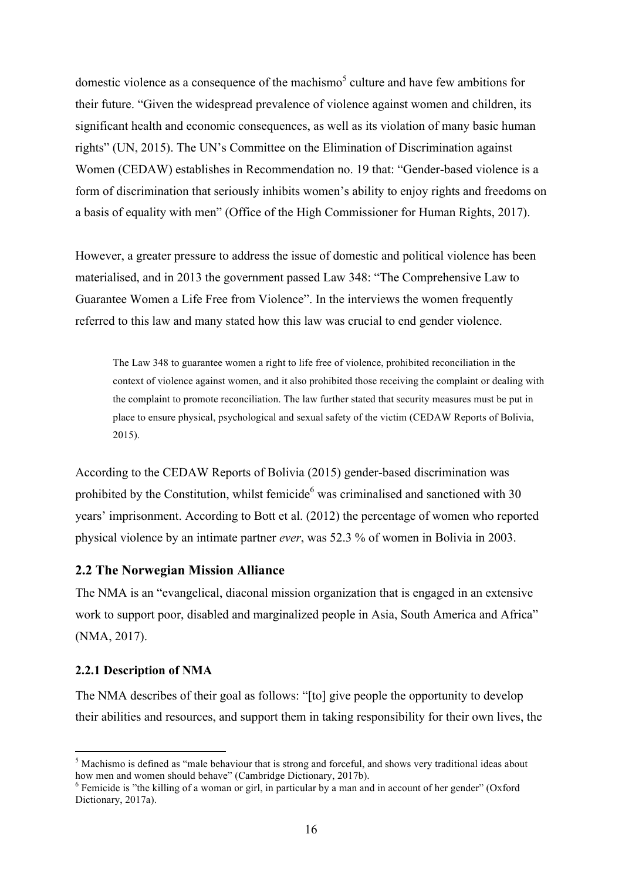domestic violence as a consequence of the machismo<sup>5</sup> culture and have few ambitions for their future. "Given the widespread prevalence of violence against women and children, its significant health and economic consequences, as well as its violation of many basic human rights" (UN, 2015). The UN's Committee on the Elimination of Discrimination against Women (CEDAW) establishes in Recommendation no. 19 that: "Gender-based violence is a form of discrimination that seriously inhibits women's ability to enjoy rights and freedoms on a basis of equality with men" (Office of the High Commissioner for Human Rights, 2017).

However, a greater pressure to address the issue of domestic and political violence has been materialised, and in 2013 the government passed Law 348: "The Comprehensive Law to Guarantee Women a Life Free from Violence". In the interviews the women frequently referred to this law and many stated how this law was crucial to end gender violence.

The Law 348 to guarantee women a right to life free of violence, prohibited reconciliation in the context of violence against women, and it also prohibited those receiving the complaint or dealing with the complaint to promote reconciliation. The law further stated that security measures must be put in place to ensure physical, psychological and sexual safety of the victim (CEDAW Reports of Bolivia, 2015).

According to the CEDAW Reports of Bolivia (2015) gender-based discrimination was prohibited by the Constitution, whilst femicide<sup>6</sup> was criminalised and sanctioned with  $30$ years' imprisonment. According to Bott et al. (2012) the percentage of women who reported physical violence by an intimate partner *ever*, was 52.3 % of women in Bolivia in 2003.

# **2.2 The Norwegian Mission Alliance**

The NMA is an "evangelical, diaconal mission organization that is engaged in an extensive work to support poor, disabled and marginalized people in Asia, South America and Africa" (NMA, 2017).

#### **2.2.1 Description of NMA**

The NMA describes of their goal as follows: "[to] give people the opportunity to develop their abilities and resources, and support them in taking responsibility for their own lives, the

 $5$  Machismo is defined as "male behaviour that is strong and forceful, and shows very traditional ideas about how men and women should behave" (Cambridge Dictionary, 2017b).

 $\delta$  Femicide is "the killing of a woman or girl, in particular by a man and in account of her gender" (Oxford Dictionary, 2017a).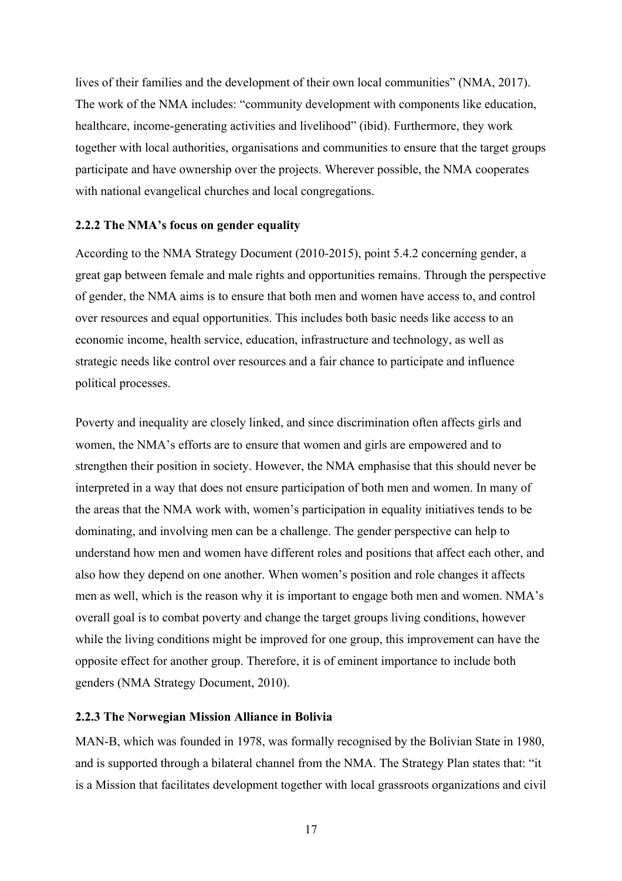lives of their families and the development of their own local communities" (NMA, 2017). The work of the NMA includes: "community development with components like education, healthcare, income-generating activities and livelihood" (ibid). Furthermore, they work together with local authorities, organisations and communities to ensure that the target groups participate and have ownership over the projects. Wherever possible, the NMA cooperates with national evangelical churches and local congregations.

#### **2.2.2 The NMA's focus on gender equality**

According to the NMA Strategy Document (2010-2015), point 5.4.2 concerning gender, a great gap between female and male rights and opportunities remains. Through the perspective of gender, the NMA aims is to ensure that both men and women have access to, and control over resources and equal opportunities. This includes both basic needs like access to an economic income, health service, education, infrastructure and technology, as well as strategic needs like control over resources and a fair chance to participate and influence political processes.

Poverty and inequality are closely linked, and since discrimination often affects girls and women, the NMA's efforts are to ensure that women and girls are empowered and to strengthen their position in society. However, the NMA emphasise that this should never be interpreted in a way that does not ensure participation of both men and women. In many of the areas that the NMA work with, women's participation in equality initiatives tends to be dominating, and involving men can be a challenge. The gender perspective can help to understand how men and women have different roles and positions that affect each other, and also how they depend on one another. When women's position and role changes it affects men as well, which is the reason why it is important to engage both men and women. NMA's overall goal is to combat poverty and change the target groups living conditions, however while the living conditions might be improved for one group, this improvement can have the opposite effect for another group. Therefore, it is of eminent importance to include both genders (NMA Strategy Document, 2010).

#### **2.2.3 The Norwegian Mission Alliance in Bolivia**

MAN-B, which was founded in 1978, was formally recognised by the Bolivian State in 1980, and is supported through a bilateral channel from the NMA. The Strategy Plan states that: "it is a Mission that facilitates development together with local grassroots organizations and civil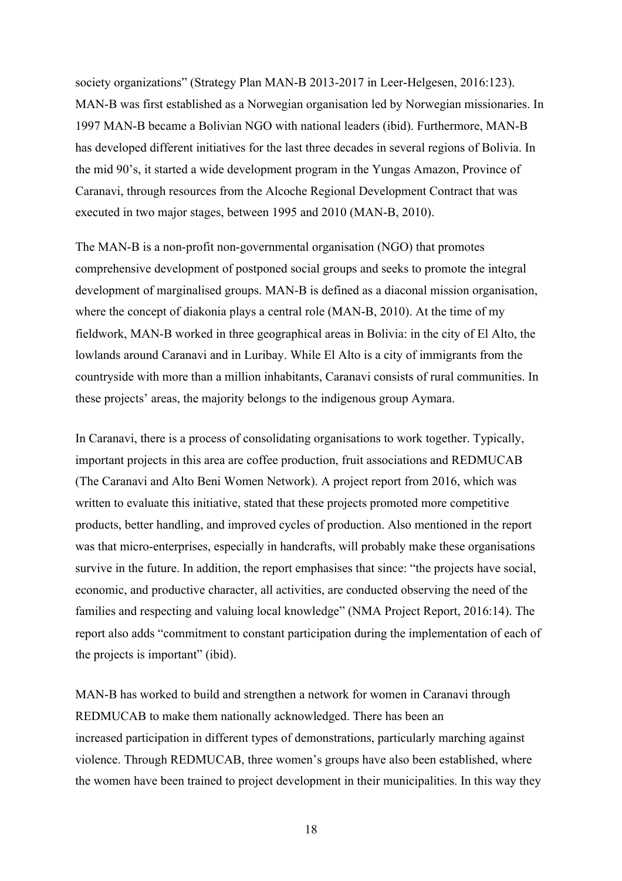society organizations" (Strategy Plan MAN-B 2013-2017 in Leer-Helgesen, 2016:123). MAN-B was first established as a Norwegian organisation led by Norwegian missionaries. In 1997 MAN-B became a Bolivian NGO with national leaders (ibid). Furthermore, MAN-B has developed different initiatives for the last three decades in several regions of Bolivia. In the mid 90's, it started a wide development program in the Yungas Amazon, Province of Caranavi, through resources from the Alcoche Regional Development Contract that was executed in two major stages, between 1995 and 2010 (MAN-B, 2010).

The MAN-B is a non-profit non-governmental organisation (NGO) that promotes comprehensive development of postponed social groups and seeks to promote the integral development of marginalised groups. MAN-B is defined as a diaconal mission organisation, where the concept of diakonia plays a central role (MAN-B, 2010). At the time of my fieldwork, MAN-B worked in three geographical areas in Bolivia: in the city of El Alto, the lowlands around Caranavi and in Luribay. While El Alto is a city of immigrants from the countryside with more than a million inhabitants, Caranavi consists of rural communities. In these projects' areas, the majority belongs to the indigenous group Aymara.

In Caranavi, there is a process of consolidating organisations to work together. Typically, important projects in this area are coffee production, fruit associations and REDMUCAB (The Caranavi and Alto Beni Women Network). A project report from 2016, which was written to evaluate this initiative, stated that these projects promoted more competitive products, better handling, and improved cycles of production. Also mentioned in the report was that micro-enterprises, especially in handcrafts, will probably make these organisations survive in the future. In addition, the report emphasises that since: "the projects have social, economic, and productive character, all activities, are conducted observing the need of the families and respecting and valuing local knowledge" (NMA Project Report, 2016:14). The report also adds "commitment to constant participation during the implementation of each of the projects is important" (ibid).

MAN-B has worked to build and strengthen a network for women in Caranavi through REDMUCAB to make them nationally acknowledged. There has been an increased participation in different types of demonstrations, particularly marching against violence. Through REDMUCAB, three women's groups have also been established, where the women have been trained to project development in their municipalities. In this way they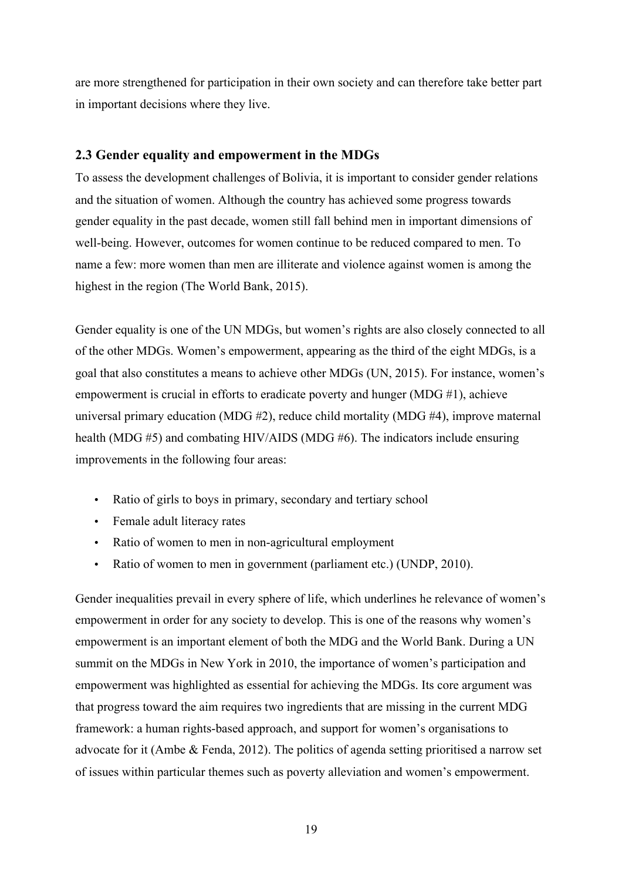are more strengthened for participation in their own society and can therefore take better part in important decisions where they live.

#### **2.3 Gender equality and empowerment in the MDGs**

To assess the development challenges of Bolivia, it is important to consider gender relations and the situation of women. Although the country has achieved some progress towards gender equality in the past decade, women still fall behind men in important dimensions of well-being. However, outcomes for women continue to be reduced compared to men. To name a few: more women than men are illiterate and violence against women is among the highest in the region (The World Bank, 2015).

Gender equality is one of the UN MDGs, but women's rights are also closely connected to all of the other MDGs. Women's empowerment, appearing as the third of the eight MDGs, is a goal that also constitutes a means to achieve other MDGs (UN, 2015). For instance, women's empowerment is crucial in efforts to eradicate poverty and hunger (MDG #1), achieve universal primary education (MDG #2), reduce child mortality (MDG #4), improve maternal health (MDG #5) and combating HIV/AIDS (MDG #6). The indicators include ensuring improvements in the following four areas:

- Ratio of girls to boys in primary, secondary and tertiary school
- Female adult literacy rates
- Ratio of women to men in non-agricultural employment
- Ratio of women to men in government (parliament etc.) (UNDP, 2010).

Gender inequalities prevail in every sphere of life, which underlines he relevance of women's empowerment in order for any society to develop. This is one of the reasons why women's empowerment is an important element of both the MDG and the World Bank. During a UN summit on the MDGs in New York in 2010, the importance of women's participation and empowerment was highlighted as essential for achieving the MDGs. Its core argument was that progress toward the aim requires two ingredients that are missing in the current MDG framework: a human rights-based approach, and support for women's organisations to advocate for it (Ambe & Fenda, 2012). The politics of agenda setting prioritised a narrow set of issues within particular themes such as poverty alleviation and women's empowerment.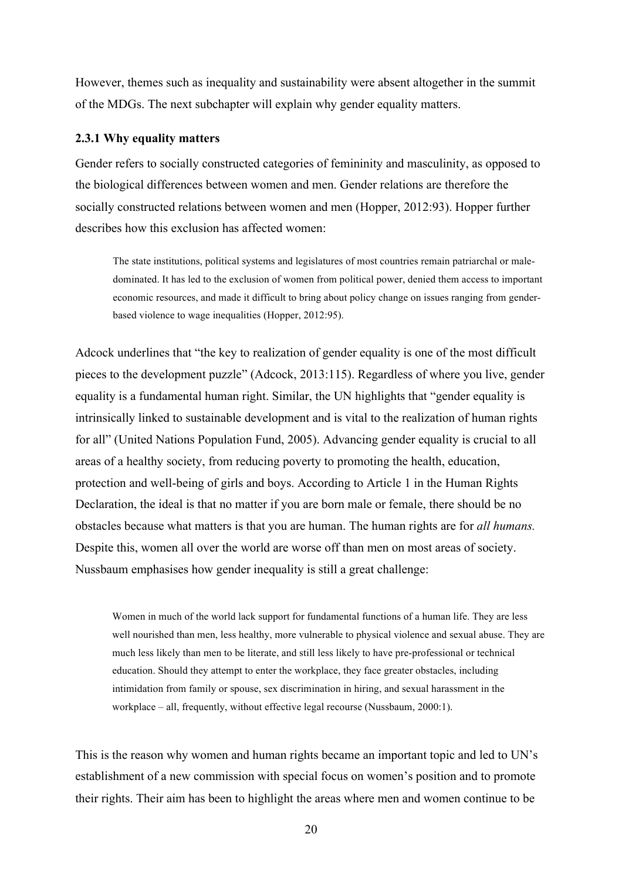However, themes such as inequality and sustainability were absent altogether in the summit of the MDGs. The next subchapter will explain why gender equality matters.

#### **2.3.1 Why equality matters**

Gender refers to socially constructed categories of femininity and masculinity, as opposed to the biological differences between women and men. Gender relations are therefore the socially constructed relations between women and men (Hopper, 2012:93). Hopper further describes how this exclusion has affected women:

The state institutions, political systems and legislatures of most countries remain patriarchal or maledominated. It has led to the exclusion of women from political power, denied them access to important economic resources, and made it difficult to bring about policy change on issues ranging from genderbased violence to wage inequalities (Hopper, 2012:95).

Adcock underlines that "the key to realization of gender equality is one of the most difficult pieces to the development puzzle" (Adcock, 2013:115). Regardless of where you live, gender equality is a fundamental human right. Similar, the UN highlights that "gender equality is intrinsically linked to sustainable development and is vital to the realization of human rights for all" (United Nations Population Fund, 2005). Advancing gender equality is crucial to all areas of a healthy society, from reducing poverty to promoting the health, education, protection and well-being of girls and boys. According to Article 1 in the Human Rights Declaration, the ideal is that no matter if you are born male or female, there should be no obstacles because what matters is that you are human. The human rights are for *all humans.* Despite this, women all over the world are worse off than men on most areas of society. Nussbaum emphasises how gender inequality is still a great challenge:

Women in much of the world lack support for fundamental functions of a human life. They are less well nourished than men, less healthy, more vulnerable to physical violence and sexual abuse. They are much less likely than men to be literate, and still less likely to have pre-professional or technical education. Should they attempt to enter the workplace, they face greater obstacles, including intimidation from family or spouse, sex discrimination in hiring, and sexual harassment in the workplace – all, frequently, without effective legal recourse (Nussbaum, 2000:1).

This is the reason why women and human rights became an important topic and led to UN's establishment of a new commission with special focus on women's position and to promote their rights. Their aim has been to highlight the areas where men and women continue to be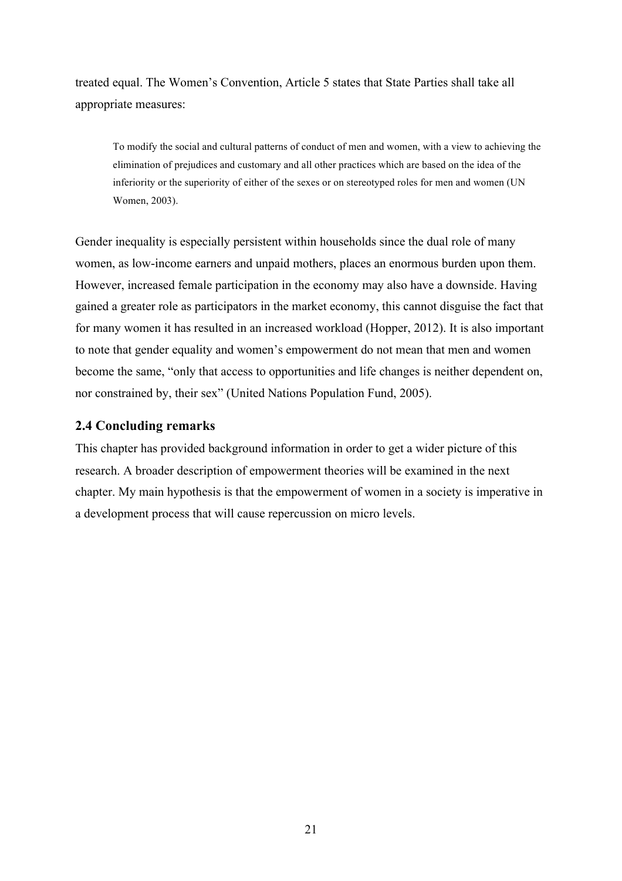treated equal. The Women's Convention, Article 5 states that State Parties shall take all appropriate measures:

To modify the social and cultural patterns of conduct of men and women, with a view to achieving the elimination of prejudices and customary and all other practices which are based on the idea of the inferiority or the superiority of either of the sexes or on stereotyped roles for men and women (UN Women, 2003).

Gender inequality is especially persistent within households since the dual role of many women, as low-income earners and unpaid mothers, places an enormous burden upon them. However, increased female participation in the economy may also have a downside. Having gained a greater role as participators in the market economy, this cannot disguise the fact that for many women it has resulted in an increased workload (Hopper, 2012). It is also important to note that gender equality and women's empowerment do not mean that men and women become the same, "only that access to opportunities and life changes is neither dependent on, nor constrained by, their sex" (United Nations Population Fund, 2005).

# **2.4 Concluding remarks**

This chapter has provided background information in order to get a wider picture of this research. A broader description of empowerment theories will be examined in the next chapter. My main hypothesis is that the empowerment of women in a society is imperative in a development process that will cause repercussion on micro levels.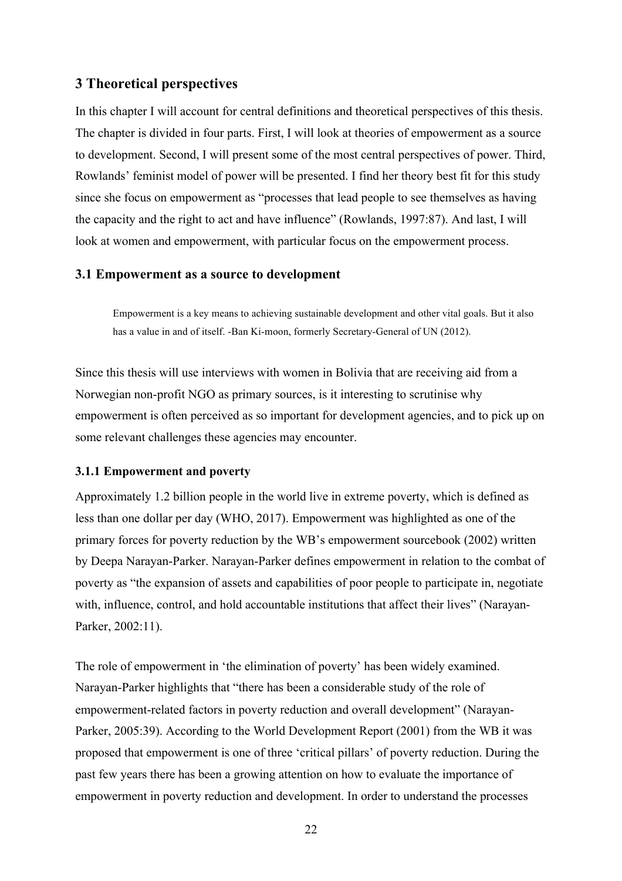# **3 Theoretical perspectives**

In this chapter I will account for central definitions and theoretical perspectives of this thesis. The chapter is divided in four parts. First, I will look at theories of empowerment as a source to development. Second, I will present some of the most central perspectives of power. Third, Rowlands' feminist model of power will be presented. I find her theory best fit for this study since she focus on empowerment as "processes that lead people to see themselves as having the capacity and the right to act and have influence" (Rowlands, 1997:87). And last, I will look at women and empowerment, with particular focus on the empowerment process.

#### **3.1 Empowerment as a source to development**

Empowerment is a key means to achieving sustainable development and other vital goals. But it also has a value in and of itself. -Ban Ki-moon, formerly Secretary-General of UN (2012).

Since this thesis will use interviews with women in Bolivia that are receiving aid from a Norwegian non-profit NGO as primary sources, is it interesting to scrutinise why empowerment is often perceived as so important for development agencies, and to pick up on some relevant challenges these agencies may encounter.

#### **3.1.1 Empowerment and poverty**

Approximately 1.2 billion people in the world live in extreme poverty, which is defined as less than one dollar per day (WHO, 2017). Empowerment was highlighted as one of the primary forces for poverty reduction by the WB's empowerment sourcebook (2002) written by Deepa Narayan-Parker. Narayan-Parker defines empowerment in relation to the combat of poverty as "the expansion of assets and capabilities of poor people to participate in, negotiate with, influence, control, and hold accountable institutions that affect their lives" (Narayan-Parker, 2002:11).

The role of empowerment in 'the elimination of poverty' has been widely examined. Narayan-Parker highlights that "there has been a considerable study of the role of empowerment-related factors in poverty reduction and overall development" (Narayan-Parker, 2005:39). According to the World Development Report (2001) from the WB it was proposed that empowerment is one of three 'critical pillars' of poverty reduction. During the past few years there has been a growing attention on how to evaluate the importance of empowerment in poverty reduction and development. In order to understand the processes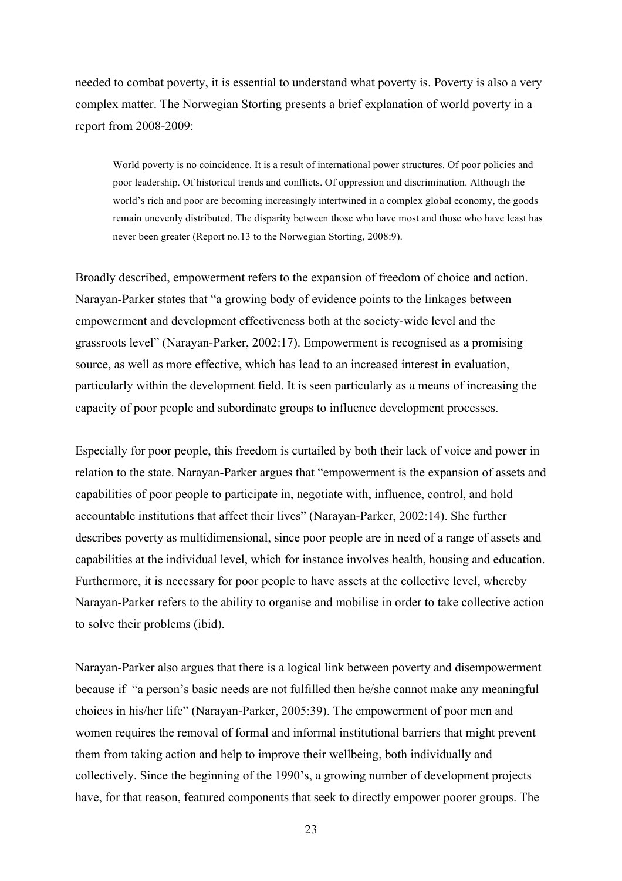needed to combat poverty, it is essential to understand what poverty is. Poverty is also a very complex matter. The Norwegian Storting presents a brief explanation of world poverty in a report from 2008-2009:

World poverty is no coincidence. It is a result of international power structures. Of poor policies and poor leadership. Of historical trends and conflicts. Of oppression and discrimination. Although the world's rich and poor are becoming increasingly intertwined in a complex global economy, the goods remain unevenly distributed. The disparity between those who have most and those who have least has never been greater (Report no.13 to the Norwegian Storting, 2008:9).

Broadly described, empowerment refers to the expansion of freedom of choice and action. Narayan-Parker states that "a growing body of evidence points to the linkages between empowerment and development effectiveness both at the society-wide level and the grassroots level" (Narayan-Parker, 2002:17). Empowerment is recognised as a promising source, as well as more effective, which has lead to an increased interest in evaluation, particularly within the development field. It is seen particularly as a means of increasing the capacity of poor people and subordinate groups to influence development processes.

Especially for poor people, this freedom is curtailed by both their lack of voice and power in relation to the state. Narayan-Parker argues that "empowerment is the expansion of assets and capabilities of poor people to participate in, negotiate with, influence, control, and hold accountable institutions that affect their lives" (Narayan-Parker, 2002:14). She further describes poverty as multidimensional, since poor people are in need of a range of assets and capabilities at the individual level, which for instance involves health, housing and education. Furthermore, it is necessary for poor people to have assets at the collective level, whereby Narayan-Parker refers to the ability to organise and mobilise in order to take collective action to solve their problems (ibid).

Narayan-Parker also argues that there is a logical link between poverty and disempowerment because if "a person's basic needs are not fulfilled then he/she cannot make any meaningful choices in his/her life" (Narayan-Parker, 2005:39). The empowerment of poor men and women requires the removal of formal and informal institutional barriers that might prevent them from taking action and help to improve their wellbeing, both individually and collectively. Since the beginning of the 1990's, a growing number of development projects have, for that reason, featured components that seek to directly empower poorer groups. The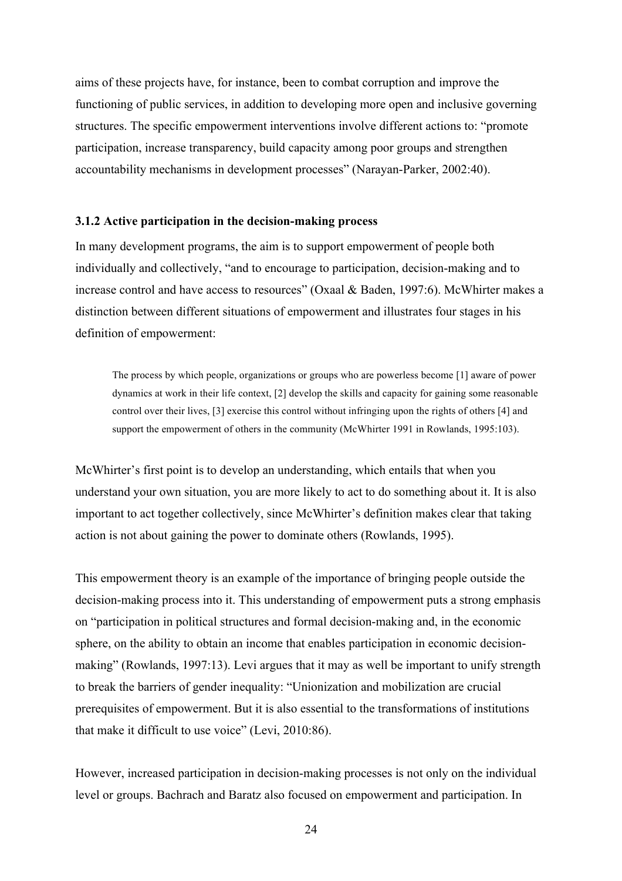aims of these projects have, for instance, been to combat corruption and improve the functioning of public services, in addition to developing more open and inclusive governing structures. The specific empowerment interventions involve different actions to: "promote participation, increase transparency, build capacity among poor groups and strengthen accountability mechanisms in development processes" (Narayan-Parker, 2002:40).

#### **3.1.2 Active participation in the decision-making process**

In many development programs, the aim is to support empowerment of people both individually and collectively, "and to encourage to participation, decision-making and to increase control and have access to resources" (Oxaal & Baden, 1997:6). McWhirter makes a distinction between different situations of empowerment and illustrates four stages in his definition of empowerment:

The process by which people, organizations or groups who are powerless become [1] aware of power dynamics at work in their life context, [2] develop the skills and capacity for gaining some reasonable control over their lives, [3] exercise this control without infringing upon the rights of others [4] and support the empowerment of others in the community (McWhirter 1991 in Rowlands, 1995:103).

McWhirter's first point is to develop an understanding, which entails that when you understand your own situation, you are more likely to act to do something about it. It is also important to act together collectively, since McWhirter's definition makes clear that taking action is not about gaining the power to dominate others (Rowlands, 1995).

This empowerment theory is an example of the importance of bringing people outside the decision-making process into it. This understanding of empowerment puts a strong emphasis on "participation in political structures and formal decision-making and, in the economic sphere, on the ability to obtain an income that enables participation in economic decisionmaking" (Rowlands, 1997:13). Levi argues that it may as well be important to unify strength to break the barriers of gender inequality: "Unionization and mobilization are crucial prerequisites of empowerment. But it is also essential to the transformations of institutions that make it difficult to use voice" (Levi, 2010:86).

However, increased participation in decision-making processes is not only on the individual level or groups. Bachrach and Baratz also focused on empowerment and participation. In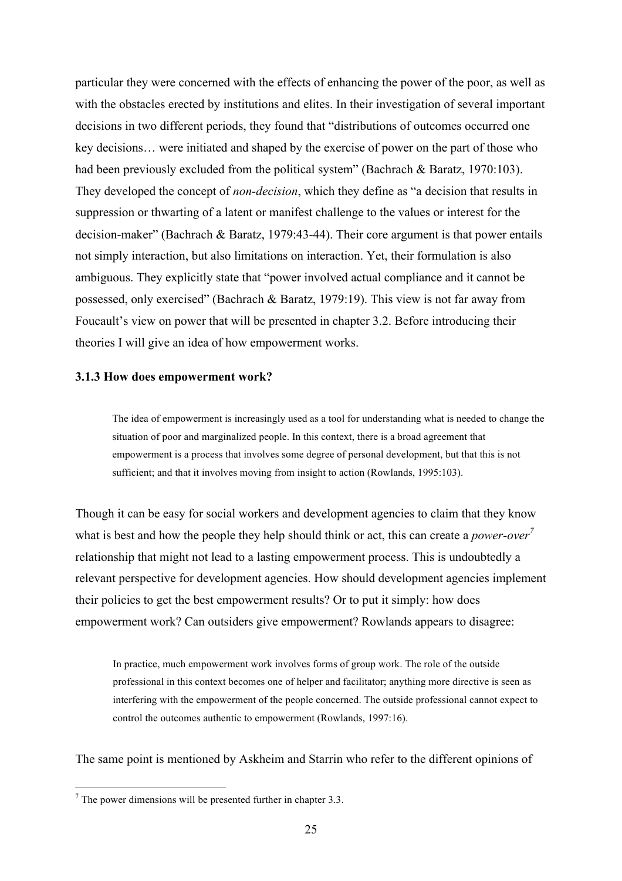particular they were concerned with the effects of enhancing the power of the poor, as well as with the obstacles erected by institutions and elites. In their investigation of several important decisions in two different periods, they found that "distributions of outcomes occurred one key decisions… were initiated and shaped by the exercise of power on the part of those who had been previously excluded from the political system" (Bachrach & Baratz, 1970:103). They developed the concept of *non-decision*, which they define as "a decision that results in suppression or thwarting of a latent or manifest challenge to the values or interest for the decision-maker" (Bachrach & Baratz, 1979:43-44). Their core argument is that power entails not simply interaction, but also limitations on interaction. Yet, their formulation is also ambiguous. They explicitly state that "power involved actual compliance and it cannot be possessed, only exercised" (Bachrach & Baratz, 1979:19). This view is not far away from Foucault's view on power that will be presented in chapter 3.2. Before introducing their theories I will give an idea of how empowerment works.

#### **3.1.3 How does empowerment work?**

The idea of empowerment is increasingly used as a tool for understanding what is needed to change the situation of poor and marginalized people. In this context, there is a broad agreement that empowerment is a process that involves some degree of personal development, but that this is not sufficient; and that it involves moving from insight to action (Rowlands, 1995:103).

Though it can be easy for social workers and development agencies to claim that they know what is best and how the people they help should think or act, this can create a *power-over*<sup>7</sup> relationship that might not lead to a lasting empowerment process. This is undoubtedly a relevant perspective for development agencies. How should development agencies implement their policies to get the best empowerment results? Or to put it simply: how does empowerment work? Can outsiders give empowerment? Rowlands appears to disagree:

In practice, much empowerment work involves forms of group work. The role of the outside professional in this context becomes one of helper and facilitator; anything more directive is seen as interfering with the empowerment of the people concerned. The outside professional cannot expect to control the outcomes authentic to empowerment (Rowlands, 1997:16).

The same point is mentioned by Askheim and Starrin who refer to the different opinions of

 $<sup>7</sup>$  The power dimensions will be presented further in chapter 3.3.</sup>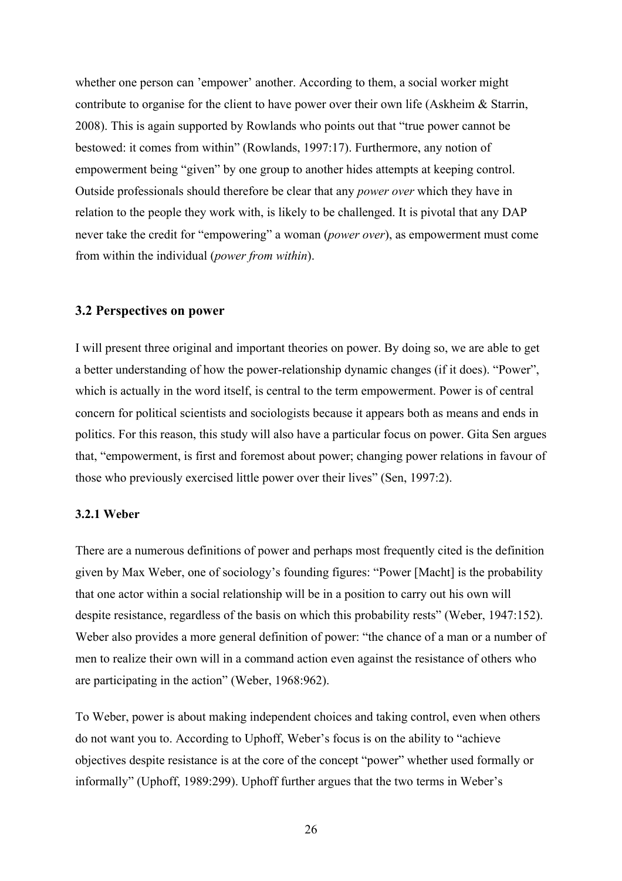whether one person can 'empower' another. According to them, a social worker might contribute to organise for the client to have power over their own life (Askheim & Starrin, 2008). This is again supported by Rowlands who points out that "true power cannot be bestowed: it comes from within" (Rowlands, 1997:17). Furthermore, any notion of empowerment being "given" by one group to another hides attempts at keeping control. Outside professionals should therefore be clear that any *power over* which they have in relation to the people they work with, is likely to be challenged. It is pivotal that any DAP never take the credit for "empowering" a woman (*power over*), as empowerment must come from within the individual (*power from within*).

#### **3.2 Perspectives on power**

I will present three original and important theories on power. By doing so, we are able to get a better understanding of how the power-relationship dynamic changes (if it does). "Power", which is actually in the word itself, is central to the term empowerment. Power is of central concern for political scientists and sociologists because it appears both as means and ends in politics. For this reason, this study will also have a particular focus on power. Gita Sen argues that, "empowerment, is first and foremost about power; changing power relations in favour of those who previously exercised little power over their lives" (Sen, 1997:2).

#### **3.2.1 Weber**

There are a numerous definitions of power and perhaps most frequently cited is the definition given by Max Weber, one of sociology's founding figures: "Power [Macht] is the probability that one actor within a social relationship will be in a position to carry out his own will despite resistance, regardless of the basis on which this probability rests" (Weber, 1947:152). Weber also provides a more general definition of power: "the chance of a man or a number of men to realize their own will in a command action even against the resistance of others who are participating in the action" (Weber, 1968:962).

To Weber, power is about making independent choices and taking control, even when others do not want you to. According to Uphoff, Weber's focus is on the ability to "achieve objectives despite resistance is at the core of the concept "power" whether used formally or informally" (Uphoff, 1989:299). Uphoff further argues that the two terms in Weber's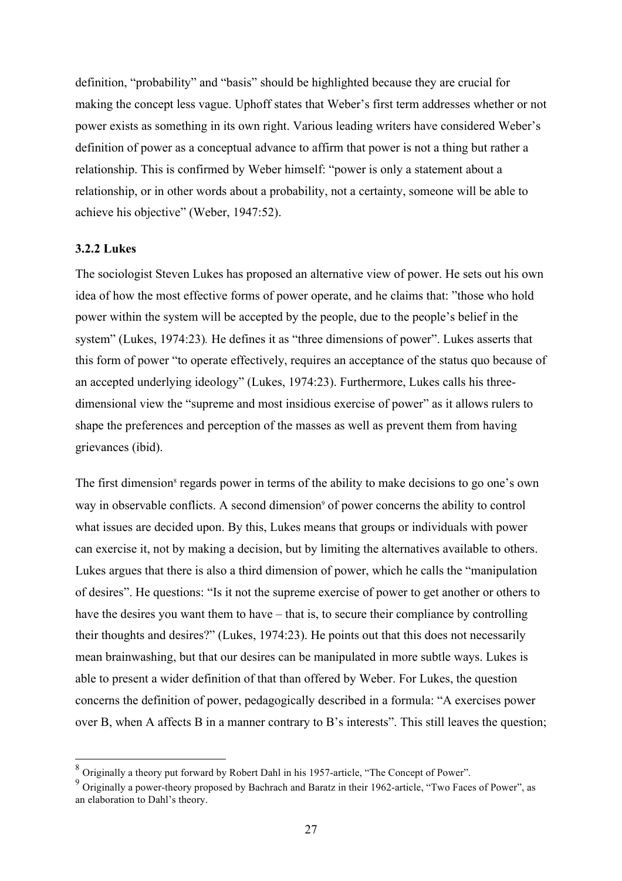definition, "probability" and "basis" should be highlighted because they are crucial for making the concept less vague. Uphoff states that Weber's first term addresses whether or not power exists as something in its own right. Various leading writers have considered Weber's definition of power as a conceptual advance to affirm that power is not a thing but rather a relationship. This is confirmed by Weber himself: "power is only a statement about a relationship, or in other words about a probability, not a certainty, someone will be able to achieve his objective" (Weber, 1947:52).

#### **3.2.2 Lukes**

The sociologist Steven Lukes has proposed an alternative view of power. He sets out his own idea of how the most effective forms of power operate, and he claims that: "those who hold power within the system will be accepted by the people, due to the people's belief in the system" (Lukes, 1974:23)*.* He defines it as "three dimensions of power". Lukes asserts that this form of power "to operate effectively, requires an acceptance of the status quo because of an accepted underlying ideology" (Lukes, 1974:23). Furthermore, Lukes calls his threedimensional view the "supreme and most insidious exercise of power" as it allows rulers to shape the preferences and perception of the masses as well as prevent them from having grievances (ibid).

The first dimension<sup>8</sup> regards power in terms of the ability to make decisions to go one's own way in observable conflicts. A second dimension<sup>9</sup> of power concerns the ability to control what issues are decided upon. By this, Lukes means that groups or individuals with power can exercise it, not by making a decision, but by limiting the alternatives available to others. Lukes argues that there is also a third dimension of power, which he calls the "manipulation of desires". He questions: "Is it not the supreme exercise of power to get another or others to have the desires you want them to have – that is, to secure their compliance by controlling their thoughts and desires?" (Lukes, 1974:23). He points out that this does not necessarily mean brainwashing, but that our desires can be manipulated in more subtle ways. Lukes is able to present a wider definition of that than offered by Weber. For Lukes, the question concerns the definition of power, pedagogically described in a formula: "A exercises power over B, when A affects B in a manner contrary to B's interests". This still leaves the question;

 <sup>8</sup> Originally a theory put forward by Robert Dahl in his 1957-article, "The Concept of Power".

<sup>9</sup> Originally a power-theory proposed by Bachrach and Baratz in their 1962-article, "Two Faces of Power", as an elaboration to Dahl's theory.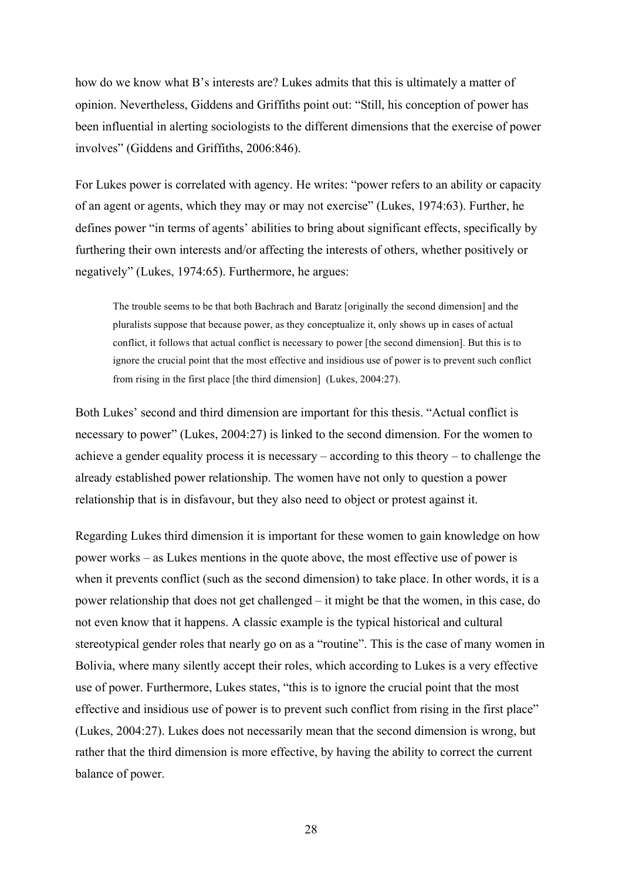how do we know what B's interests are? Lukes admits that this is ultimately a matter of opinion. Nevertheless, Giddens and Griffiths point out: "Still, his conception of power has been influential in alerting sociologists to the different dimensions that the exercise of power involves" (Giddens and Griffiths, 2006:846).

For Lukes power is correlated with agency. He writes: "power refers to an ability or capacity of an agent or agents, which they may or may not exercise" (Lukes, 1974:63). Further, he defines power "in terms of agents' abilities to bring about significant effects, specifically by furthering their own interests and/or affecting the interests of others, whether positively or negatively" (Lukes, 1974:65). Furthermore, he argues:

The trouble seems to be that both Bachrach and Baratz [originally the second dimension] and the pluralists suppose that because power, as they conceptualize it, only shows up in cases of actual conflict, it follows that actual conflict is necessary to power [the second dimension]. But this is to ignore the crucial point that the most effective and insidious use of power is to prevent such conflict from rising in the first place [the third dimension] (Lukes, 2004:27).

Both Lukes' second and third dimension are important for this thesis. "Actual conflict is necessary to power" (Lukes, 2004:27) is linked to the second dimension. For the women to achieve a gender equality process it is necessary – according to this theory – to challenge the already established power relationship. The women have not only to question a power relationship that is in disfavour, but they also need to object or protest against it.

Regarding Lukes third dimension it is important for these women to gain knowledge on how power works – as Lukes mentions in the quote above, the most effective use of power is when it prevents conflict (such as the second dimension) to take place. In other words, it is a power relationship that does not get challenged – it might be that the women, in this case, do not even know that it happens. A classic example is the typical historical and cultural stereotypical gender roles that nearly go on as a "routine". This is the case of many women in Bolivia, where many silently accept their roles, which according to Lukes is a very effective use of power. Furthermore, Lukes states, "this is to ignore the crucial point that the most effective and insidious use of power is to prevent such conflict from rising in the first place" (Lukes, 2004:27). Lukes does not necessarily mean that the second dimension is wrong, but rather that the third dimension is more effective, by having the ability to correct the current balance of power.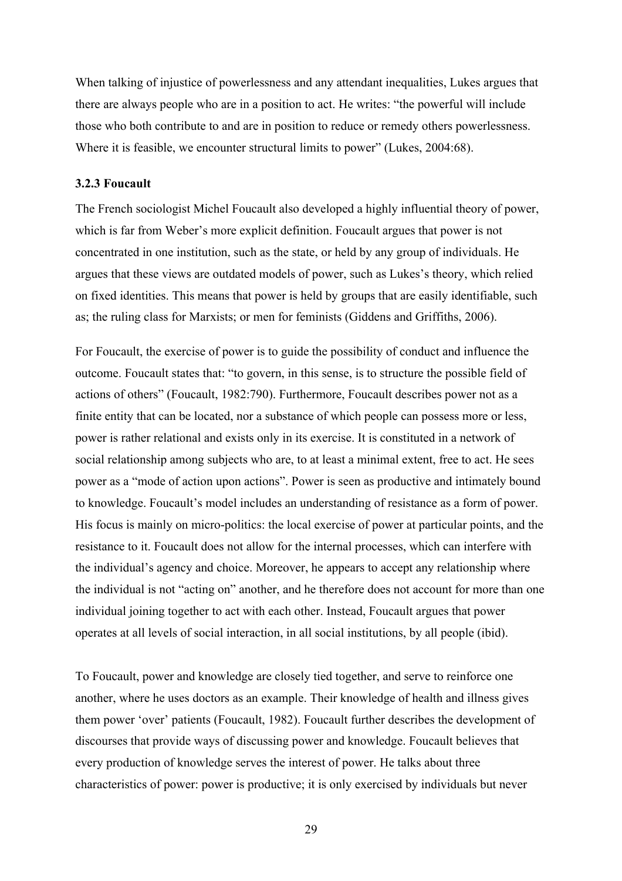When talking of injustice of powerlessness and any attendant inequalities, Lukes argues that there are always people who are in a position to act. He writes: "the powerful will include those who both contribute to and are in position to reduce or remedy others powerlessness. Where it is feasible, we encounter structural limits to power" (Lukes, 2004:68).

#### **3.2.3 Foucault**

The French sociologist Michel Foucault also developed a highly influential theory of power, which is far from Weber's more explicit definition. Foucault argues that power is not concentrated in one institution, such as the state, or held by any group of individuals. He argues that these views are outdated models of power, such as Lukes's theory, which relied on fixed identities. This means that power is held by groups that are easily identifiable, such as; the ruling class for Marxists; or men for feminists (Giddens and Griffiths, 2006).

For Foucault, the exercise of power is to guide the possibility of conduct and influence the outcome. Foucault states that: "to govern, in this sense, is to structure the possible field of actions of others" (Foucault, 1982:790). Furthermore, Foucault describes power not as a finite entity that can be located, nor a substance of which people can possess more or less, power is rather relational and exists only in its exercise. It is constituted in a network of social relationship among subjects who are, to at least a minimal extent, free to act. He sees power as a "mode of action upon actions". Power is seen as productive and intimately bound to knowledge. Foucault's model includes an understanding of resistance as a form of power. His focus is mainly on micro-politics: the local exercise of power at particular points, and the resistance to it. Foucault does not allow for the internal processes, which can interfere with the individual's agency and choice. Moreover, he appears to accept any relationship where the individual is not "acting on" another, and he therefore does not account for more than one individual joining together to act with each other. Instead, Foucault argues that power operates at all levels of social interaction, in all social institutions, by all people (ibid).

To Foucault, power and knowledge are closely tied together, and serve to reinforce one another, where he uses doctors as an example. Their knowledge of health and illness gives them power 'over' patients (Foucault, 1982). Foucault further describes the development of discourses that provide ways of discussing power and knowledge. Foucault believes that every production of knowledge serves the interest of power. He talks about three characteristics of power: power is productive; it is only exercised by individuals but never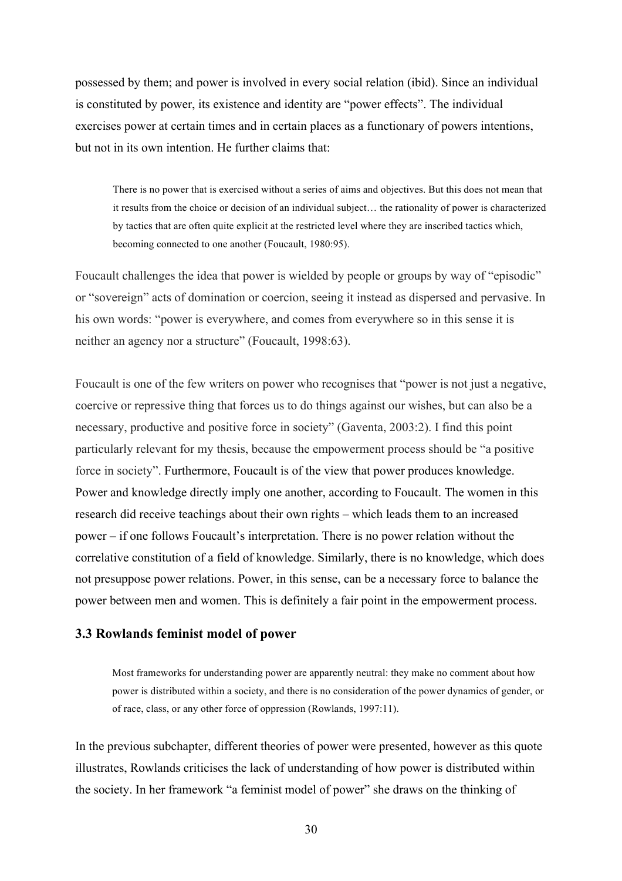possessed by them; and power is involved in every social relation (ibid). Since an individual is constituted by power, its existence and identity are "power effects". The individual exercises power at certain times and in certain places as a functionary of powers intentions, but not in its own intention. He further claims that:

There is no power that is exercised without a series of aims and objectives. But this does not mean that it results from the choice or decision of an individual subject… the rationality of power is characterized by tactics that are often quite explicit at the restricted level where they are inscribed tactics which, becoming connected to one another (Foucault, 1980:95).

Foucault challenges the idea that power is wielded by people or groups by way of "episodic" or "sovereign" acts of domination or coercion, seeing it instead as dispersed and pervasive. In his own words: "power is everywhere, and comes from everywhere so in this sense it is neither an agency nor a structure" (Foucault, 1998:63).

Foucault is one of the few writers on power who recognises that "power is not just a negative, coercive or repressive thing that forces us to do things against our wishes, but can also be a necessary, productive and positive force in society" (Gaventa, 2003:2). I find this point particularly relevant for my thesis, because the empowerment process should be "a positive force in society". Furthermore, Foucault is of the view that power produces knowledge. Power and knowledge directly imply one another, according to Foucault. The women in this research did receive teachings about their own rights – which leads them to an increased power – if one follows Foucault's interpretation. There is no power relation without the correlative constitution of a field of knowledge. Similarly, there is no knowledge, which does not presuppose power relations. Power, in this sense, can be a necessary force to balance the power between men and women. This is definitely a fair point in the empowerment process.

#### **3.3 Rowlands feminist model of power**

Most frameworks for understanding power are apparently neutral: they make no comment about how power is distributed within a society, and there is no consideration of the power dynamics of gender, or of race, class, or any other force of oppression (Rowlands, 1997:11).

In the previous subchapter, different theories of power were presented, however as this quote illustrates, Rowlands criticises the lack of understanding of how power is distributed within the society. In her framework "a feminist model of power" she draws on the thinking of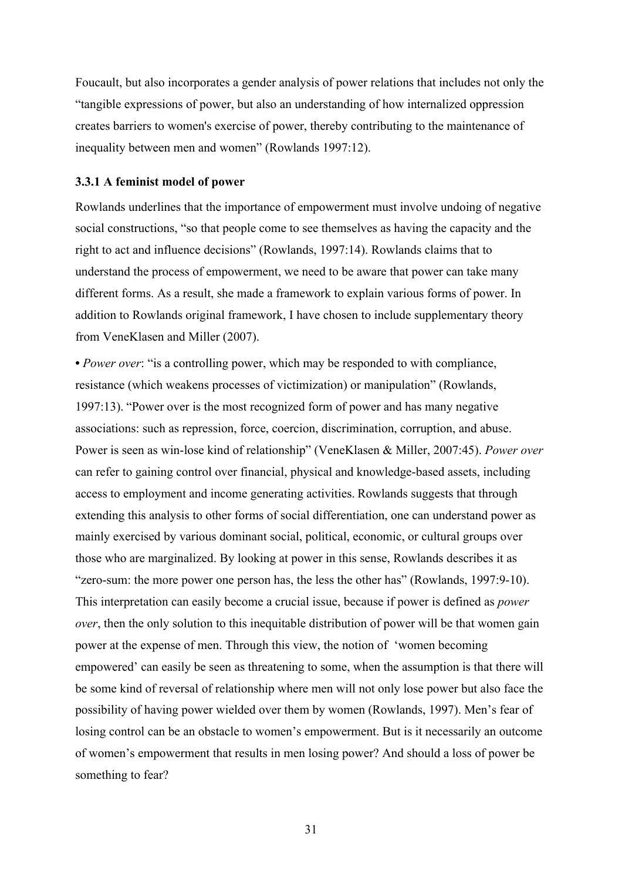Foucault, but also incorporates a gender analysis of power relations that includes not only the "tangible expressions of power, but also an understanding of how internalized oppression creates barriers to women's exercise of power, thereby contributing to the maintenance of inequality between men and women" (Rowlands 1997:12).

#### **3.3.1 A feminist model of power**

Rowlands underlines that the importance of empowerment must involve undoing of negative social constructions, "so that people come to see themselves as having the capacity and the right to act and influence decisions" (Rowlands, 1997:14). Rowlands claims that to understand the process of empowerment, we need to be aware that power can take many different forms. As a result, she made a framework to explain various forms of power. In addition to Rowlands original framework, I have chosen to include supplementary theory from VeneKlasen and Miller (2007).

**•** *Power over*: "is a controlling power, which may be responded to with compliance, resistance (which weakens processes of victimization) or manipulation" (Rowlands, 1997:13). "Power over is the most recognized form of power and has many negative associations: such as repression, force, coercion, discrimination, corruption, and abuse. Power is seen as win-lose kind of relationship" (VeneKlasen & Miller, 2007:45). *Power over* can refer to gaining control over financial, physical and knowledge-based assets, including access to employment and income generating activities. Rowlands suggests that through extending this analysis to other forms of social differentiation, one can understand power as mainly exercised by various dominant social, political, economic, or cultural groups over those who are marginalized. By looking at power in this sense, Rowlands describes it as "zero-sum: the more power one person has, the less the other has" (Rowlands, 1997:9-10). This interpretation can easily become a crucial issue, because if power is defined as *power over*, then the only solution to this inequitable distribution of power will be that women gain power at the expense of men. Through this view, the notion of 'women becoming empowered' can easily be seen as threatening to some, when the assumption is that there will be some kind of reversal of relationship where men will not only lose power but also face the possibility of having power wielded over them by women (Rowlands, 1997). Men's fear of losing control can be an obstacle to women's empowerment. But is it necessarily an outcome of women's empowerment that results in men losing power? And should a loss of power be something to fear?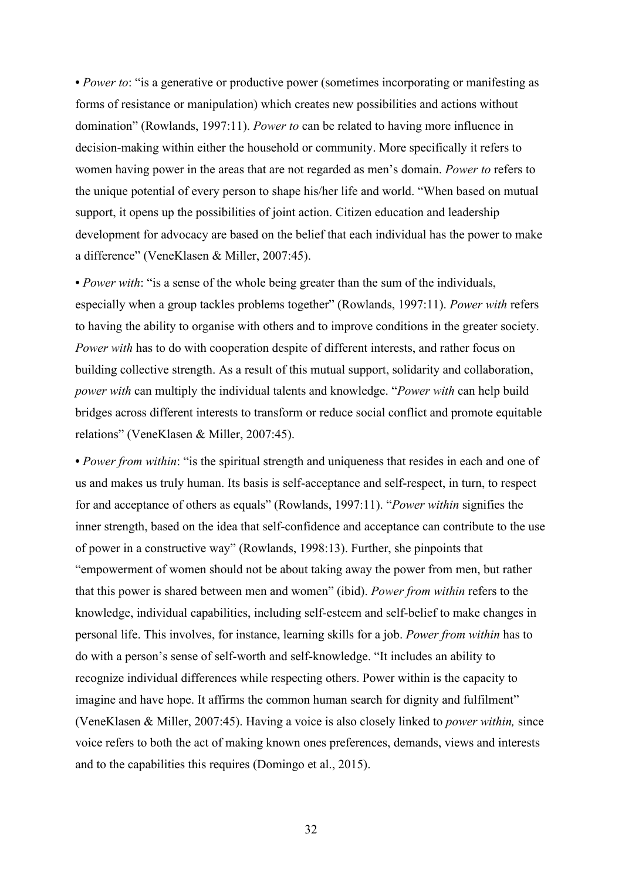• *Power to*: "is a generative or productive power (sometimes incorporating or manifesting as forms of resistance or manipulation) which creates new possibilities and actions without domination" (Rowlands, 1997:11). *Power to* can be related to having more influence in decision-making within either the household or community. More specifically it refers to women having power in the areas that are not regarded as men's domain. *Power to* refers to the unique potential of every person to shape his/her life and world. "When based on mutual support, it opens up the possibilities of joint action. Citizen education and leadership development for advocacy are based on the belief that each individual has the power to make a difference" (VeneKlasen & Miller, 2007:45).

• *Power with*: "is a sense of the whole being greater than the sum of the individuals, especially when a group tackles problems together" (Rowlands, 1997:11). *Power with* refers to having the ability to organise with others and to improve conditions in the greater society. *Power with* has to do with cooperation despite of different interests, and rather focus on building collective strength. As a result of this mutual support, solidarity and collaboration, *power with* can multiply the individual talents and knowledge. "*Power with* can help build bridges across different interests to transform or reduce social conflict and promote equitable relations" (VeneKlasen & Miller, 2007:45).

• *Power from within*: "is the spiritual strength and uniqueness that resides in each and one of us and makes us truly human. Its basis is self-acceptance and self-respect, in turn, to respect for and acceptance of others as equals" (Rowlands, 1997:11). "*Power within* signifies the inner strength, based on the idea that self-confidence and acceptance can contribute to the use of power in a constructive way" (Rowlands, 1998:13). Further, she pinpoints that "empowerment of women should not be about taking away the power from men, but rather that this power is shared between men and women" (ibid). *Power from within* refers to the knowledge, individual capabilities, including self-esteem and self-belief to make changes in personal life. This involves, for instance, learning skills for a job. *Power from within* has to do with a person's sense of self-worth and self-knowledge. "It includes an ability to recognize individual differences while respecting others. Power within is the capacity to imagine and have hope. It affirms the common human search for dignity and fulfilment" (VeneKlasen & Miller, 2007:45). Having a voice is also closely linked to *power within,* since voice refers to both the act of making known ones preferences, demands, views and interests and to the capabilities this requires (Domingo et al., 2015).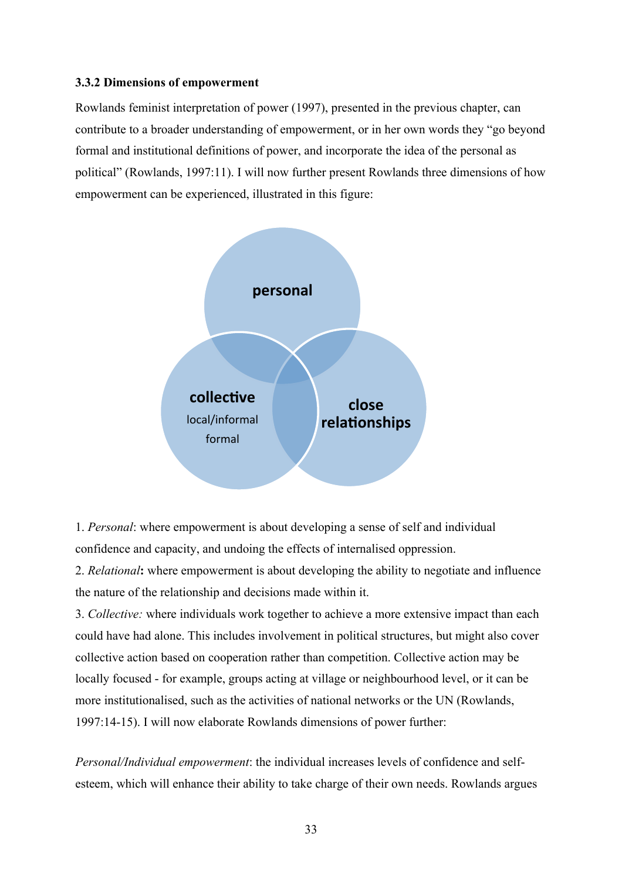#### **3.3.2 Dimensions of empowerment**

Rowlands feminist interpretation of power (1997), presented in the previous chapter, can contribute to a broader understanding of empowerment, or in her own words they "go beyond formal and institutional definitions of power, and incorporate the idea of the personal as political" (Rowlands, 1997:11). I will now further present Rowlands three dimensions of how empowerment can be experienced, illustrated in this figure:



1. *Personal*: where empowerment is about developing a sense of self and individual confidence and capacity, and undoing the effects of internalised oppression.

2. *Relational***:** where empowerment is about developing the ability to negotiate and influence the nature of the relationship and decisions made within it.

3. *Collective:* where individuals work together to achieve a more extensive impact than each could have had alone. This includes involvement in political structures, but might also cover collective action based on cooperation rather than competition. Collective action may be locally focused - for example, groups acting at village or neighbourhood level, or it can be more institutionalised, such as the activities of national networks or the UN (Rowlands, 1997:14-15). I will now elaborate Rowlands dimensions of power further:

*Personal/Individual empowerment*: the individual increases levels of confidence and selfesteem, which will enhance their ability to take charge of their own needs. Rowlands argues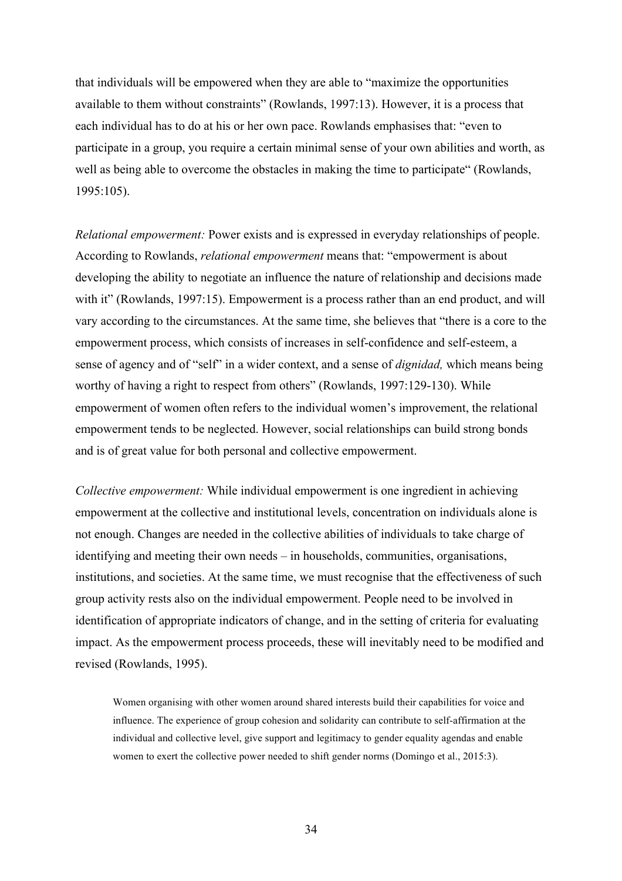that individuals will be empowered when they are able to "maximize the opportunities available to them without constraints" (Rowlands, 1997:13). However, it is a process that each individual has to do at his or her own pace. Rowlands emphasises that: "even to participate in a group, you require a certain minimal sense of your own abilities and worth, as well as being able to overcome the obstacles in making the time to participate" (Rowlands, 1995:105).

*Relational empowerment:* Power exists and is expressed in everyday relationships of people. According to Rowlands, *relational empowerment* means that: "empowerment is about developing the ability to negotiate an influence the nature of relationship and decisions made with it" (Rowlands, 1997:15). Empowerment is a process rather than an end product, and will vary according to the circumstances. At the same time, she believes that "there is a core to the empowerment process, which consists of increases in self-confidence and self-esteem, a sense of agency and of "self" in a wider context, and a sense of *dignidad,* which means being worthy of having a right to respect from others" (Rowlands, 1997:129-130). While empowerment of women often refers to the individual women's improvement, the relational empowerment tends to be neglected. However, social relationships can build strong bonds and is of great value for both personal and collective empowerment.

*Collective empowerment:* While individual empowerment is one ingredient in achieving empowerment at the collective and institutional levels, concentration on individuals alone is not enough. Changes are needed in the collective abilities of individuals to take charge of identifying and meeting their own needs – in households, communities, organisations, institutions, and societies. At the same time, we must recognise that the effectiveness of such group activity rests also on the individual empowerment. People need to be involved in identification of appropriate indicators of change, and in the setting of criteria for evaluating impact. As the empowerment process proceeds, these will inevitably need to be modified and revised (Rowlands, 1995).

Women organising with other women around shared interests build their capabilities for voice and influence. The experience of group cohesion and solidarity can contribute to self-affirmation at the individual and collective level, give support and legitimacy to gender equality agendas and enable women to exert the collective power needed to shift gender norms (Domingo et al., 2015:3).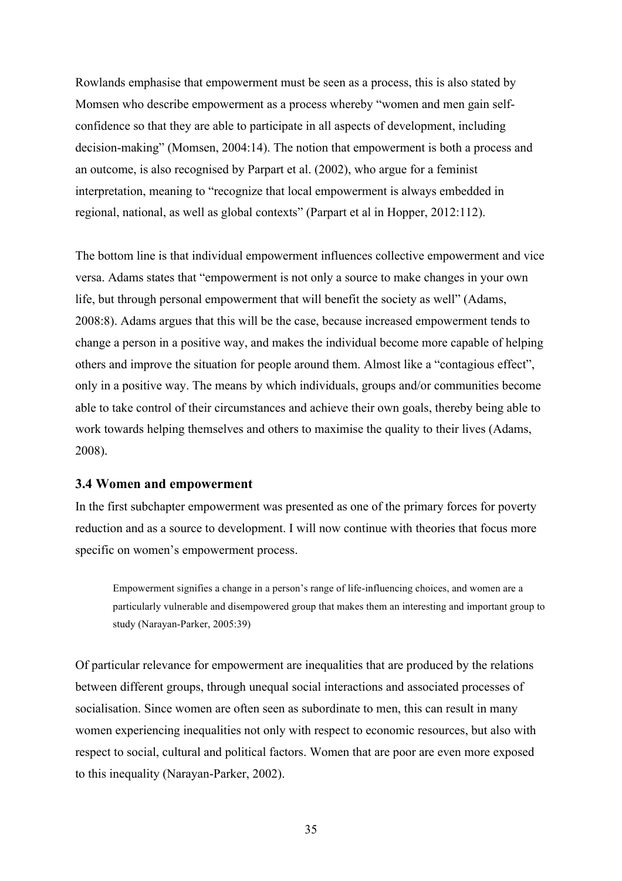Rowlands emphasise that empowerment must be seen as a process, this is also stated by Momsen who describe empowerment as a process whereby "women and men gain selfconfidence so that they are able to participate in all aspects of development, including decision-making" (Momsen, 2004:14). The notion that empowerment is both a process and an outcome, is also recognised by Parpart et al. (2002), who argue for a feminist interpretation, meaning to "recognize that local empowerment is always embedded in regional, national, as well as global contexts" (Parpart et al in Hopper, 2012:112).

The bottom line is that individual empowerment influences collective empowerment and vice versa. Adams states that "empowerment is not only a source to make changes in your own life, but through personal empowerment that will benefit the society as well" (Adams, 2008:8). Adams argues that this will be the case, because increased empowerment tends to change a person in a positive way, and makes the individual become more capable of helping others and improve the situation for people around them. Almost like a "contagious effect", only in a positive way. The means by which individuals, groups and/or communities become able to take control of their circumstances and achieve their own goals, thereby being able to work towards helping themselves and others to maximise the quality to their lives (Adams, 2008).

#### **3.4 Women and empowerment**

In the first subchapter empowerment was presented as one of the primary forces for poverty reduction and as a source to development. I will now continue with theories that focus more specific on women's empowerment process.

Empowerment signifies a change in a person's range of life-influencing choices, and women are a particularly vulnerable and disempowered group that makes them an interesting and important group to study (Narayan-Parker, 2005:39).

Of particular relevance for empowerment are inequalities that are produced by the relations between different groups, through unequal social interactions and associated processes of socialisation. Since women are often seen as subordinate to men, this can result in many women experiencing inequalities not only with respect to economic resources, but also with respect to social, cultural and political factors. Women that are poor are even more exposed to this inequality (Narayan-Parker, 2002).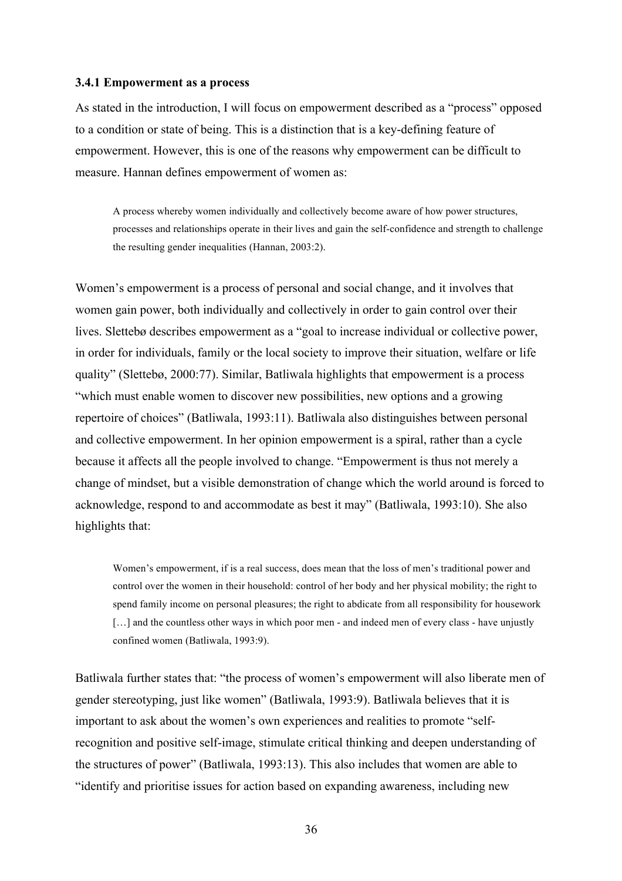#### **3.4.1 Empowerment as a process**

As stated in the introduction, I will focus on empowerment described as a "process" opposed to a condition or state of being. This is a distinction that is a key-defining feature of empowerment. However, this is one of the reasons why empowerment can be difficult to measure. Hannan defines empowerment of women as:

A process whereby women individually and collectively become aware of how power structures, processes and relationships operate in their lives and gain the self-confidence and strength to challenge the resulting gender inequalities (Hannan, 2003:2).

Women's empowerment is a process of personal and social change, and it involves that women gain power, both individually and collectively in order to gain control over their lives. Slettebø describes empowerment as a "goal to increase individual or collective power, in order for individuals, family or the local society to improve their situation, welfare or life quality" (Slettebø, 2000:77). Similar, Batliwala highlights that empowerment is a process "which must enable women to discover new possibilities, new options and a growing repertoire of choices" (Batliwala, 1993:11). Batliwala also distinguishes between personal and collective empowerment. In her opinion empowerment is a spiral, rather than a cycle because it affects all the people involved to change. "Empowerment is thus not merely a change of mindset, but a visible demonstration of change which the world around is forced to acknowledge, respond to and accommodate as best it may" (Batliwala, 1993:10). She also highlights that:

Women's empowerment, if is a real success, does mean that the loss of men's traditional power and control over the women in their household: control of her body and her physical mobility; the right to spend family income on personal pleasures; the right to abdicate from all responsibility for housework [...] and the countless other ways in which poor men - and indeed men of every class - have unjustly confined women (Batliwala, 1993:9).

Batliwala further states that: "the process of women's empowerment will also liberate men of gender stereotyping, just like women" (Batliwala, 1993:9). Batliwala believes that it is important to ask about the women's own experiences and realities to promote "selfrecognition and positive self-image, stimulate critical thinking and deepen understanding of the structures of power" (Batliwala, 1993:13). This also includes that women are able to "identify and prioritise issues for action based on expanding awareness, including new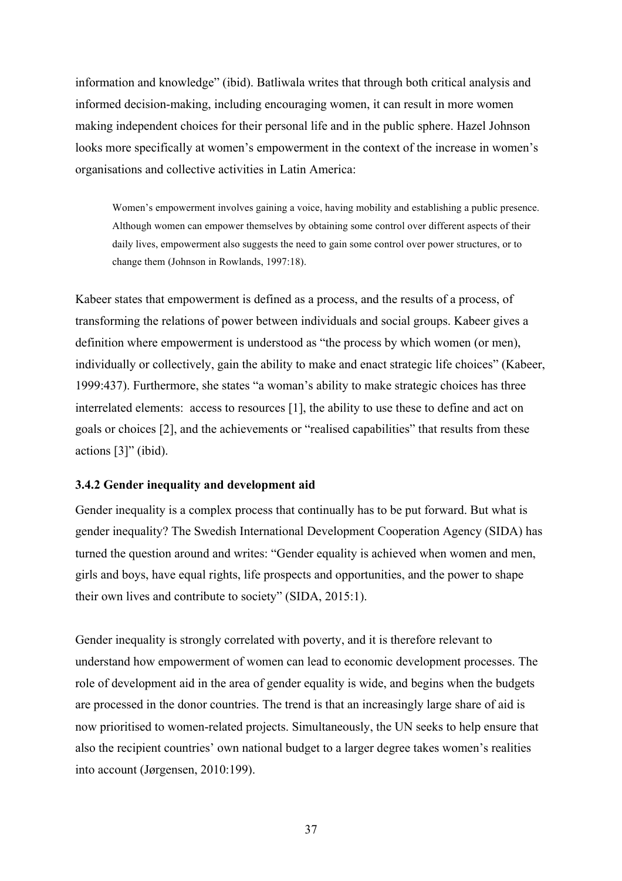information and knowledge" (ibid). Batliwala writes that through both critical analysis and informed decision-making, including encouraging women, it can result in more women making independent choices for their personal life and in the public sphere. Hazel Johnson looks more specifically at women's empowerment in the context of the increase in women's organisations and collective activities in Latin America:

Women's empowerment involves gaining a voice, having mobility and establishing a public presence. Although women can empower themselves by obtaining some control over different aspects of their daily lives, empowerment also suggests the need to gain some control over power structures, or to change them (Johnson in Rowlands, 1997:18).

Kabeer states that empowerment is defined as a process, and the results of a process, of transforming the relations of power between individuals and social groups. Kabeer gives a definition where empowerment is understood as "the process by which women (or men), individually or collectively, gain the ability to make and enact strategic life choices" (Kabeer, 1999:437). Furthermore, she states "a woman's ability to make strategic choices has three interrelated elements: access to resources [1], the ability to use these to define and act on goals or choices [2], and the achievements or "realised capabilities" that results from these actions [3]" (ibid).

### **3.4.2 Gender inequality and development aid**

Gender inequality is a complex process that continually has to be put forward. But what is gender inequality? The Swedish International Development Cooperation Agency (SIDA) has turned the question around and writes: "Gender equality is achieved when women and men, girls and boys, have equal rights, life prospects and opportunities, and the power to shape their own lives and contribute to society" (SIDA, 2015:1).

Gender inequality is strongly correlated with poverty, and it is therefore relevant to understand how empowerment of women can lead to economic development processes. The role of development aid in the area of gender equality is wide, and begins when the budgets are processed in the donor countries. The trend is that an increasingly large share of aid is now prioritised to women-related projects. Simultaneously, the UN seeks to help ensure that also the recipient countries' own national budget to a larger degree takes women's realities into account (Jørgensen, 2010:199).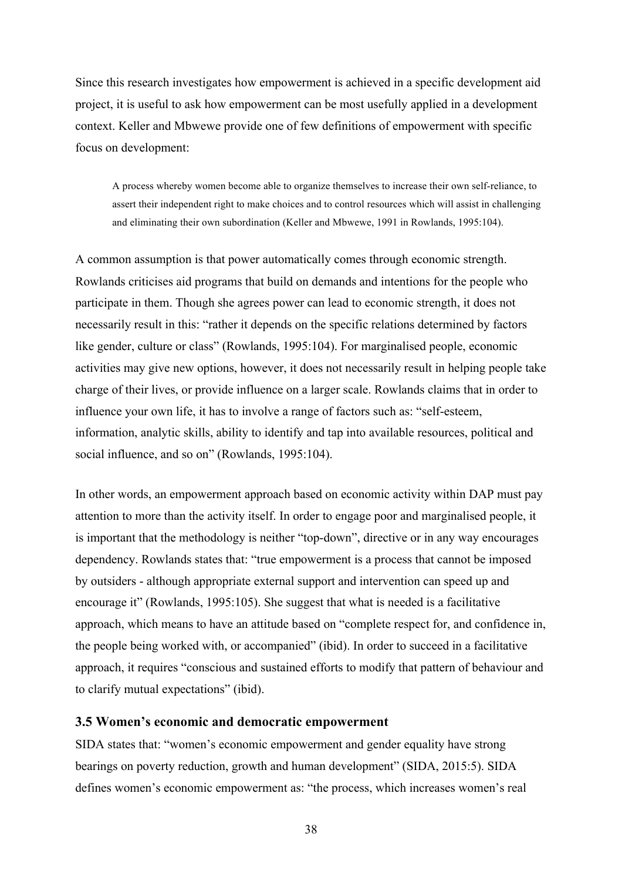Since this research investigates how empowerment is achieved in a specific development aid project, it is useful to ask how empowerment can be most usefully applied in a development context. Keller and Mbwewe provide one of few definitions of empowerment with specific focus on development:

A process whereby women become able to organize themselves to increase their own self-reliance, to assert their independent right to make choices and to control resources which will assist in challenging and eliminating their own subordination (Keller and Mbwewe, 1991 in Rowlands, 1995:104).

A common assumption is that power automatically comes through economic strength. Rowlands criticises aid programs that build on demands and intentions for the people who participate in them. Though she agrees power can lead to economic strength, it does not necessarily result in this: "rather it depends on the specific relations determined by factors like gender, culture or class" (Rowlands, 1995:104). For marginalised people, economic activities may give new options, however, it does not necessarily result in helping people take charge of their lives, or provide influence on a larger scale. Rowlands claims that in order to influence your own life, it has to involve a range of factors such as: "self-esteem, information, analytic skills, ability to identify and tap into available resources, political and social influence, and so on" (Rowlands, 1995:104).

In other words, an empowerment approach based on economic activity within DAP must pay attention to more than the activity itself. In order to engage poor and marginalised people, it is important that the methodology is neither "top-down", directive or in any way encourages dependency. Rowlands states that: "true empowerment is a process that cannot be imposed by outsiders - although appropriate external support and intervention can speed up and encourage it" (Rowlands, 1995:105). She suggest that what is needed is a facilitative approach, which means to have an attitude based on "complete respect for, and confidence in, the people being worked with, or accompanied" (ibid). In order to succeed in a facilitative approach, it requires "conscious and sustained efforts to modify that pattern of behaviour and to clarify mutual expectations" (ibid).

### **3.5 Women's economic and democratic empowerment**

SIDA states that: "women's economic empowerment and gender equality have strong bearings on poverty reduction, growth and human development" (SIDA, 2015:5). SIDA defines women's economic empowerment as: "the process, which increases women's real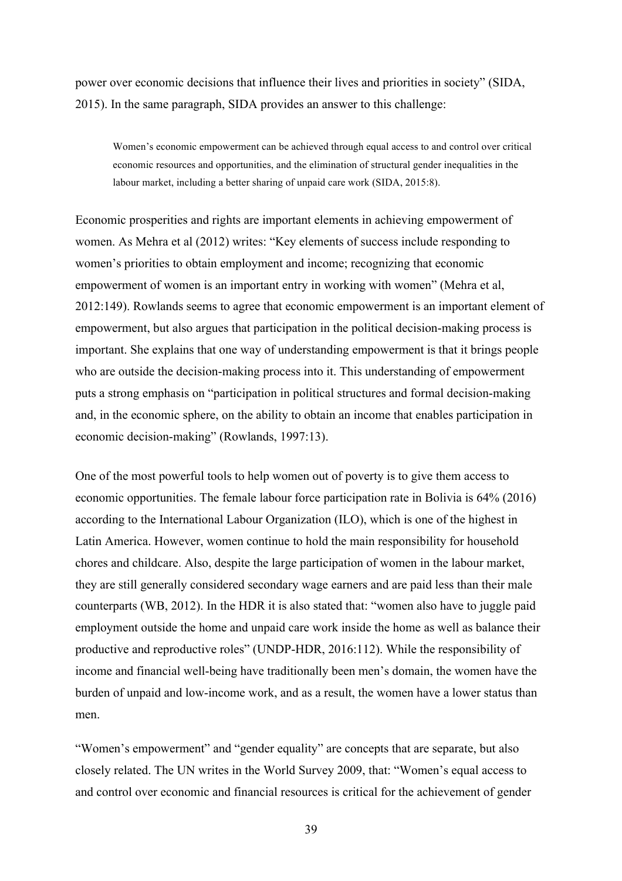power over economic decisions that influence their lives and priorities in society" (SIDA, 2015). In the same paragraph, SIDA provides an answer to this challenge:

Women's economic empowerment can be achieved through equal access to and control over critical economic resources and opportunities, and the elimination of structural gender inequalities in the labour market, including a better sharing of unpaid care work (SIDA, 2015:8).

Economic prosperities and rights are important elements in achieving empowerment of women. As Mehra et al (2012) writes: "Key elements of success include responding to women's priorities to obtain employment and income; recognizing that economic empowerment of women is an important entry in working with women" (Mehra et al, 2012:149). Rowlands seems to agree that economic empowerment is an important element of empowerment, but also argues that participation in the political decision-making process is important. She explains that one way of understanding empowerment is that it brings people who are outside the decision-making process into it. This understanding of empowerment puts a strong emphasis on "participation in political structures and formal decision-making and, in the economic sphere, on the ability to obtain an income that enables participation in economic decision-making" (Rowlands, 1997:13).

One of the most powerful tools to help women out of poverty is to give them access to economic opportunities. The female labour force participation rate in Bolivia is 64% (2016) according to the International Labour Organization (ILO), which is one of the highest in Latin America. However, women continue to hold the main responsibility for household chores and childcare. Also, despite the large participation of women in the labour market, they are still generally considered secondary wage earners and are paid less than their male counterparts (WB, 2012). In the HDR it is also stated that: "women also have to juggle paid employment outside the home and unpaid care work inside the home as well as balance their productive and reproductive roles" (UNDP-HDR, 2016:112). While the responsibility of income and financial well-being have traditionally been men's domain, the women have the burden of unpaid and low-income work, and as a result, the women have a lower status than men.

"Women's empowerment" and "gender equality" are concepts that are separate, but also closely related. The UN writes in the World Survey 2009, that: "Women's equal access to and control over economic and financial resources is critical for the achievement of gender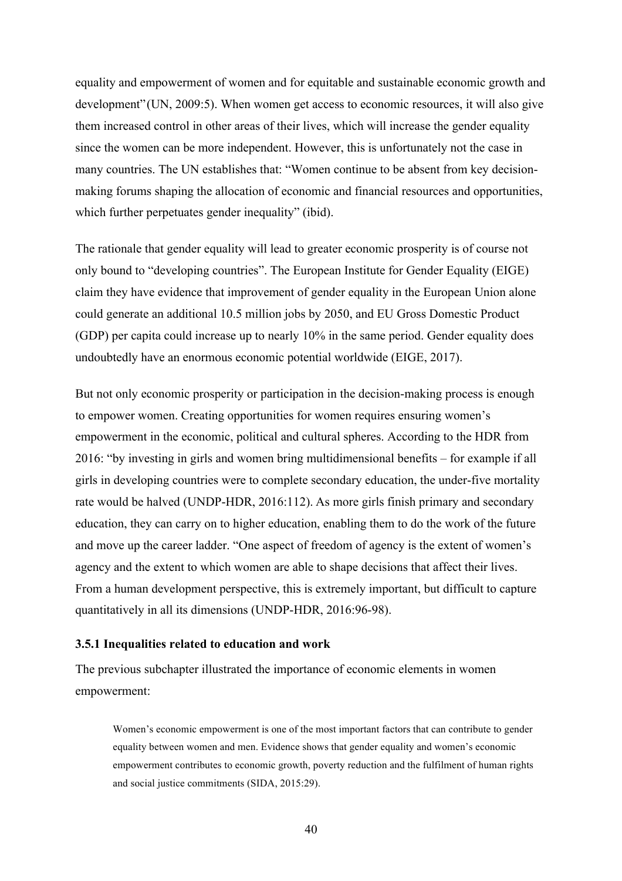equality and empowerment of women and for equitable and sustainable economic growth and development"(UN, 2009:5). When women get access to economic resources, it will also give them increased control in other areas of their lives, which will increase the gender equality since the women can be more independent. However, this is unfortunately not the case in many countries. The UN establishes that: "Women continue to be absent from key decisionmaking forums shaping the allocation of economic and financial resources and opportunities, which further perpetuates gender inequality" (ibid).

The rationale that gender equality will lead to greater economic prosperity is of course not only bound to "developing countries". The European Institute for Gender Equality (EIGE) claim they have evidence that improvement of gender equality in the European Union alone could generate an additional 10.5 million jobs by 2050, and EU Gross Domestic Product (GDP) per capita could increase up to nearly 10% in the same period. Gender equality does undoubtedly have an enormous economic potential worldwide (EIGE, 2017).

But not only economic prosperity or participation in the decision-making process is enough to empower women. Creating opportunities for women requires ensuring women's empowerment in the economic, political and cultural spheres. According to the HDR from 2016: "by investing in girls and women bring multidimensional benefits – for example if all girls in developing countries were to complete secondary education, the under-five mortality rate would be halved (UNDP-HDR, 2016:112). As more girls finish primary and secondary education, they can carry on to higher education, enabling them to do the work of the future and move up the career ladder. "One aspect of freedom of agency is the extent of women's agency and the extent to which women are able to shape decisions that affect their lives. From a human development perspective, this is extremely important, but difficult to capture quantitatively in all its dimensions (UNDP-HDR, 2016:96-98).

#### **3.5.1 Inequalities related to education and work**

The previous subchapter illustrated the importance of economic elements in women empowerment:

Women's economic empowerment is one of the most important factors that can contribute to gender equality between women and men. Evidence shows that gender equality and women's economic empowerment contributes to economic growth, poverty reduction and the fulfilment of human rights and social justice commitments (SIDA, 2015:29).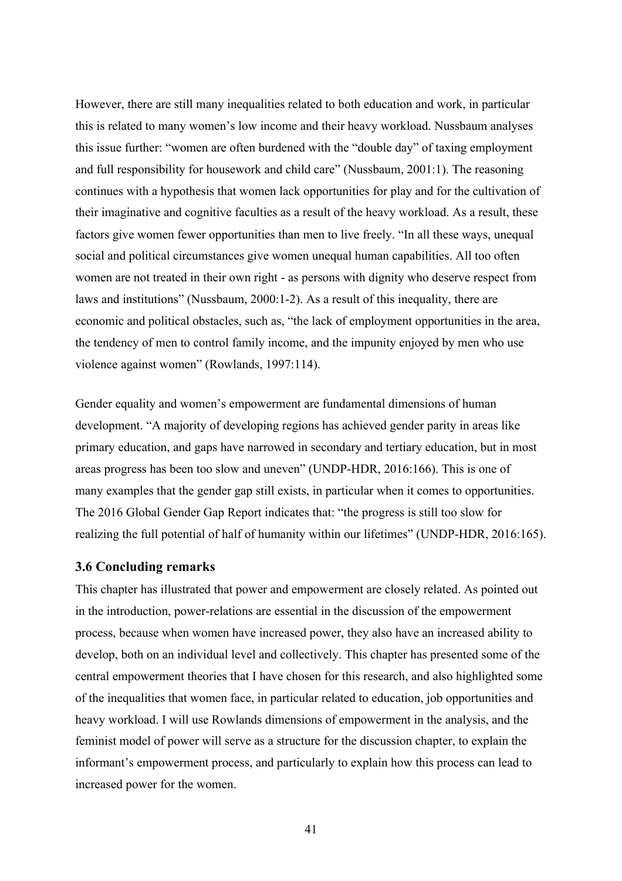However, there are still many inequalities related to both education and work, in particular this is related to many women's low income and their heavy workload. Nussbaum analyses this issue further: "women are often burdened with the "double day" of taxing employment and full responsibility for housework and child care" (Nussbaum, 2001:1). The reasoning continues with a hypothesis that women lack opportunities for play and for the cultivation of their imaginative and cognitive faculties as a result of the heavy workload. As a result, these factors give women fewer opportunities than men to live freely. "In all these ways, unequal social and political circumstances give women unequal human capabilities. All too often women are not treated in their own right - as persons with dignity who deserve respect from laws and institutions" (Nussbaum, 2000:1-2). As a result of this inequality, there are economic and political obstacles, such as, "the lack of employment opportunities in the area, the tendency of men to control family income, and the impunity enjoyed by men who use violence against women" (Rowlands, 1997:114).

Gender equality and women's empowerment are fundamental dimensions of human development. "A majority of developing regions has achieved gender parity in areas like primary education, and gaps have narrowed in secondary and tertiary education, but in most areas progress has been too slow and uneven" (UNDP-HDR, 2016:166). This is one of many examples that the gender gap still exists, in particular when it comes to opportunities. The 2016 Global Gender Gap Report indicates that: "the progress is still too slow for realizing the full potential of half of humanity within our lifetimes" (UNDP-HDR, 2016:165).

# **3.6 Concluding remarks**

This chapter has illustrated that power and empowerment are closely related. As pointed out in the introduction, power-relations are essential in the discussion of the empowerment process, because when women have increased power, they also have an increased ability to develop, both on an individual level and collectively. This chapter has presented some of the central empowerment theories that I have chosen for this research, and also highlighted some of the inequalities that women face, in particular related to education, job opportunities and heavy workload. I will use Rowlands dimensions of empowerment in the analysis, and the feminist model of power will serve as a structure for the discussion chapter, to explain the informant's empowerment process, and particularly to explain how this process can lead to increased power for the women.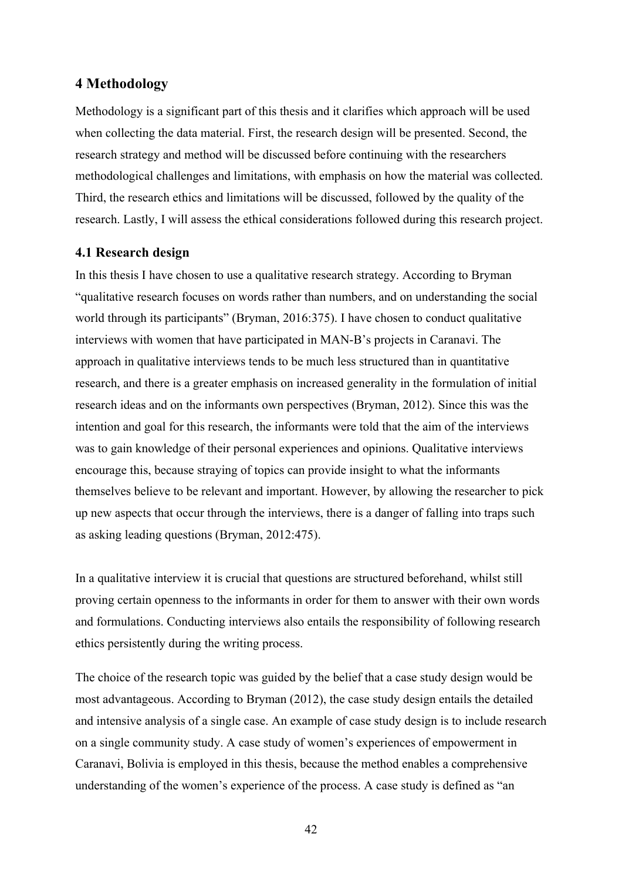# **4 Methodology**

Methodology is a significant part of this thesis and it clarifies which approach will be used when collecting the data material. First, the research design will be presented. Second, the research strategy and method will be discussed before continuing with the researchers methodological challenges and limitations, with emphasis on how the material was collected. Third, the research ethics and limitations will be discussed, followed by the quality of the research. Lastly, I will assess the ethical considerations followed during this research project.

# **4.1 Research design**

In this thesis I have chosen to use a qualitative research strategy. According to Bryman "qualitative research focuses on words rather than numbers, and on understanding the social world through its participants" (Bryman, 2016:375). I have chosen to conduct qualitative interviews with women that have participated in MAN-B's projects in Caranavi. The approach in qualitative interviews tends to be much less structured than in quantitative research, and there is a greater emphasis on increased generality in the formulation of initial research ideas and on the informants own perspectives (Bryman, 2012). Since this was the intention and goal for this research, the informants were told that the aim of the interviews was to gain knowledge of their personal experiences and opinions. Qualitative interviews encourage this, because straying of topics can provide insight to what the informants themselves believe to be relevant and important. However, by allowing the researcher to pick up new aspects that occur through the interviews, there is a danger of falling into traps such as asking leading questions (Bryman, 2012:475).

In a qualitative interview it is crucial that questions are structured beforehand, whilst still proving certain openness to the informants in order for them to answer with their own words and formulations. Conducting interviews also entails the responsibility of following research ethics persistently during the writing process.

The choice of the research topic was guided by the belief that a case study design would be most advantageous. According to Bryman (2012), the case study design entails the detailed and intensive analysis of a single case. An example of case study design is to include research on a single community study. A case study of women's experiences of empowerment in Caranavi, Bolivia is employed in this thesis, because the method enables a comprehensive understanding of the women's experience of the process. A case study is defined as "an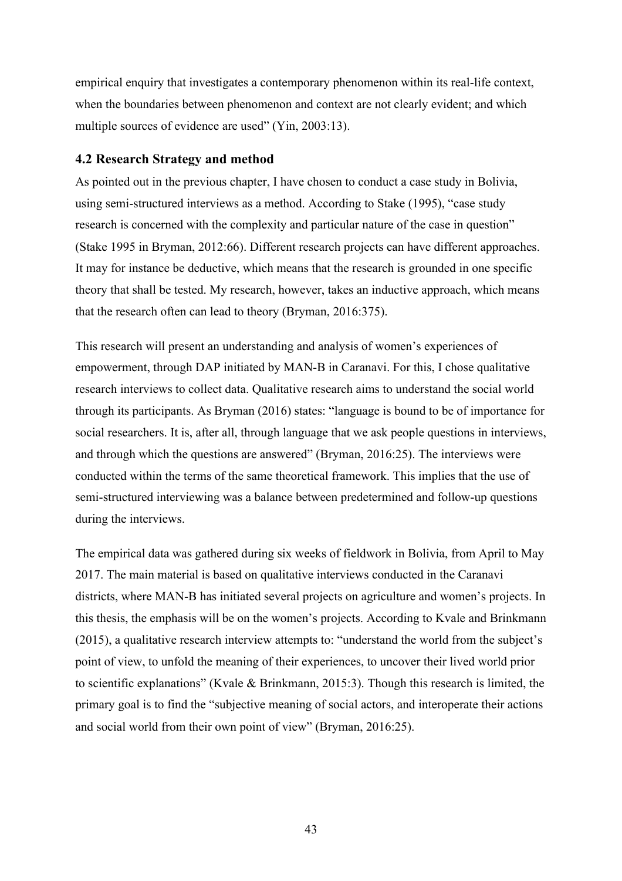empirical enquiry that investigates a contemporary phenomenon within its real-life context, when the boundaries between phenomenon and context are not clearly evident; and which multiple sources of evidence are used" (Yin, 2003:13).

### **4.2 Research Strategy and method**

As pointed out in the previous chapter, I have chosen to conduct a case study in Bolivia, using semi-structured interviews as a method. According to Stake (1995), "case study research is concerned with the complexity and particular nature of the case in question" (Stake 1995 in Bryman, 2012:66). Different research projects can have different approaches. It may for instance be deductive, which means that the research is grounded in one specific theory that shall be tested. My research, however, takes an inductive approach, which means that the research often can lead to theory (Bryman, 2016:375).

This research will present an understanding and analysis of women's experiences of empowerment, through DAP initiated by MAN-B in Caranavi. For this, I chose qualitative research interviews to collect data. Qualitative research aims to understand the social world through its participants. As Bryman (2016) states: "language is bound to be of importance for social researchers. It is, after all, through language that we ask people questions in interviews, and through which the questions are answered" (Bryman, 2016:25). The interviews were conducted within the terms of the same theoretical framework. This implies that the use of semi-structured interviewing was a balance between predetermined and follow-up questions during the interviews.

The empirical data was gathered during six weeks of fieldwork in Bolivia, from April to May 2017. The main material is based on qualitative interviews conducted in the Caranavi districts, where MAN-B has initiated several projects on agriculture and women's projects. In this thesis, the emphasis will be on the women's projects. According to Kvale and Brinkmann (2015), a qualitative research interview attempts to: "understand the world from the subject's point of view, to unfold the meaning of their experiences, to uncover their lived world prior to scientific explanations" (Kvale & Brinkmann, 2015:3). Though this research is limited, the primary goal is to find the "subjective meaning of social actors, and interoperate their actions and social world from their own point of view" (Bryman, 2016:25).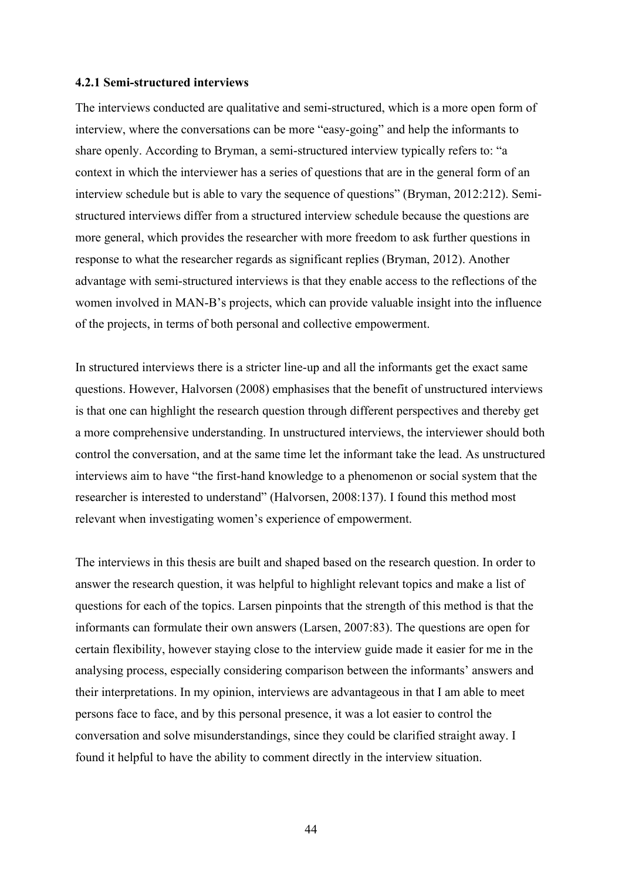#### **4.2.1 Semi-structured interviews**

The interviews conducted are qualitative and semi-structured, which is a more open form of interview, where the conversations can be more "easy-going" and help the informants to share openly. According to Bryman, a semi-structured interview typically refers to: "a context in which the interviewer has a series of questions that are in the general form of an interview schedule but is able to vary the sequence of questions" (Bryman, 2012:212). Semistructured interviews differ from a structured interview schedule because the questions are more general, which provides the researcher with more freedom to ask further questions in response to what the researcher regards as significant replies (Bryman, 2012). Another advantage with semi-structured interviews is that they enable access to the reflections of the women involved in MAN-B's projects, which can provide valuable insight into the influence of the projects, in terms of both personal and collective empowerment.

In structured interviews there is a stricter line-up and all the informants get the exact same questions. However, Halvorsen (2008) emphasises that the benefit of unstructured interviews is that one can highlight the research question through different perspectives and thereby get a more comprehensive understanding. In unstructured interviews, the interviewer should both control the conversation, and at the same time let the informant take the lead. As unstructured interviews aim to have "the first-hand knowledge to a phenomenon or social system that the researcher is interested to understand" (Halvorsen, 2008:137). I found this method most relevant when investigating women's experience of empowerment.

The interviews in this thesis are built and shaped based on the research question. In order to answer the research question, it was helpful to highlight relevant topics and make a list of questions for each of the topics. Larsen pinpoints that the strength of this method is that the informants can formulate their own answers (Larsen, 2007:83). The questions are open for certain flexibility, however staying close to the interview guide made it easier for me in the analysing process, especially considering comparison between the informants' answers and their interpretations. In my opinion, interviews are advantageous in that I am able to meet persons face to face, and by this personal presence, it was a lot easier to control the conversation and solve misunderstandings, since they could be clarified straight away. I found it helpful to have the ability to comment directly in the interview situation.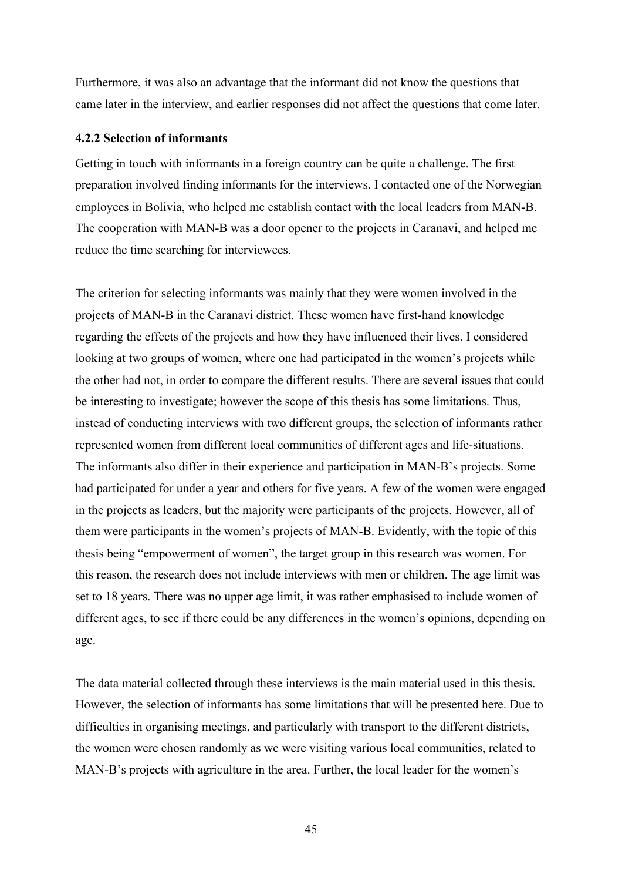Furthermore, it was also an advantage that the informant did not know the questions that came later in the interview, and earlier responses did not affect the questions that come later.

### **4.2.2 Selection of informants**

Getting in touch with informants in a foreign country can be quite a challenge. The first preparation involved finding informants for the interviews. I contacted one of the Norwegian employees in Bolivia, who helped me establish contact with the local leaders from MAN-B. The cooperation with MAN-B was a door opener to the projects in Caranavi, and helped me reduce the time searching for interviewees.

The criterion for selecting informants was mainly that they were women involved in the projects of MAN-B in the Caranavi district. These women have first-hand knowledge regarding the effects of the projects and how they have influenced their lives. I considered looking at two groups of women, where one had participated in the women's projects while the other had not, in order to compare the different results. There are several issues that could be interesting to investigate; however the scope of this thesis has some limitations. Thus, instead of conducting interviews with two different groups, the selection of informants rather represented women from different local communities of different ages and life-situations. The informants also differ in their experience and participation in MAN-B's projects. Some had participated for under a year and others for five years. A few of the women were engaged in the projects as leaders, but the majority were participants of the projects. However, all of them were participants in the women's projects of MAN-B. Evidently, with the topic of this thesis being "empowerment of women", the target group in this research was women. For this reason, the research does not include interviews with men or children. The age limit was set to 18 years. There was no upper age limit, it was rather emphasised to include women of different ages, to see if there could be any differences in the women's opinions, depending on age.

The data material collected through these interviews is the main material used in this thesis. However, the selection of informants has some limitations that will be presented here. Due to difficulties in organising meetings, and particularly with transport to the different districts, the women were chosen randomly as we were visiting various local communities, related to MAN-B's projects with agriculture in the area. Further, the local leader for the women's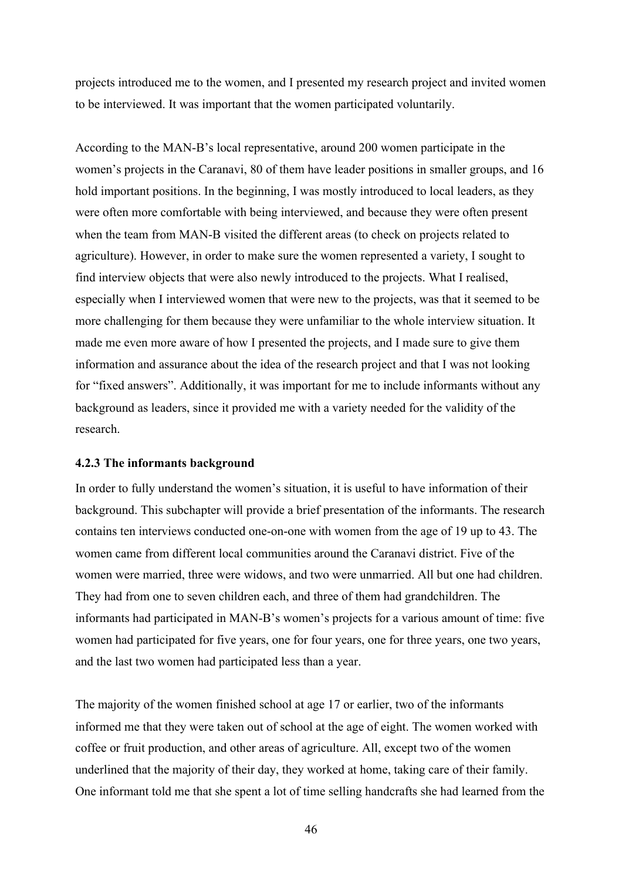projects introduced me to the women, and I presented my research project and invited women to be interviewed. It was important that the women participated voluntarily.

According to the MAN-B's local representative, around 200 women participate in the women's projects in the Caranavi, 80 of them have leader positions in smaller groups, and 16 hold important positions. In the beginning, I was mostly introduced to local leaders, as they were often more comfortable with being interviewed, and because they were often present when the team from MAN-B visited the different areas (to check on projects related to agriculture). However, in order to make sure the women represented a variety, I sought to find interview objects that were also newly introduced to the projects. What I realised, especially when I interviewed women that were new to the projects, was that it seemed to be more challenging for them because they were unfamiliar to the whole interview situation. It made me even more aware of how I presented the projects, and I made sure to give them information and assurance about the idea of the research project and that I was not looking for "fixed answers". Additionally, it was important for me to include informants without any background as leaders, since it provided me with a variety needed for the validity of the research.

### **4.2.3 The informants background**

In order to fully understand the women's situation, it is useful to have information of their background. This subchapter will provide a brief presentation of the informants. The research contains ten interviews conducted one-on-one with women from the age of 19 up to 43. The women came from different local communities around the Caranavi district. Five of the women were married, three were widows, and two were unmarried. All but one had children. They had from one to seven children each, and three of them had grandchildren. The informants had participated in MAN-B's women's projects for a various amount of time: five women had participated for five years, one for four years, one for three years, one two years, and the last two women had participated less than a year.

The majority of the women finished school at age 17 or earlier, two of the informants informed me that they were taken out of school at the age of eight. The women worked with coffee or fruit production, and other areas of agriculture. All, except two of the women underlined that the majority of their day, they worked at home, taking care of their family. One informant told me that she spent a lot of time selling handcrafts she had learned from the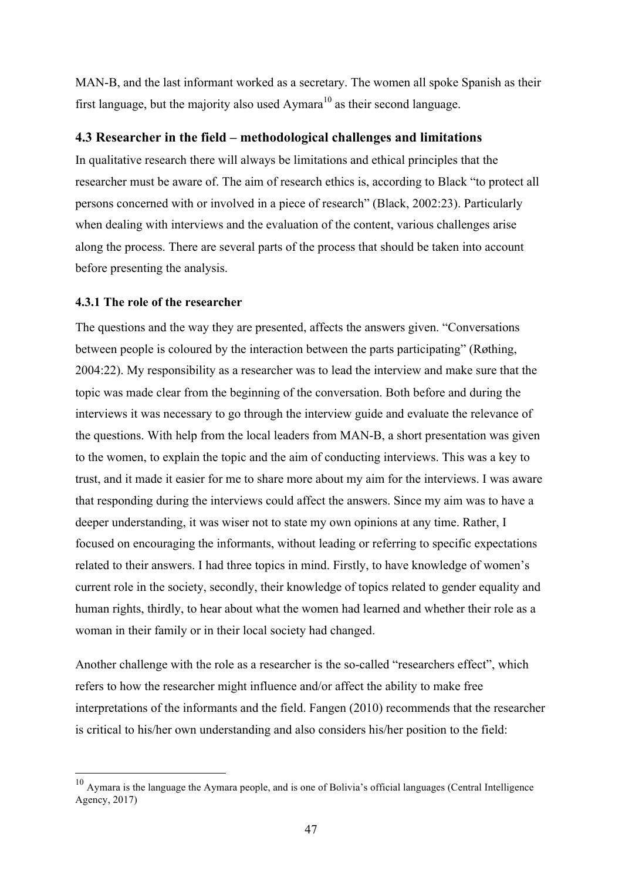MAN-B, and the last informant worked as a secretary. The women all spoke Spanish as their first language, but the majority also used Aymara<sup>10</sup> as their second language.

# **4.3 Researcher in the field – methodological challenges and limitations**

In qualitative research there will always be limitations and ethical principles that the researcher must be aware of. The aim of research ethics is, according to Black "to protect all persons concerned with or involved in a piece of research" (Black, 2002:23). Particularly when dealing with interviews and the evaluation of the content, various challenges arise along the process. There are several parts of the process that should be taken into account before presenting the analysis.

### **4.3.1 The role of the researcher**

The questions and the way they are presented, affects the answers given. "Conversations between people is coloured by the interaction between the parts participating" (Røthing, 2004:22). My responsibility as a researcher was to lead the interview and make sure that the topic was made clear from the beginning of the conversation. Both before and during the interviews it was necessary to go through the interview guide and evaluate the relevance of the questions. With help from the local leaders from MAN-B, a short presentation was given to the women, to explain the topic and the aim of conducting interviews. This was a key to trust, and it made it easier for me to share more about my aim for the interviews. I was aware that responding during the interviews could affect the answers. Since my aim was to have a deeper understanding, it was wiser not to state my own opinions at any time. Rather, I focused on encouraging the informants, without leading or referring to specific expectations related to their answers. I had three topics in mind. Firstly, to have knowledge of women's current role in the society, secondly, their knowledge of topics related to gender equality and human rights, thirdly, to hear about what the women had learned and whether their role as a woman in their family or in their local society had changed.

Another challenge with the role as a researcher is the so-called "researchers effect", which refers to how the researcher might influence and/or affect the ability to make free interpretations of the informants and the field. Fangen (2010) recommends that the researcher is critical to his/her own understanding and also considers his/her position to the field:

 <sup>10</sup> Aymara is the language the Aymara people, and is one of Bolivia's official languages (Central Intelligence Agency, 2017)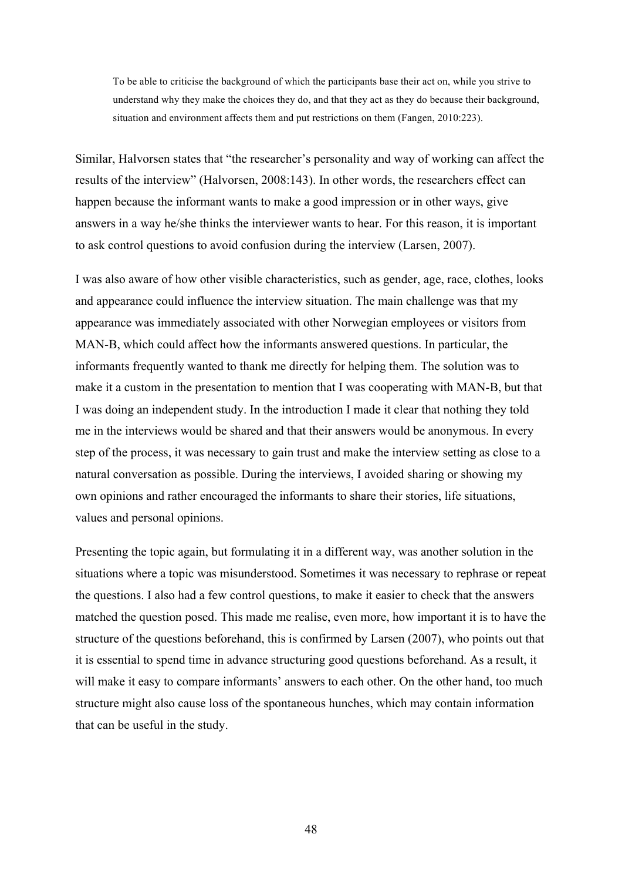To be able to criticise the background of which the participants base their act on, while you strive to understand why they make the choices they do, and that they act as they do because their background, situation and environment affects them and put restrictions on them (Fangen, 2010:223).

Similar, Halvorsen states that "the researcher's personality and way of working can affect the results of the interview" (Halvorsen, 2008:143). In other words, the researchers effect can happen because the informant wants to make a good impression or in other ways, give answers in a way he/she thinks the interviewer wants to hear. For this reason, it is important to ask control questions to avoid confusion during the interview (Larsen, 2007).

I was also aware of how other visible characteristics, such as gender, age, race, clothes, looks and appearance could influence the interview situation. The main challenge was that my appearance was immediately associated with other Norwegian employees or visitors from MAN-B, which could affect how the informants answered questions. In particular, the informants frequently wanted to thank me directly for helping them. The solution was to make it a custom in the presentation to mention that I was cooperating with MAN-B, but that I was doing an independent study. In the introduction I made it clear that nothing they told me in the interviews would be shared and that their answers would be anonymous. In every step of the process, it was necessary to gain trust and make the interview setting as close to a natural conversation as possible. During the interviews, I avoided sharing or showing my own opinions and rather encouraged the informants to share their stories, life situations, values and personal opinions.

Presenting the topic again, but formulating it in a different way, was another solution in the situations where a topic was misunderstood. Sometimes it was necessary to rephrase or repeat the questions. I also had a few control questions, to make it easier to check that the answers matched the question posed. This made me realise, even more, how important it is to have the structure of the questions beforehand, this is confirmed by Larsen (2007), who points out that it is essential to spend time in advance structuring good questions beforehand. As a result, it will make it easy to compare informants' answers to each other. On the other hand, too much structure might also cause loss of the spontaneous hunches, which may contain information that can be useful in the study.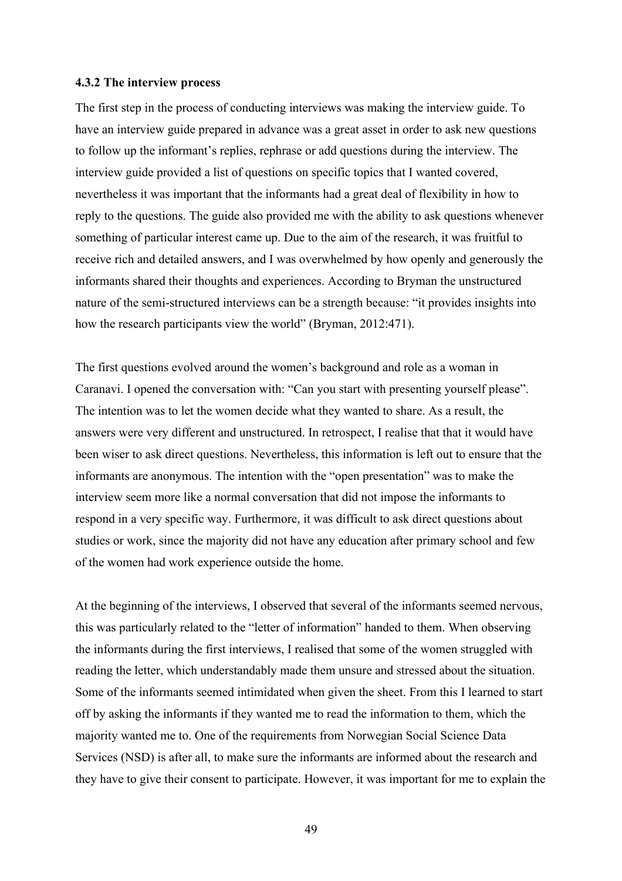#### **4.3.2 The interview process**

The first step in the process of conducting interviews was making the interview guide. To have an interview guide prepared in advance was a great asset in order to ask new questions to follow up the informant's replies, rephrase or add questions during the interview. The interview guide provided a list of questions on specific topics that I wanted covered, nevertheless it was important that the informants had a great deal of flexibility in how to reply to the questions. The guide also provided me with the ability to ask questions whenever something of particular interest came up. Due to the aim of the research, it was fruitful to receive rich and detailed answers, and I was overwhelmed by how openly and generously the informants shared their thoughts and experiences. According to Bryman the unstructured nature of the semi-structured interviews can be a strength because: "it provides insights into how the research participants view the world" (Bryman, 2012:471).

The first questions evolved around the women's background and role as a woman in Caranavi. I opened the conversation with: "Can you start with presenting yourself please". The intention was to let the women decide what they wanted to share. As a result, the answers were very different and unstructured. In retrospect, I realise that that it would have been wiser to ask direct questions. Nevertheless, this information is left out to ensure that the informants are anonymous. The intention with the "open presentation" was to make the interview seem more like a normal conversation that did not impose the informants to respond in a very specific way. Furthermore, it was difficult to ask direct questions about studies or work, since the majority did not have any education after primary school and few of the women had work experience outside the home.

At the beginning of the interviews, I observed that several of the informants seemed nervous, this was particularly related to the "letter of information" handed to them. When observing the informants during the first interviews, I realised that some of the women struggled with reading the letter, which understandably made them unsure and stressed about the situation. Some of the informants seemed intimidated when given the sheet. From this I learned to start off by asking the informants if they wanted me to read the information to them, which the majority wanted me to. One of the requirements from Norwegian Social Science Data Services (NSD) is after all, to make sure the informants are informed about the research and they have to give their consent to participate. However, it was important for me to explain the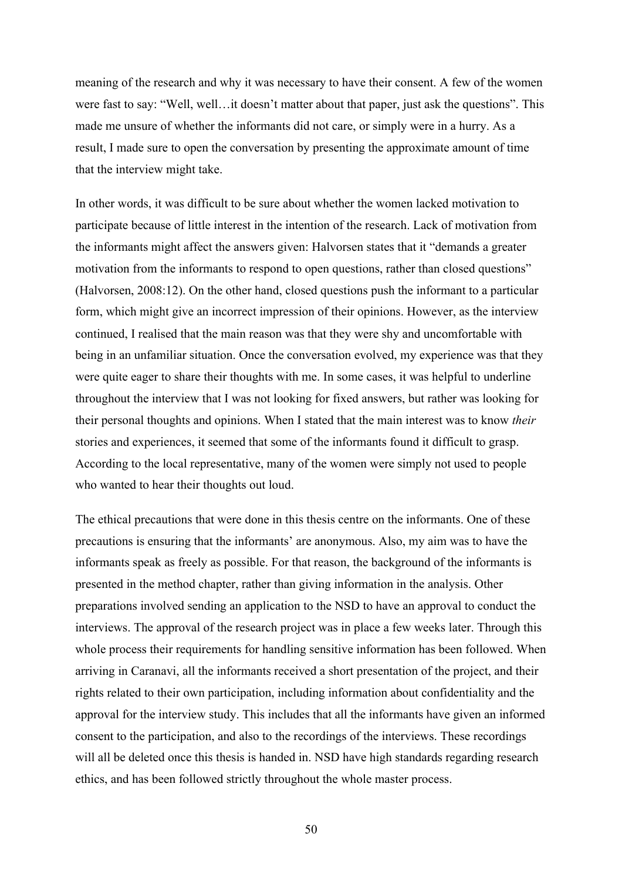meaning of the research and why it was necessary to have their consent. A few of the women were fast to say: "Well, well…it doesn't matter about that paper, just ask the questions". This made me unsure of whether the informants did not care, or simply were in a hurry. As a result, I made sure to open the conversation by presenting the approximate amount of time that the interview might take.

In other words, it was difficult to be sure about whether the women lacked motivation to participate because of little interest in the intention of the research. Lack of motivation from the informants might affect the answers given: Halvorsen states that it "demands a greater motivation from the informants to respond to open questions, rather than closed questions" (Halvorsen, 2008:12). On the other hand, closed questions push the informant to a particular form, which might give an incorrect impression of their opinions. However, as the interview continued, I realised that the main reason was that they were shy and uncomfortable with being in an unfamiliar situation. Once the conversation evolved, my experience was that they were quite eager to share their thoughts with me. In some cases, it was helpful to underline throughout the interview that I was not looking for fixed answers, but rather was looking for their personal thoughts and opinions. When I stated that the main interest was to know *their*  stories and experiences, it seemed that some of the informants found it difficult to grasp. According to the local representative, many of the women were simply not used to people who wanted to hear their thoughts out loud.

The ethical precautions that were done in this thesis centre on the informants. One of these precautions is ensuring that the informants' are anonymous. Also, my aim was to have the informants speak as freely as possible. For that reason, the background of the informants is presented in the method chapter, rather than giving information in the analysis. Other preparations involved sending an application to the NSD to have an approval to conduct the interviews. The approval of the research project was in place a few weeks later. Through this whole process their requirements for handling sensitive information has been followed. When arriving in Caranavi, all the informants received a short presentation of the project, and their rights related to their own participation, including information about confidentiality and the approval for the interview study. This includes that all the informants have given an informed consent to the participation, and also to the recordings of the interviews. These recordings will all be deleted once this thesis is handed in. NSD have high standards regarding research ethics, and has been followed strictly throughout the whole master process.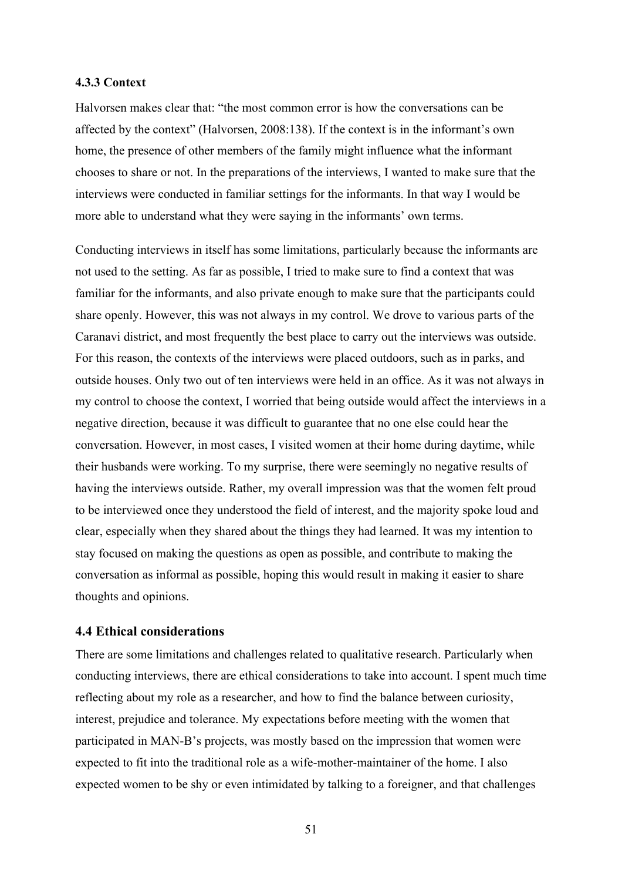### **4.3.3 Context**

Halvorsen makes clear that: "the most common error is how the conversations can be affected by the context" (Halvorsen, 2008:138). If the context is in the informant's own home, the presence of other members of the family might influence what the informant chooses to share or not. In the preparations of the interviews, I wanted to make sure that the interviews were conducted in familiar settings for the informants. In that way I would be more able to understand what they were saying in the informants' own terms.

Conducting interviews in itself has some limitations, particularly because the informants are not used to the setting. As far as possible, I tried to make sure to find a context that was familiar for the informants, and also private enough to make sure that the participants could share openly. However, this was not always in my control. We drove to various parts of the Caranavi district, and most frequently the best place to carry out the interviews was outside. For this reason, the contexts of the interviews were placed outdoors, such as in parks, and outside houses. Only two out of ten interviews were held in an office. As it was not always in my control to choose the context, I worried that being outside would affect the interviews in a negative direction, because it was difficult to guarantee that no one else could hear the conversation. However, in most cases, I visited women at their home during daytime, while their husbands were working. To my surprise, there were seemingly no negative results of having the interviews outside. Rather, my overall impression was that the women felt proud to be interviewed once they understood the field of interest, and the majority spoke loud and clear, especially when they shared about the things they had learned. It was my intention to stay focused on making the questions as open as possible, and contribute to making the conversation as informal as possible, hoping this would result in making it easier to share thoughts and opinions.

### **4.4 Ethical considerations**

There are some limitations and challenges related to qualitative research. Particularly when conducting interviews, there are ethical considerations to take into account. I spent much time reflecting about my role as a researcher, and how to find the balance between curiosity, interest, prejudice and tolerance. My expectations before meeting with the women that participated in MAN-B's projects, was mostly based on the impression that women were expected to fit into the traditional role as a wife-mother-maintainer of the home. I also expected women to be shy or even intimidated by talking to a foreigner, and that challenges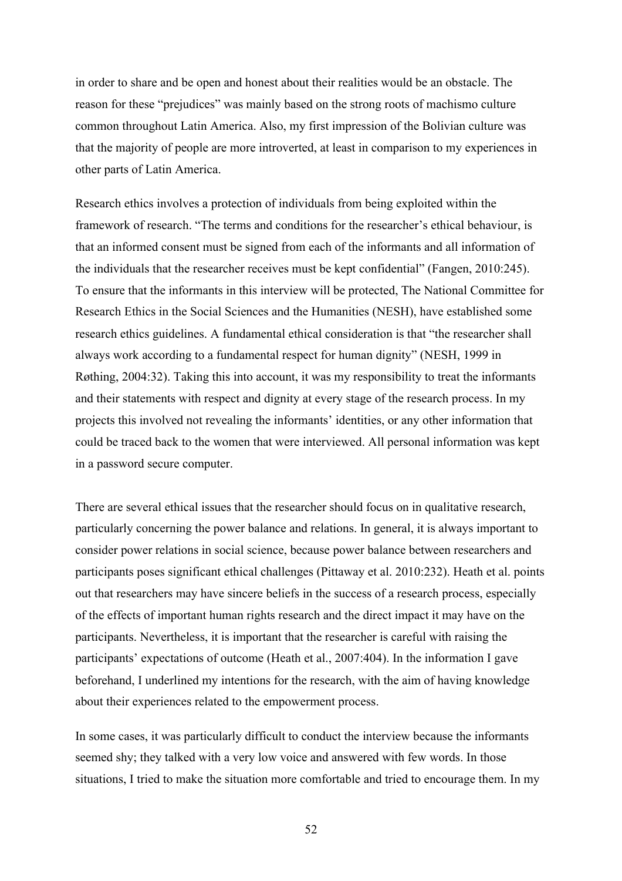in order to share and be open and honest about their realities would be an obstacle. The reason for these "prejudices" was mainly based on the strong roots of machismo culture common throughout Latin America. Also, my first impression of the Bolivian culture was that the majority of people are more introverted, at least in comparison to my experiences in other parts of Latin America.

Research ethics involves a protection of individuals from being exploited within the framework of research. "The terms and conditions for the researcher's ethical behaviour, is that an informed consent must be signed from each of the informants and all information of the individuals that the researcher receives must be kept confidential" (Fangen, 2010:245). To ensure that the informants in this interview will be protected, The National Committee for Research Ethics in the Social Sciences and the Humanities (NESH), have established some research ethics guidelines. A fundamental ethical consideration is that "the researcher shall always work according to a fundamental respect for human dignity" (NESH, 1999 in Røthing, 2004:32). Taking this into account, it was my responsibility to treat the informants and their statements with respect and dignity at every stage of the research process. In my projects this involved not revealing the informants' identities, or any other information that could be traced back to the women that were interviewed. All personal information was kept in a password secure computer.

There are several ethical issues that the researcher should focus on in qualitative research, particularly concerning the power balance and relations. In general, it is always important to consider power relations in social science, because power balance between researchers and participants poses significant ethical challenges (Pittaway et al. 2010:232). Heath et al. points out that researchers may have sincere beliefs in the success of a research process, especially of the effects of important human rights research and the direct impact it may have on the participants. Nevertheless, it is important that the researcher is careful with raising the participants' expectations of outcome (Heath et al., 2007:404). In the information I gave beforehand, I underlined my intentions for the research, with the aim of having knowledge about their experiences related to the empowerment process.

In some cases, it was particularly difficult to conduct the interview because the informants seemed shy; they talked with a very low voice and answered with few words. In those situations, I tried to make the situation more comfortable and tried to encourage them. In my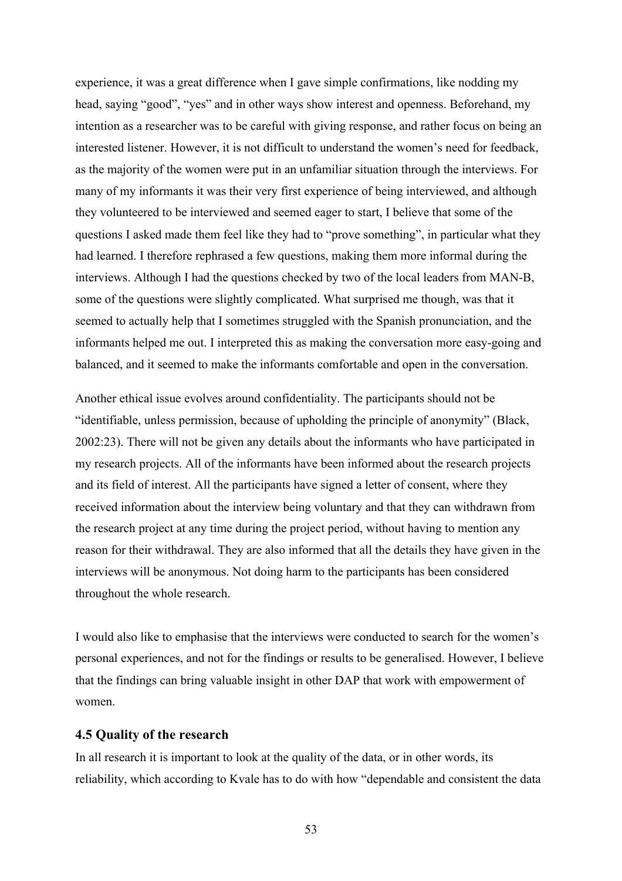experience, it was a great difference when I gave simple confirmations, like nodding my head, saying "good", "yes" and in other ways show interest and openness. Beforehand, my intention as a researcher was to be careful with giving response, and rather focus on being an interested listener. However, it is not difficult to understand the women's need for feedback, as the majority of the women were put in an unfamiliar situation through the interviews. For many of my informants it was their very first experience of being interviewed, and although they volunteered to be interviewed and seemed eager to start, I believe that some of the questions I asked made them feel like they had to "prove something", in particular what they had learned. I therefore rephrased a few questions, making them more informal during the interviews. Although I had the questions checked by two of the local leaders from MAN-B, some of the questions were slightly complicated. What surprised me though, was that it seemed to actually help that I sometimes struggled with the Spanish pronunciation, and the informants helped me out. I interpreted this as making the conversation more easy-going and balanced, and it seemed to make the informants comfortable and open in the conversation.

Another ethical issue evolves around confidentiality. The participants should not be "identifiable, unless permission, because of upholding the principle of anonymity" (Black, 2002:23). There will not be given any details about the informants who have participated in my research projects. All of the informants have been informed about the research projects and its field of interest. All the participants have signed a letter of consent, where they received information about the interview being voluntary and that they can withdrawn from the research project at any time during the project period, without having to mention any reason for their withdrawal. They are also informed that all the details they have given in the interviews will be anonymous. Not doing harm to the participants has been considered throughout the whole research.

I would also like to emphasise that the interviews were conducted to search for the women's personal experiences, and not for the findings or results to be generalised. However, I believe that the findings can bring valuable insight in other DAP that work with empowerment of women.

### **4.5 Quality of the research**

In all research it is important to look at the quality of the data, or in other words, its reliability, which according to Kvale has to do with how "dependable and consistent the data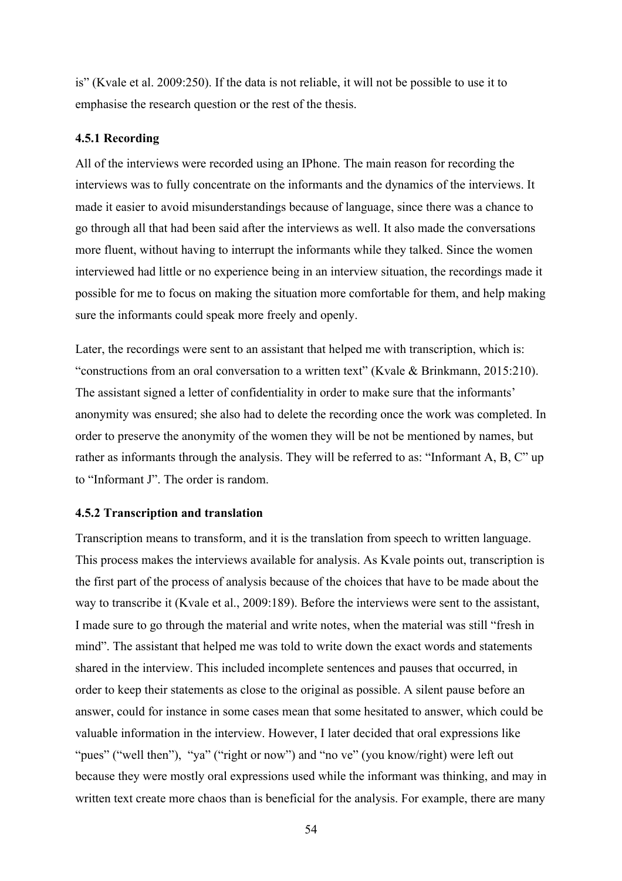is" (Kvale et al. 2009:250). If the data is not reliable, it will not be possible to use it to emphasise the research question or the rest of the thesis.

### **4.5.1 Recording**

All of the interviews were recorded using an IPhone. The main reason for recording the interviews was to fully concentrate on the informants and the dynamics of the interviews. It made it easier to avoid misunderstandings because of language, since there was a chance to go through all that had been said after the interviews as well. It also made the conversations more fluent, without having to interrupt the informants while they talked. Since the women interviewed had little or no experience being in an interview situation, the recordings made it possible for me to focus on making the situation more comfortable for them, and help making sure the informants could speak more freely and openly.

Later, the recordings were sent to an assistant that helped me with transcription, which is: "constructions from an oral conversation to a written text" (Kvale & Brinkmann, 2015:210). The assistant signed a letter of confidentiality in order to make sure that the informants' anonymity was ensured; she also had to delete the recording once the work was completed. In order to preserve the anonymity of the women they will be not be mentioned by names, but rather as informants through the analysis. They will be referred to as: "Informant A, B, C" up to "Informant J". The order is random.

### **4.5.2 Transcription and translation**

Transcription means to transform, and it is the translation from speech to written language. This process makes the interviews available for analysis. As Kvale points out, transcription is the first part of the process of analysis because of the choices that have to be made about the way to transcribe it (Kvale et al., 2009:189). Before the interviews were sent to the assistant, I made sure to go through the material and write notes, when the material was still "fresh in mind". The assistant that helped me was told to write down the exact words and statements shared in the interview. This included incomplete sentences and pauses that occurred, in order to keep their statements as close to the original as possible. A silent pause before an answer, could for instance in some cases mean that some hesitated to answer, which could be valuable information in the interview. However, I later decided that oral expressions like "pues" ("well then"), "ya" ("right or now") and "no ve" (you know/right) were left out because they were mostly oral expressions used while the informant was thinking, and may in written text create more chaos than is beneficial for the analysis. For example, there are many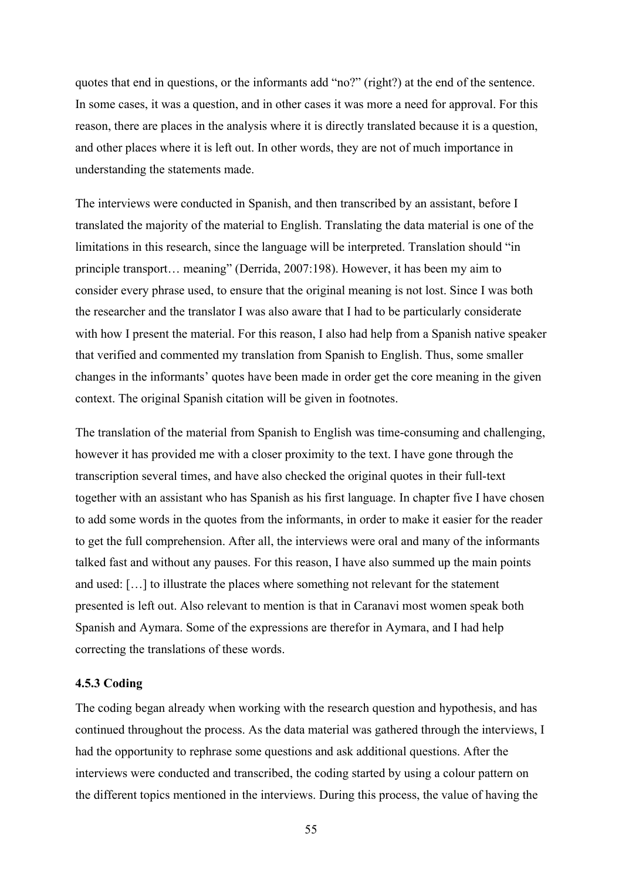quotes that end in questions, or the informants add "no?" (right?) at the end of the sentence. In some cases, it was a question, and in other cases it was more a need for approval. For this reason, there are places in the analysis where it is directly translated because it is a question, and other places where it is left out. In other words, they are not of much importance in understanding the statements made.

The interviews were conducted in Spanish, and then transcribed by an assistant, before I translated the majority of the material to English. Translating the data material is one of the limitations in this research, since the language will be interpreted. Translation should "in principle transport… meaning" (Derrida, 2007:198). However, it has been my aim to consider every phrase used, to ensure that the original meaning is not lost. Since I was both the researcher and the translator I was also aware that I had to be particularly considerate with how I present the material. For this reason, I also had help from a Spanish native speaker that verified and commented my translation from Spanish to English. Thus, some smaller changes in the informants' quotes have been made in order get the core meaning in the given context. The original Spanish citation will be given in footnotes.

The translation of the material from Spanish to English was time-consuming and challenging, however it has provided me with a closer proximity to the text. I have gone through the transcription several times, and have also checked the original quotes in their full-text together with an assistant who has Spanish as his first language. In chapter five I have chosen to add some words in the quotes from the informants, in order to make it easier for the reader to get the full comprehension. After all, the interviews were oral and many of the informants talked fast and without any pauses. For this reason, I have also summed up the main points and used: […] to illustrate the places where something not relevant for the statement presented is left out. Also relevant to mention is that in Caranavi most women speak both Spanish and Aymara. Some of the expressions are therefor in Aymara, and I had help correcting the translations of these words.

## **4.5.3 Coding**

The coding began already when working with the research question and hypothesis, and has continued throughout the process. As the data material was gathered through the interviews, I had the opportunity to rephrase some questions and ask additional questions. After the interviews were conducted and transcribed, the coding started by using a colour pattern on the different topics mentioned in the interviews. During this process, the value of having the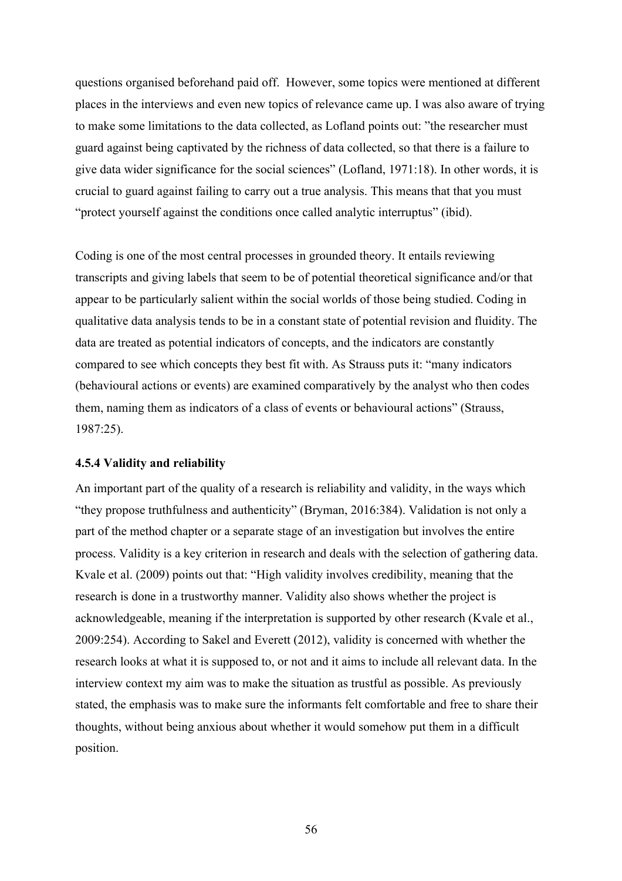questions organised beforehand paid off. However, some topics were mentioned at different places in the interviews and even new topics of relevance came up. I was also aware of trying to make some limitations to the data collected, as Lofland points out: "the researcher must guard against being captivated by the richness of data collected, so that there is a failure to give data wider significance for the social sciences" (Lofland, 1971:18). In other words, it is crucial to guard against failing to carry out a true analysis. This means that that you must "protect yourself against the conditions once called analytic interruptus" (ibid).

Coding is one of the most central processes in grounded theory. It entails reviewing transcripts and giving labels that seem to be of potential theoretical significance and/or that appear to be particularly salient within the social worlds of those being studied. Coding in qualitative data analysis tends to be in a constant state of potential revision and fluidity. The data are treated as potential indicators of concepts, and the indicators are constantly compared to see which concepts they best fit with. As Strauss puts it: "many indicators (behavioural actions or events) are examined comparatively by the analyst who then codes them, naming them as indicators of a class of events or behavioural actions" (Strauss, 1987:25).

### **4.5.4 Validity and reliability**

An important part of the quality of a research is reliability and validity, in the ways which "they propose truthfulness and authenticity" (Bryman, 2016:384). Validation is not only a part of the method chapter or a separate stage of an investigation but involves the entire process. Validity is a key criterion in research and deals with the selection of gathering data. Kvale et al. (2009) points out that: "High validity involves credibility, meaning that the research is done in a trustworthy manner. Validity also shows whether the project is acknowledgeable, meaning if the interpretation is supported by other research (Kvale et al., 2009:254). According to Sakel and Everett (2012), validity is concerned with whether the research looks at what it is supposed to, or not and it aims to include all relevant data. In the interview context my aim was to make the situation as trustful as possible. As previously stated, the emphasis was to make sure the informants felt comfortable and free to share their thoughts, without being anxious about whether it would somehow put them in a difficult position.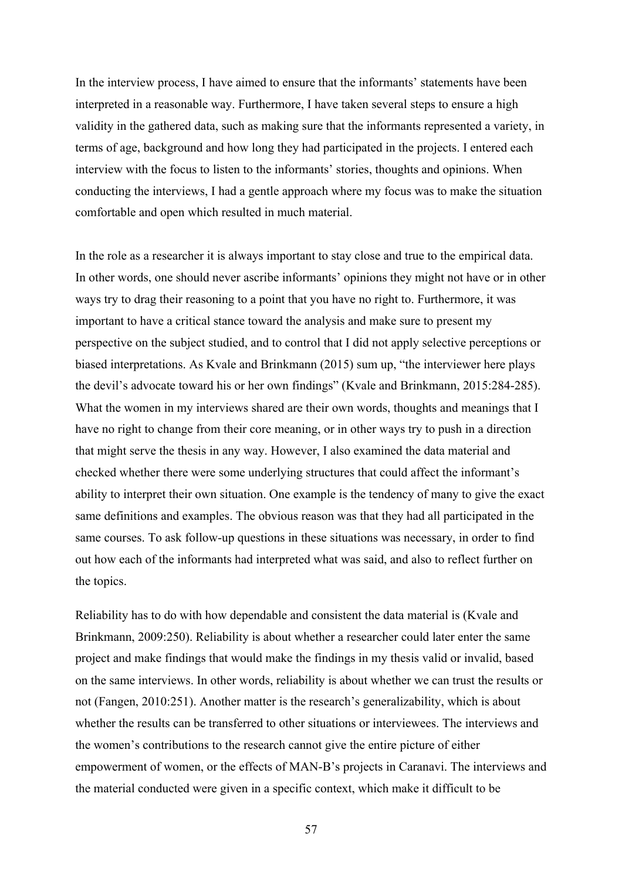In the interview process, I have aimed to ensure that the informants' statements have been interpreted in a reasonable way. Furthermore, I have taken several steps to ensure a high validity in the gathered data, such as making sure that the informants represented a variety, in terms of age, background and how long they had participated in the projects. I entered each interview with the focus to listen to the informants' stories, thoughts and opinions. When conducting the interviews, I had a gentle approach where my focus was to make the situation comfortable and open which resulted in much material.

In the role as a researcher it is always important to stay close and true to the empirical data. In other words, one should never ascribe informants' opinions they might not have or in other ways try to drag their reasoning to a point that you have no right to. Furthermore, it was important to have a critical stance toward the analysis and make sure to present my perspective on the subject studied, and to control that I did not apply selective perceptions or biased interpretations. As Kvale and Brinkmann (2015) sum up, "the interviewer here plays the devil's advocate toward his or her own findings" (Kvale and Brinkmann, 2015:284-285). What the women in my interviews shared are their own words, thoughts and meanings that I have no right to change from their core meaning, or in other ways try to push in a direction that might serve the thesis in any way. However, I also examined the data material and checked whether there were some underlying structures that could affect the informant's ability to interpret their own situation. One example is the tendency of many to give the exact same definitions and examples. The obvious reason was that they had all participated in the same courses. To ask follow-up questions in these situations was necessary, in order to find out how each of the informants had interpreted what was said, and also to reflect further on the topics.

Reliability has to do with how dependable and consistent the data material is (Kvale and Brinkmann, 2009:250). Reliability is about whether a researcher could later enter the same project and make findings that would make the findings in my thesis valid or invalid, based on the same interviews. In other words, reliability is about whether we can trust the results or not (Fangen, 2010:251). Another matter is the research's generalizability, which is about whether the results can be transferred to other situations or interviewees. The interviews and the women's contributions to the research cannot give the entire picture of either empowerment of women, or the effects of MAN-B's projects in Caranavi. The interviews and the material conducted were given in a specific context, which make it difficult to be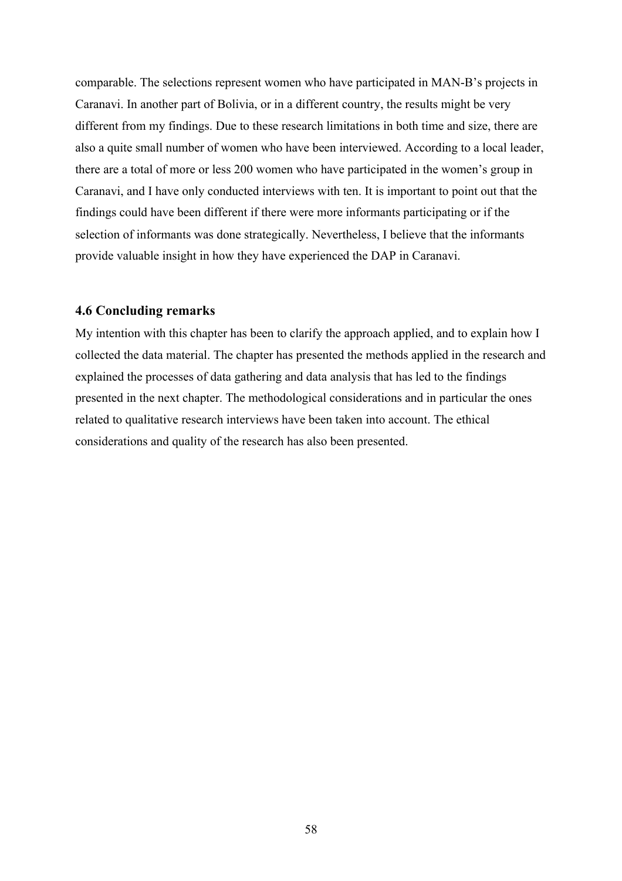comparable. The selections represent women who have participated in MAN-B's projects in Caranavi. In another part of Bolivia, or in a different country, the results might be very different from my findings. Due to these research limitations in both time and size, there are also a quite small number of women who have been interviewed. According to a local leader, there are a total of more or less 200 women who have participated in the women's group in Caranavi, and I have only conducted interviews with ten. It is important to point out that the findings could have been different if there were more informants participating or if the selection of informants was done strategically. Nevertheless, I believe that the informants provide valuable insight in how they have experienced the DAP in Caranavi.

### **4.6 Concluding remarks**

My intention with this chapter has been to clarify the approach applied, and to explain how I collected the data material. The chapter has presented the methods applied in the research and explained the processes of data gathering and data analysis that has led to the findings presented in the next chapter. The methodological considerations and in particular the ones related to qualitative research interviews have been taken into account. The ethical considerations and quality of the research has also been presented.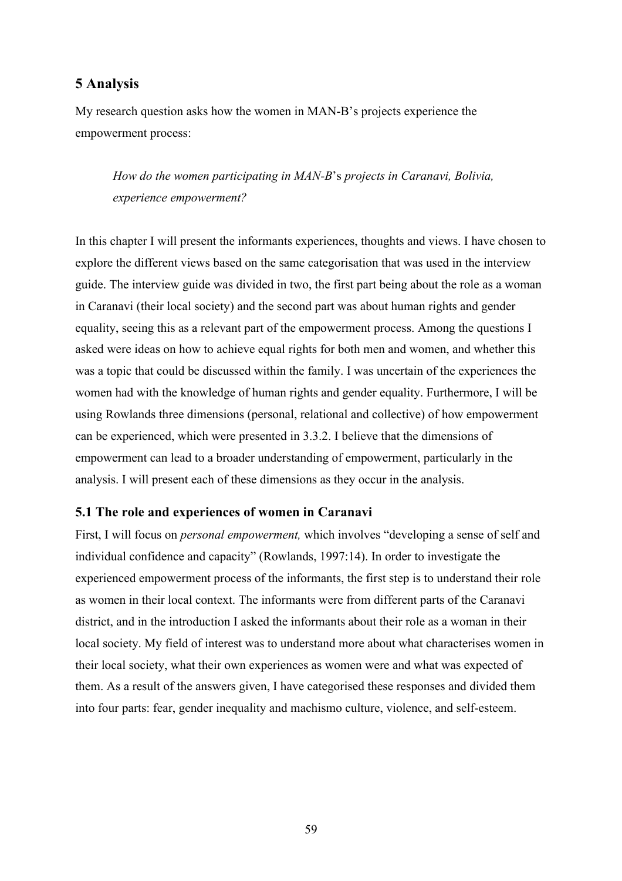# **5 Analysis**

My research question asks how the women in MAN-B's projects experience the empowerment process:

*How do the women participating in MAN-B*'s *projects in Caranavi, Bolivia, experience empowerment?*

In this chapter I will present the informants experiences, thoughts and views. I have chosen to explore the different views based on the same categorisation that was used in the interview guide. The interview guide was divided in two, the first part being about the role as a woman in Caranavi (their local society) and the second part was about human rights and gender equality, seeing this as a relevant part of the empowerment process. Among the questions I asked were ideas on how to achieve equal rights for both men and women, and whether this was a topic that could be discussed within the family. I was uncertain of the experiences the women had with the knowledge of human rights and gender equality. Furthermore, I will be using Rowlands three dimensions (personal, relational and collective) of how empowerment can be experienced, which were presented in 3.3.2. I believe that the dimensions of empowerment can lead to a broader understanding of empowerment, particularly in the analysis. I will present each of these dimensions as they occur in the analysis.

## **5.1 The role and experiences of women in Caranavi**

First, I will focus on *personal empowerment,* which involves "developing a sense of self and individual confidence and capacity" (Rowlands, 1997:14). In order to investigate the experienced empowerment process of the informants, the first step is to understand their role as women in their local context. The informants were from different parts of the Caranavi district, and in the introduction I asked the informants about their role as a woman in their local society. My field of interest was to understand more about what characterises women in their local society, what their own experiences as women were and what was expected of them. As a result of the answers given, I have categorised these responses and divided them into four parts: fear, gender inequality and machismo culture, violence, and self-esteem.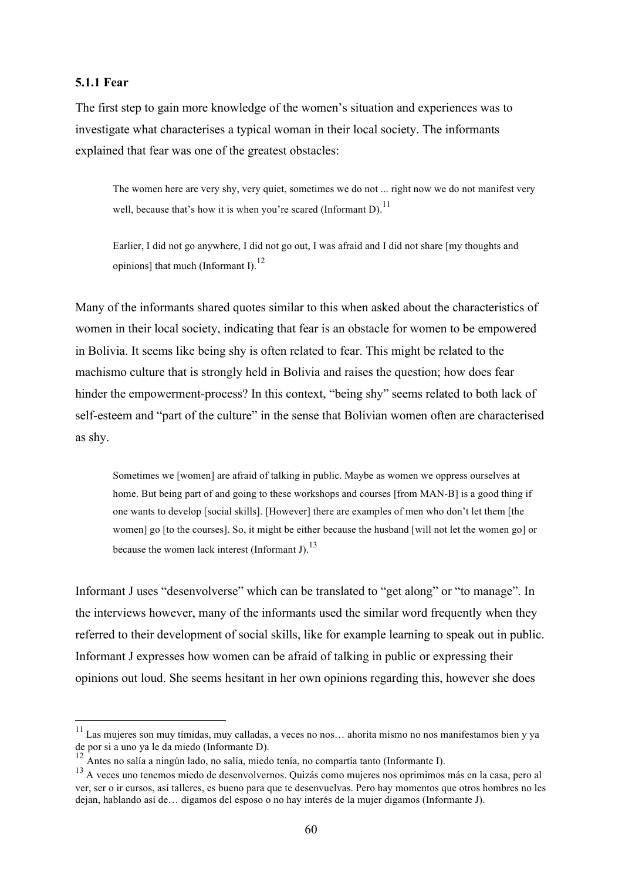### **5.1.1 Fear**

The first step to gain more knowledge of the women's situation and experiences was to investigate what characterises a typical woman in their local society. The informants explained that fear was one of the greatest obstacles:

The women here are very shy, very quiet, sometimes we do not ... right now we do not manifest very well, because that's how it is when you're scared (Informant D).<sup>11</sup>

Earlier, I did not go anywhere, I did not go out, I was afraid and I did not share [my thoughts and opinions] that much (Informant I). $^{12}$ 

Many of the informants shared quotes similar to this when asked about the characteristics of women in their local society, indicating that fear is an obstacle for women to be empowered in Bolivia. It seems like being shy is often related to fear. This might be related to the machismo culture that is strongly held in Bolivia and raises the question; how does fear hinder the empowerment-process? In this context, "being shy" seems related to both lack of self-esteem and "part of the culture" in the sense that Bolivian women often are characterised as shy.

Sometimes we [women] are afraid of talking in public. Maybe as women we oppress ourselves at home. But being part of and going to these workshops and courses [from MAN-B] is a good thing if one wants to develop [social skills]. [However] there are examples of men who don't let them [the women] go [to the courses]. So, it might be either because the husband [will not let the women go] or because the women lack interest (Informant J).<sup>13</sup>

Informant J uses "desenvolverse" which can be translated to "get along" or "to manage". In the interviews however, many of the informants used the similar word frequently when they referred to their development of social skills, like for example learning to speak out in public. Informant J expresses how women can be afraid of talking in public or expressing their opinions out loud. She seems hesitant in her own opinions regarding this, however she does

 $11$  Las mujeres son muy tímidas, muy calladas, a veces no nos... ahorita mismo no nos manifestamos bien y va de por si a uno ya le da miedo (Informante D).

<sup>12</sup> Antes no salía a ningún lado, no salía, miedo tenía, no compartía tanto (Informante I).

<sup>13</sup> A veces uno tenemos miedo de desenvolvernos. Quizás como mujeres nos oprimimos más en la casa, pero al ver, ser o ir cursos, así talleres, es bueno para que te desenvuelvas. Pero hay momentos que otros hombres no les dejan, hablando así de… digamos del esposo o no hay interés de la mujer digamos (Informante J).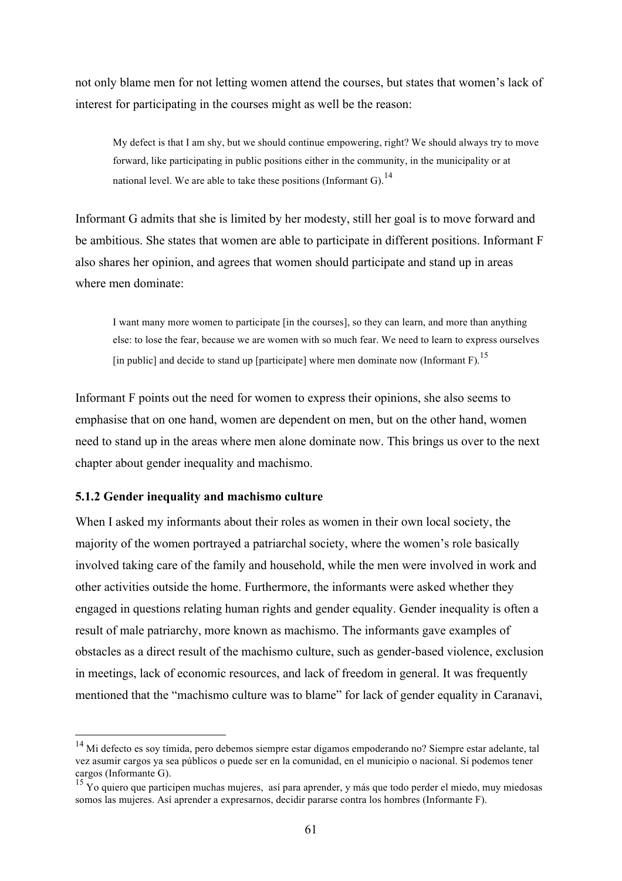not only blame men for not letting women attend the courses, but states that women's lack of interest for participating in the courses might as well be the reason:

My defect is that I am shy, but we should continue empowering, right? We should always try to move forward, like participating in public positions either in the community, in the municipality or at national level. We are able to take these positions (Informant G).<sup>14</sup>

Informant G admits that she is limited by her modesty, still her goal is to move forward and be ambitious. She states that women are able to participate in different positions. Informant F also shares her opinion, and agrees that women should participate and stand up in areas where men dominate:

I want many more women to participate [in the courses], so they can learn, and more than anything else: to lose the fear, because we are women with so much fear. We need to learn to express ourselves [in public] and decide to stand up [participate] where men dominate now (Informant F).<sup>15</sup>

Informant F points out the need for women to express their opinions, she also seems to emphasise that on one hand, women are dependent on men, but on the other hand, women need to stand up in the areas where men alone dominate now. This brings us over to the next chapter about gender inequality and machismo.

### **5.1.2 Gender inequality and machismo culture**

When I asked my informants about their roles as women in their own local society, the majority of the women portrayed a patriarchal society, where the women's role basically involved taking care of the family and household, while the men were involved in work and other activities outside the home. Furthermore, the informants were asked whether they engaged in questions relating human rights and gender equality. Gender inequality is often a result of male patriarchy, more known as machismo. The informants gave examples of obstacles as a direct result of the machismo culture, such as gender-based violence, exclusion in meetings, lack of economic resources, and lack of freedom in general. It was frequently mentioned that the "machismo culture was to blame" for lack of gender equality in Caranavi,

<sup>&</sup>lt;sup>14</sup> Mi defecto es sov tímida, pero debemos siempre estar digamos empoderando no? Siempre estar adelante, tal vez asumir cargos ya sea públicos o puede ser en la comunidad, en el municipio o nacional. Sí podemos tener cargos (Informante G).

<sup>15</sup> Yo quiero que participen muchas mujeres, así para aprender, y más que todo perder el miedo, muy miedosas somos las mujeres. Así aprender a expresarnos, decidir pararse contra los hombres (Informante F).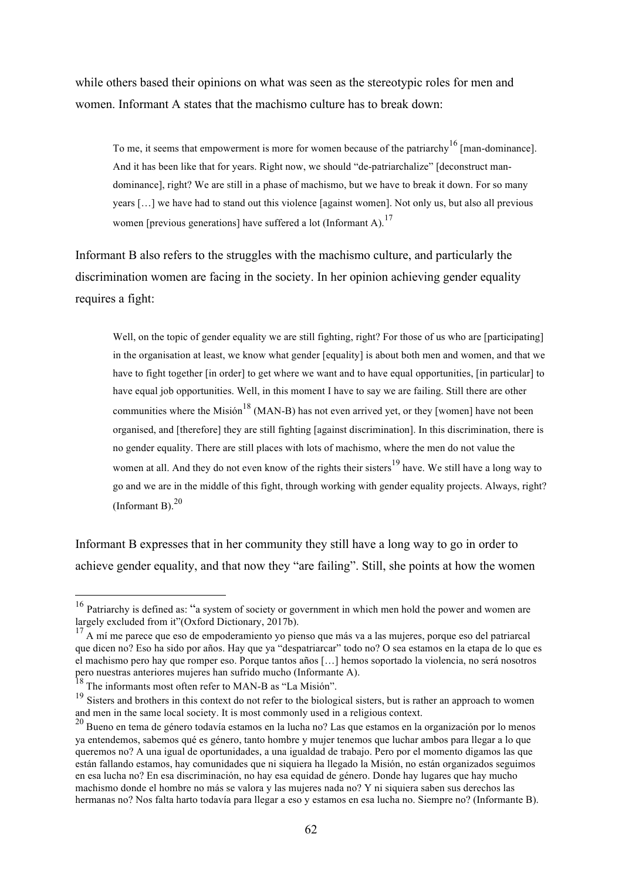while others based their opinions on what was seen as the stereotypic roles for men and women. Informant A states that the machismo culture has to break down:

To me, it seems that empowerment is more for women because of the patriarchy<sup>16</sup> [man-dominance]. And it has been like that for years. Right now, we should "de-patriarchalize" [deconstruct mandominance], right? We are still in a phase of machismo, but we have to break it down. For so many years […] we have had to stand out this violence [against women]. Not only us, but also all previous women [previous generations] have suffered a lot (Informant A).<sup>17</sup>

Informant B also refers to the struggles with the machismo culture, and particularly the discrimination women are facing in the society. In her opinion achieving gender equality requires a fight:

Well, on the topic of gender equality we are still fighting, right? For those of us who are [participating] in the organisation at least, we know what gender [equality] is about both men and women, and that we have to fight together [in order] to get where we want and to have equal opportunities, [in particular] to have equal job opportunities. Well, in this moment I have to say we are failing. Still there are other communities where the Misión<sup>18</sup> (MAN-B) has not even arrived yet, or they [women] have not been organised, and [therefore] they are still fighting [against discrimination]. In this discrimination, there is no gender equality. There are still places with lots of machismo, where the men do not value the women at all. And they do not even know of the rights their sisters<sup>19</sup> have. We still have a long way to go and we are in the middle of this fight, through working with gender equality projects. Always, right? (Informant B). $^{20}$ 

Informant B expresses that in her community they still have a long way to go in order to achieve gender equality, and that now they "are failing". Still, she points at how the women

<sup>&</sup>lt;sup>16</sup> Patriarchy is defined as: "a system of society or government in which men hold the power and women are largely excluded from it" $(Ox$  ford Dictionary, 2017b).

 $\alpha$  A mí me parece que eso de empoderamiento yo pienso que más va a las mujeres, porque eso del patriarcal que dicen no? Eso ha sido por años. Hay que ya "despatriarcar" todo no? O sea estamos en la etapa de lo que es el machismo pero hay que romper eso. Porque tantos años […] hemos soportado la violencia, no será nosotros pero nuestras anteriores mujeres han sufrido mucho (Informante A).

 $18$  The informants most often refer to MAN-B as "La Misión".

<sup>&</sup>lt;sup>19</sup> Sisters and brothers in this context do not refer to the biological sisters, but is rather an approach to women and men in the same local society. It is most commonly used in a religious context.

<sup>&</sup>lt;sup>20</sup> Bueno en tema de género todavía estamos en la lucha no? Las que estamos en la organización por lo menos ya entendemos, sabemos qué es género, tanto hombre y mujer tenemos que luchar ambos para llegar a lo que queremos no? A una igual de oportunidades, a una igualdad de trabajo. Pero por el momento digamos las que están fallando estamos, hay comunidades que ni siquiera ha llegado la Misión, no están organizados seguimos en esa lucha no? En esa discriminación, no hay esa equidad de género. Donde hay lugares que hay mucho machismo donde el hombre no más se valora y las mujeres nada no? Y ni siquiera saben sus derechos las hermanas no? Nos falta harto todavía para llegar a eso y estamos en esa lucha no. Siempre no? (Informante B).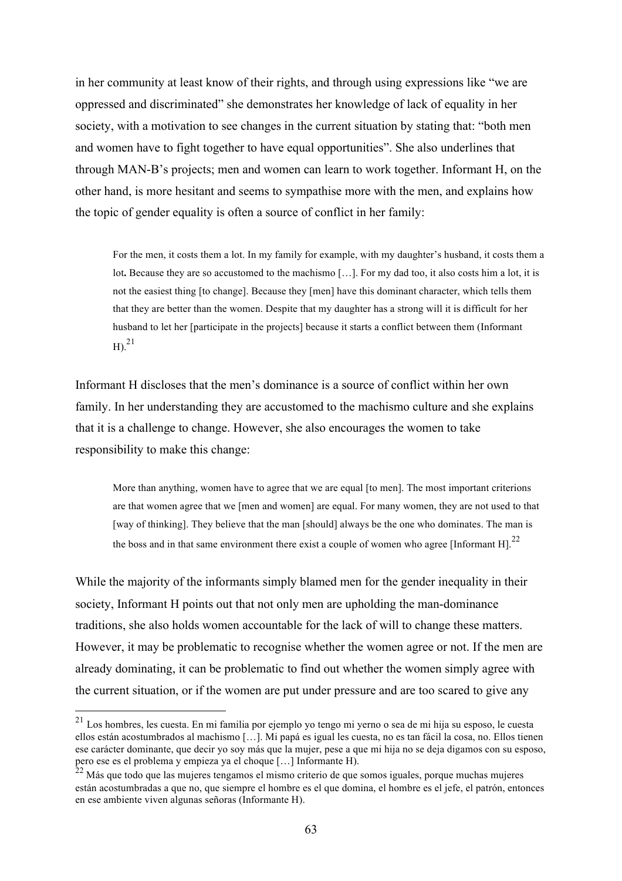in her community at least know of their rights, and through using expressions like "we are oppressed and discriminated" she demonstrates her knowledge of lack of equality in her society, with a motivation to see changes in the current situation by stating that: "both men and women have to fight together to have equal opportunities". She also underlines that through MAN-B's projects; men and women can learn to work together. Informant H, on the other hand, is more hesitant and seems to sympathise more with the men, and explains how the topic of gender equality is often a source of conflict in her family:

For the men, it costs them a lot. In my family for example, with my daughter's husband, it costs them a lot. Because they are so accustomed to the machismo [...]. For my dad too, it also costs him a lot, it is not the easiest thing [to change]. Because they [men] have this dominant character, which tells them that they are better than the women. Despite that my daughter has a strong will it is difficult for her husband to let her [participate in the projects] because it starts a conflict between them (Informant  $\mathrm{H}$ ). $^{21}$ 

Informant H discloses that the men's dominance is a source of conflict within her own family. In her understanding they are accustomed to the machismo culture and she explains that it is a challenge to change. However, she also encourages the women to take responsibility to make this change:

More than anything, women have to agree that we are equal [to men]. The most important criterions are that women agree that we [men and women] are equal. For many women, they are not used to that [way of thinking]. They believe that the man [should] always be the one who dominates. The man is the boss and in that same environment there exist a couple of women who agree [Informant H].<sup>22</sup>

While the majority of the informants simply blamed men for the gender inequality in their society, Informant H points out that not only men are upholding the man-dominance traditions, she also holds women accountable for the lack of will to change these matters. However, it may be problematic to recognise whether the women agree or not. If the men are already dominating, it can be problematic to find out whether the women simply agree with the current situation, or if the women are put under pressure and are too scared to give any

 <sup>21</sup> Los hombres, les cuesta. En mi familia por ejemplo yo tengo mi yerno o sea de mi hija su esposo, le cuesta ellos están acostumbrados al machismo […]. Mi papá es igual les cuesta, no es tan fácil la cosa, no. Ellos tienen ese carácter dominante, que decir yo soy más que la mujer, pese a que mi hija no se deja digamos con su esposo, pero ese es el problema y empieza ya el choque […] Informante H).

<sup>22</sup> Más que todo que las mujeres tengamos el mismo criterio de que somos iguales, porque muchas mujeres están acostumbradas a que no, que siempre el hombre es el que domina, el hombre es el jefe, el patrón, entonces en ese ambiente viven algunas señoras (Informante H).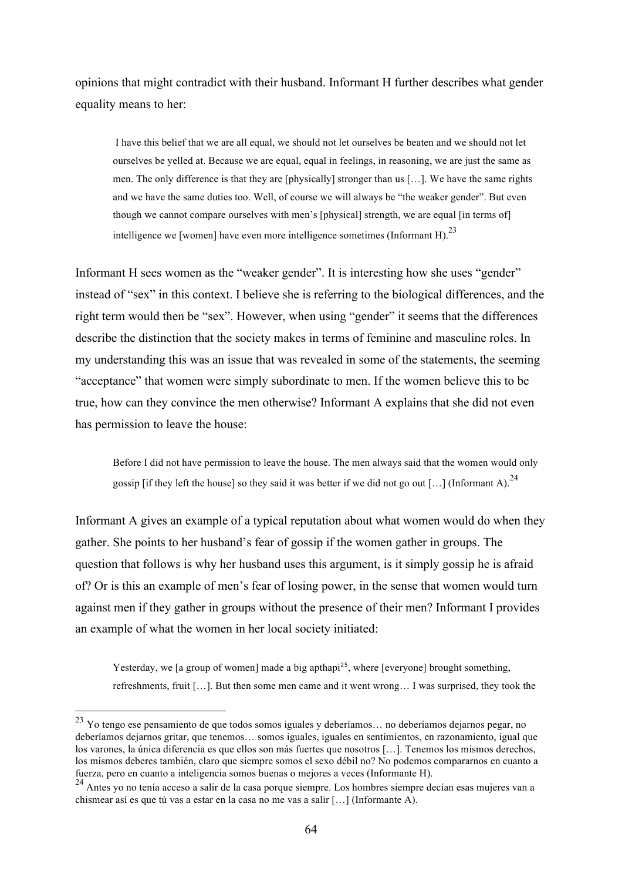opinions that might contradict with their husband. Informant H further describes what gender equality means to her:

I have this belief that we are all equal, we should not let ourselves be beaten and we should not let ourselves be yelled at. Because we are equal, equal in feelings, in reasoning, we are just the same as men. The only difference is that they are [physically] stronger than us […]. We have the same rights and we have the same duties too. Well, of course we will always be "the weaker gender". But even though we cannot compare ourselves with men's [physical] strength, we are equal [in terms of] intelligence we [women] have even more intelligence sometimes (Informant H).<sup>23</sup>

Informant H sees women as the "weaker gender". It is interesting how she uses "gender" instead of "sex" in this context. I believe she is referring to the biological differences, and the right term would then be "sex". However, when using "gender" it seems that the differences describe the distinction that the society makes in terms of feminine and masculine roles. In my understanding this was an issue that was revealed in some of the statements, the seeming "acceptance" that women were simply subordinate to men. If the women believe this to be true, how can they convince the men otherwise? Informant A explains that she did not even has permission to leave the house:

Before I did not have permission to leave the house. The men always said that the women would only gossip [if they left the house] so they said it was better if we did not go out [...] (Informant A).<sup>24</sup>

Informant A gives an example of a typical reputation about what women would do when they gather. She points to her husband's fear of gossip if the women gather in groups. The question that follows is why her husband uses this argument, is it simply gossip he is afraid of? Or is this an example of men's fear of losing power, in the sense that women would turn against men if they gather in groups without the presence of their men? Informant I provides an example of what the women in her local society initiated:

Yesterday, we [a group of women] made a big apthapi<sup>25</sup>, where [everyone] brought something, refreshments, fruit […]. But then some men came and it went wrong… I was surprised, they took the

 <sup>23</sup> Yo tengo ese pensamiento de que todos somos iguales y deberíamos… no deberíamos dejarnos pegar, no deberíamos dejarnos gritar, que tenemos… somos iguales, iguales en sentimientos, en razonamiento, igual que los varones, la única diferencia es que ellos son más fuertes que nosotros […]. Tenemos los mismos derechos, los mismos deberes también, claro que siempre somos el sexo débil no? No podemos compararnos en cuanto a fuerza, pero en cuanto a inteligencia somos buenas o mejores a veces (Informante H).

<sup>&</sup>lt;sup>24</sup> Antes vo no tenía acceso a salir de la casa porque siempre. Los hombres siempre decían esas mujeres van a chismear así es que tú vas a estar en la casa no me vas a salir […] (Informante A).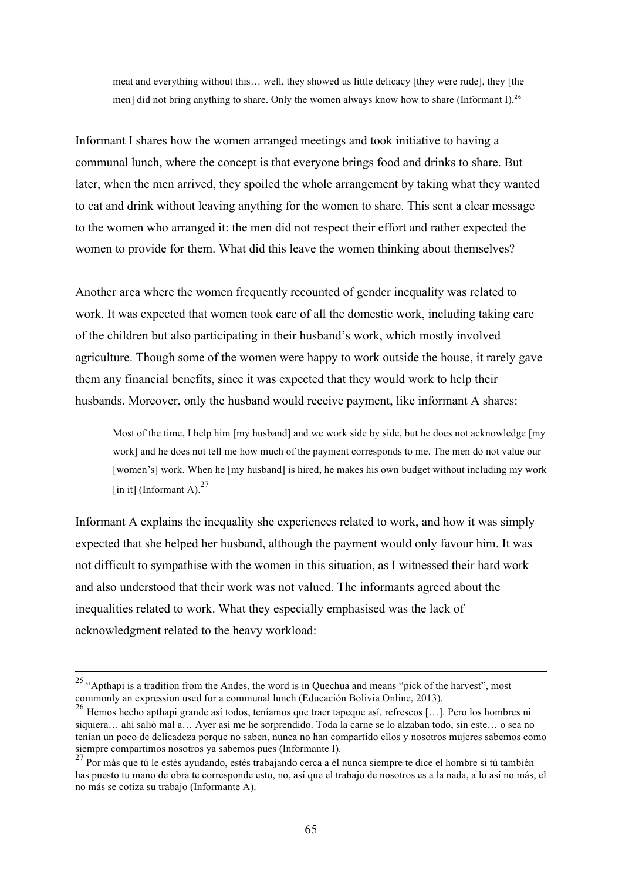meat and everything without this… well, they showed us little delicacy [they were rude], they [the men] did not bring anything to share. Only the women always know how to share (Informant I).<sup>26</sup>

Informant I shares how the women arranged meetings and took initiative to having a communal lunch, where the concept is that everyone brings food and drinks to share. But later, when the men arrived, they spoiled the whole arrangement by taking what they wanted to eat and drink without leaving anything for the women to share. This sent a clear message to the women who arranged it: the men did not respect their effort and rather expected the women to provide for them. What did this leave the women thinking about themselves?

Another area where the women frequently recounted of gender inequality was related to work. It was expected that women took care of all the domestic work, including taking care of the children but also participating in their husband's work, which mostly involved agriculture. Though some of the women were happy to work outside the house, it rarely gave them any financial benefits, since it was expected that they would work to help their husbands. Moreover, only the husband would receive payment, like informant A shares:

Most of the time, I help him [my husband] and we work side by side, but he does not acknowledge [my work] and he does not tell me how much of the payment corresponds to me. The men do not value our [women's] work. When he [my husband] is hired, he makes his own budget without including my work [in it] (Informant A). $^{27}$ 

Informant A explains the inequality she experiences related to work, and how it was simply expected that she helped her husband, although the payment would only favour him. It was not difficult to sympathise with the women in this situation, as I witnessed their hard work and also understood that their work was not valued. The informants agreed about the inequalities related to work. What they especially emphasised was the lack of acknowledgment related to the heavy workload:

<sup>&</sup>lt;sup>25</sup> "Apthapi is a tradition from the Andes, the word is in Quechua and means "pick of the harvest", most

commonly an expression used for a communal lunch (Educación Bolivia Online, 2013). <sup>26</sup> Hemos hecho apthapi grande así todos, teníamos que traer tapeque así, refrescos […]. Pero los hombres ni siquiera… ahí salió mal a… Ayer así me he sorprendido. Toda la carne se lo alzaban todo, sin este… o sea no tenían un poco de delicadeza porque no saben, nunca no han compartido ellos y nosotros mujeres sabemos como siempre compartimos nosotros ya sabemos pues (Informante I).

 $27$  Por más que tú le estés ayudando, estés trabajando cerca a él nunca siempre te dice el hombre si tú también has puesto tu mano de obra te corresponde esto, no, así que el trabajo de nosotros es a la nada, a lo así no más, el no más se cotiza su trabajo (Informante A).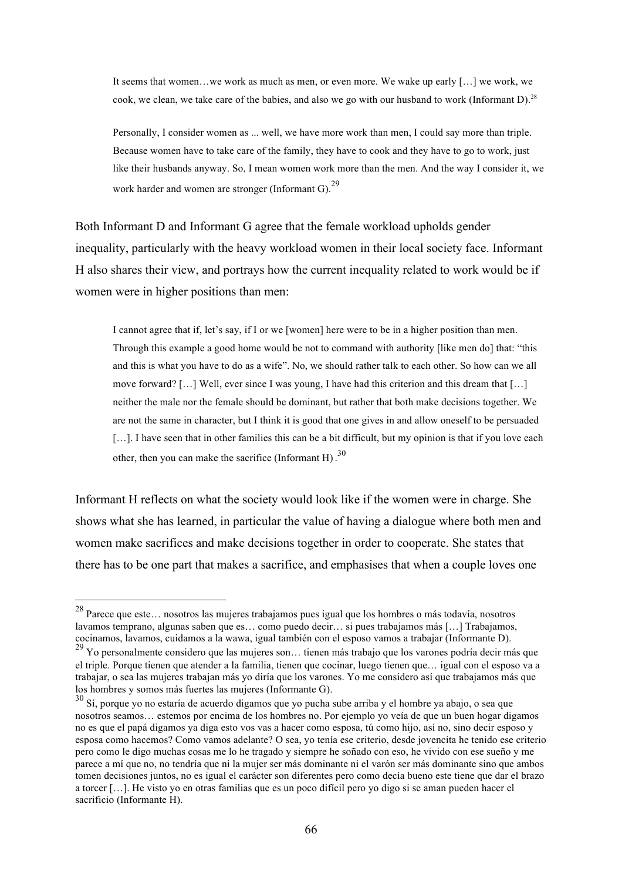It seems that women…we work as much as men, or even more. We wake up early […] we work, we cook, we clean, we take care of the babies, and also we go with our husband to work (Informant D).<sup>28</sup>

Personally, I consider women as ... well, we have more work than men, I could say more than triple. Because women have to take care of the family, they have to cook and they have to go to work, just like their husbands anyway. So, I mean women work more than the men. And the way I consider it, we work harder and women are stronger (Informant G).  $^{29}$ 

Both Informant D and Informant G agree that the female workload upholds gender inequality, particularly with the heavy workload women in their local society face. Informant H also shares their view, and portrays how the current inequality related to work would be if women were in higher positions than men:

I cannot agree that if, let's say, if I or we [women] here were to be in a higher position than men. Through this example a good home would be not to command with authority [like men do] that: "this and this is what you have to do as a wife". No, we should rather talk to each other. So how can we all move forward? […] Well, ever since I was young, I have had this criterion and this dream that […] neither the male nor the female should be dominant, but rather that both make decisions together. We are not the same in character, but I think it is good that one gives in and allow oneself to be persuaded [...]. I have seen that in other families this can be a bit difficult, but my opinion is that if you love each other, then you can make the sacrifice (Informant H).<sup>30</sup>

Informant H reflects on what the society would look like if the women were in charge. She shows what she has learned, in particular the value of having a dialogue where both men and women make sacrifices and make decisions together in order to cooperate. She states that there has to be one part that makes a sacrifice, and emphasises that when a couple loves one

 <sup>28</sup> Parece que este… nosotros las mujeres trabajamos pues igual que los hombres o más todavía, nosotros lavamos temprano, algunas saben que es… como puedo decir… si pues trabajamos más […] Trabajamos, cocinamos, lavamos, cuidamos a la wawa, igual también con el esposo vamos a trabajar (Informante D).

<sup>&</sup>lt;sup>29</sup> Yo personalmente considero que las mujeres son... tienen más trabajo que los varones podría decir más que el triple. Porque tienen que atender a la familia, tienen que cocinar, luego tienen que… igual con el esposo va a trabajar, o sea las mujeres trabajan más yo diría que los varones. Yo me considero así que trabajamos más que los hombres y somos más fuertes las mujeres (Informante G).

<sup>30</sup> Sí, porque yo no estaría de acuerdo digamos que yo pucha sube arriba y el hombre ya abajo, o sea que nosotros seamos… estemos por encima de los hombres no. Por ejemplo yo veía de que un buen hogar digamos no es que el papá digamos ya diga esto vos vas a hacer como esposa, tú como hijo, así no, sino decir esposo y esposa como hacemos? Como vamos adelante? O sea, yo tenía ese criterio, desde jovencita he tenido ese criterio pero como le digo muchas cosas me lo he tragado y siempre he soñado con eso, he vivido con ese sueño y me parece a mí que no, no tendría que ni la mujer ser más dominante ni el varón ser más dominante sino que ambos tomen decisiones juntos, no es igual el carácter son diferentes pero como decía bueno este tiene que dar el brazo a torcer […]. He visto yo en otras familias que es un poco difícil pero yo digo si se aman pueden hacer el sacrificio (Informante H).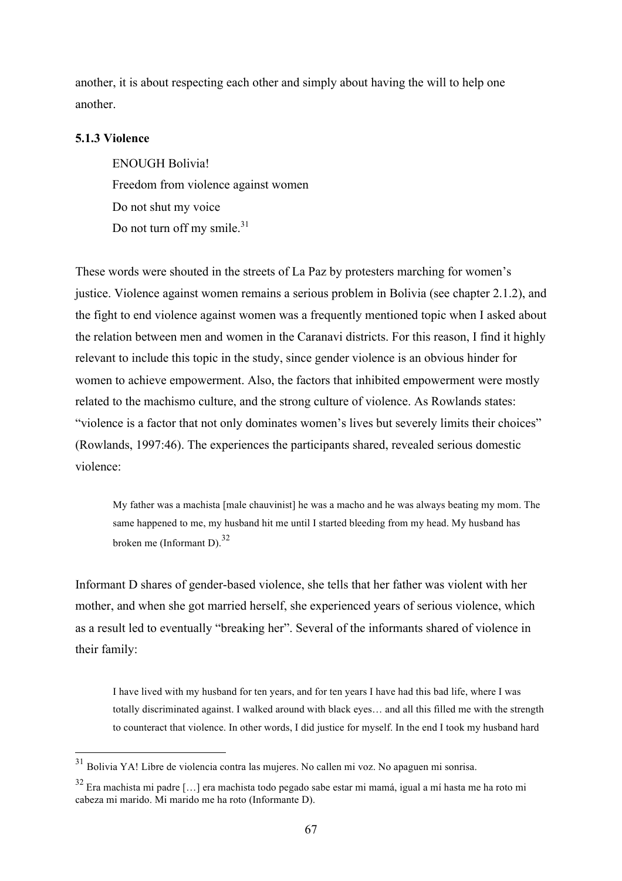another, it is about respecting each other and simply about having the will to help one another.

### **5.1.3 Violence**

ENOUGH Bolivia! Freedom from violence against women Do not shut my voice Do not turn off my smile.<sup>31</sup>

These words were shouted in the streets of La Paz by protesters marching for women's justice. Violence against women remains a serious problem in Bolivia (see chapter 2.1.2), and the fight to end violence against women was a frequently mentioned topic when I asked about the relation between men and women in the Caranavi districts. For this reason, I find it highly relevant to include this topic in the study, since gender violence is an obvious hinder for women to achieve empowerment. Also, the factors that inhibited empowerment were mostly related to the machismo culture, and the strong culture of violence. As Rowlands states: "violence is a factor that not only dominates women's lives but severely limits their choices" (Rowlands, 1997:46). The experiences the participants shared, revealed serious domestic violence:

My father was a machista [male chauvinist] he was a macho and he was always beating my mom. The same happened to me, my husband hit me until I started bleeding from my head. My husband has broken me (Informant D). $^{32}$ 

Informant D shares of gender-based violence, she tells that her father was violent with her mother, and when she got married herself, she experienced years of serious violence, which as a result led to eventually "breaking her". Several of the informants shared of violence in their family:

I have lived with my husband for ten years, and for ten years I have had this bad life, where I was totally discriminated against. I walked around with black eyes… and all this filled me with the strength to counteract that violence. In other words, I did justice for myself. In the end I took my husband hard

 $31$  Bolivia YA! Libre de violencia contra las mujeres. No callen mi voz. No apaguen mi sonrisa.

<sup>32</sup> Era machista mi padre […] era machista todo pegado sabe estar mi mamá, igual a mí hasta me ha roto mi cabeza mi marido. Mi marido me ha roto (Informante D).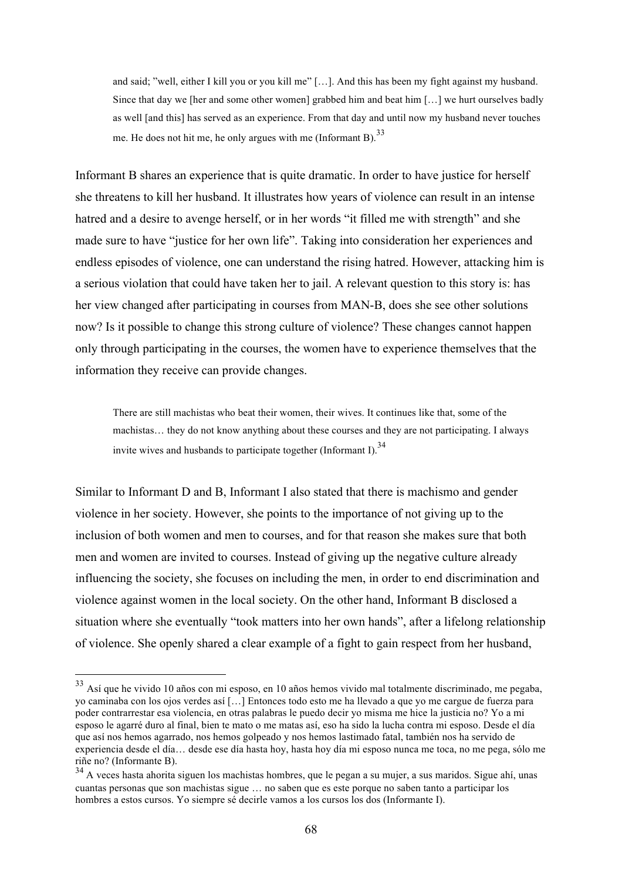and said; "well, either I kill you or you kill me" […]. And this has been my fight against my husband. Since that day we [her and some other women] grabbed him and beat him […] we hurt ourselves badly as well [and this] has served as an experience. From that day and until now my husband never touches me. He does not hit me, he only argues with me (Informant B).  $33$ 

Informant B shares an experience that is quite dramatic. In order to have justice for herself she threatens to kill her husband. It illustrates how years of violence can result in an intense hatred and a desire to avenge herself, or in her words "it filled me with strength" and she made sure to have "justice for her own life". Taking into consideration her experiences and endless episodes of violence, one can understand the rising hatred. However, attacking him is a serious violation that could have taken her to jail. A relevant question to this story is: has her view changed after participating in courses from MAN-B, does she see other solutions now? Is it possible to change this strong culture of violence? These changes cannot happen only through participating in the courses, the women have to experience themselves that the information they receive can provide changes.

There are still machistas who beat their women, their wives. It continues like that, some of the machistas… they do not know anything about these courses and they are not participating. I always invite wives and husbands to participate together (Informant I).<sup>34</sup>

Similar to Informant D and B, Informant I also stated that there is machismo and gender violence in her society. However, she points to the importance of not giving up to the inclusion of both women and men to courses, and for that reason she makes sure that both men and women are invited to courses. Instead of giving up the negative culture already influencing the society, she focuses on including the men, in order to end discrimination and violence against women in the local society. On the other hand, Informant B disclosed a situation where she eventually "took matters into her own hands", after a lifelong relationship of violence. She openly shared a clear example of a fight to gain respect from her husband,

 <sup>33</sup> Así que he vivido 10 años con mi esposo, en 10 años hemos vivido mal totalmente discriminado, me pegaba, yo caminaba con los ojos verdes así […] Entonces todo esto me ha llevado a que yo me cargue de fuerza para poder contrarrestar esa violencia, en otras palabras le puedo decir yo misma me hice la justicia no? Yo a mi esposo le agarré duro al final, bien te mato o me matas así, eso ha sido la lucha contra mi esposo. Desde el día que así nos hemos agarrado, nos hemos golpeado y nos hemos lastimado fatal, también nos ha servido de experiencia desde el día… desde ese día hasta hoy, hasta hoy día mi esposo nunca me toca, no me pega, sólo me riñe no? (Informante B).

<sup>&</sup>lt;sup>34</sup> A veces hasta ahorita siguen los machistas hombres, que le pegan a su mujer, a sus maridos. Sigue ahí, unas cuantas personas que son machistas sigue … no saben que es este porque no saben tanto a participar los hombres a estos cursos. Yo siempre sé decirle vamos a los cursos los dos (Informante I).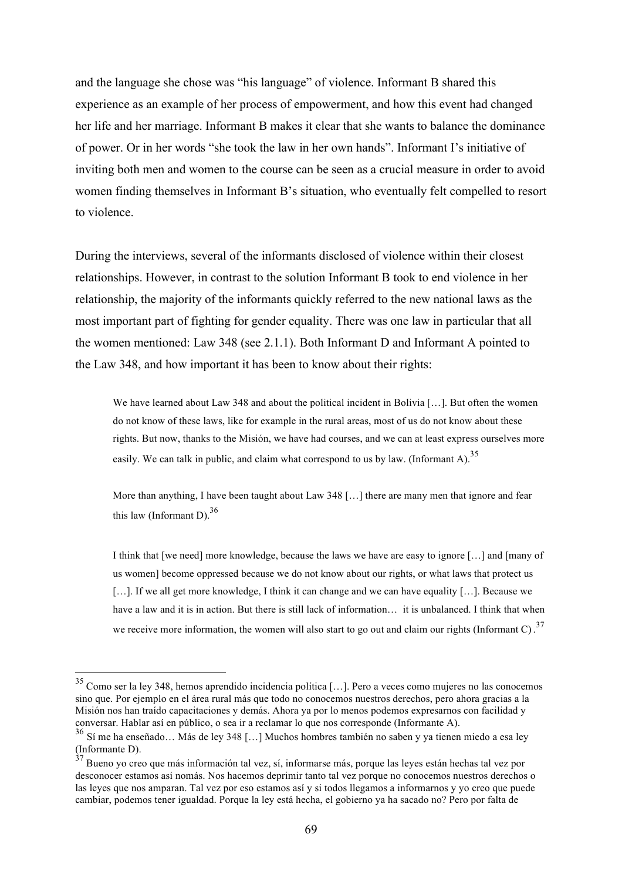and the language she chose was "his language" of violence. Informant B shared this experience as an example of her process of empowerment, and how this event had changed her life and her marriage. Informant B makes it clear that she wants to balance the dominance of power. Or in her words "she took the law in her own hands". Informant I's initiative of inviting both men and women to the course can be seen as a crucial measure in order to avoid women finding themselves in Informant B's situation, who eventually felt compelled to resort to violence.

During the interviews, several of the informants disclosed of violence within their closest relationships. However, in contrast to the solution Informant B took to end violence in her relationship, the majority of the informants quickly referred to the new national laws as the most important part of fighting for gender equality. There was one law in particular that all the women mentioned: Law 348 (see 2.1.1). Both Informant D and Informant A pointed to the Law 348, and how important it has been to know about their rights:

We have learned about Law 348 and about the political incident in Bolivia [...]. But often the women do not know of these laws, like for example in the rural areas, most of us do not know about these rights. But now, thanks to the Misión, we have had courses, and we can at least express ourselves more easily. We can talk in public, and claim what correspond to us by law. (Informant A).<sup>35</sup>

More than anything, I have been taught about Law 348 […] there are many men that ignore and fear this law (Informant D).  $36$ 

I think that [we need] more knowledge, because the laws we have are easy to ignore […] and [many of us women] become oppressed because we do not know about our rights, or what laws that protect us [...]. If we all get more knowledge, I think it can change and we can have equality [...]. Because we have a law and it is in action. But there is still lack of information... it is unbalanced. I think that when we receive more information, the women will also start to go out and claim our rights (Informant C).<sup>37</sup>

 <sup>35</sup> Como ser la ley 348, hemos aprendido incidencia política […]. Pero a veces como mujeres no las conocemos sino que. Por ejemplo en el área rural más que todo no conocemos nuestros derechos, pero ahora gracias a la Misión nos han traído capacitaciones y demás. Ahora ya por lo menos podemos expresarnos con facilidad y conversar. Hablar así en público, o sea ir a reclamar lo que nos corresponde (Informante A).

<sup>36</sup> Sí me ha enseñado… Más de ley 348 […] Muchos hombres también no saben y ya tienen miedo a esa ley (Informante D).

<sup>&</sup>lt;sup>37</sup> Bueno yo creo que más información tal vez, sí, informarse más, porque las leyes están hechas tal vez por desconocer estamos así nomás. Nos hacemos deprimir tanto tal vez porque no conocemos nuestros derechos o las leyes que nos amparan. Tal vez por eso estamos así y si todos llegamos a informarnos y yo creo que puede cambiar, podemos tener igualdad. Porque la ley está hecha, el gobierno ya ha sacado no? Pero por falta de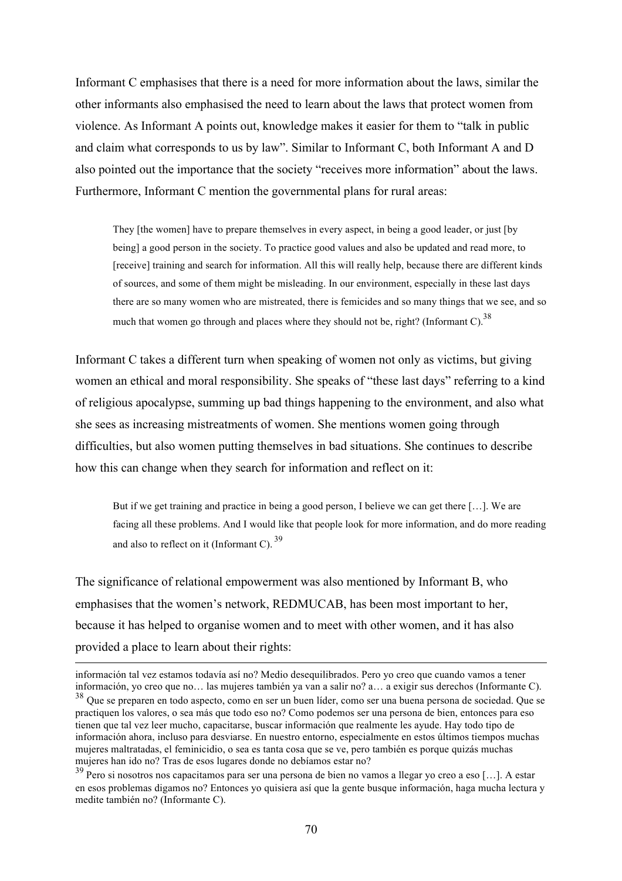Informant C emphasises that there is a need for more information about the laws, similar the other informants also emphasised the need to learn about the laws that protect women from violence. As Informant A points out, knowledge makes it easier for them to "talk in public and claim what corresponds to us by law". Similar to Informant C, both Informant A and D also pointed out the importance that the society "receives more information" about the laws. Furthermore, Informant C mention the governmental plans for rural areas:

They [the women] have to prepare themselves in every aspect, in being a good leader, or just [by being] a good person in the society. To practice good values and also be updated and read more, to [receive] training and search for information. All this will really help, because there are different kinds of sources, and some of them might be misleading. In our environment, especially in these last days there are so many women who are mistreated, there is femicides and so many things that we see, and so much that women go through and places where they should not be, right? (Informant C).<sup>38</sup>

Informant C takes a different turn when speaking of women not only as victims, but giving women an ethical and moral responsibility. She speaks of "these last days" referring to a kind of religious apocalypse, summing up bad things happening to the environment, and also what she sees as increasing mistreatments of women. She mentions women going through difficulties, but also women putting themselves in bad situations. She continues to describe how this can change when they search for information and reflect on it:

But if we get training and practice in being a good person, I believe we can get there […]. We are facing all these problems. And I would like that people look for more information, and do more reading and also to reflect on it (Informant C).  $39$ 

The significance of relational empowerment was also mentioned by Informant B, who emphasises that the women's network, REDMUCAB, has been most important to her, because it has helped to organise women and to meet with other women, and it has also provided a place to learn about their rights:

información tal vez estamos todavía así no? Medio desequilibrados. Pero yo creo que cuando vamos a tener información, yo creo que no… las mujeres también ya van a salir no? a… a exigir sus derechos (Informante C).

<sup>38</sup> Que se preparen en todo aspecto, como en ser un buen líder, como ser una buena persona de sociedad. Que se practiquen los valores, o sea más que todo eso no? Como podemos ser una persona de bien, entonces para eso tienen que tal vez leer mucho, capacitarse, buscar información que realmente les ayude. Hay todo tipo de información ahora, incluso para desviarse. En nuestro entorno, especialmente en estos últimos tiempos muchas mujeres maltratadas, el feminicidio, o sea es tanta cosa que se ve, pero también es porque quizás muchas mujeres han ido no? Tras de esos lugares donde no debíamos estar no?

<sup>39</sup> Pero si nosotros nos capacitamos para ser una persona de bien no vamos a llegar yo creo a eso […]. A estar en esos problemas digamos no? Entonces yo quisiera así que la gente busque información, haga mucha lectura y medite también no? (Informante C).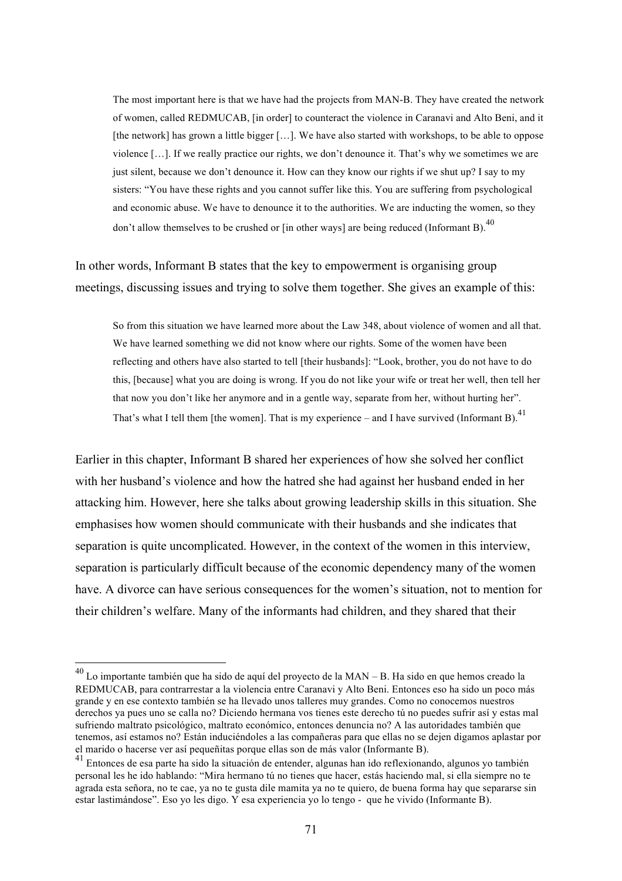The most important here is that we have had the projects from MAN-B. They have created the network of women, called REDMUCAB, [in order] to counteract the violence in Caranavi and Alto Beni, and it [the network] has grown a little bigger [...]. We have also started with workshops, to be able to oppose violence […]. If we really practice our rights, we don't denounce it. That's why we sometimes we are just silent, because we don't denounce it. How can they know our rights if we shut up? I say to my sisters: "You have these rights and you cannot suffer like this. You are suffering from psychological and economic abuse. We have to denounce it to the authorities. We are inducting the women, so they don't allow themselves to be crushed or [in other ways] are being reduced (Informant B).<sup>40</sup>

In other words, Informant B states that the key to empowerment is organising group meetings, discussing issues and trying to solve them together. She gives an example of this:

So from this situation we have learned more about the Law 348, about violence of women and all that. We have learned something we did not know where our rights. Some of the women have been reflecting and others have also started to tell [their husbands]: "Look, brother, you do not have to do this, [because] what you are doing is wrong. If you do not like your wife or treat her well, then tell her that now you don't like her anymore and in a gentle way, separate from her, without hurting her". That's what I tell them [the women]. That is my experience – and I have survived (Informant B).<sup>41</sup>

Earlier in this chapter, Informant B shared her experiences of how she solved her conflict with her husband's violence and how the hatred she had against her husband ended in her attacking him. However, here she talks about growing leadership skills in this situation. She emphasises how women should communicate with their husbands and she indicates that separation is quite uncomplicated. However, in the context of the women in this interview, separation is particularly difficult because of the economic dependency many of the women have. A divorce can have serious consequences for the women's situation, not to mention for their children's welfare. Many of the informants had children, and they shared that their

 $^{40}$  Lo importante también que ha sido de aquí del proyecto de la MAN – B. Ha sido en que hemos creado la REDMUCAB, para contrarrestar a la violencia entre Caranavi y Alto Beni. Entonces eso ha sido un poco más grande y en ese contexto también se ha llevado unos talleres muy grandes. Como no conocemos nuestros derechos ya pues uno se calla no? Diciendo hermana vos tienes este derecho tú no puedes sufrir así y estas mal sufriendo maltrato psicológico, maltrato económico, entonces denuncia no? A las autoridades también que tenemos, así estamos no? Están induciéndoles a las compañeras para que ellas no se dejen digamos aplastar por el marido o hacerse ver así pequeñitas porque ellas son de más valor (Informante B).

<sup>41</sup> Entonces de esa parte ha sido la situación de entender, algunas han ido reflexionando, algunos yo también personal les he ido hablando: "Mira hermano tú no tienes que hacer, estás haciendo mal, si ella siempre no te agrada esta señora, no te cae, ya no te gusta dile mamita ya no te quiero, de buena forma hay que separarse sin estar lastimándose". Eso yo les digo. Y esa experiencia yo lo tengo - que he vivido (Informante B).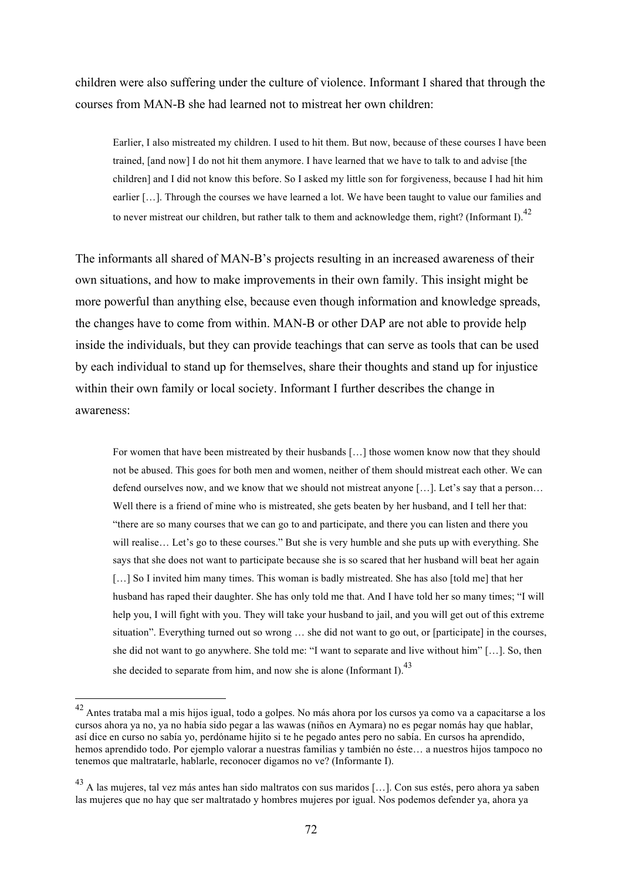children were also suffering under the culture of violence. Informant I shared that through the courses from MAN-B she had learned not to mistreat her own children:

Earlier, I also mistreated my children. I used to hit them. But now, because of these courses I have been trained, [and now] I do not hit them anymore. I have learned that we have to talk to and advise [the children] and I did not know this before. So I asked my little son for forgiveness, because I had hit him earlier [...]. Through the courses we have learned a lot. We have been taught to value our families and to never mistreat our children, but rather talk to them and acknowledge them, right? (Informant I).<sup>42</sup>

The informants all shared of MAN-B's projects resulting in an increased awareness of their own situations, and how to make improvements in their own family. This insight might be more powerful than anything else, because even though information and knowledge spreads, the changes have to come from within. MAN-B or other DAP are not able to provide help inside the individuals, but they can provide teachings that can serve as tools that can be used by each individual to stand up for themselves, share their thoughts and stand up for injustice within their own family or local society. Informant I further describes the change in awareness:

For women that have been mistreated by their husbands […] those women know now that they should not be abused. This goes for both men and women, neither of them should mistreat each other. We can defend ourselves now, and we know that we should not mistreat anyone […]. Let's say that a person… Well there is a friend of mine who is mistreated, she gets beaten by her husband, and I tell her that: "there are so many courses that we can go to and participate, and there you can listen and there you will realise… Let's go to these courses." But she is very humble and she puts up with everything. She says that she does not want to participate because she is so scared that her husband will beat her again [...] So I invited him many times. This woman is badly mistreated. She has also [told me] that her husband has raped their daughter. She has only told me that. And I have told her so many times; "I will help you, I will fight with you. They will take your husband to jail, and you will get out of this extreme situation". Everything turned out so wrong … she did not want to go out, or [participate] in the courses, she did not want to go anywhere. She told me: "I want to separate and live without him" […]. So, then she decided to separate from him, and now she is alone (Informant I).<sup>43</sup>

 <sup>42</sup> Antes trataba mal a mis hijos igual, todo a golpes. No más ahora por los cursos ya como va a capacitarse a los cursos ahora ya no, ya no había sido pegar a las wawas (niños en Aymara) no es pegar nomás hay que hablar, así dice en curso no sabía yo, perdóname hijito si te he pegado antes pero no sabía. En cursos ha aprendido, hemos aprendido todo. Por ejemplo valorar a nuestras familias y también no éste… a nuestros hijos tampoco no tenemos que maltratarle, hablarle, reconocer digamos no ve? (Informante I).

<sup>43</sup> A las mujeres, tal vez más antes han sido maltratos con sus maridos […]. Con sus estés, pero ahora ya saben las mujeres que no hay que ser maltratado y hombres mujeres por igual. Nos podemos defender ya, ahora ya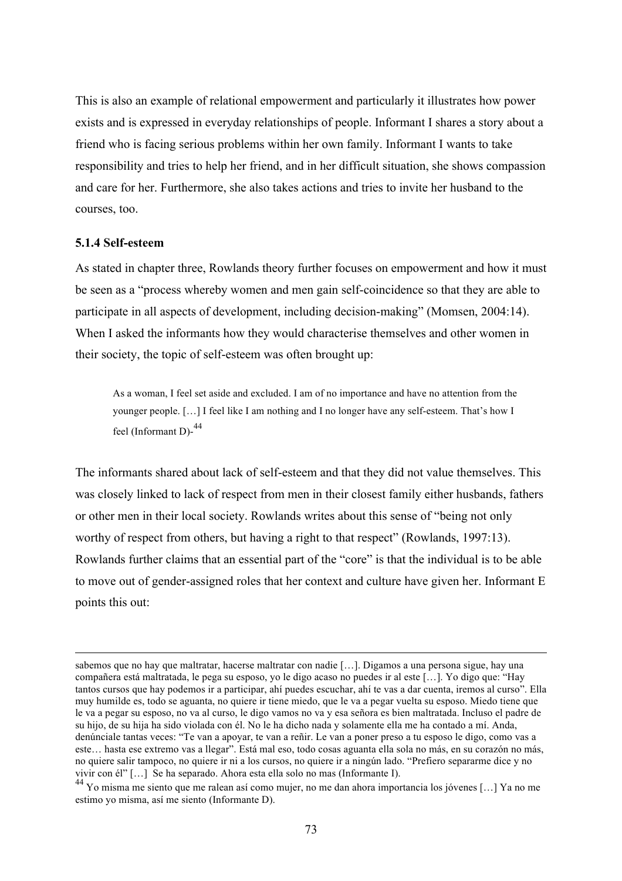This is also an example of relational empowerment and particularly it illustrates how power exists and is expressed in everyday relationships of people. Informant I shares a story about a friend who is facing serious problems within her own family. Informant I wants to take responsibility and tries to help her friend, and in her difficult situation, she shows compassion and care for her. Furthermore, she also takes actions and tries to invite her husband to the courses, too.

#### **5.1.4 Self-esteem**

 $\overline{a}$ 

As stated in chapter three, Rowlands theory further focuses on empowerment and how it must be seen as a "process whereby women and men gain self-coincidence so that they are able to participate in all aspects of development, including decision-making" (Momsen, 2004:14). When I asked the informants how they would characterise themselves and other women in their society, the topic of self-esteem was often brought up:

As a woman, I feel set aside and excluded. I am of no importance and have no attention from the younger people. […] I feel like I am nothing and I no longer have any self-esteem. That's how I feel (Informant D)-<sup>44</sup>

The informants shared about lack of self-esteem and that they did not value themselves. This was closely linked to lack of respect from men in their closest family either husbands, fathers or other men in their local society. Rowlands writes about this sense of "being not only worthy of respect from others, but having a right to that respect" (Rowlands, 1997:13). Rowlands further claims that an essential part of the "core" is that the individual is to be able to move out of gender-assigned roles that her context and culture have given her. Informant E points this out:

sabemos que no hay que maltratar, hacerse maltratar con nadie […]. Digamos a una persona sigue, hay una compañera está maltratada, le pega su esposo, yo le digo acaso no puedes ir al este […]. Yo digo que: "Hay tantos cursos que hay podemos ir a participar, ahí puedes escuchar, ahí te vas a dar cuenta, iremos al curso". Ella muy humilde es, todo se aguanta, no quiere ir tiene miedo, que le va a pegar vuelta su esposo. Miedo tiene que le va a pegar su esposo, no va al curso, le digo vamos no va y esa señora es bien maltratada. Incluso el padre de su hijo, de su hija ha sido violada con él. No le ha dicho nada y solamente ella me ha contado a mí. Anda, denúnciale tantas veces: "Te van a apoyar, te van a reñir. Le van a poner preso a tu esposo le digo, como vas a este… hasta ese extremo vas a llegar". Está mal eso, todo cosas aguanta ella sola no más, en su corazón no más, no quiere salir tampoco, no quiere ir ni a los cursos, no quiere ir a ningún lado. "Prefiero separarme dice y no vivir con él" […] Se ha separado. Ahora esta ella solo no mas (Informante I).

<sup>44</sup> Yo misma me siento que me ralean así como mujer, no me dan ahora importancia los jóvenes […] Ya no me estimo yo misma, así me siento (Informante D).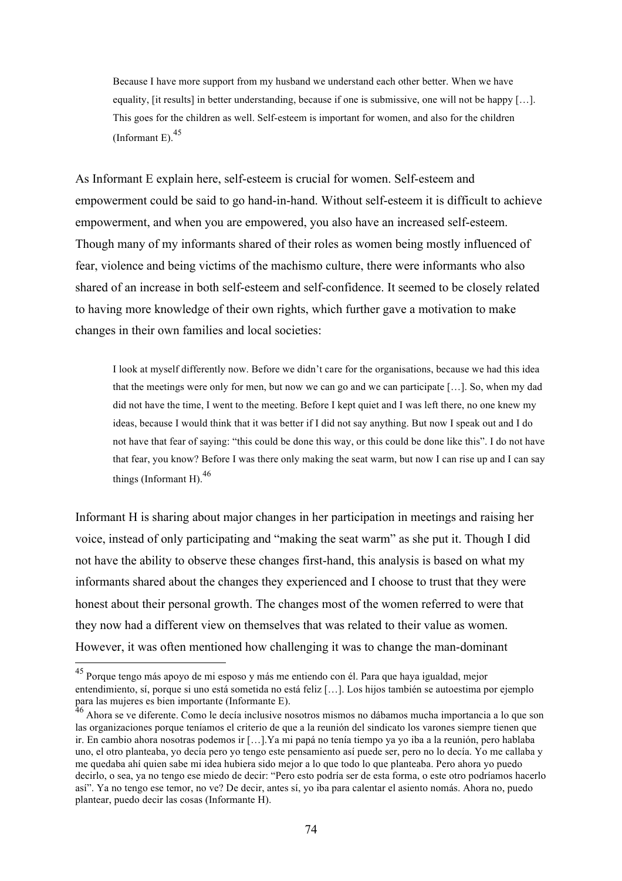Because I have more support from my husband we understand each other better. When we have equality, [it results] in better understanding, because if one is submissive, one will not be happy […]. This goes for the children as well. Self-esteem is important for women, and also for the children (Informant E). $45$ 

As Informant E explain here, self-esteem is crucial for women. Self-esteem and empowerment could be said to go hand-in-hand. Without self-esteem it is difficult to achieve empowerment, and when you are empowered, you also have an increased self-esteem. Though many of my informants shared of their roles as women being mostly influenced of fear, violence and being victims of the machismo culture, there were informants who also shared of an increase in both self-esteem and self-confidence. It seemed to be closely related to having more knowledge of their own rights, which further gave a motivation to make changes in their own families and local societies:

I look at myself differently now. Before we didn't care for the organisations, because we had this idea that the meetings were only for men, but now we can go and we can participate […]. So, when my dad did not have the time, I went to the meeting. Before I kept quiet and I was left there, no one knew my ideas, because I would think that it was better if I did not say anything. But now I speak out and I do not have that fear of saying: "this could be done this way, or this could be done like this". I do not have that fear, you know? Before I was there only making the seat warm, but now I can rise up and I can say things (Informant H).  $46$ 

Informant H is sharing about major changes in her participation in meetings and raising her voice, instead of only participating and "making the seat warm" as she put it. Though I did not have the ability to observe these changes first-hand, this analysis is based on what my informants shared about the changes they experienced and I choose to trust that they were honest about their personal growth. The changes most of the women referred to were that they now had a different view on themselves that was related to their value as women. However, it was often mentioned how challenging it was to change the man-dominant

 <sup>45</sup> Porque tengo más apoyo de mi esposo y más me entiendo con él. Para que haya igualdad, mejor entendimiento, sí, porque si uno está sometida no está feliz […]. Los hijos también se autoestima por ejemplo para las mujeres es bien importante (Informante E).

<sup>&</sup>lt;sup>46</sup> Ahora se ve diferente. Como le decía inclusive nosotros mismos no dábamos mucha importancia a lo que son las organizaciones porque teníamos el criterio de que a la reunión del sindicato los varones siempre tienen que ir. En cambio ahora nosotras podemos ir […].Ya mi papá no tenía tiempo ya yo iba a la reunión, pero hablaba uno, el otro planteaba, yo decía pero yo tengo este pensamiento así puede ser, pero no lo decía. Yo me callaba y me quedaba ahí quien sabe mi idea hubiera sido mejor a lo que todo lo que planteaba. Pero ahora yo puedo decirlo, o sea, ya no tengo ese miedo de decir: "Pero esto podría ser de esta forma, o este otro podríamos hacerlo así". Ya no tengo ese temor, no ve? De decir, antes sí, yo iba para calentar el asiento nomás. Ahora no, puedo plantear, puedo decir las cosas (Informante H).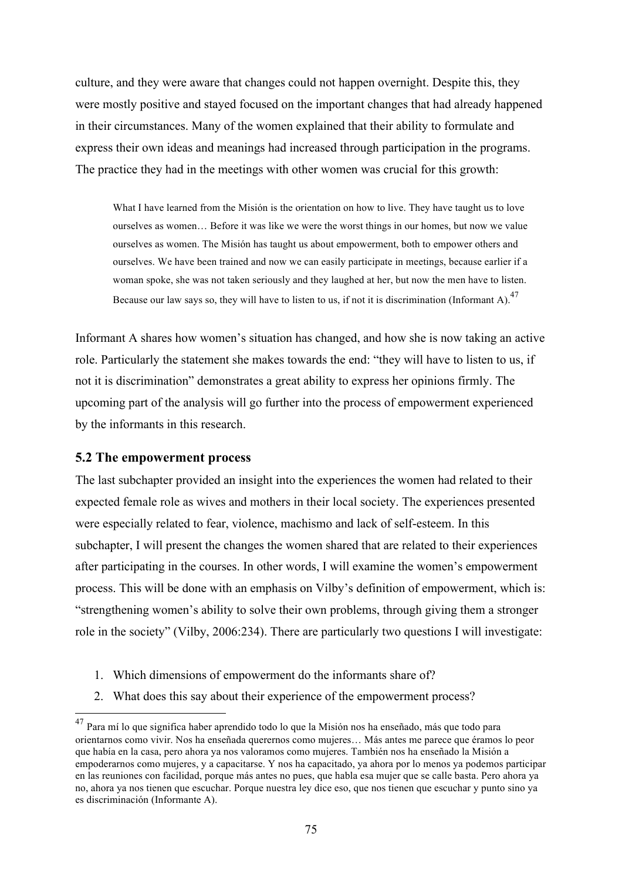culture, and they were aware that changes could not happen overnight. Despite this, they were mostly positive and stayed focused on the important changes that had already happened in their circumstances. Many of the women explained that their ability to formulate and express their own ideas and meanings had increased through participation in the programs. The practice they had in the meetings with other women was crucial for this growth:

What I have learned from the Misión is the orientation on how to live. They have taught us to love ourselves as women… Before it was like we were the worst things in our homes, but now we value ourselves as women. The Misión has taught us about empowerment, both to empower others and ourselves. We have been trained and now we can easily participate in meetings, because earlier if a woman spoke, she was not taken seriously and they laughed at her, but now the men have to listen. Because our law says so, they will have to listen to us, if not it is discrimination (Informant A).<sup>47</sup>

Informant A shares how women's situation has changed, and how she is now taking an active role. Particularly the statement she makes towards the end: "they will have to listen to us, if not it is discrimination" demonstrates a great ability to express her opinions firmly. The upcoming part of the analysis will go further into the process of empowerment experienced by the informants in this research.

## **5.2 The empowerment process**

The last subchapter provided an insight into the experiences the women had related to their expected female role as wives and mothers in their local society. The experiences presented were especially related to fear, violence, machismo and lack of self-esteem. In this subchapter, I will present the changes the women shared that are related to their experiences after participating in the courses. In other words, I will examine the women's empowerment process. This will be done with an emphasis on Vilby's definition of empowerment, which is: "strengthening women's ability to solve their own problems, through giving them a stronger role in the society" (Vilby, 2006:234). There are particularly two questions I will investigate:

- 1. Which dimensions of empowerment do the informants share of?
- 2. What does this say about their experience of the empowerment process?

<sup>&</sup>lt;sup>47</sup> Para mí lo que significa haber aprendido todo lo que la Misión nos ha enseñado, más que todo para orientarnos como vivir. Nos ha enseñada querernos como mujeres… Más antes me parece que éramos lo peor que había en la casa, pero ahora ya nos valoramos como mujeres. También nos ha enseñado la Misión a empoderarnos como mujeres, y a capacitarse. Y nos ha capacitado, ya ahora por lo menos ya podemos participar en las reuniones con facilidad, porque más antes no pues, que habla esa mujer que se calle basta. Pero ahora ya no, ahora ya nos tienen que escuchar. Porque nuestra ley dice eso, que nos tienen que escuchar y punto sino ya es discriminación (Informante A).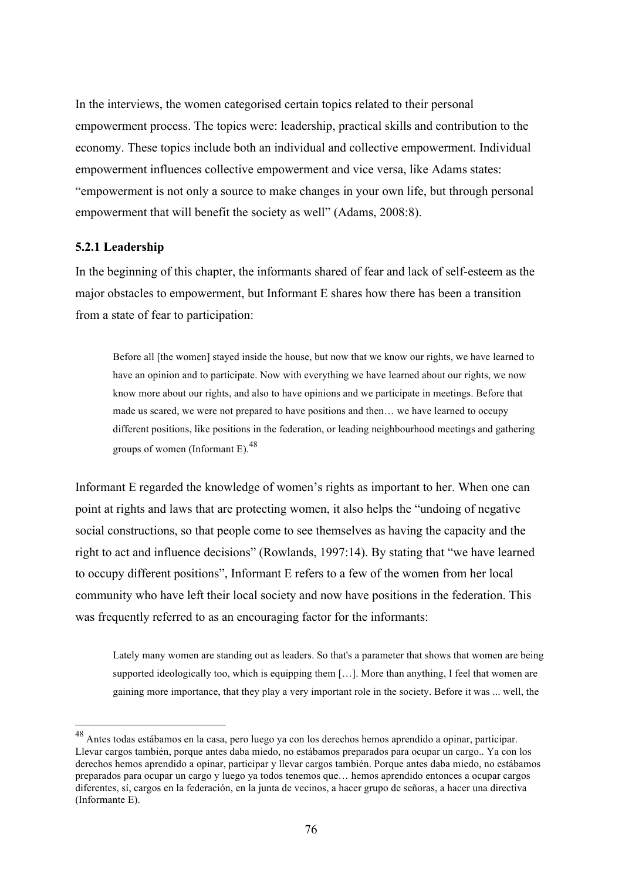In the interviews, the women categorised certain topics related to their personal empowerment process. The topics were: leadership, practical skills and contribution to the economy. These topics include both an individual and collective empowerment. Individual empowerment influences collective empowerment and vice versa, like Adams states: "empowerment is not only a source to make changes in your own life, but through personal empowerment that will benefit the society as well" (Adams, 2008:8).

## **5.2.1 Leadership**

In the beginning of this chapter, the informants shared of fear and lack of self-esteem as the major obstacles to empowerment, but Informant E shares how there has been a transition from a state of fear to participation:

Before all [the women] stayed inside the house, but now that we know our rights, we have learned to have an opinion and to participate. Now with everything we have learned about our rights, we now know more about our rights, and also to have opinions and we participate in meetings. Before that made us scared, we were not prepared to have positions and then… we have learned to occupy different positions, like positions in the federation, or leading neighbourhood meetings and gathering groups of women (Informant E). $^{48}$ 

Informant E regarded the knowledge of women's rights as important to her. When one can point at rights and laws that are protecting women, it also helps the "undoing of negative social constructions, so that people come to see themselves as having the capacity and the right to act and influence decisions" (Rowlands, 1997:14). By stating that "we have learned to occupy different positions", Informant E refers to a few of the women from her local community who have left their local society and now have positions in the federation. This was frequently referred to as an encouraging factor for the informants:

Lately many women are standing out as leaders. So that's a parameter that shows that women are being supported ideologically too, which is equipping them [...]. More than anything, I feel that women are gaining more importance, that they play a very important role in the society. Before it was ... well, the

 <sup>48</sup> Antes todas estábamos en la casa, pero luego ya con los derechos hemos aprendido a opinar, participar. Llevar cargos también, porque antes daba miedo, no estábamos preparados para ocupar un cargo.. Ya con los derechos hemos aprendido a opinar, participar y llevar cargos también. Porque antes daba miedo, no estábamos preparados para ocupar un cargo y luego ya todos tenemos que… hemos aprendido entonces a ocupar cargos diferentes, sí, cargos en la federación, en la junta de vecinos, a hacer grupo de señoras, a hacer una directiva (Informante E).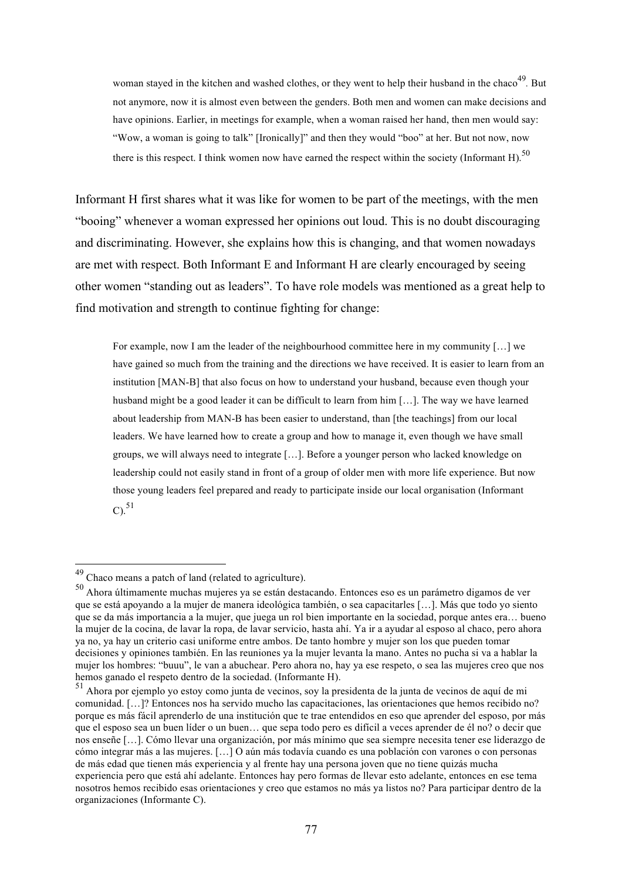woman stayed in the kitchen and washed clothes, or they went to help their husband in the chaco<sup>49</sup>. But not anymore, now it is almost even between the genders. Both men and women can make decisions and have opinions. Earlier, in meetings for example, when a woman raised her hand, then men would say: "Wow, a woman is going to talk" [Ironically]" and then they would "boo" at her. But not now, now there is this respect. I think women now have earned the respect within the society (Informant H).<sup>50</sup>

Informant H first shares what it was like for women to be part of the meetings, with the men "booing" whenever a woman expressed her opinions out loud. This is no doubt discouraging and discriminating. However, she explains how this is changing, and that women nowadays are met with respect. Both Informant E and Informant H are clearly encouraged by seeing other women "standing out as leaders". To have role models was mentioned as a great help to find motivation and strength to continue fighting for change:

For example, now I am the leader of the neighbourhood committee here in my community […] we have gained so much from the training and the directions we have received. It is easier to learn from an institution [MAN-B] that also focus on how to understand your husband, because even though your husband might be a good leader it can be difficult to learn from him […]. The way we have learned about leadership from MAN-B has been easier to understand, than [the teachings] from our local leaders. We have learned how to create a group and how to manage it, even though we have small groups, we will always need to integrate […]. Before a younger person who lacked knowledge on leadership could not easily stand in front of a group of older men with more life experience. But now those young leaders feel prepared and ready to participate inside our local organisation (Informant  $C)^{51}$ 

 <sup>49</sup> Chaco means a patch of land (related to agriculture).

<sup>50</sup> Ahora últimamente muchas mujeres ya se están destacando. Entonces eso es un parámetro digamos de ver que se está apoyando a la mujer de manera ideológica también, o sea capacitarles […]. Más que todo yo siento que se da más importancia a la mujer, que juega un rol bien importante en la sociedad, porque antes era… bueno la mujer de la cocina, de lavar la ropa, de lavar servicio, hasta ahí. Ya ir a ayudar al esposo al chaco, pero ahora ya no, ya hay un criterio casi uniforme entre ambos. De tanto hombre y mujer son los que pueden tomar decisiones y opiniones también. En las reuniones ya la mujer levanta la mano. Antes no pucha si va a hablar la mujer los hombres: "buuu", le van a abuchear. Pero ahora no, hay ya ese respeto, o sea las mujeres creo que nos hemos ganado el respeto dentro de la sociedad. (Informante H).

<sup>51</sup> Ahora por ejemplo yo estoy como junta de vecinos, soy la presidenta de la junta de vecinos de aquí de mi comunidad. […]? Entonces nos ha servido mucho las capacitaciones, las orientaciones que hemos recibido no? porque es más fácil aprenderlo de una institución que te trae entendidos en eso que aprender del esposo, por más que el esposo sea un buen líder o un buen… que sepa todo pero es difícil a veces aprender de él no? o decir que nos enseñe […]. Cómo llevar una organización, por más mínimo que sea siempre necesita tener ese liderazgo de cómo integrar más a las mujeres. […] O aún más todavía cuando es una población con varones o con personas de más edad que tienen más experiencia y al frente hay una persona joven que no tiene quizás mucha experiencia pero que está ahí adelante. Entonces hay pero formas de llevar esto adelante, entonces en ese tema nosotros hemos recibido esas orientaciones y creo que estamos no más ya listos no? Para participar dentro de la organizaciones (Informante C).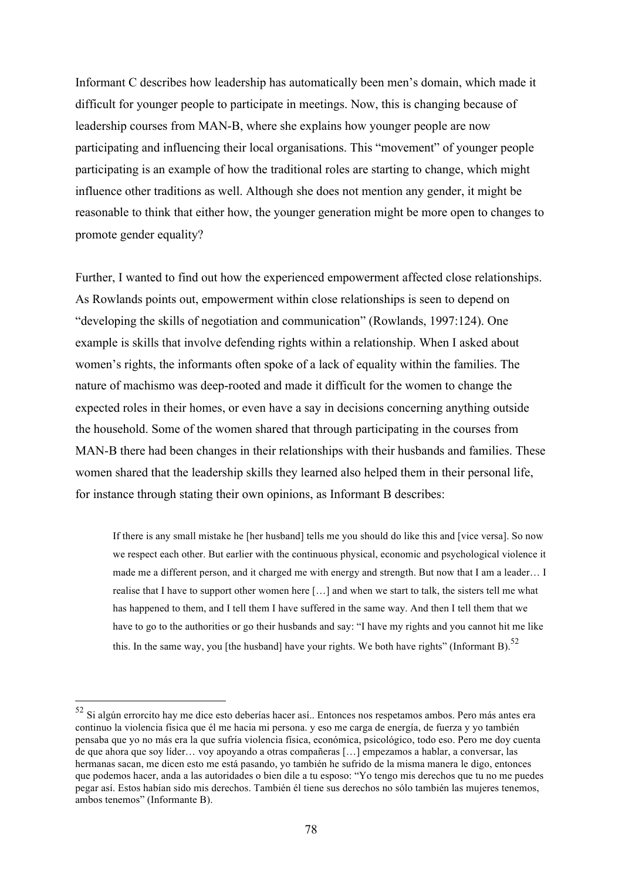Informant C describes how leadership has automatically been men's domain, which made it difficult for younger people to participate in meetings. Now, this is changing because of leadership courses from MAN-B, where she explains how younger people are now participating and influencing their local organisations. This "movement" of younger people participating is an example of how the traditional roles are starting to change, which might influence other traditions as well. Although she does not mention any gender, it might be reasonable to think that either how, the younger generation might be more open to changes to promote gender equality?

Further, I wanted to find out how the experienced empowerment affected close relationships. As Rowlands points out, empowerment within close relationships is seen to depend on "developing the skills of negotiation and communication" (Rowlands, 1997:124). One example is skills that involve defending rights within a relationship. When I asked about women's rights, the informants often spoke of a lack of equality within the families. The nature of machismo was deep-rooted and made it difficult for the women to change the expected roles in their homes, or even have a say in decisions concerning anything outside the household. Some of the women shared that through participating in the courses from MAN-B there had been changes in their relationships with their husbands and families. These women shared that the leadership skills they learned also helped them in their personal life, for instance through stating their own opinions, as Informant B describes:

If there is any small mistake he [her husband] tells me you should do like this and [vice versa]. So now we respect each other. But earlier with the continuous physical, economic and psychological violence it made me a different person, and it charged me with energy and strength. But now that I am a leader… I realise that I have to support other women here […] and when we start to talk, the sisters tell me what has happened to them, and I tell them I have suffered in the same way. And then I tell them that we have to go to the authorities or go their husbands and say: "I have my rights and you cannot hit me like this. In the same way, you [the husband] have your rights. We both have rights" (Informant B).<sup>52</sup>

 <sup>52</sup> Si algún errorcito hay me dice esto deberías hacer así.. Entonces nos respetamos ambos. Pero más antes era continuo la violencia física que él me hacia mi persona. y eso me carga de energía, de fuerza y yo también pensaba que yo no más era la que sufría violencia física, económica, psicológico, todo eso. Pero me doy cuenta de que ahora que soy líder… voy apoyando a otras compañeras […] empezamos a hablar, a conversar, las hermanas sacan, me dicen esto me está pasando, yo también he sufrido de la misma manera le digo, entonces que podemos hacer, anda a las autoridades o bien dile a tu esposo: "Yo tengo mis derechos que tu no me puedes pegar así. Estos habían sido mis derechos. También él tiene sus derechos no sólo también las mujeres tenemos, ambos tenemos" (Informante B).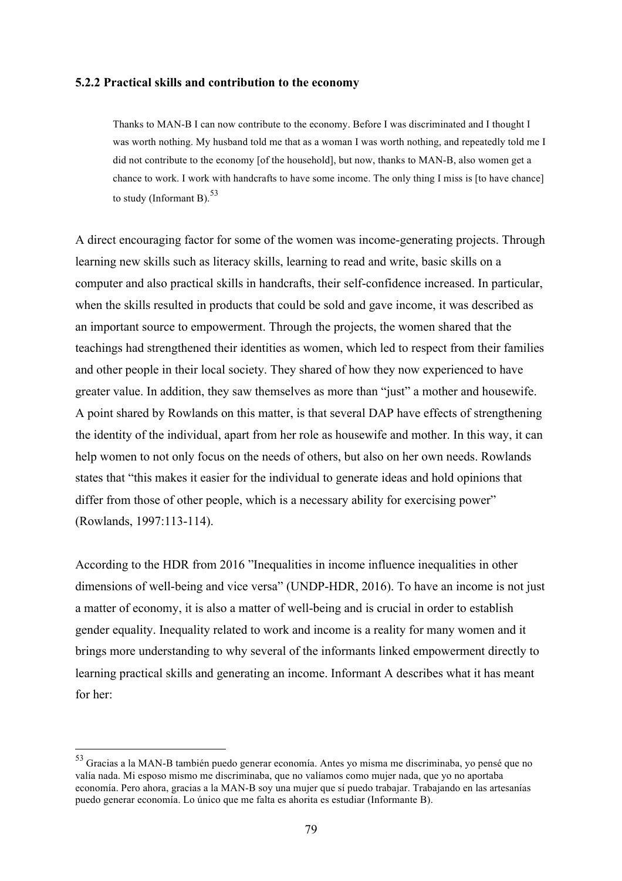#### **5.2.2 Practical skills and contribution to the economy**

Thanks to MAN-B I can now contribute to the economy. Before I was discriminated and I thought I was worth nothing. My husband told me that as a woman I was worth nothing, and repeatedly told me I did not contribute to the economy [of the household], but now, thanks to MAN-B, also women get a chance to work. I work with handcrafts to have some income. The only thing I miss is [to have chance] to study (Informant B).  $53$ 

A direct encouraging factor for some of the women was income-generating projects. Through learning new skills such as literacy skills, learning to read and write, basic skills on a computer and also practical skills in handcrafts, their self-confidence increased. In particular, when the skills resulted in products that could be sold and gave income, it was described as an important source to empowerment. Through the projects, the women shared that the teachings had strengthened their identities as women, which led to respect from their families and other people in their local society. They shared of how they now experienced to have greater value. In addition, they saw themselves as more than "just" a mother and housewife. A point shared by Rowlands on this matter, is that several DAP have effects of strengthening the identity of the individual, apart from her role as housewife and mother. In this way, it can help women to not only focus on the needs of others, but also on her own needs. Rowlands states that "this makes it easier for the individual to generate ideas and hold opinions that differ from those of other people, which is a necessary ability for exercising power" (Rowlands, 1997:113-114).

According to the HDR from 2016 "Inequalities in income influence inequalities in other dimensions of well-being and vice versa" (UNDP-HDR, 2016). To have an income is not just a matter of economy, it is also a matter of well-being and is crucial in order to establish gender equality. Inequality related to work and income is a reality for many women and it brings more understanding to why several of the informants linked empowerment directly to learning practical skills and generating an income. Informant A describes what it has meant for her:

 <sup>53</sup> Gracias a la MAN-B también puedo generar economía. Antes yo misma me discriminaba, yo pensé que no valía nada. Mi esposo mismo me discriminaba, que no valíamos como mujer nada, que yo no aportaba economía. Pero ahora, gracias a la MAN-B soy una mujer que sí puedo trabajar. Trabajando en las artesanías puedo generar economía. Lo único que me falta es ahorita es estudiar (Informante B).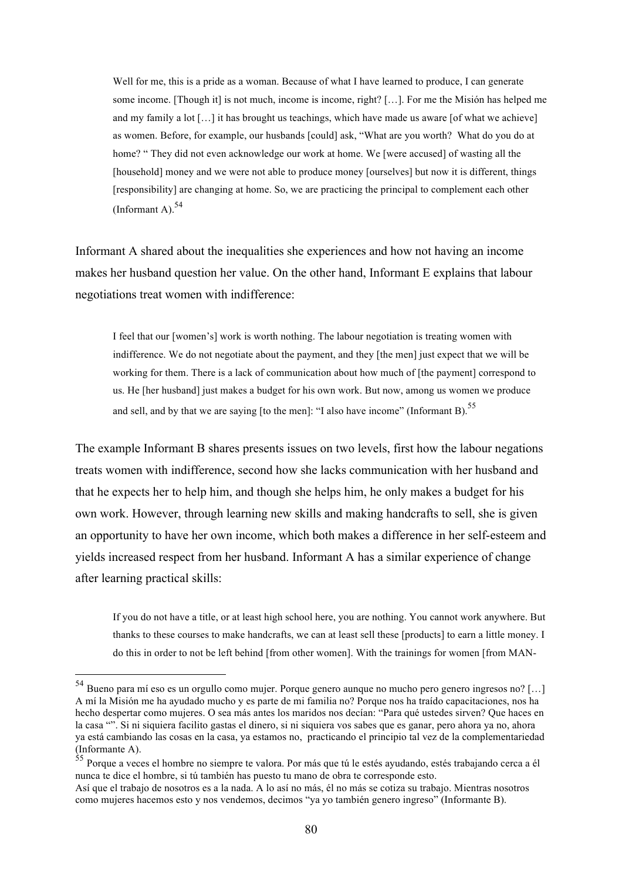Well for me, this is a pride as a woman. Because of what I have learned to produce, I can generate some income. [Though it] is not much, income is income, right? […]. For me the Misión has helped me and my family a lot […] it has brought us teachings, which have made us aware [of what we achieve] as women. Before, for example, our husbands [could] ask, "What are you worth? What do you do at home? " They did not even acknowledge our work at home. We [were accused] of wasting all the [household] money and we were not able to produce money [ourselves] but now it is different, things [responsibility] are changing at home. So, we are practicing the principal to complement each other (Informant A).  $54$ 

Informant A shared about the inequalities she experiences and how not having an income makes her husband question her value. On the other hand, Informant E explains that labour negotiations treat women with indifference:

I feel that our [women's] work is worth nothing. The labour negotiation is treating women with indifference. We do not negotiate about the payment, and they [the men] just expect that we will be working for them. There is a lack of communication about how much of [the payment] correspond to us. He [her husband] just makes a budget for his own work. But now, among us women we produce and sell, and by that we are saying [to the men]: "I also have income" (Informant B).<sup>55</sup>

The example Informant B shares presents issues on two levels, first how the labour negations treats women with indifference, second how she lacks communication with her husband and that he expects her to help him, and though she helps him, he only makes a budget for his own work. However, through learning new skills and making handcrafts to sell, she is given an opportunity to have her own income, which both makes a difference in her self-esteem and yields increased respect from her husband. Informant A has a similar experience of change after learning practical skills:

If you do not have a title, or at least high school here, you are nothing. You cannot work anywhere. But thanks to these courses to make handcrafts, we can at least sell these [products] to earn a little money. I do this in order to not be left behind [from other women]. With the trainings for women [from MAN-

 <sup>54</sup> Bueno para mí eso es un orgullo como mujer. Porque genero aunque no mucho pero genero ingresos no? […] A mí la Misión me ha ayudado mucho y es parte de mi familia no? Porque nos ha traído capacitaciones, nos ha hecho despertar como mujeres. O sea más antes los maridos nos decían: "Para qué ustedes sirven? Que haces en la casa "". Si ni siquiera facilito gastas el dinero, si ni siquiera vos sabes que es ganar, pero ahora ya no, ahora ya está cambiando las cosas en la casa, ya estamos no, practicando el principio tal vez de la complementariedad (Informante A).

<sup>55</sup> Porque a veces el hombre no siempre te valora. Por más que tú le estés ayudando, estés trabajando cerca a él nunca te dice el hombre, si tú también has puesto tu mano de obra te corresponde esto.

Así que el trabajo de nosotros es a la nada. A lo así no más, él no más se cotiza su trabajo. Mientras nosotros como mujeres hacemos esto y nos vendemos, decimos "ya yo también genero ingreso" (Informante B).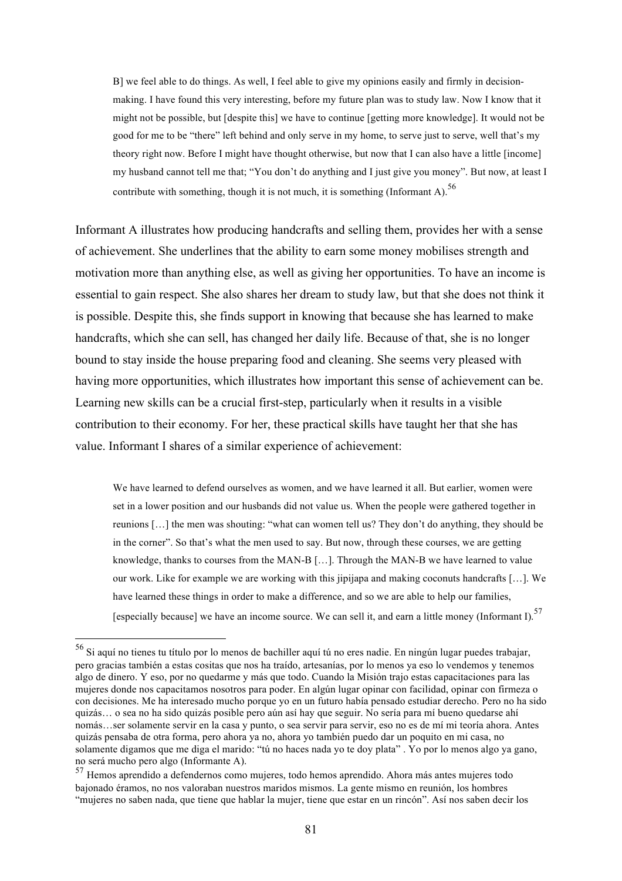B] we feel able to do things. As well, I feel able to give my opinions easily and firmly in decisionmaking. I have found this very interesting, before my future plan was to study law. Now I know that it might not be possible, but [despite this] we have to continue [getting more knowledge]. It would not be good for me to be "there" left behind and only serve in my home, to serve just to serve, well that's my theory right now. Before I might have thought otherwise, but now that I can also have a little [income] my husband cannot tell me that; "You don't do anything and I just give you money". But now, at least I contribute with something, though it is not much, it is something (Informant A).<sup>56</sup>

Informant A illustrates how producing handcrafts and selling them, provides her with a sense of achievement. She underlines that the ability to earn some money mobilises strength and motivation more than anything else, as well as giving her opportunities. To have an income is essential to gain respect. She also shares her dream to study law, but that she does not think it is possible. Despite this, she finds support in knowing that because she has learned to make handcrafts, which she can sell, has changed her daily life. Because of that, she is no longer bound to stay inside the house preparing food and cleaning. She seems very pleased with having more opportunities, which illustrates how important this sense of achievement can be. Learning new skills can be a crucial first-step, particularly when it results in a visible contribution to their economy. For her, these practical skills have taught her that she has value. Informant I shares of a similar experience of achievement:

We have learned to defend ourselves as women, and we have learned it all. But earlier, women were set in a lower position and our husbands did not value us. When the people were gathered together in reunions […] the men was shouting: "what can women tell us? They don't do anything, they should be in the corner". So that's what the men used to say. But now, through these courses, we are getting knowledge, thanks to courses from the MAN-B […]. Through the MAN-B we have learned to value our work. Like for example we are working with this jipijapa and making coconuts handcrafts […]. We have learned these things in order to make a difference, and so we are able to help our families, [especially because] we have an income source. We can sell it, and earn a little money (Informant I).<sup>57</sup>

 <sup>56</sup> Si aquí no tienes tu título por lo menos de bachiller aquí tú no eres nadie. En ningún lugar puedes trabajar, pero gracias también a estas cositas que nos ha traído, artesanías, por lo menos ya eso lo vendemos y tenemos algo de dinero. Y eso, por no quedarme y más que todo. Cuando la Misión trajo estas capacitaciones para las mujeres donde nos capacitamos nosotros para poder. En algún lugar opinar con facilidad, opinar con firmeza o con decisiones. Me ha interesado mucho porque yo en un futuro había pensado estudiar derecho. Pero no ha sido quizás… o sea no ha sido quizás posible pero aún así hay que seguir. No sería para mí bueno quedarse ahí nomás…ser solamente servir en la casa y punto, o sea servir para servir, eso no es de mí mi teoría ahora. Antes quizás pensaba de otra forma, pero ahora ya no, ahora yo también puedo dar un poquito en mi casa, no solamente digamos que me diga el marido: "tú no haces nada yo te doy plata" . Yo por lo menos algo ya gano, no será mucho pero algo (Informante A).

<sup>57</sup> Hemos aprendido a defendernos como mujeres, todo hemos aprendido. Ahora más antes mujeres todo bajonado éramos, no nos valoraban nuestros maridos mismos. La gente mismo en reunión, los hombres "mujeres no saben nada, que tiene que hablar la mujer, tiene que estar en un rincón". Así nos saben decir los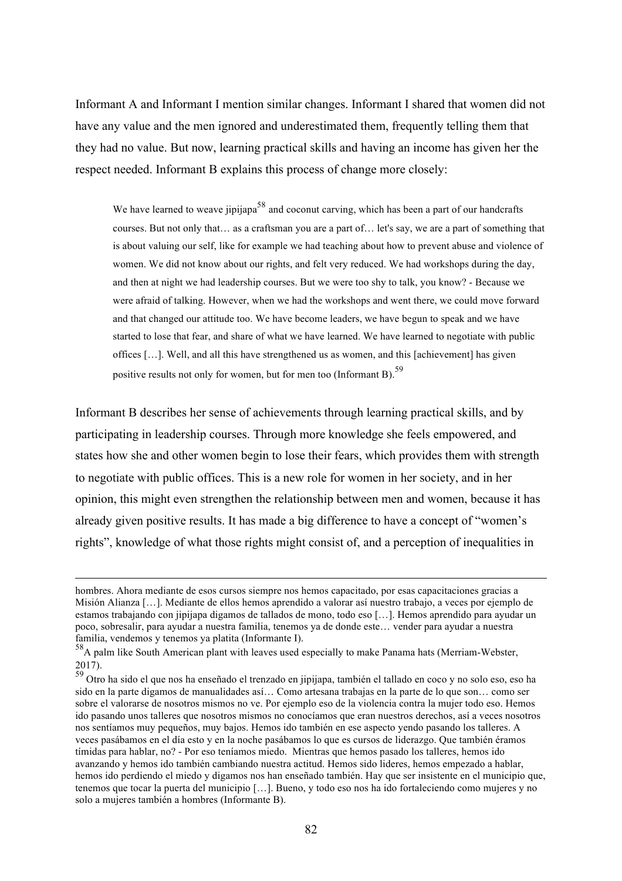Informant A and Informant I mention similar changes. Informant I shared that women did not have any value and the men ignored and underestimated them, frequently telling them that they had no value. But now, learning practical skills and having an income has given her the respect needed. Informant B explains this process of change more closely:

We have learned to weave jipijapa<sup>58</sup> and coconut carving, which has been a part of our handcrafts courses. But not only that… as a craftsman you are a part of… let's say, we are a part of something that is about valuing our self, like for example we had teaching about how to prevent abuse and violence of women. We did not know about our rights, and felt very reduced. We had workshops during the day, and then at night we had leadership courses. But we were too shy to talk, you know? - Because we were afraid of talking. However, when we had the workshops and went there, we could move forward and that changed our attitude too. We have become leaders, we have begun to speak and we have started to lose that fear, and share of what we have learned. We have learned to negotiate with public offices […]. Well, and all this have strengthened us as women, and this [achievement] has given positive results not only for women, but for men too (Informant B).<sup>59</sup>

Informant B describes her sense of achievements through learning practical skills, and by participating in leadership courses. Through more knowledge she feels empowered, and states how she and other women begin to lose their fears, which provides them with strength to negotiate with public offices. This is a new role for women in her society, and in her opinion, this might even strengthen the relationship between men and women, because it has already given positive results. It has made a big difference to have a concept of "women's rights", knowledge of what those rights might consist of, and a perception of inequalities in

hombres. Ahora mediante de esos cursos siempre nos hemos capacitado, por esas capacitaciones gracias a Misión Alianza […]. Mediante de ellos hemos aprendido a valorar así nuestro trabajo, a veces por ejemplo de estamos trabajando con jipijapa digamos de tallados de mono, todo eso […]. Hemos aprendido para ayudar un poco, sobresalir, para ayudar a nuestra familia, tenemos ya de donde este… vender para ayudar a nuestra familia, vendemos y tenemos ya platita (Informante I).

<sup>58</sup>A palm like South American plant with leaves used especially to make Panama hats (Merriam-Webster,

<sup>2017).&</sup>lt;br><sup>59</sup> Otro ha sido el que nos ha enseñado el trenzado en jipijapa, también el tallado en coco y no solo eso, eso ha sido en la parte digamos de manualidades así… Como artesana trabajas en la parte de lo que son… como ser sobre el valorarse de nosotros mismos no ve. Por ejemplo eso de la violencia contra la mujer todo eso. Hemos ido pasando unos talleres que nosotros mismos no conocíamos que eran nuestros derechos, así a veces nosotros nos sentíamos muy pequeños, muy bajos. Hemos ido también en ese aspecto yendo pasando los talleres. A veces pasábamos en el día esto y en la noche pasábamos lo que es cursos de liderazgo. Que también éramos tímidas para hablar, no? - Por eso teníamos miedo. Mientras que hemos pasado los talleres, hemos ido avanzando y hemos ido también cambiando nuestra actitud. Hemos sido lideres, hemos empezado a hablar, hemos ido perdiendo el miedo y digamos nos han enseñado también. Hay que ser insistente en el municipio que, tenemos que tocar la puerta del municipio […]. Bueno, y todo eso nos ha ido fortaleciendo como mujeres y no solo a mujeres también a hombres (Informante B).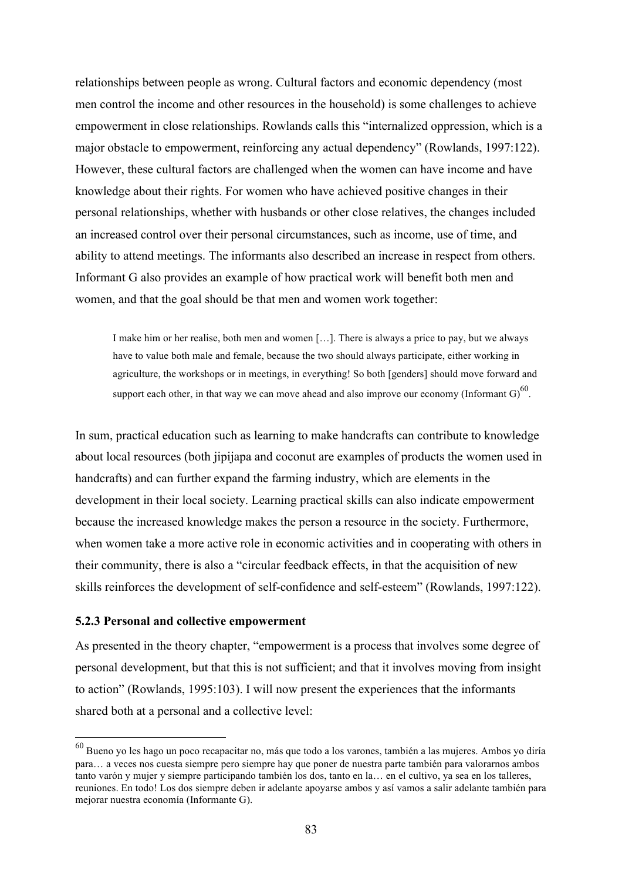relationships between people as wrong. Cultural factors and economic dependency (most men control the income and other resources in the household) is some challenges to achieve empowerment in close relationships. Rowlands calls this "internalized oppression, which is a major obstacle to empowerment, reinforcing any actual dependency" (Rowlands, 1997:122). However, these cultural factors are challenged when the women can have income and have knowledge about their rights. For women who have achieved positive changes in their personal relationships, whether with husbands or other close relatives, the changes included an increased control over their personal circumstances, such as income, use of time, and ability to attend meetings. The informants also described an increase in respect from others. Informant G also provides an example of how practical work will benefit both men and women, and that the goal should be that men and women work together:

I make him or her realise, both men and women […]. There is always a price to pay, but we always have to value both male and female, because the two should always participate, either working in agriculture, the workshops or in meetings, in everything! So both [genders] should move forward and support each other, in that way we can move ahead and also improve our economy (Informant  $G$ )<sup>60</sup>.

In sum, practical education such as learning to make handcrafts can contribute to knowledge about local resources (both jipijapa and coconut are examples of products the women used in handcrafts) and can further expand the farming industry, which are elements in the development in their local society. Learning practical skills can also indicate empowerment because the increased knowledge makes the person a resource in the society. Furthermore, when women take a more active role in economic activities and in cooperating with others in their community, there is also a "circular feedback effects, in that the acquisition of new skills reinforces the development of self-confidence and self-esteem" (Rowlands, 1997:122).

#### **5.2.3 Personal and collective empowerment**

As presented in the theory chapter, "empowerment is a process that involves some degree of personal development, but that this is not sufficient; and that it involves moving from insight to action" (Rowlands, 1995:103). I will now present the experiences that the informants shared both at a personal and a collective level:

 <sup>60</sup> Bueno yo les hago un poco recapacitar no, más que todo a los varones, también a las mujeres. Ambos yo diría para… a veces nos cuesta siempre pero siempre hay que poner de nuestra parte también para valorarnos ambos tanto varón y mujer y siempre participando también los dos, tanto en la… en el cultivo, ya sea en los talleres, reuniones. En todo! Los dos siempre deben ir adelante apoyarse ambos y así vamos a salir adelante también para mejorar nuestra economía (Informante G).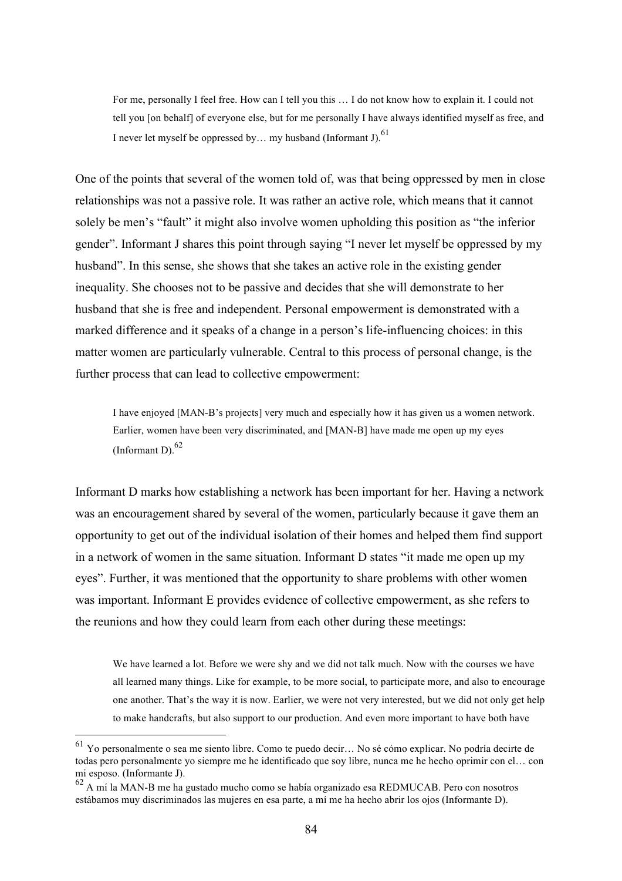For me, personally I feel free. How can I tell you this … I do not know how to explain it. I could not tell you [on behalf] of everyone else, but for me personally I have always identified myself as free, and I never let myself be oppressed by... my husband (Informant J).<sup>61</sup>

One of the points that several of the women told of, was that being oppressed by men in close relationships was not a passive role. It was rather an active role, which means that it cannot solely be men's "fault" it might also involve women upholding this position as "the inferior gender". Informant J shares this point through saying "I never let myself be oppressed by my husband". In this sense, she shows that she takes an active role in the existing gender inequality. She chooses not to be passive and decides that she will demonstrate to her husband that she is free and independent. Personal empowerment is demonstrated with a marked difference and it speaks of a change in a person's life-influencing choices: in this matter women are particularly vulnerable. Central to this process of personal change, is the further process that can lead to collective empowerment:

I have enjoyed [MAN-B's projects] very much and especially how it has given us a women network. Earlier, women have been very discriminated, and [MAN-B] have made me open up my eyes (Informant D). $^{62}$ 

Informant D marks how establishing a network has been important for her. Having a network was an encouragement shared by several of the women, particularly because it gave them an opportunity to get out of the individual isolation of their homes and helped them find support in a network of women in the same situation. Informant D states "it made me open up my eyes". Further, it was mentioned that the opportunity to share problems with other women was important. Informant E provides evidence of collective empowerment, as she refers to the reunions and how they could learn from each other during these meetings:

We have learned a lot. Before we were shy and we did not talk much. Now with the courses we have all learned many things. Like for example, to be more social, to participate more, and also to encourage one another. That's the way it is now. Earlier, we were not very interested, but we did not only get help to make handcrafts, but also support to our production. And even more important to have both have

 <sup>61</sup> Yo personalmente o sea me siento libre. Como te puedo decir… No sé cómo explicar. No podría decirte de todas pero personalmente yo siempre me he identificado que soy libre, nunca me he hecho oprimir con el… con mi esposo. (Informante J).

<sup>62</sup> A mí la MAN-B me ha gustado mucho como se había organizado esa REDMUCAB. Pero con nosotros estábamos muy discriminados las mujeres en esa parte, a mí me ha hecho abrir los ojos (Informante D).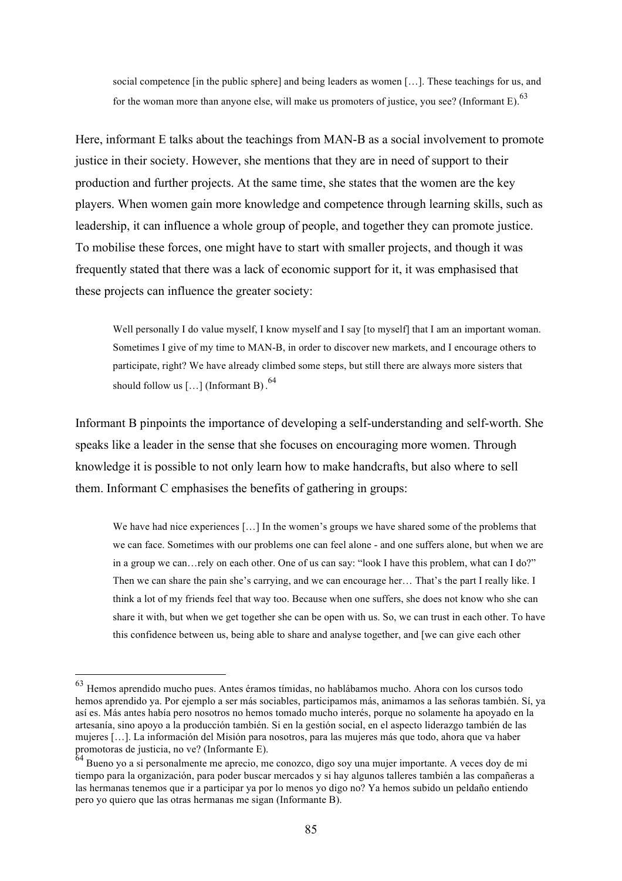social competence [in the public sphere] and being leaders as women […]. These teachings for us, and for the woman more than anyone else, will make us promoters of justice, you see? (Informant E).  $^{63}$ 

Here, informant E talks about the teachings from MAN-B as a social involvement to promote justice in their society. However, she mentions that they are in need of support to their production and further projects. At the same time, she states that the women are the key players. When women gain more knowledge and competence through learning skills, such as leadership, it can influence a whole group of people, and together they can promote justice. To mobilise these forces, one might have to start with smaller projects, and though it was frequently stated that there was a lack of economic support for it, it was emphasised that these projects can influence the greater society:

Well personally I do value myself, I know myself and I say [to myself] that I am an important woman. Sometimes I give of my time to MAN-B, in order to discover new markets, and I encourage others to participate, right? We have already climbed some steps, but still there are always more sisters that should follow us  $\left[ \ldots \right]$  (Informant B).<sup>64</sup>

Informant B pinpoints the importance of developing a self-understanding and self-worth. She speaks like a leader in the sense that she focuses on encouraging more women. Through knowledge it is possible to not only learn how to make handcrafts, but also where to sell them. Informant C emphasises the benefits of gathering in groups:

We have had nice experiences [...] In the women's groups we have shared some of the problems that we can face. Sometimes with our problems one can feel alone - and one suffers alone, but when we are in a group we can…rely on each other. One of us can say: "look I have this problem, what can I do?" Then we can share the pain she's carrying, and we can encourage her… That's the part I really like. I think a lot of my friends feel that way too. Because when one suffers, she does not know who she can share it with, but when we get together she can be open with us. So, we can trust in each other. To have this confidence between us, being able to share and analyse together, and [we can give each other

 <sup>63</sup> Hemos aprendido mucho pues. Antes éramos tímidas, no hablábamos mucho. Ahora con los cursos todo hemos aprendido ya. Por ejemplo a ser más sociables, participamos más, animamos a las señoras también. Sí, ya así es. Más antes había pero nosotros no hemos tomado mucho interés, porque no solamente ha apoyado en la artesanía, sino apoyo a la producción también. Si en la gestión social, en el aspecto liderazgo también de las mujeres […]. La información del Misión para nosotros, para las mujeres más que todo, ahora que va haber promotoras de justicia, no ve? (Informante E).

 $64$  Bueno yo a si personalmente me aprecio, me conozco, digo soy una mujer importante. A veces doy de mi tiempo para la organización, para poder buscar mercados y si hay algunos talleres también a las compañeras a las hermanas tenemos que ir a participar ya por lo menos yo digo no? Ya hemos subido un peldaño entiendo pero yo quiero que las otras hermanas me sigan (Informante B).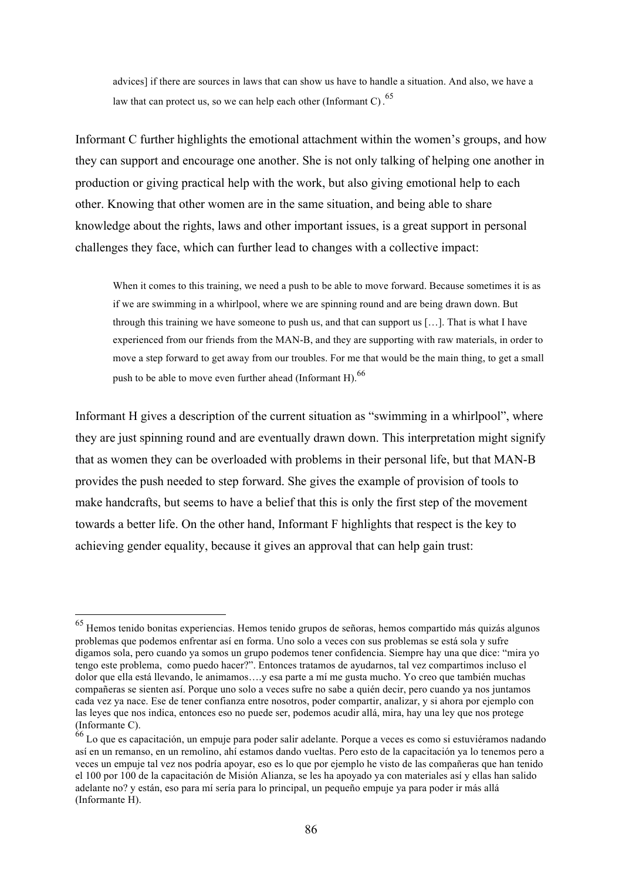advices] if there are sources in laws that can show us have to handle a situation. And also, we have a law that can protect us, so we can help each other (Informant C).  $^{65}$ 

Informant C further highlights the emotional attachment within the women's groups, and how they can support and encourage one another. She is not only talking of helping one another in production or giving practical help with the work, but also giving emotional help to each other. Knowing that other women are in the same situation, and being able to share knowledge about the rights, laws and other important issues, is a great support in personal challenges they face, which can further lead to changes with a collective impact:

When it comes to this training, we need a push to be able to move forward. Because sometimes it is as if we are swimming in a whirlpool, where we are spinning round and are being drawn down. But through this training we have someone to push us, and that can support us […]. That is what I have experienced from our friends from the MAN-B, and they are supporting with raw materials, in order to move a step forward to get away from our troubles. For me that would be the main thing, to get a small push to be able to move even further ahead (Informant H).  $^{66}$ 

Informant H gives a description of the current situation as "swimming in a whirlpool", where they are just spinning round and are eventually drawn down. This interpretation might signify that as women they can be overloaded with problems in their personal life, but that MAN-B provides the push needed to step forward. She gives the example of provision of tools to make handcrafts, but seems to have a belief that this is only the first step of the movement towards a better life. On the other hand, Informant F highlights that respect is the key to achieving gender equality, because it gives an approval that can help gain trust:

 <sup>65</sup> Hemos tenido bonitas experiencias. Hemos tenido grupos de señoras, hemos compartido más quizás algunos problemas que podemos enfrentar así en forma. Uno solo a veces con sus problemas se está sola y sufre digamos sola, pero cuando ya somos un grupo podemos tener confidencia. Siempre hay una que dice: "mira yo tengo este problema, como puedo hacer?". Entonces tratamos de ayudarnos, tal vez compartimos incluso el dolor que ella está llevando, le animamos….y esa parte a mí me gusta mucho. Yo creo que también muchas compañeras se sienten así. Porque uno solo a veces sufre no sabe a quién decir, pero cuando ya nos juntamos cada vez ya nace. Ese de tener confianza entre nosotros, poder compartir, analizar, y si ahora por ejemplo con las leyes que nos indica, entonces eso no puede ser, podemos acudir allá, mira, hay una ley que nos protege (Informante C).

<sup>&</sup>lt;sup>66</sup> Lo que es capacitación, un empuje para poder salir adelante. Porque a veces es como si estuviéramos nadando así en un remanso, en un remolino, ahí estamos dando vueltas. Pero esto de la capacitación ya lo tenemos pero a veces un empuje tal vez nos podría apoyar, eso es lo que por ejemplo he visto de las compañeras que han tenido el 100 por 100 de la capacitación de Misión Alianza, se les ha apoyado ya con materiales así y ellas han salido adelante no? y están, eso para mí sería para lo principal, un pequeño empuje ya para poder ir más allá (Informante H).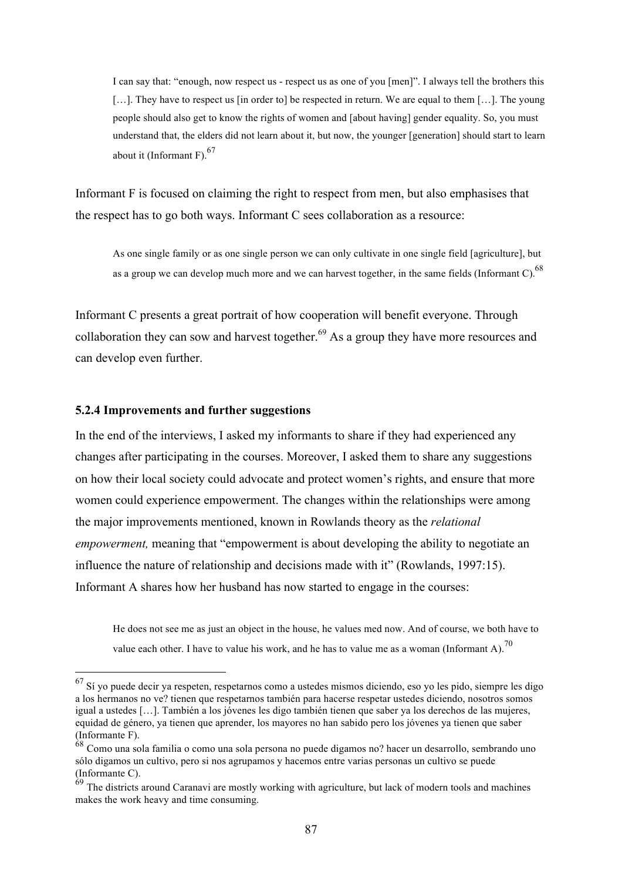I can say that: "enough, now respect us - respect us as one of you [men]". I always tell the brothers this [...]. They have to respect us [in order to] be respected in return. We are equal to them [...]. The young people should also get to know the rights of women and [about having] gender equality. So, you must understand that, the elders did not learn about it, but now, the younger [generation] should start to learn about it (Informant F).  $67$ 

Informant F is focused on claiming the right to respect from men, but also emphasises that the respect has to go both ways. Informant C sees collaboration as a resource:

As one single family or as one single person we can only cultivate in one single field [agriculture], but as a group we can develop much more and we can harvest together, in the same fields (Informant C).<sup>68</sup>

Informant C presents a great portrait of how cooperation will benefit everyone. Through collaboration they can sow and harvest together.<sup>69</sup> As a group they have more resources and can develop even further.

#### **5.2.4 Improvements and further suggestions**

In the end of the interviews, I asked my informants to share if they had experienced any changes after participating in the courses. Moreover, I asked them to share any suggestions on how their local society could advocate and protect women's rights, and ensure that more women could experience empowerment. The changes within the relationships were among the major improvements mentioned, known in Rowlands theory as the *relational empowerment*, meaning that "empowerment is about developing the ability to negotiate an influence the nature of relationship and decisions made with it" (Rowlands, 1997:15). Informant A shares how her husband has now started to engage in the courses:

He does not see me as just an object in the house, he values med now. And of course, we both have to value each other. I have to value his work, and he has to value me as a woman (Informant A).<sup>70</sup>

 <sup>67</sup> Sí yo puede decir ya respeten, respetarnos como a ustedes mismos diciendo, eso yo les pido, siempre les digo a los hermanos no ve? tienen que respetarnos también para hacerse respetar ustedes diciendo, nosotros somos igual a ustedes […]. También a los jóvenes les digo también tienen que saber ya los derechos de las mujeres, equidad de género, ya tienen que aprender, los mayores no han sabido pero los jóvenes ya tienen que saber (Informante F).

<sup>&</sup>lt;sup>68</sup> Como una sola familia o como una sola persona no puede digamos no? hacer un desarrollo, sembrando uno sólo digamos un cultivo, pero si nos agrupamos y hacemos entre varias personas un cultivo se puede (Informante C).

 $69$  The districts around Caranavi are mostly working with agriculture, but lack of modern tools and machines makes the work heavy and time consuming.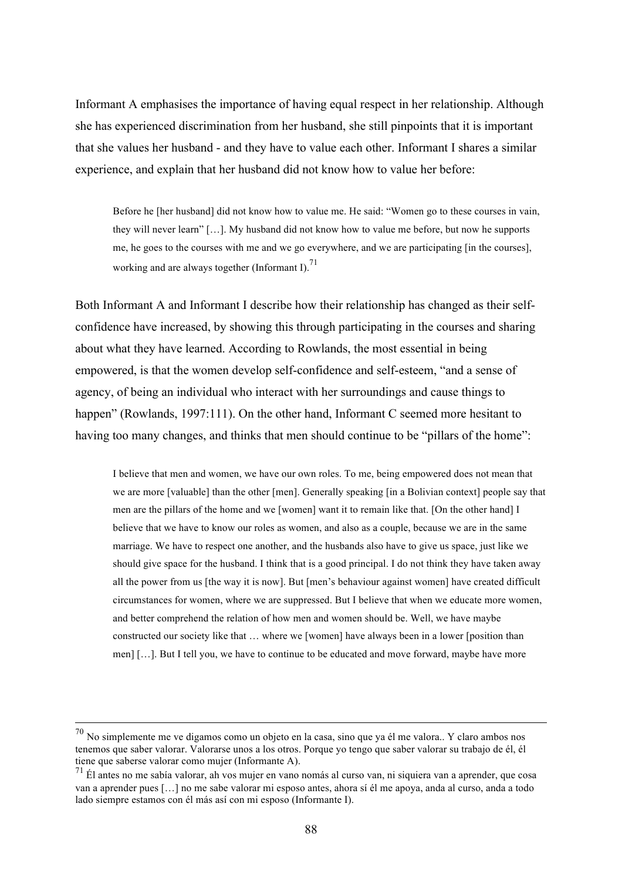Informant A emphasises the importance of having equal respect in her relationship. Although she has experienced discrimination from her husband, she still pinpoints that it is important that she values her husband - and they have to value each other. Informant I shares a similar experience, and explain that her husband did not know how to value her before:

Before he [her husband] did not know how to value me. He said: "Women go to these courses in vain, they will never learn" […]. My husband did not know how to value me before, but now he supports me, he goes to the courses with me and we go everywhere, and we are participating [in the courses], working and are always together (Informant I).<sup>71</sup>

Both Informant A and Informant I describe how their relationship has changed as their selfconfidence have increased, by showing this through participating in the courses and sharing about what they have learned. According to Rowlands, the most essential in being empowered, is that the women develop self-confidence and self-esteem, "and a sense of agency, of being an individual who interact with her surroundings and cause things to happen" (Rowlands, 1997:111). On the other hand, Informant C seemed more hesitant to having too many changes, and thinks that men should continue to be "pillars of the home":

I believe that men and women, we have our own roles. To me, being empowered does not mean that we are more [valuable] than the other [men]. Generally speaking [in a Bolivian context] people say that men are the pillars of the home and we [women] want it to remain like that. [On the other hand] I believe that we have to know our roles as women, and also as a couple, because we are in the same marriage. We have to respect one another, and the husbands also have to give us space, just like we should give space for the husband. I think that is a good principal. I do not think they have taken away all the power from us [the way it is now]. But [men's behaviour against women] have created difficult circumstances for women, where we are suppressed. But I believe that when we educate more women, and better comprehend the relation of how men and women should be. Well, we have maybe constructed our society like that … where we [women] have always been in a lower [position than men] […]. But I tell you, we have to continue to be educated and move forward, maybe have more

 <sup>70</sup> No simplemente me ve digamos como un objeto en la casa, sino que ya él me valora.. Y claro ambos nos tenemos que saber valorar. Valorarse unos a los otros. Porque yo tengo que saber valorar su trabajo de él, él tiene que saberse valorar como mujer (Informante A).

 $71 \text{ E}$ l antes no me sabía valorar, ah vos mujer en vano nomás al curso van, ni siquiera van a aprender, que cosa van a aprender pues […] no me sabe valorar mi esposo antes, ahora sí él me apoya, anda al curso, anda a todo lado siempre estamos con él más así con mi esposo (Informante I).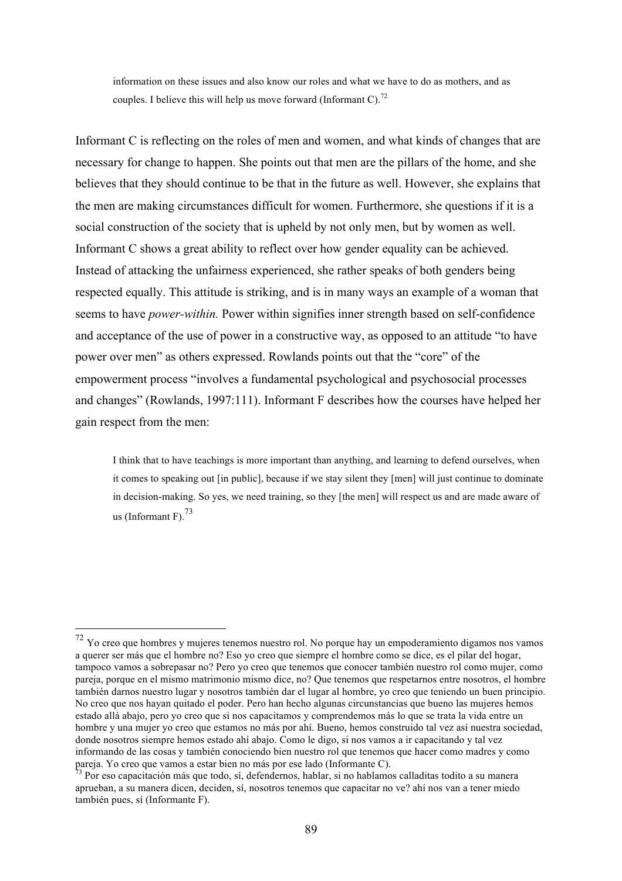information on these issues and also know our roles and what we have to do as mothers, and as couples. I believe this will help us move forward (Informant C).<sup>72</sup>

Informant C is reflecting on the roles of men and women, and what kinds of changes that are necessary for change to happen. She points out that men are the pillars of the home, and she believes that they should continue to be that in the future as well. However, she explains that the men are making circumstances difficult for women. Furthermore, she questions if it is a social construction of the society that is upheld by not only men, but by women as well. Informant C shows a great ability to reflect over how gender equality can be achieved. Instead of attacking the unfairness experienced, she rather speaks of both genders being respected equally. This attitude is striking, and is in many ways an example of a woman that seems to have *power-within.* Power within signifies inner strength based on self-confidence and acceptance of the use of power in a constructive way, as opposed to an attitude "to have power over men" as others expressed. Rowlands points out that the "core" of the empowerment process "involves a fundamental psychological and psychosocial processes and changes" (Rowlands, 1997:111). Informant F describes how the courses have helped her gain respect from the men:

I think that to have teachings is more important than anything, and learning to defend ourselves, when it comes to speaking out [in public], because if we stay silent they [men] will just continue to dominate in decision-making. So yes, we need training, so they [the men] will respect us and are made aware of us (Informant F). $^{73}$ 

 <sup>72</sup> Yo creo que hombres y mujeres tenemos nuestro rol. No porque hay un empoderamiento digamos nos vamos a querer ser más que el hombre no? Eso yo creo que siempre el hombre como se dice, es el pilar del hogar, tampoco vamos a sobrepasar no? Pero yo creo que tenemos que conocer también nuestro rol como mujer, como pareja, porque en el mismo matrimonio mismo dice, no? Que tenemos que respetarnos entre nosotros, el hombre también darnos nuestro lugar y nosotros también dar el lugar al hombre, yo creo que teniendo un buen principio. No creo que nos hayan quitado el poder. Pero han hecho algunas circunstancias que bueno las mujeres hemos estado allá abajo, pero yo creo que si nos capacitamos y comprendemos más lo que se trata la vida entre un hombre y una mujer yo creo que estamos no más por ahí. Bueno, hemos construido tal vez así nuestra sociedad, donde nosotros siempre hemos estado ahí abajo. Como le digo, si nos vamos a ir capacitando y tal vez informando de las cosas y también conociendo bien nuestro rol que tenemos que hacer como madres y como pareja. Yo creo que vamos a estar bien no más por ese lado (Informante C).

<sup>&</sup>lt;sup>3</sup> Por eso capacitación más que todo, sí, defendernos, hablar, si no hablamos calladitas todito a su manera aprueban, a su manera dicen, deciden, sí, nosotros tenemos que capacitar no ve? ahí nos van a tener miedo también pues, sí (Informante F).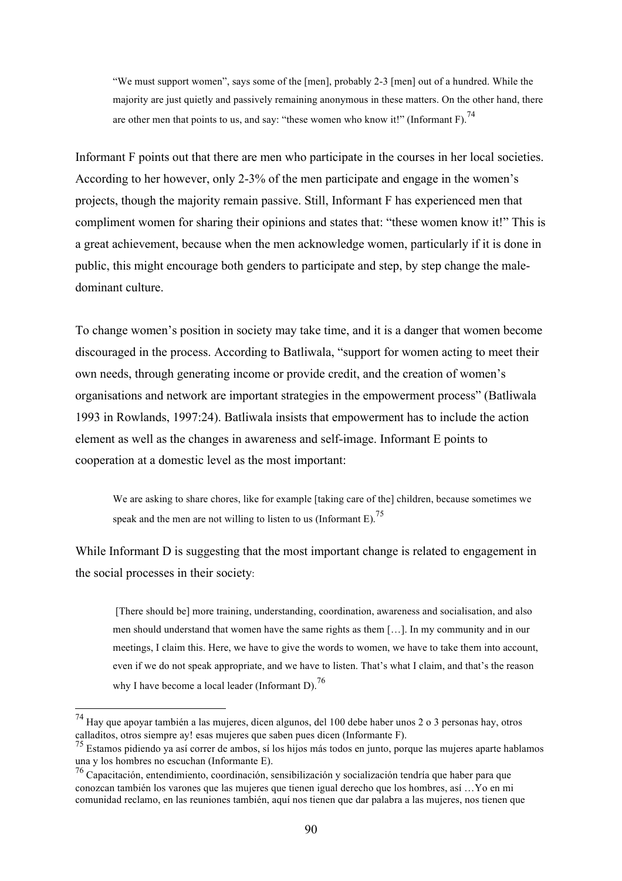"We must support women", says some of the [men], probably 2-3 [men] out of a hundred. While the majority are just quietly and passively remaining anonymous in these matters. On the other hand, there are other men that points to us, and say: "these women who know it!" (Informant F).<sup>74</sup>

Informant F points out that there are men who participate in the courses in her local societies. According to her however, only 2-3% of the men participate and engage in the women's projects, though the majority remain passive. Still, Informant F has experienced men that compliment women for sharing their opinions and states that: "these women know it!" This is a great achievement, because when the men acknowledge women, particularly if it is done in public, this might encourage both genders to participate and step, by step change the maledominant culture.

To change women's position in society may take time, and it is a danger that women become discouraged in the process. According to Batliwala, "support for women acting to meet their own needs, through generating income or provide credit, and the creation of women's organisations and network are important strategies in the empowerment process" (Batliwala 1993 in Rowlands, 1997:24). Batliwala insists that empowerment has to include the action element as well as the changes in awareness and self-image. Informant E points to cooperation at a domestic level as the most important:

We are asking to share chores, like for example [taking care of the] children, because sometimes we speak and the men are not willing to listen to us (Informant E).<sup>75</sup>

While Informant D is suggesting that the most important change is related to engagement in the social processes in their society:

[There should be] more training, understanding, coordination, awareness and socialisation, and also men should understand that women have the same rights as them […]. In my community and in our meetings, I claim this. Here, we have to give the words to women, we have to take them into account, even if we do not speak appropriate, and we have to listen. That's what I claim, and that's the reason why I have become a local leader (Informant D).<sup>76</sup>

 <sup>74</sup> Hay que apoyar también a las mujeres, dicen algunos, del 100 debe haber unos 2 o 3 personas hay, otros calladitos, otros siempre ay! esas mujeres que saben pues dicen (Informante F).

<sup>75</sup> Estamos pidiendo ya así correr de ambos, sí los hijos más todos en junto, porque las mujeres aparte hablamos una y los hombres no escuchan (Informante E).

<sup>76</sup> Capacitación, entendimiento, coordinación, sensibilización y socialización tendría que haber para que conozcan también los varones que las mujeres que tienen igual derecho que los hombres, así …Yo en mi comunidad reclamo, en las reuniones también, aquí nos tienen que dar palabra a las mujeres, nos tienen que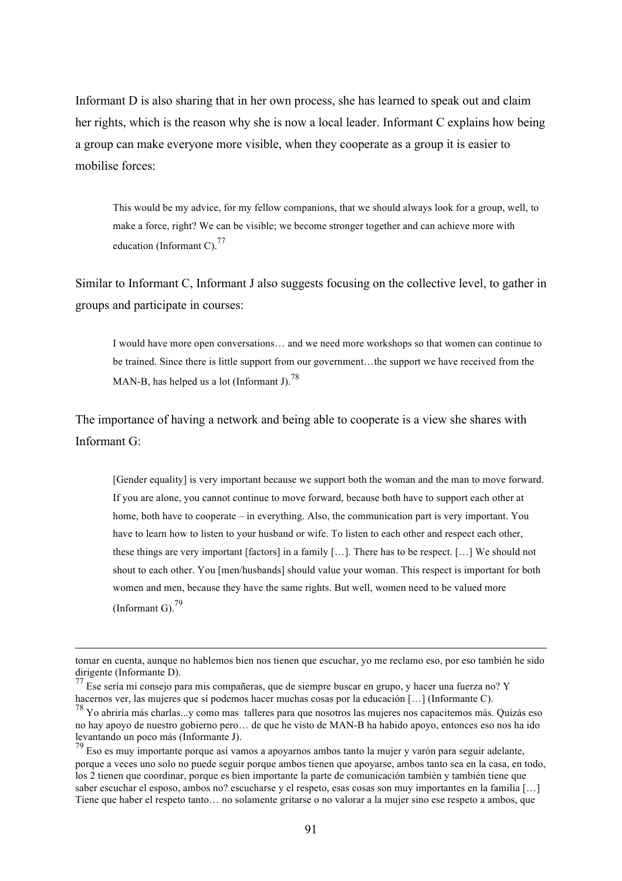Informant D is also sharing that in her own process, she has learned to speak out and claim her rights, which is the reason why she is now a local leader. Informant C explains how being a group can make everyone more visible, when they cooperate as a group it is easier to mobilise forces:

This would be my advice, for my fellow companions, that we should always look for a group, well, to make a force, right? We can be visible; we become stronger together and can achieve more with education (Informant C).<sup>77</sup>

Similar to Informant C, Informant J also suggests focusing on the collective level, to gather in groups and participate in courses:

I would have more open conversations… and we need more workshops so that women can continue to be trained. Since there is little support from our government...the support we have received from the MAN-B, has helped us a lot (Informant J).<sup>78</sup>

The importance of having a network and being able to cooperate is a view she shares with Informant G:

[Gender equality] is very important because we support both the woman and the man to move forward. If you are alone, you cannot continue to move forward, because both have to support each other at home, both have to cooperate – in everything. Also, the communication part is very important. You have to learn how to listen to your husband or wife. To listen to each other and respect each other, these things are very important [factors] in a family […]. There has to be respect. […] We should not shout to each other. You [men/husbands] should value your woman. This respect is important for both women and men, because they have the same rights. But well, women need to be valued more (Informant G).<sup>79</sup>

 $\overline{a}$ 

tomar en cuenta, aunque no hablemos bien nos tienen que escuchar, yo me reclamo eso, por eso también he sido dirigente (Informante D).

<sup>77</sup> Ese sería mi consejo para mis compañeras, que de siempre buscar en grupo, y hacer una fuerza no? Y hacernos ver, las mujeres que sí podemos hacer muchas cosas por la educación [...] (Informante C).

<sup>&</sup>lt;sup>78</sup> Yo abriría más charlas...y como mas talleres para que nosotros las mujeres nos capacitemos más. Quizás eso no hay apoyo de nuestro gobierno pero… de que he visto de MAN-B ha habido apoyo, entonces eso nos ha ido levantando un poco más (Informante J).

 $79$  Eso es muy importante porque así vamos a apoyarnos ambos tanto la mujer y varón para seguir adelante, porque a veces uno solo no puede seguir porque ambos tienen que apoyarse, ambos tanto sea en la casa, en todo, los 2 tienen que coordinar, porque es bien importante la parte de comunicación también y también tiene que saber escuchar el esposo, ambos no? escucharse y el respeto, esas cosas son muy importantes en la familia […] Tiene que haber el respeto tanto… no solamente gritarse o no valorar a la mujer sino ese respeto a ambos, que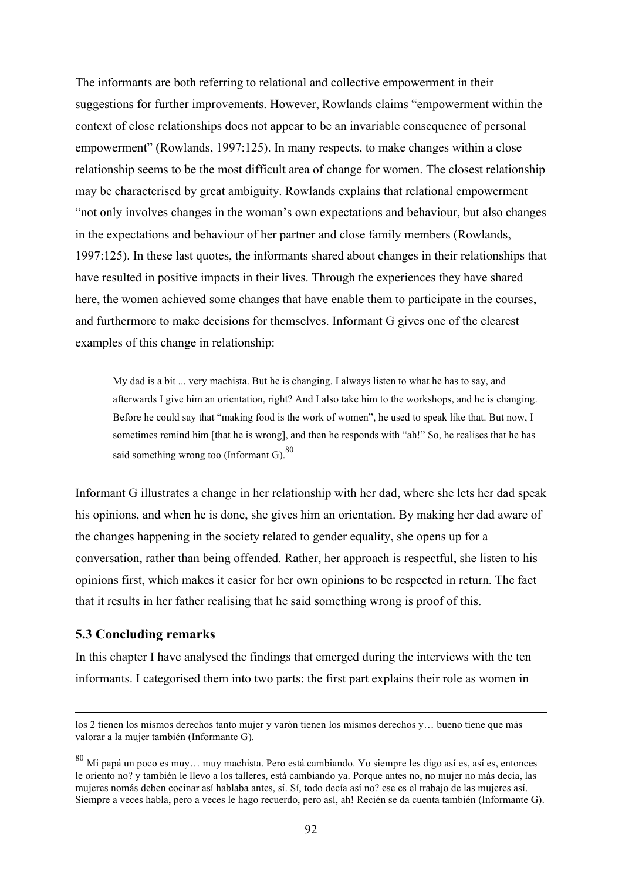The informants are both referring to relational and collective empowerment in their suggestions for further improvements. However, Rowlands claims "empowerment within the context of close relationships does not appear to be an invariable consequence of personal empowerment" (Rowlands, 1997:125). In many respects, to make changes within a close relationship seems to be the most difficult area of change for women. The closest relationship may be characterised by great ambiguity. Rowlands explains that relational empowerment "not only involves changes in the woman's own expectations and behaviour, but also changes in the expectations and behaviour of her partner and close family members (Rowlands, 1997:125). In these last quotes, the informants shared about changes in their relationships that have resulted in positive impacts in their lives. Through the experiences they have shared here, the women achieved some changes that have enable them to participate in the courses, and furthermore to make decisions for themselves. Informant G gives one of the clearest examples of this change in relationship:

My dad is a bit ... very machista. But he is changing. I always listen to what he has to say, and afterwards I give him an orientation, right? And I also take him to the workshops, and he is changing. Before he could say that "making food is the work of women", he used to speak like that. But now, I sometimes remind him [that he is wrong], and then he responds with "ah!" So, he realises that he has said something wrong too (Informant G).  $80$ 

Informant G illustrates a change in her relationship with her dad, where she lets her dad speak his opinions, and when he is done, she gives him an orientation. By making her dad aware of the changes happening in the society related to gender equality, she opens up for a conversation, rather than being offended. Rather, her approach is respectful, she listen to his opinions first, which makes it easier for her own opinions to be respected in return. The fact that it results in her father realising that he said something wrong is proof of this.

## **5.3 Concluding remarks**

In this chapter I have analysed the findings that emerged during the interviews with the ten informants. I categorised them into two parts: the first part explains their role as women in

los 2 tienen los mismos derechos tanto mujer y varón tienen los mismos derechos y… bueno tiene que más valorar a la mujer también (Informante G).

<sup>80</sup> Mi papá un poco es muy… muy machista. Pero está cambiando. Yo siempre les digo así es, así es, entonces le oriento no? y también le llevo a los talleres, está cambiando ya. Porque antes no, no mujer no más decía, las mujeres nomás deben cocinar así hablaba antes, sí. Sí, todo decía así no? ese es el trabajo de las mujeres así. Siempre a veces habla, pero a veces le hago recuerdo, pero así, ah! Recién se da cuenta también (Informante G).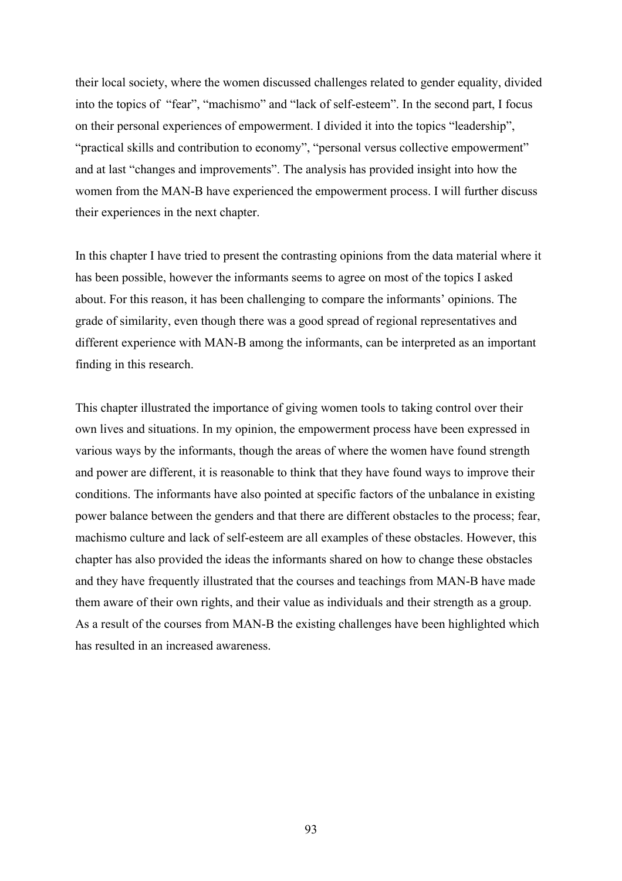their local society, where the women discussed challenges related to gender equality, divided into the topics of "fear", "machismo" and "lack of self-esteem". In the second part, I focus on their personal experiences of empowerment. I divided it into the topics "leadership", "practical skills and contribution to economy", "personal versus collective empowerment" and at last "changes and improvements". The analysis has provided insight into how the women from the MAN-B have experienced the empowerment process. I will further discuss their experiences in the next chapter.

In this chapter I have tried to present the contrasting opinions from the data material where it has been possible, however the informants seems to agree on most of the topics I asked about. For this reason, it has been challenging to compare the informants' opinions. The grade of similarity, even though there was a good spread of regional representatives and different experience with MAN-B among the informants, can be interpreted as an important finding in this research.

This chapter illustrated the importance of giving women tools to taking control over their own lives and situations. In my opinion, the empowerment process have been expressed in various ways by the informants, though the areas of where the women have found strength and power are different, it is reasonable to think that they have found ways to improve their conditions. The informants have also pointed at specific factors of the unbalance in existing power balance between the genders and that there are different obstacles to the process; fear, machismo culture and lack of self-esteem are all examples of these obstacles. However, this chapter has also provided the ideas the informants shared on how to change these obstacles and they have frequently illustrated that the courses and teachings from MAN-B have made them aware of their own rights, and their value as individuals and their strength as a group. As a result of the courses from MAN-B the existing challenges have been highlighted which has resulted in an increased awareness.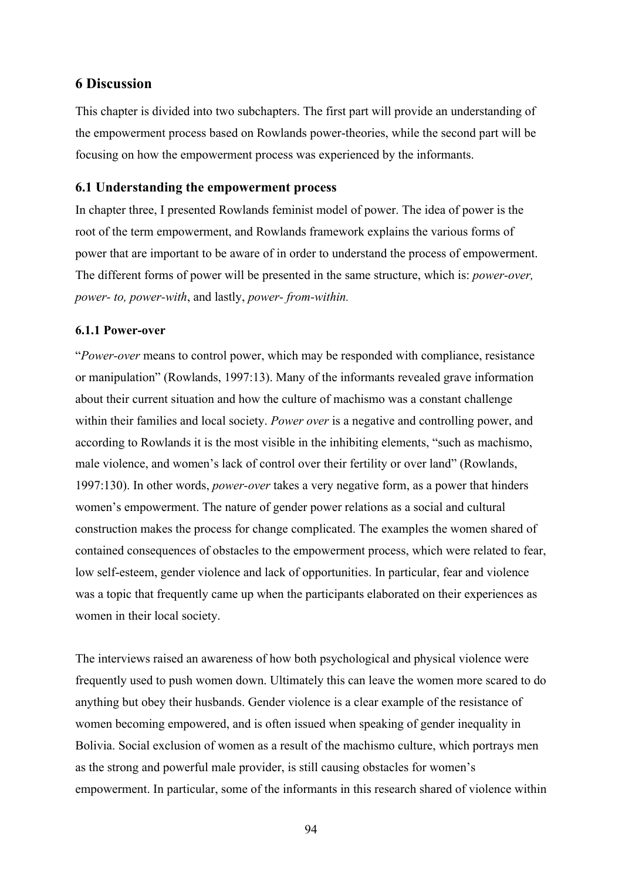## **6 Discussion**

This chapter is divided into two subchapters. The first part will provide an understanding of the empowerment process based on Rowlands power-theories, while the second part will be focusing on how the empowerment process was experienced by the informants.

## **6.1 Understanding the empowerment process**

In chapter three, I presented Rowlands feminist model of power. The idea of power is the root of the term empowerment, and Rowlands framework explains the various forms of power that are important to be aware of in order to understand the process of empowerment. The different forms of power will be presented in the same structure, which is: *power-over, power- to, power-with*, and lastly, *power- from-within.*

## **6.1.1 Power-over**

"*Power-over* means to control power, which may be responded with compliance, resistance or manipulation" (Rowlands, 1997:13). Many of the informants revealed grave information about their current situation and how the culture of machismo was a constant challenge within their families and local society. *Power over* is a negative and controlling power, and according to Rowlands it is the most visible in the inhibiting elements, "such as machismo, male violence, and women's lack of control over their fertility or over land" (Rowlands, 1997:130). In other words, *power-over* takes a very negative form, as a power that hinders women's empowerment. The nature of gender power relations as a social and cultural construction makes the process for change complicated. The examples the women shared of contained consequences of obstacles to the empowerment process, which were related to fear, low self-esteem, gender violence and lack of opportunities. In particular, fear and violence was a topic that frequently came up when the participants elaborated on their experiences as women in their local society.

The interviews raised an awareness of how both psychological and physical violence were frequently used to push women down. Ultimately this can leave the women more scared to do anything but obey their husbands. Gender violence is a clear example of the resistance of women becoming empowered, and is often issued when speaking of gender inequality in Bolivia. Social exclusion of women as a result of the machismo culture, which portrays men as the strong and powerful male provider, is still causing obstacles for women's empowerment. In particular, some of the informants in this research shared of violence within

94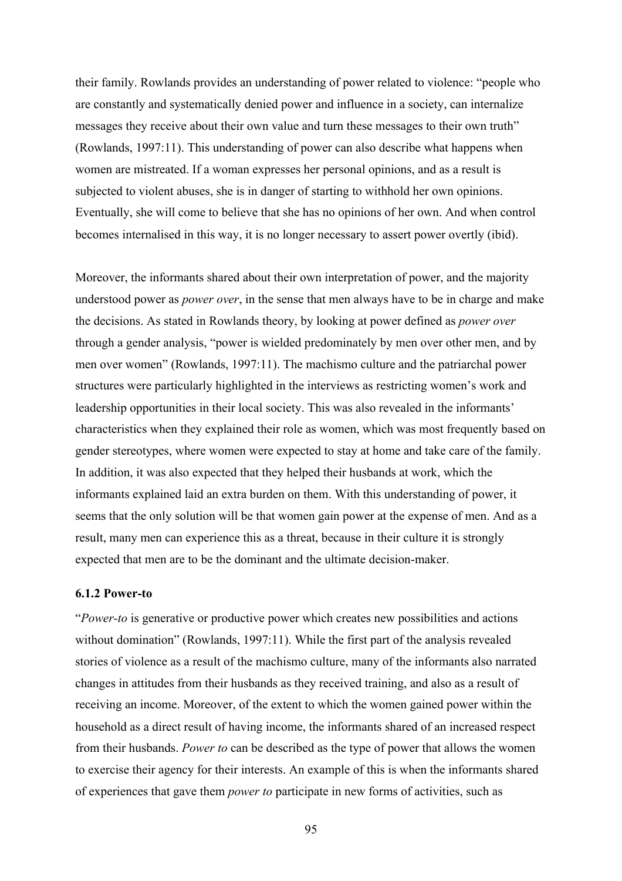their family. Rowlands provides an understanding of power related to violence: "people who are constantly and systematically denied power and influence in a society, can internalize messages they receive about their own value and turn these messages to their own truth" (Rowlands, 1997:11). This understanding of power can also describe what happens when women are mistreated. If a woman expresses her personal opinions, and as a result is subjected to violent abuses, she is in danger of starting to withhold her own opinions. Eventually, she will come to believe that she has no opinions of her own. And when control becomes internalised in this way, it is no longer necessary to assert power overtly (ibid).

Moreover, the informants shared about their own interpretation of power, and the majority understood power as *power over*, in the sense that men always have to be in charge and make the decisions. As stated in Rowlands theory, by looking at power defined as *power over* through a gender analysis, "power is wielded predominately by men over other men, and by men over women" (Rowlands, 1997:11). The machismo culture and the patriarchal power structures were particularly highlighted in the interviews as restricting women's work and leadership opportunities in their local society. This was also revealed in the informants' characteristics when they explained their role as women, which was most frequently based on gender stereotypes, where women were expected to stay at home and take care of the family. In addition, it was also expected that they helped their husbands at work, which the informants explained laid an extra burden on them. With this understanding of power, it seems that the only solution will be that women gain power at the expense of men. And as a result, many men can experience this as a threat, because in their culture it is strongly expected that men are to be the dominant and the ultimate decision-maker.

#### **6.1.2 Power-to**

"*Power-to* is generative or productive power which creates new possibilities and actions without domination" (Rowlands, 1997:11). While the first part of the analysis revealed stories of violence as a result of the machismo culture, many of the informants also narrated changes in attitudes from their husbands as they received training, and also as a result of receiving an income. Moreover, of the extent to which the women gained power within the household as a direct result of having income, the informants shared of an increased respect from their husbands. *Power to* can be described as the type of power that allows the women to exercise their agency for their interests. An example of this is when the informants shared of experiences that gave them *power to* participate in new forms of activities, such as

95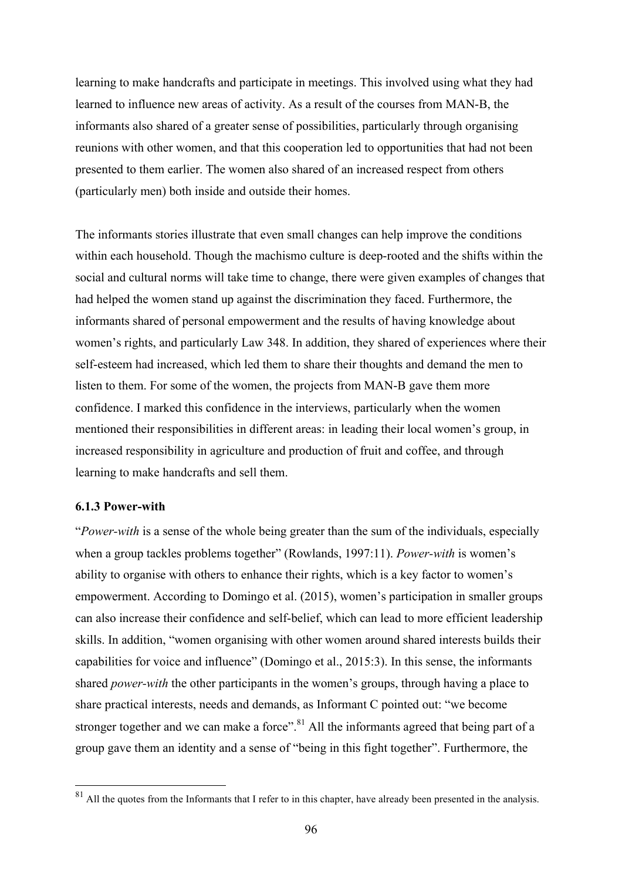learning to make handcrafts and participate in meetings. This involved using what they had learned to influence new areas of activity. As a result of the courses from MAN-B, the informants also shared of a greater sense of possibilities, particularly through organising reunions with other women, and that this cooperation led to opportunities that had not been presented to them earlier. The women also shared of an increased respect from others (particularly men) both inside and outside their homes.

The informants stories illustrate that even small changes can help improve the conditions within each household. Though the machismo culture is deep-rooted and the shifts within the social and cultural norms will take time to change, there were given examples of changes that had helped the women stand up against the discrimination they faced. Furthermore, the informants shared of personal empowerment and the results of having knowledge about women's rights, and particularly Law 348. In addition, they shared of experiences where their self-esteem had increased, which led them to share their thoughts and demand the men to listen to them. For some of the women, the projects from MAN-B gave them more confidence. I marked this confidence in the interviews, particularly when the women mentioned their responsibilities in different areas: in leading their local women's group, in increased responsibility in agriculture and production of fruit and coffee, and through learning to make handcrafts and sell them.

#### **6.1.3 Power-with**

"*Power-with* is a sense of the whole being greater than the sum of the individuals, especially when a group tackles problems together" (Rowlands, 1997:11). *Power-with* is women's ability to organise with others to enhance their rights, which is a key factor to women's empowerment. According to Domingo et al. (2015), women's participation in smaller groups can also increase their confidence and self-belief, which can lead to more efficient leadership skills. In addition, "women organising with other women around shared interests builds their capabilities for voice and influence" (Domingo et al., 2015:3). In this sense, the informants shared *power-with* the other participants in the women's groups, through having a place to share practical interests, needs and demands, as Informant C pointed out: "we become stronger together and we can make a force".<sup>81</sup> All the informants agreed that being part of a group gave them an identity and a sense of "being in this fight together". Furthermore, the

<sup>&</sup>lt;sup>81</sup> All the quotes from the Informants that I refer to in this chapter, have already been presented in the analysis.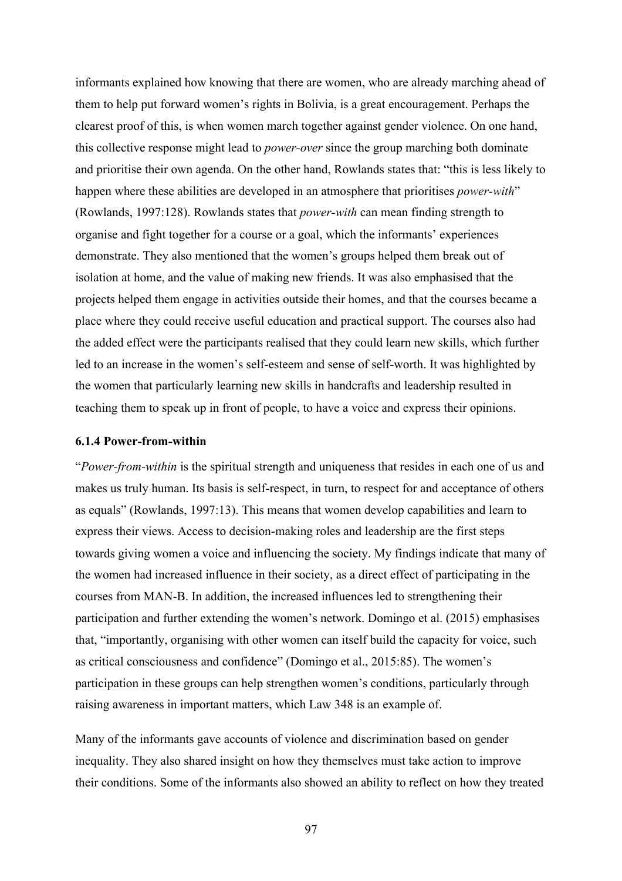informants explained how knowing that there are women, who are already marching ahead of them to help put forward women's rights in Bolivia, is a great encouragement. Perhaps the clearest proof of this, is when women march together against gender violence. On one hand, this collective response might lead to *power-over* since the group marching both dominate and prioritise their own agenda. On the other hand, Rowlands states that: "this is less likely to happen where these abilities are developed in an atmosphere that prioritises *power-with*" (Rowlands, 1997:128). Rowlands states that *power-with* can mean finding strength to organise and fight together for a course or a goal, which the informants' experiences demonstrate. They also mentioned that the women's groups helped them break out of isolation at home, and the value of making new friends. It was also emphasised that the projects helped them engage in activities outside their homes, and that the courses became a place where they could receive useful education and practical support. The courses also had the added effect were the participants realised that they could learn new skills, which further led to an increase in the women's self-esteem and sense of self-worth. It was highlighted by the women that particularly learning new skills in handcrafts and leadership resulted in teaching them to speak up in front of people, to have a voice and express their opinions.

#### **6.1.4 Power-from-within**

"*Power-from-within* is the spiritual strength and uniqueness that resides in each one of us and makes us truly human. Its basis is self-respect, in turn, to respect for and acceptance of others as equals" (Rowlands, 1997:13). This means that women develop capabilities and learn to express their views. Access to decision-making roles and leadership are the first steps towards giving women a voice and influencing the society. My findings indicate that many of the women had increased influence in their society, as a direct effect of participating in the courses from MAN-B. In addition, the increased influences led to strengthening their participation and further extending the women's network. Domingo et al. (2015) emphasises that, "importantly, organising with other women can itself build the capacity for voice, such as critical consciousness and confidence" (Domingo et al., 2015:85). The women's participation in these groups can help strengthen women's conditions, particularly through raising awareness in important matters, which Law 348 is an example of.

Many of the informants gave accounts of violence and discrimination based on gender inequality. They also shared insight on how they themselves must take action to improve their conditions. Some of the informants also showed an ability to reflect on how they treated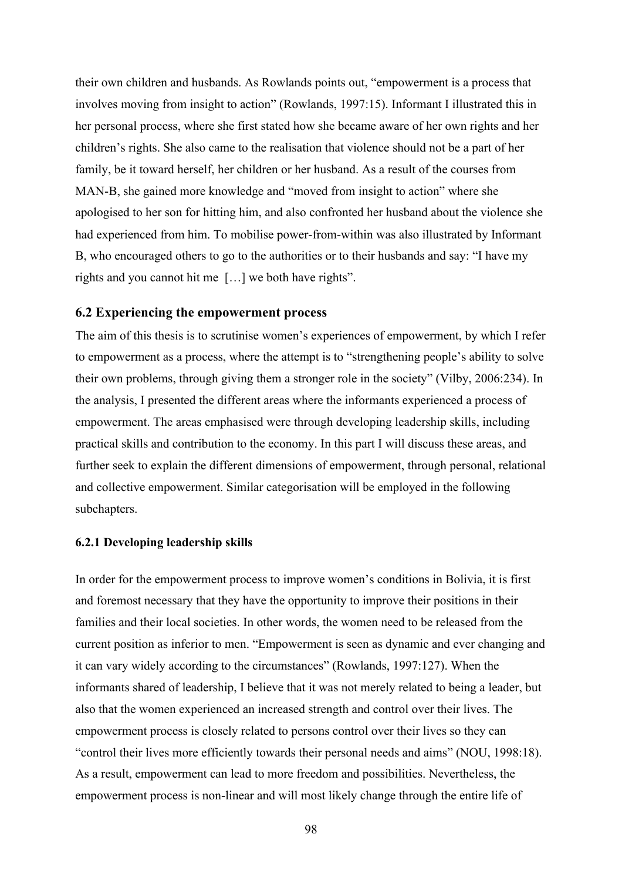their own children and husbands. As Rowlands points out, "empowerment is a process that involves moving from insight to action" (Rowlands, 1997:15). Informant I illustrated this in her personal process, where she first stated how she became aware of her own rights and her children's rights. She also came to the realisation that violence should not be a part of her family, be it toward herself, her children or her husband. As a result of the courses from MAN-B, she gained more knowledge and "moved from insight to action" where she apologised to her son for hitting him, and also confronted her husband about the violence she had experienced from him. To mobilise power-from-within was also illustrated by Informant B, who encouraged others to go to the authorities or to their husbands and say: "I have my rights and you cannot hit me […] we both have rights".

#### **6.2 Experiencing the empowerment process**

The aim of this thesis is to scrutinise women's experiences of empowerment, by which I refer to empowerment as a process, where the attempt is to "strengthening people's ability to solve their own problems, through giving them a stronger role in the society" (Vilby, 2006:234). In the analysis, I presented the different areas where the informants experienced a process of empowerment. The areas emphasised were through developing leadership skills, including practical skills and contribution to the economy. In this part I will discuss these areas, and further seek to explain the different dimensions of empowerment, through personal, relational and collective empowerment. Similar categorisation will be employed in the following subchapters.

#### **6.2.1 Developing leadership skills**

In order for the empowerment process to improve women's conditions in Bolivia, it is first and foremost necessary that they have the opportunity to improve their positions in their families and their local societies. In other words, the women need to be released from the current position as inferior to men. "Empowerment is seen as dynamic and ever changing and it can vary widely according to the circumstances" (Rowlands, 1997:127). When the informants shared of leadership, I believe that it was not merely related to being a leader, but also that the women experienced an increased strength and control over their lives. The empowerment process is closely related to persons control over their lives so they can "control their lives more efficiently towards their personal needs and aims" (NOU, 1998:18). As a result, empowerment can lead to more freedom and possibilities. Nevertheless, the empowerment process is non-linear and will most likely change through the entire life of

98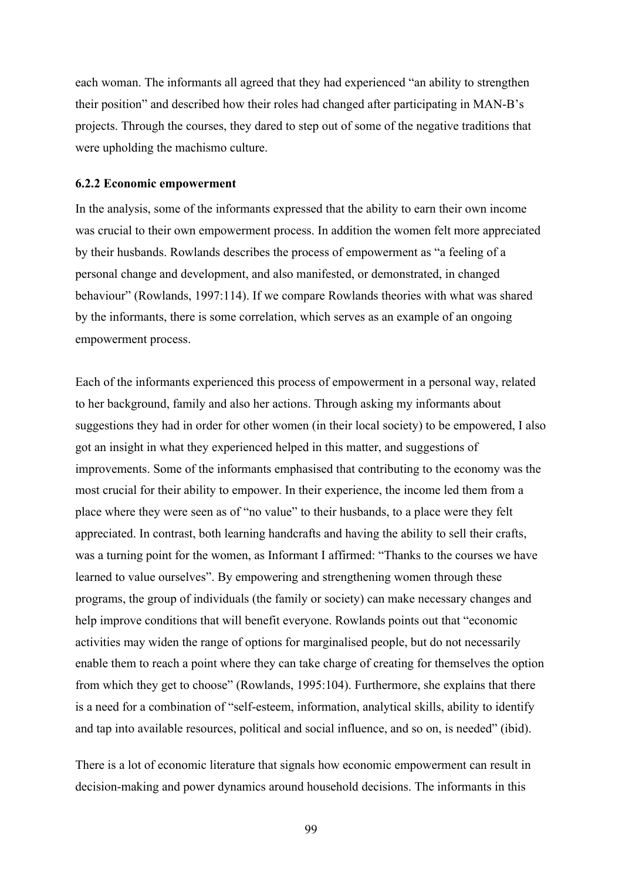each woman. The informants all agreed that they had experienced "an ability to strengthen their position" and described how their roles had changed after participating in MAN-B's projects. Through the courses, they dared to step out of some of the negative traditions that were upholding the machismo culture.

#### **6.2.2 Economic empowerment**

In the analysis, some of the informants expressed that the ability to earn their own income was crucial to their own empowerment process. In addition the women felt more appreciated by their husbands. Rowlands describes the process of empowerment as "a feeling of a personal change and development, and also manifested, or demonstrated, in changed behaviour" (Rowlands, 1997:114). If we compare Rowlands theories with what was shared by the informants, there is some correlation, which serves as an example of an ongoing empowerment process.

Each of the informants experienced this process of empowerment in a personal way, related to her background, family and also her actions. Through asking my informants about suggestions they had in order for other women (in their local society) to be empowered, I also got an insight in what they experienced helped in this matter, and suggestions of improvements. Some of the informants emphasised that contributing to the economy was the most crucial for their ability to empower. In their experience, the income led them from a place where they were seen as of "no value" to their husbands, to a place were they felt appreciated. In contrast, both learning handcrafts and having the ability to sell their crafts, was a turning point for the women, as Informant I affirmed: "Thanks to the courses we have learned to value ourselves". By empowering and strengthening women through these programs, the group of individuals (the family or society) can make necessary changes and help improve conditions that will benefit everyone. Rowlands points out that "economic activities may widen the range of options for marginalised people, but do not necessarily enable them to reach a point where they can take charge of creating for themselves the option from which they get to choose" (Rowlands, 1995:104). Furthermore, she explains that there is a need for a combination of "self-esteem, information, analytical skills, ability to identify and tap into available resources, political and social influence, and so on, is needed" (ibid).

There is a lot of economic literature that signals how economic empowerment can result in decision-making and power dynamics around household decisions. The informants in this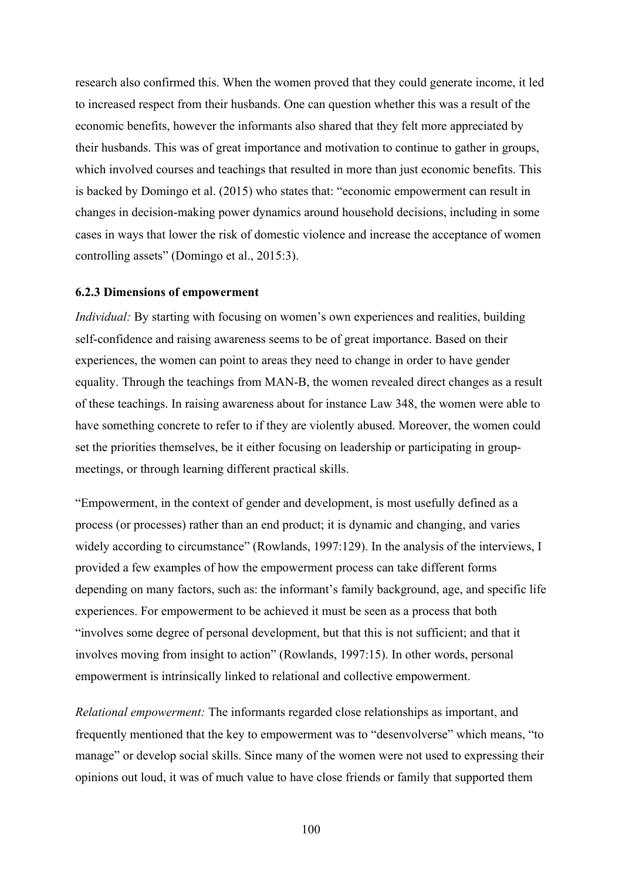research also confirmed this. When the women proved that they could generate income, it led to increased respect from their husbands. One can question whether this was a result of the economic benefits, however the informants also shared that they felt more appreciated by their husbands. This was of great importance and motivation to continue to gather in groups, which involved courses and teachings that resulted in more than just economic benefits. This is backed by Domingo et al. (2015) who states that: "economic empowerment can result in changes in decision-making power dynamics around household decisions, including in some cases in ways that lower the risk of domestic violence and increase the acceptance of women controlling assets" (Domingo et al., 2015:3).

#### **6.2.3 Dimensions of empowerment**

*Individual:* By starting with focusing on women's own experiences and realities, building self-confidence and raising awareness seems to be of great importance. Based on their experiences, the women can point to areas they need to change in order to have gender equality. Through the teachings from MAN-B, the women revealed direct changes as a result of these teachings. In raising awareness about for instance Law 348, the women were able to have something concrete to refer to if they are violently abused. Moreover, the women could set the priorities themselves, be it either focusing on leadership or participating in groupmeetings, or through learning different practical skills.

"Empowerment, in the context of gender and development, is most usefully defined as a process (or processes) rather than an end product; it is dynamic and changing, and varies widely according to circumstance" (Rowlands, 1997:129). In the analysis of the interviews, I provided a few examples of how the empowerment process can take different forms depending on many factors, such as: the informant's family background, age, and specific life experiences. For empowerment to be achieved it must be seen as a process that both "involves some degree of personal development, but that this is not sufficient; and that it involves moving from insight to action" (Rowlands, 1997:15). In other words, personal empowerment is intrinsically linked to relational and collective empowerment.

*Relational empowerment:* The informants regarded close relationships as important, and frequently mentioned that the key to empowerment was to "desenvolverse" which means, "to manage" or develop social skills. Since many of the women were not used to expressing their opinions out loud, it was of much value to have close friends or family that supported them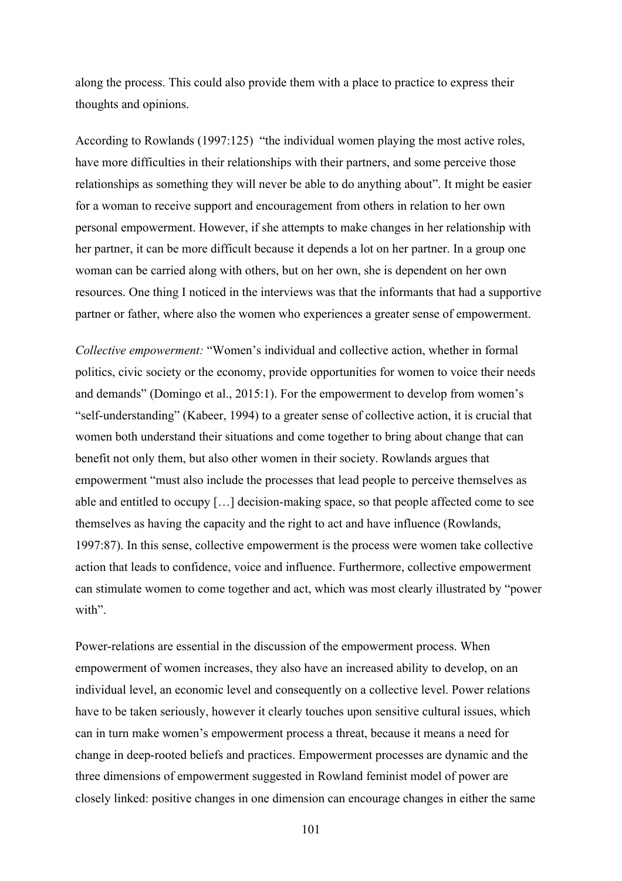along the process. This could also provide them with a place to practice to express their thoughts and opinions.

According to Rowlands (1997:125) "the individual women playing the most active roles, have more difficulties in their relationships with their partners, and some perceive those relationships as something they will never be able to do anything about". It might be easier for a woman to receive support and encouragement from others in relation to her own personal empowerment. However, if she attempts to make changes in her relationship with her partner, it can be more difficult because it depends a lot on her partner. In a group one woman can be carried along with others, but on her own, she is dependent on her own resources. One thing I noticed in the interviews was that the informants that had a supportive partner or father, where also the women who experiences a greater sense of empowerment.

*Collective empowerment:* "Women's individual and collective action, whether in formal politics, civic society or the economy, provide opportunities for women to voice their needs and demands" (Domingo et al., 2015:1). For the empowerment to develop from women's "self-understanding" (Kabeer, 1994) to a greater sense of collective action, it is crucial that women both understand their situations and come together to bring about change that can benefit not only them, but also other women in their society. Rowlands argues that empowerment "must also include the processes that lead people to perceive themselves as able and entitled to occupy […] decision-making space, so that people affected come to see themselves as having the capacity and the right to act and have influence (Rowlands, 1997:87). In this sense, collective empowerment is the process were women take collective action that leads to confidence, voice and influence. Furthermore, collective empowerment can stimulate women to come together and act, which was most clearly illustrated by "power with"

Power-relations are essential in the discussion of the empowerment process. When empowerment of women increases, they also have an increased ability to develop, on an individual level, an economic level and consequently on a collective level. Power relations have to be taken seriously, however it clearly touches upon sensitive cultural issues, which can in turn make women's empowerment process a threat, because it means a need for change in deep-rooted beliefs and practices. Empowerment processes are dynamic and the three dimensions of empowerment suggested in Rowland feminist model of power are closely linked: positive changes in one dimension can encourage changes in either the same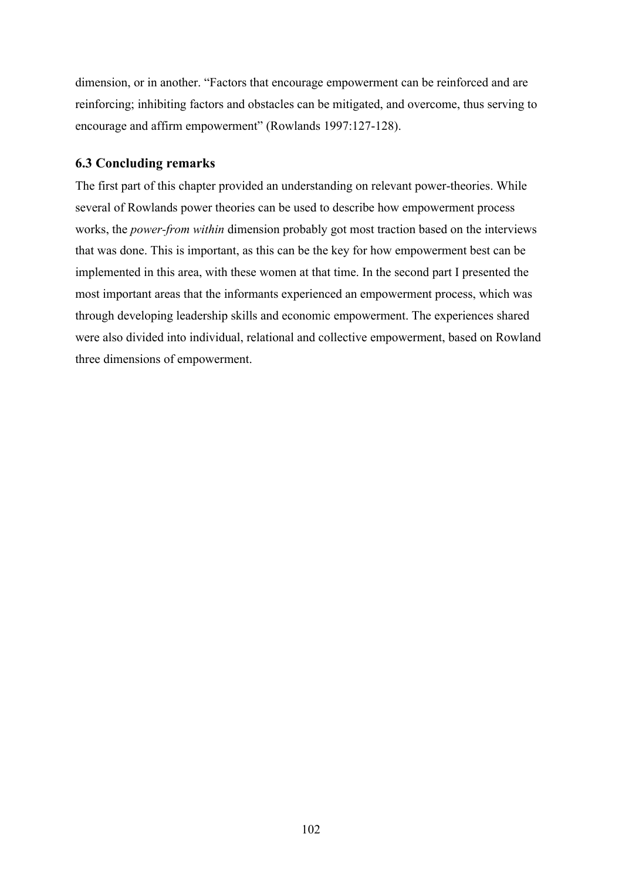dimension, or in another. "Factors that encourage empowerment can be reinforced and are reinforcing; inhibiting factors and obstacles can be mitigated, and overcome, thus serving to encourage and affirm empowerment" (Rowlands 1997:127-128).

# **6.3 Concluding remarks**

The first part of this chapter provided an understanding on relevant power-theories. While several of Rowlands power theories can be used to describe how empowerment process works, the *power-from within* dimension probably got most traction based on the interviews that was done. This is important, as this can be the key for how empowerment best can be implemented in this area, with these women at that time. In the second part I presented the most important areas that the informants experienced an empowerment process, which was through developing leadership skills and economic empowerment. The experiences shared were also divided into individual, relational and collective empowerment, based on Rowland three dimensions of empowerment.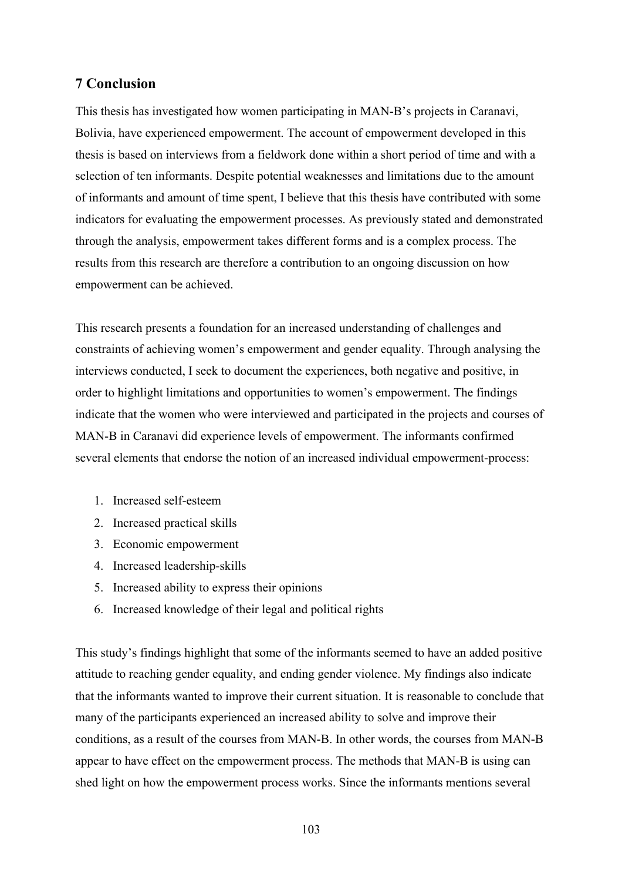# **7 Conclusion**

This thesis has investigated how women participating in MAN-B's projects in Caranavi, Bolivia, have experienced empowerment. The account of empowerment developed in this thesis is based on interviews from a fieldwork done within a short period of time and with a selection of ten informants. Despite potential weaknesses and limitations due to the amount of informants and amount of time spent, I believe that this thesis have contributed with some indicators for evaluating the empowerment processes. As previously stated and demonstrated through the analysis, empowerment takes different forms and is a complex process. The results from this research are therefore a contribution to an ongoing discussion on how empowerment can be achieved.

This research presents a foundation for an increased understanding of challenges and constraints of achieving women's empowerment and gender equality. Through analysing the interviews conducted, I seek to document the experiences, both negative and positive, in order to highlight limitations and opportunities to women's empowerment. The findings indicate that the women who were interviewed and participated in the projects and courses of MAN-B in Caranavi did experience levels of empowerment. The informants confirmed several elements that endorse the notion of an increased individual empowerment-process:

- 1. Increased self-esteem
- 2. Increased practical skills
- 3. Economic empowerment
- 4. Increased leadership-skills
- 5. Increased ability to express their opinions
- 6. Increased knowledge of their legal and political rights

This study's findings highlight that some of the informants seemed to have an added positive attitude to reaching gender equality, and ending gender violence. My findings also indicate that the informants wanted to improve their current situation. It is reasonable to conclude that many of the participants experienced an increased ability to solve and improve their conditions, as a result of the courses from MAN-B. In other words, the courses from MAN-B appear to have effect on the empowerment process. The methods that MAN-B is using can shed light on how the empowerment process works. Since the informants mentions several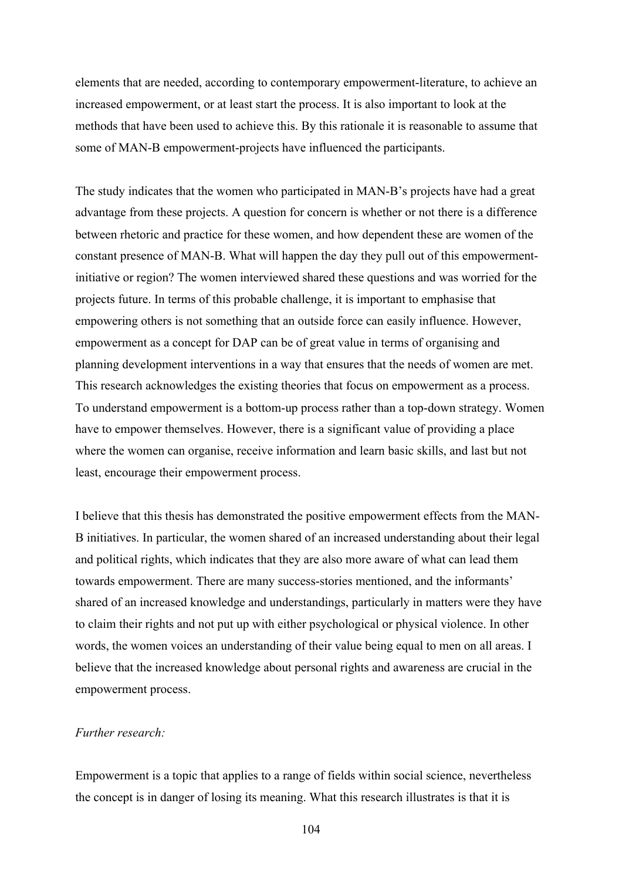elements that are needed, according to contemporary empowerment-literature, to achieve an increased empowerment, or at least start the process. It is also important to look at the methods that have been used to achieve this. By this rationale it is reasonable to assume that some of MAN-B empowerment-projects have influenced the participants.

The study indicates that the women who participated in MAN-B's projects have had a great advantage from these projects. A question for concern is whether or not there is a difference between rhetoric and practice for these women, and how dependent these are women of the constant presence of MAN-B. What will happen the day they pull out of this empowermentinitiative or region? The women interviewed shared these questions and was worried for the projects future. In terms of this probable challenge, it is important to emphasise that empowering others is not something that an outside force can easily influence. However, empowerment as a concept for DAP can be of great value in terms of organising and planning development interventions in a way that ensures that the needs of women are met. This research acknowledges the existing theories that focus on empowerment as a process. To understand empowerment is a bottom-up process rather than a top-down strategy. Women have to empower themselves. However, there is a significant value of providing a place where the women can organise, receive information and learn basic skills, and last but not least, encourage their empowerment process.

I believe that this thesis has demonstrated the positive empowerment effects from the MAN-B initiatives. In particular, the women shared of an increased understanding about their legal and political rights, which indicates that they are also more aware of what can lead them towards empowerment. There are many success-stories mentioned, and the informants' shared of an increased knowledge and understandings, particularly in matters were they have to claim their rights and not put up with either psychological or physical violence. In other words, the women voices an understanding of their value being equal to men on all areas. I believe that the increased knowledge about personal rights and awareness are crucial in the empowerment process.

## *Further research:*

Empowerment is a topic that applies to a range of fields within social science, nevertheless the concept is in danger of losing its meaning. What this research illustrates is that it is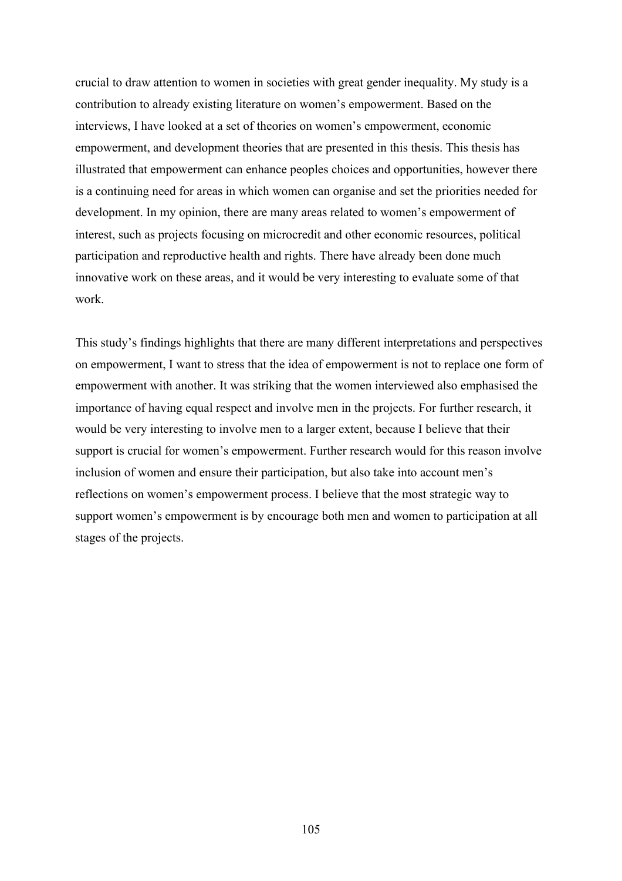crucial to draw attention to women in societies with great gender inequality. My study is a contribution to already existing literature on women's empowerment. Based on the interviews, I have looked at a set of theories on women's empowerment, economic empowerment, and development theories that are presented in this thesis. This thesis has illustrated that empowerment can enhance peoples choices and opportunities, however there is a continuing need for areas in which women can organise and set the priorities needed for development. In my opinion, there are many areas related to women's empowerment of interest, such as projects focusing on microcredit and other economic resources, political participation and reproductive health and rights. There have already been done much innovative work on these areas, and it would be very interesting to evaluate some of that work.

This study's findings highlights that there are many different interpretations and perspectives on empowerment, I want to stress that the idea of empowerment is not to replace one form of empowerment with another. It was striking that the women interviewed also emphasised the importance of having equal respect and involve men in the projects. For further research, it would be very interesting to involve men to a larger extent, because I believe that their support is crucial for women's empowerment. Further research would for this reason involve inclusion of women and ensure their participation, but also take into account men's reflections on women's empowerment process. I believe that the most strategic way to support women's empowerment is by encourage both men and women to participation at all stages of the projects.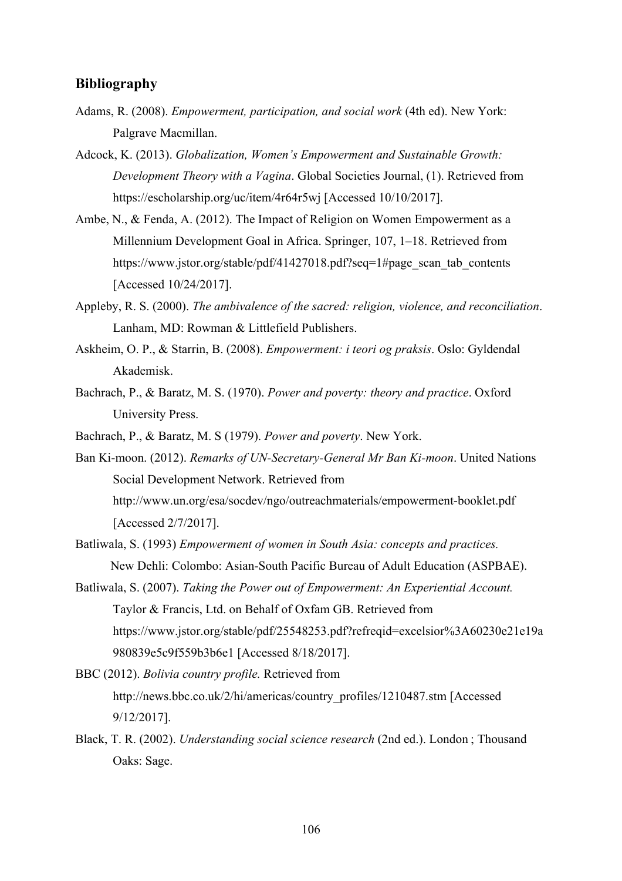## **Bibliography**

- Adams, R. (2008). *Empowerment, participation, and social work* (4th ed). New York: Palgrave Macmillan.
- Adcock, K. (2013). *Globalization, Women's Empowerment and Sustainable Growth: Development Theory with a Vagina*. Global Societies Journal, (1). Retrieved from https://escholarship.org/uc/item/4r64r5wj [Accessed 10/10/2017].
- Ambe, N., & Fenda, A. (2012). The Impact of Religion on Women Empowerment as a Millennium Development Goal in Africa. Springer, 107, 1–18. Retrieved from https://www.jstor.org/stable/pdf/41427018.pdf?seq=1#page\_scan\_tab\_contents [Accessed 10/24/2017].
- Appleby, R. S. (2000). *The ambivalence of the sacred: religion, violence, and reconciliation*. Lanham, MD: Rowman & Littlefield Publishers.
- Askheim, O. P., & Starrin, B. (2008). *Empowerment: i teori og praksis*. Oslo: Gyldendal Akademisk.
- Bachrach, P., & Baratz, M. S. (1970). *Power and poverty: theory and practice*. Oxford University Press.
- Bachrach, P., & Baratz, M. S (1979). *Power and poverty*. New York.

Ban Ki-moon. (2012). *Remarks of UN-Secretary-General Mr Ban Ki-moon*. United Nations Social Development Network. Retrieved from http://www.un.org/esa/socdev/ngo/outreachmaterials/empowerment-booklet.pdf [Accessed 2/7/2017].

- Batliwala, S. (1993) *Empowerment of women in South Asia: concepts and practices.*  New Dehli: Colombo: Asian-South Pacific Bureau of Adult Education (ASPBAE).
- Batliwala, S. (2007). *Taking the Power out of Empowerment: An Experiential Account.*  Taylor & Francis, Ltd. on Behalf of Oxfam GB. Retrieved from https://www.jstor.org/stable/pdf/25548253.pdf?refreqid=excelsior%3A60230e21e19a 980839e5c9f559b3b6e1 [Accessed 8/18/2017].
- BBC (2012). *Bolivia country profile.* Retrieved from http://news.bbc.co.uk/2/hi/americas/country\_profiles/1210487.stm [Accessed] 9/12/2017].
- Black, T. R. (2002). *Understanding social science research* (2nd ed.). London ; Thousand Oaks: Sage.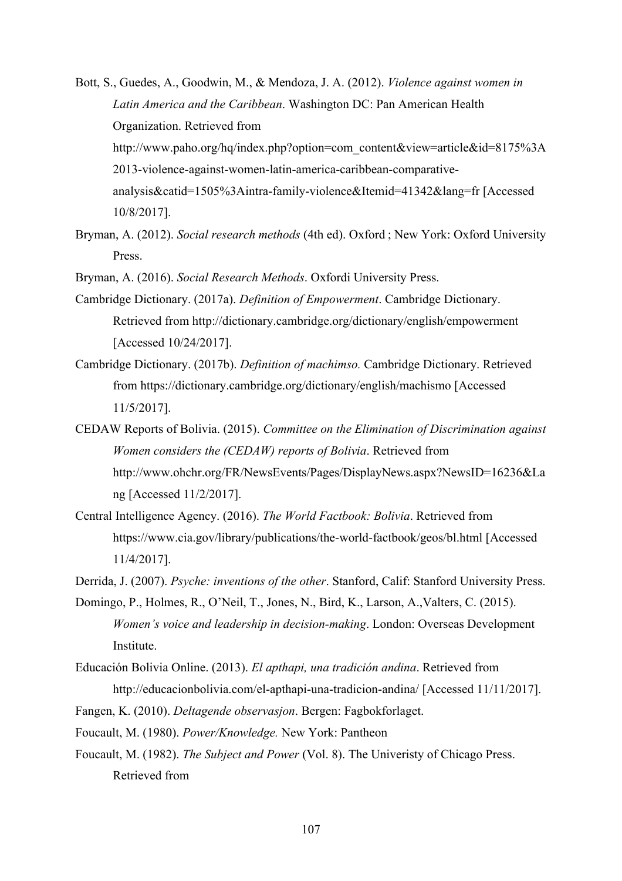- Bott, S., Guedes, A., Goodwin, M., & Mendoza, J. A. (2012). *Violence against women in Latin America and the Caribbean*. Washington DC: Pan American Health Organization. Retrieved from http://www.paho.org/hq/index.php?option=com\_content&view=article&id=8175%3A 2013-violence-against-women-latin-america-caribbean-comparativeanalysis&catid=1505%3Aintra-family-violence&Itemid=41342&lang=fr [Accessed 10/8/2017].
- Bryman, A. (2012). *Social research methods* (4th ed). Oxford ; New York: Oxford University Press.
- Bryman, A. (2016). *Social Research Methods*. Oxfordi University Press.
- Cambridge Dictionary. (2017a). *Definition of Empowerment*. Cambridge Dictionary. Retrieved from http://dictionary.cambridge.org/dictionary/english/empowerment [Accessed 10/24/2017].
- Cambridge Dictionary. (2017b). *Definition of machimso.* Cambridge Dictionary. Retrieved from https://dictionary.cambridge.org/dictionary/english/machismo [Accessed 11/5/2017].
- CEDAW Reports of Bolivia. (2015). *Committee on the Elimination of Discrimination against Women considers the (CEDAW) reports of Bolivia*. Retrieved from http://www.ohchr.org/FR/NewsEvents/Pages/DisplayNews.aspx?NewsID=16236&La ng [Accessed 11/2/2017].
- Central Intelligence Agency. (2016). *The World Factbook: Bolivia*. Retrieved from https://www.cia.gov/library/publications/the-world-factbook/geos/bl.html [Accessed 11/4/2017].

Derrida, J. (2007). *Psyche: inventions of the other*. Stanford, Calif: Stanford University Press.

- Domingo, P., Holmes, R., O'Neil, T., Jones, N., Bird, K., Larson, A.,Valters, C. (2015). *Women's voice and leadership in decision-making*. London: Overseas Development Institute.
- Educación Bolivia Online. (2013). *El apthapi, una tradición andina*. Retrieved from http://educacionbolivia.com/el-apthapi-una-tradicion-andina/ [Accessed 11/11/2017].
- Fangen, K. (2010). *Deltagende observasjon*. Bergen: Fagbokforlaget.
- Foucault, M. (1980). *Power/Knowledge.* New York: Pantheon
- Foucault, M. (1982). *The Subject and Power* (Vol. 8). The Univeristy of Chicago Press. Retrieved from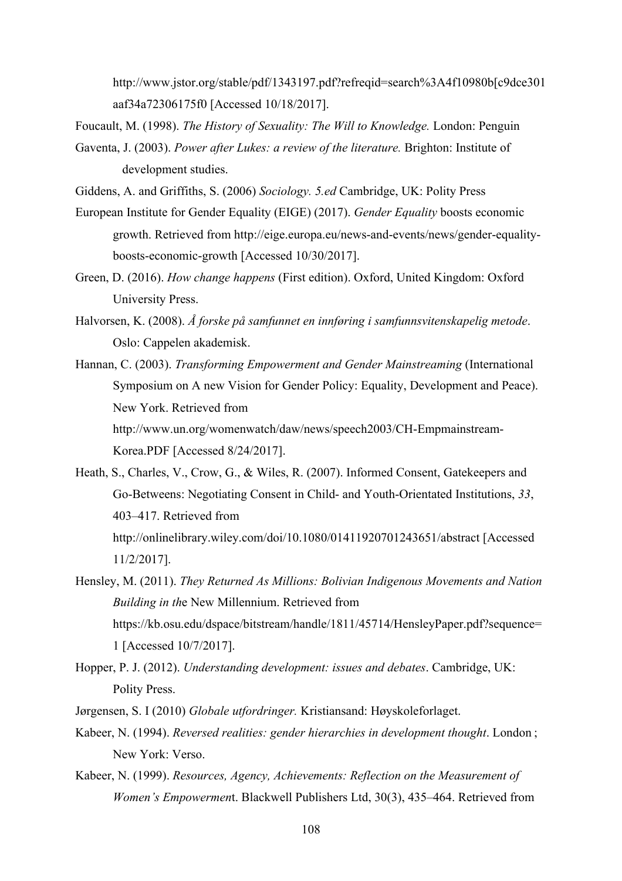http://www.jstor.org/stable/pdf/1343197.pdf?refreqid=search%3A4f10980b[c9dce301 aaf34a72306175f0 [Accessed 10/18/2017].

Foucault, M. (1998). *The History of Sexuality: The Will to Knowledge.* London: Penguin

- Gaventa, J. (2003). *Power after Lukes: a review of the literature.* Brighton: Institute of development studies.
- Giddens, A. and Griffiths, S. (2006) *Sociology. 5.ed* Cambridge, UK: Polity Press
- European Institute for Gender Equality (EIGE) (2017). *Gender Equality* boosts economic growth. Retrieved from http://eige.europa.eu/news-and-events/news/gender-equalityboosts-economic-growth [Accessed 10/30/2017].
- Green, D. (2016). *How change happens* (First edition). Oxford, United Kingdom: Oxford University Press.
- Halvorsen, K. (2008). *Å forske på samfunnet en innføring i samfunnsvitenskapelig metode*. Oslo: Cappelen akademisk.
- Hannan, C. (2003). *Transforming Empowerment and Gender Mainstreaming* (International Symposium on A new Vision for Gender Policy: Equality, Development and Peace). New York. Retrieved from http://www.un.org/womenwatch/daw/news/speech2003/CH-Empmainstream-Korea.PDF [Accessed 8/24/2017].
- Heath, S., Charles, V., Crow, G., & Wiles, R. (2007). Informed Consent, Gatekeepers and Go-Betweens: Negotiating Consent in Child- and Youth-Orientated Institutions, *33*, 403–417. Retrieved from http://onlinelibrary.wiley.com/doi/10.1080/01411920701243651/abstract [Accessed 11/2/2017].
- Hensley, M. (2011). *They Returned As Millions: Bolivian Indigenous Movements and Nation Building in th*e New Millennium. Retrieved from https://kb.osu.edu/dspace/bitstream/handle/1811/45714/HensleyPaper.pdf?sequence= 1 [Accessed 10/7/2017].
- Hopper, P. J. (2012). *Understanding development: issues and debates*. Cambridge, UK: Polity Press.
- Jørgensen, S. I (2010) *Globale utfordringer.* Kristiansand: Høyskoleforlaget.
- Kabeer, N. (1994). *Reversed realities: gender hierarchies in development thought*. London; New York: Verso.
- Kabeer, N. (1999). *Resources, Agency, Achievements: Reflection on the Measurement of Women's Empowermen*t. Blackwell Publishers Ltd, 30(3), 435–464. Retrieved from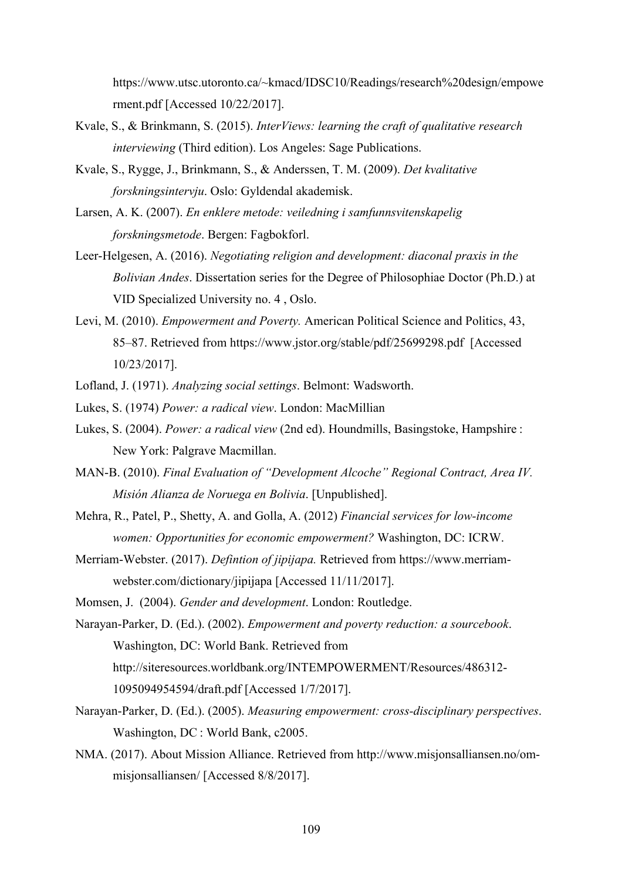https://www.utsc.utoronto.ca/~kmacd/IDSC10/Readings/research%20design/empowe rment.pdf [Accessed 10/22/2017].

- Kvale, S., & Brinkmann, S. (2015). *InterViews: learning the craft of qualitative research interviewing* (Third edition). Los Angeles: Sage Publications.
- Kvale, S., Rygge, J., Brinkmann, S., & Anderssen, T. M. (2009). *Det kvalitative forskningsintervju*. Oslo: Gyldendal akademisk.
- Larsen, A. K. (2007). *En enklere metode: veiledning i samfunnsvitenskapelig forskningsmetode*. Bergen: Fagbokforl.
- Leer-Helgesen, A. (2016). *Negotiating religion and development: diaconal praxis in the Bolivian Andes*. Dissertation series for the Degree of Philosophiae Doctor (Ph.D.) at VID Specialized University no. 4 , Oslo.
- Levi, M. (2010). *Empowerment and Poverty.* American Political Science and Politics, 43, 85–87. Retrieved from https://www.jstor.org/stable/pdf/25699298.pdf [Accessed 10/23/2017].
- Lofland, J. (1971). *Analyzing social settings*. Belmont: Wadsworth.
- Lukes, S. (1974) *Power: a radical view*. London: MacMillian
- Lukes, S. (2004). *Power: a radical view* (2nd ed). Houndmills, Basingstoke, Hampshire : New York: Palgrave Macmillan.
- MAN-B. (2010). *Final Evaluation of "Development Alcoche" Regional Contract, Area IV. Misión Alianza de Noruega en Bolivia*. [Unpublished].
- Mehra, R., Patel, P., Shetty, A. and Golla, A. (2012) *Financial services for low-income women: Opportunities for economic empowerment?* Washington, DC: ICRW.
- Merriam-Webster. (2017). *Defintion of jipijapa.* Retrieved from https://www.merriamwebster.com/dictionary/jipijapa [Accessed 11/11/2017].
- Momsen, J. (2004). *Gender and development*. London: Routledge.

Narayan-Parker, D. (Ed.). (2002). *Empowerment and poverty reduction: a sourcebook*. Washington, DC: World Bank. Retrieved from http://siteresources.worldbank.org/INTEMPOWERMENT/Resources/486312- 1095094954594/draft.pdf [Accessed 1/7/2017].

- Narayan-Parker, D. (Ed.). (2005). *Measuring empowerment: cross-disciplinary perspectives*. Washington, DC : World Bank, c2005.
- NMA. (2017). About Mission Alliance. Retrieved from http://www.misjonsalliansen.no/ommisjonsalliansen/ [Accessed 8/8/2017].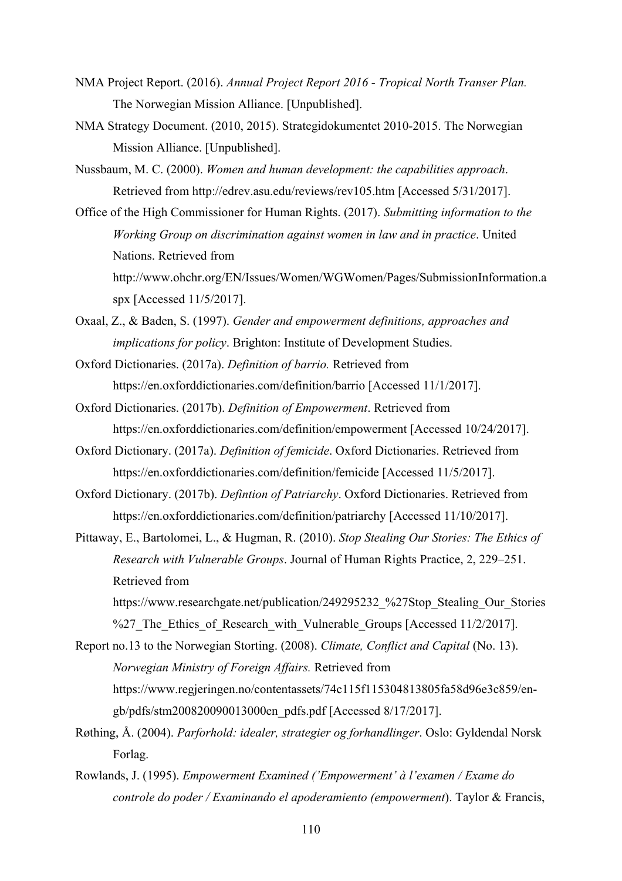- NMA Project Report. (2016). *Annual Project Report 2016 - Tropical North Transer Plan.*  The Norwegian Mission Alliance. [Unpublished].
- NMA Strategy Document. (2010, 2015). Strategidokumentet 2010-2015. The Norwegian Mission Alliance. [Unpublished].
- Nussbaum, M. C. (2000). *Women and human development: the capabilities approach*. Retrieved from http://edrev.asu.edu/reviews/rev105.htm [Accessed 5/31/2017].
- Office of the High Commissioner for Human Rights. (2017). *Submitting information to the Working Group on discrimination against women in law and in practice*. United Nations. Retrieved from http://www.ohchr.org/EN/Issues/Women/WGWomen/Pages/SubmissionInformation.a spx [Accessed 11/5/2017].
- Oxaal, Z., & Baden, S. (1997). *Gender and empowerment definitions, approaches and implications for policy*. Brighton: Institute of Development Studies.
- Oxford Dictionaries. (2017a). *Definition of barrio.* Retrieved from https://en.oxforddictionaries.com/definition/barrio [Accessed 11/1/2017].
- Oxford Dictionaries. (2017b). *Definition of Empowerment*. Retrieved from https://en.oxforddictionaries.com/definition/empowerment [Accessed 10/24/2017].
- Oxford Dictionary. (2017a). *Definition of femicide*. Oxford Dictionaries. Retrieved from https://en.oxforddictionaries.com/definition/femicide [Accessed 11/5/2017].
- Oxford Dictionary. (2017b). *Defintion of Patriarchy*. Oxford Dictionaries. Retrieved from https://en.oxforddictionaries.com/definition/patriarchy [Accessed 11/10/2017].
- Pittaway, E., Bartolomei, L., & Hugman, R. (2010). *Stop Stealing Our Stories: The Ethics of Research with Vulnerable Groups*. Journal of Human Rights Practice, 2, 229–251. Retrieved from
	- https://www.researchgate.net/publication/249295232\_%27Stop\_Stealing\_Our\_Stories %27 The Ethics of Research with Vulnerable Groups [Accessed 11/2/2017].
- Report no.13 to the Norwegian Storting. (2008). *Climate, Conflict and Capital* (No. 13). *Norwegian Ministry of Foreign Affairs.* Retrieved from https://www.regjeringen.no/contentassets/74c115f115304813805fa58d96e3c859/engb/pdfs/stm200820090013000en\_pdfs.pdf [Accessed 8/17/2017].
- Røthing, Å. (2004). *Parforhold: idealer, strategier og forhandlinger*. Oslo: Gyldendal Norsk Forlag.
- Rowlands, J. (1995). *Empowerment Examined ('Empowerment' à l'examen / Exame do controle do poder / Examinando el apoderamiento (empowerment*). Taylor & Francis,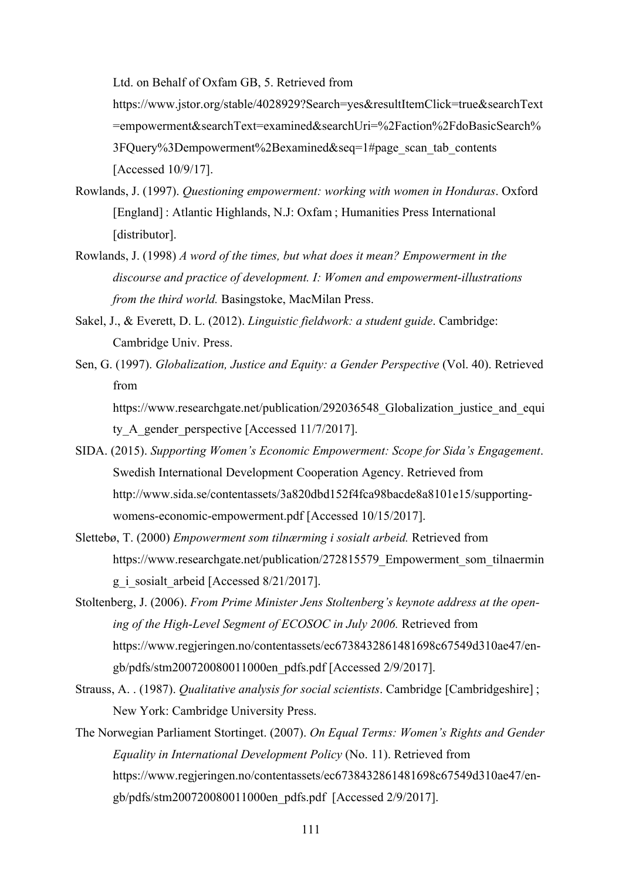Ltd. on Behalf of Oxfam GB, 5. Retrieved from

https://www.jstor.org/stable/4028929?Search=yes&resultItemClick=true&searchText =empowerment&searchText=examined&searchUri=%2Faction%2FdoBasicSearch% 3FQuery%3Dempowerment%2Bexamined&seq=1#page\_scan\_tab\_contents [Accessed 10/9/17].

- Rowlands, J. (1997). *Questioning empowerment: working with women in Honduras*. Oxford [England] : Atlantic Highlands, N.J: Oxfam ; Humanities Press International [distributor].
- Rowlands, J. (1998) *A word of the times, but what does it mean? Empowerment in the discourse and practice of development. I: Women and empowerment-illustrations from the third world.* Basingstoke, MacMilan Press.
- Sakel, J., & Everett, D. L. (2012). *Linguistic fieldwork: a student guide*. Cambridge: Cambridge Univ. Press.
- Sen, G. (1997). *Globalization, Justice and Equity: a Gender Perspective* (Vol. 40). Retrieved from

https://www.researchgate.net/publication/292036548 Globalization justice and equi ty A\_gender\_perspective [Accessed 11/7/2017].

- SIDA. (2015). *Supporting Women's Economic Empowerment: Scope for Sida's Engagement*. Swedish International Development Cooperation Agency. Retrieved from http://www.sida.se/contentassets/3a820dbd152f4fca98bacde8a8101e15/supportingwomens-economic-empowerment.pdf [Accessed 10/15/2017].
- Slettebø, T. (2000) *Empowerment som tilnærming i sosialt arbeid.* Retrieved from https://www.researchgate.net/publication/272815579\_Empowerment\_som\_tilnaermin g\_i\_sosialt\_arbeid [Accessed 8/21/2017].
- Stoltenberg, J. (2006). *From Prime Minister Jens Stoltenberg's keynote address at the opening of the High-Level Segment of ECOSOC in July 2006.* Retrieved from https://www.regjeringen.no/contentassets/ec6738432861481698c67549d310ae47/engb/pdfs/stm200720080011000en\_pdfs.pdf [Accessed 2/9/2017].
- Strauss, A. . (1987). *Qualitative analysis for social scientists*. Cambridge [Cambridgeshire] ; New York: Cambridge University Press.
- The Norwegian Parliament Stortinget. (2007). *On Equal Terms: Women's Rights and Gender Equality in International Development Policy* (No. 11). Retrieved from https://www.regjeringen.no/contentassets/ec6738432861481698c67549d310ae47/engb/pdfs/stm200720080011000en\_pdfs.pdf [Accessed 2/9/2017].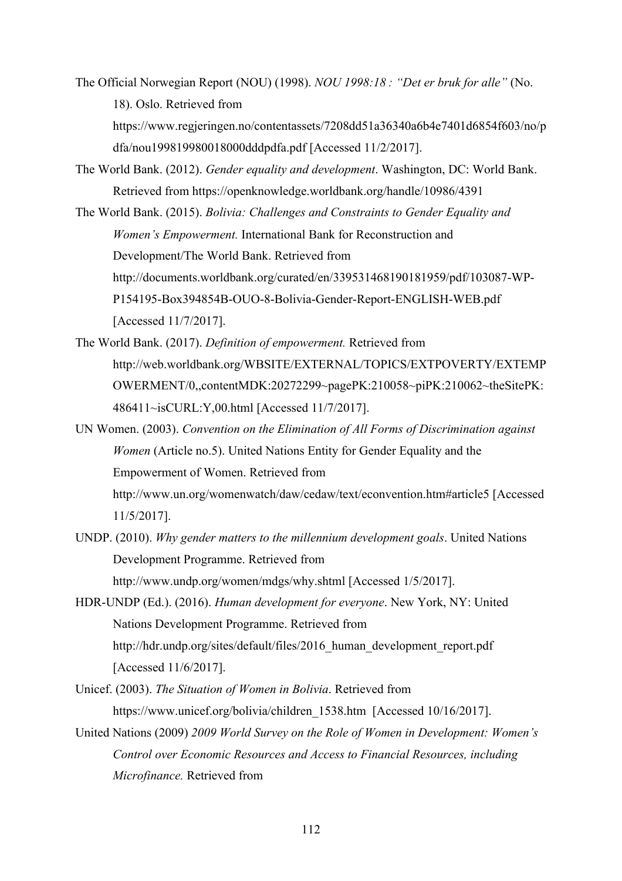The Official Norwegian Report (NOU) (1998). *NOU 1998:18 : "Det er bruk for alle"* (No. 18). Oslo. Retrieved from

https://www.regjeringen.no/contentassets/7208dd51a36340a6b4e7401d6854f603/no/p dfa/nou199819980018000dddpdfa.pdf [Accessed 11/2/2017].

- The World Bank. (2012). *Gender equality and development*. Washington, DC: World Bank. Retrieved from https://openknowledge.worldbank.org/handle/10986/4391
- The World Bank. (2015). *Bolivia: Challenges and Constraints to Gender Equality and Women's Empowerment.* International Bank for Reconstruction and Development/The World Bank. Retrieved from http://documents.worldbank.org/curated/en/339531468190181959/pdf/103087-WP-P154195-Box394854B-OUO-8-Bolivia-Gender-Report-ENGLISH-WEB.pdf [Accessed 11/7/2017].
- The World Bank. (2017). *Definition of empowerment.* Retrieved from http://web.worldbank.org/WBSITE/EXTERNAL/TOPICS/EXTPOVERTY/EXTEMP OWERMENT/0,,contentMDK:20272299~pagePK:210058~piPK:210062~theSitePK: 486411~isCURL:Y,00.html [Accessed 11/7/2017].
- UN Women. (2003). *Convention on the Elimination of All Forms of Discrimination against Women* (Article no.5). United Nations Entity for Gender Equality and the Empowerment of Women. Retrieved from http://www.un.org/womenwatch/daw/cedaw/text/econvention.htm#article5 [Accessed 11/5/2017].
- UNDP. (2010). *Why gender matters to the millennium development goals*. United Nations Development Programme. Retrieved from http://www.undp.org/women/mdgs/why.shtml [Accessed 1/5/2017].
- HDR-UNDP (Ed.). (2016). *Human development for everyone*. New York, NY: United Nations Development Programme. Retrieved from http://hdr.undp.org/sites/default/files/2016\_human\_development\_report.pdf [Accessed 11/6/2017].
- Unicef. (2003). *The Situation of Women in Bolivia*. Retrieved from https://www.unicef.org/bolivia/children\_1538.htm [Accessed 10/16/2017].
- United Nations (2009) *2009 World Survey on the Role of Women in Development: Women's Control over Economic Resources and Access to Financial Resources, including Microfinance.* Retrieved from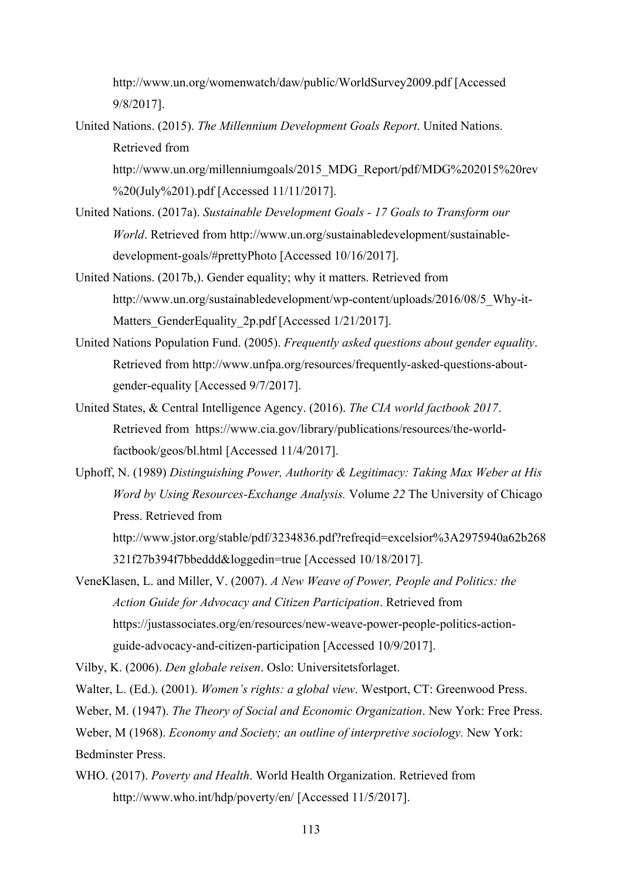http://www.un.org/womenwatch/daw/public/WorldSurvey2009.pdf [Accessed 9/8/2017].

United Nations. (2015). *The Millennium Development Goals Report*. United Nations. Retrieved from

http://www.un.org/millenniumgoals/2015\_MDG\_Report/pdf/MDG%202015%20rev %20(July%201).pdf [Accessed 11/11/2017].

- United Nations. (2017a). *Sustainable Development Goals - 17 Goals to Transform our World*. Retrieved from http://www.un.org/sustainabledevelopment/sustainabledevelopment-goals/#prettyPhoto [Accessed 10/16/2017].
- United Nations. (2017b,). Gender equality; why it matters. Retrieved from http://www.un.org/sustainabledevelopment/wp-content/uploads/2016/08/5\_Why-it-Matters GenderEquality 2p.pdf [Accessed 1/21/2017].
- United Nations Population Fund. (2005). *Frequently asked questions about gender equality*. Retrieved from http://www.unfpa.org/resources/frequently-asked-questions-aboutgender-equality [Accessed 9/7/2017].
- United States, & Central Intelligence Agency. (2016). *The CIA world factbook 2017*. Retrieved from https://www.cia.gov/library/publications/resources/the-worldfactbook/geos/bl.html [Accessed 11/4/2017].
- Uphoff, N. (1989) *Distinguishing Power, Authority & Legitimacy: Taking Max Weber at His Word by Using Resources-Exchange Analysis.* Volume *22* The University of Chicago Press. Retrieved from http://www.jstor.org/stable/pdf/3234836.pdf?refreqid=excelsior%3A2975940a62b268 321f27b394f7bbeddd&loggedin=true [Accessed 10/18/2017].
- VeneKlasen, L. and Miller, V. (2007). *A New Weave of Power, People and Politics: the Action Guide for Advocacy and Citizen Participation*. Retrieved from https://justassociates.org/en/resources/new-weave-power-people-politics-actionguide-advocacy-and-citizen-participation [Accessed 10/9/2017].

Vilby, K. (2006). *Den globale reisen*. Oslo: Universitetsforlaget.

Walter, L. (Ed.). (2001). *Women's rights: a global view*. Westport, CT: Greenwood Press.

Weber, M. (1947). *The Theory of Social and Economic Organization*. New York: Free Press.

Weber, M (1968). *Economy and Society; an outline of interpretive sociology.* New York: Bedminster Press.

WHO. (2017). *Poverty and Health*. World Health Organization. Retrieved from http://www.who.int/hdp/poverty/en/ [Accessed 11/5/2017].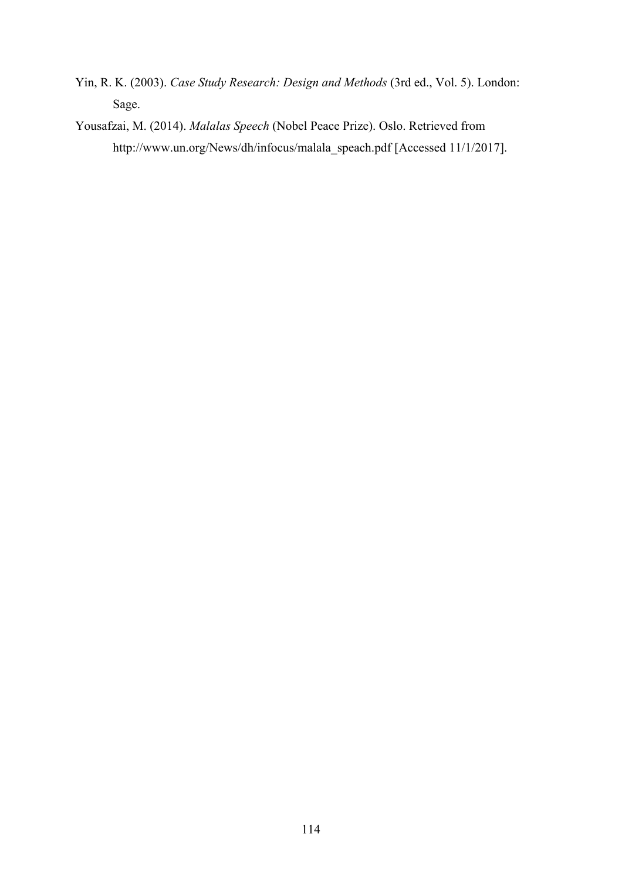- Yin, R. K. (2003). *Case Study Research: Design and Methods* (3rd ed., Vol. 5). London: Sage.
- Yousafzai, M. (2014). *Malalas Speech* (Nobel Peace Prize). Oslo. Retrieved from http://www.un.org/News/dh/infocus/malala\_speach.pdf [Accessed 11/1/2017].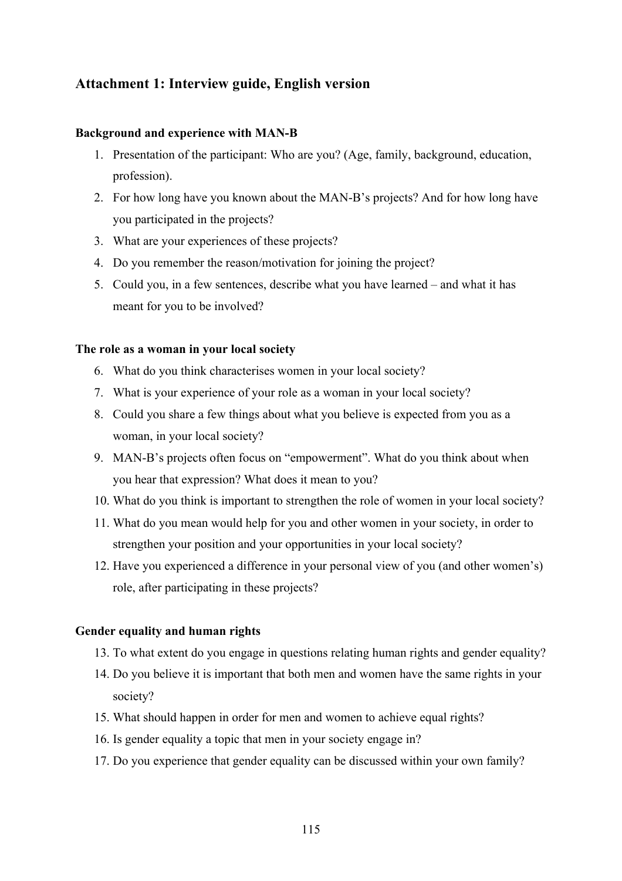## **Attachment 1: Interview guide, English version**

### **Background and experience with MAN-B**

- 1. Presentation of the participant: Who are you? (Age, family, background, education, profession).
- 2. For how long have you known about the MAN-B's projects? And for how long have you participated in the projects?
- 3. What are your experiences of these projects?
- 4. Do you remember the reason/motivation for joining the project?
- 5. Could you, in a few sentences, describe what you have learned and what it has meant for you to be involved?

### **The role as a woman in your local society**

- 6. What do you think characterises women in your local society?
- 7. What is your experience of your role as a woman in your local society?
- 8. Could you share a few things about what you believe is expected from you as a woman, in your local society?
- 9. MAN-B's projects often focus on "empowerment". What do you think about when you hear that expression? What does it mean to you?
- 10. What do you think is important to strengthen the role of women in your local society?
- 11. What do you mean would help for you and other women in your society, in order to strengthen your position and your opportunities in your local society?
- 12. Have you experienced a difference in your personal view of you (and other women's) role, after participating in these projects?

#### **Gender equality and human rights**

- 13. To what extent do you engage in questions relating human rights and gender equality?
- 14. Do you believe it is important that both men and women have the same rights in your society?
- 15. What should happen in order for men and women to achieve equal rights?
- 16. Is gender equality a topic that men in your society engage in?
- 17. Do you experience that gender equality can be discussed within your own family?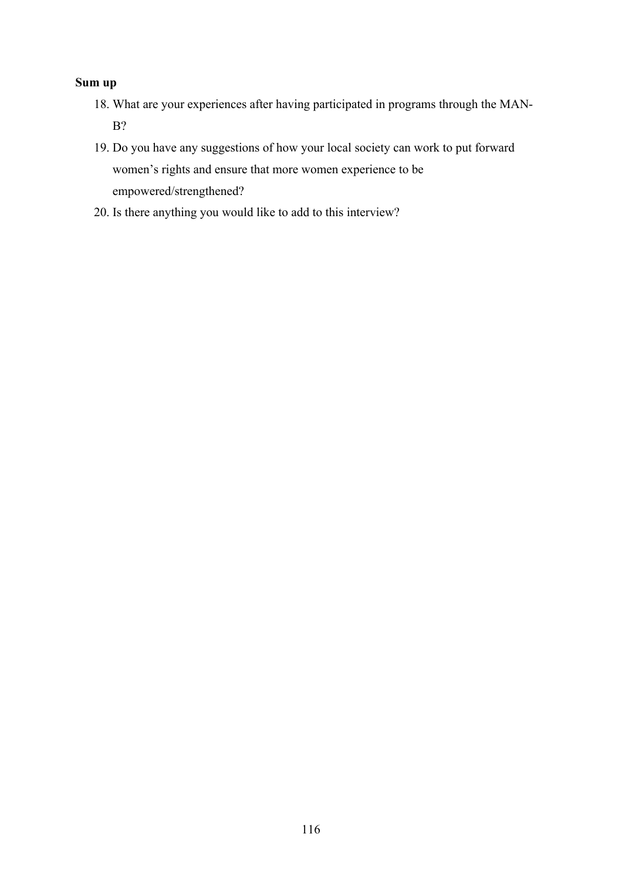## **Sum up**

- 18. What are your experiences after having participated in programs through the MAN-B?
- 19. Do you have any suggestions of how your local society can work to put forward women's rights and ensure that more women experience to be empowered/strengthened?
- 20. Is there anything you would like to add to this interview?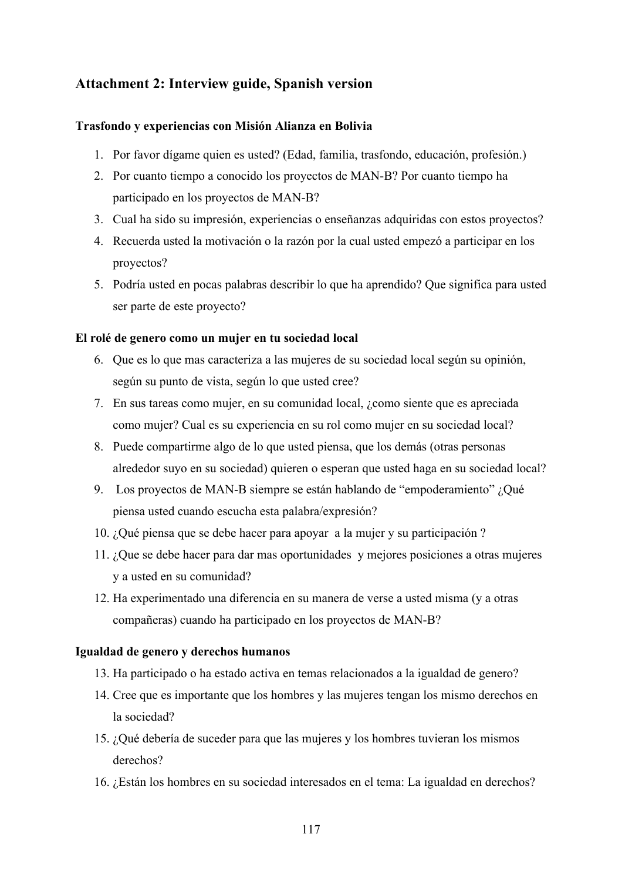# **Attachment 2: Interview guide, Spanish version**

### **Trasfondo y experiencias con Misión Alianza en Bolivia**

- 1. Por favor dígame quien es usted? (Edad, familia, trasfondo, educación, profesión.)
- 2. Por cuanto tiempo a conocido los proyectos de MAN-B? Por cuanto tiempo ha participado en los proyectos de MAN-B?
- 3. Cual ha sido su impresión, experiencias o enseñanzas adquiridas con estos proyectos?
- 4. Recuerda usted la motivación o la razón por la cual usted empezó a participar en los proyectos?
- 5. Podría usted en pocas palabras describir lo que ha aprendido? Que significa para usted ser parte de este proyecto?

### **El rolé de genero como un mujer en tu sociedad local**

- 6. Que es lo que mas caracteriza a las mujeres de su sociedad local según su opinión, según su punto de vista, según lo que usted cree?
- 7. En sus tareas como mujer, en su comunidad local, ¿como siente que es apreciada como mujer? Cual es su experiencia en su rol como mujer en su sociedad local?
- 8. Puede compartirme algo de lo que usted piensa, que los demás (otras personas alrededor suyo en su sociedad) quieren o esperan que usted haga en su sociedad local?
- 9. Los proyectos de MAN-B siempre se están hablando de "empoderamiento" ¿Qué piensa usted cuando escucha esta palabra/expresión?
- 10. ¿Qué piensa que se debe hacer para apoyar a la mujer y su participación ?
- 11. ¿Que se debe hacer para dar mas oportunidades y mejores posiciones a otras mujeres y a usted en su comunidad?
- 12. Ha experimentado una diferencia en su manera de verse a usted misma (y a otras compañeras) cuando ha participado en los proyectos de MAN-B?

### **Igualdad de genero y derechos humanos**

- 13. Ha participado o ha estado activa en temas relacionados a la igualdad de genero?
- 14. Cree que es importante que los hombres y las mujeres tengan los mismo derechos en la sociedad?
- 15. ¿Qué debería de suceder para que las mujeres y los hombres tuvieran los mismos derechos?
- 16. ¿Están los hombres en su sociedad interesados en el tema: La igualdad en derechos?